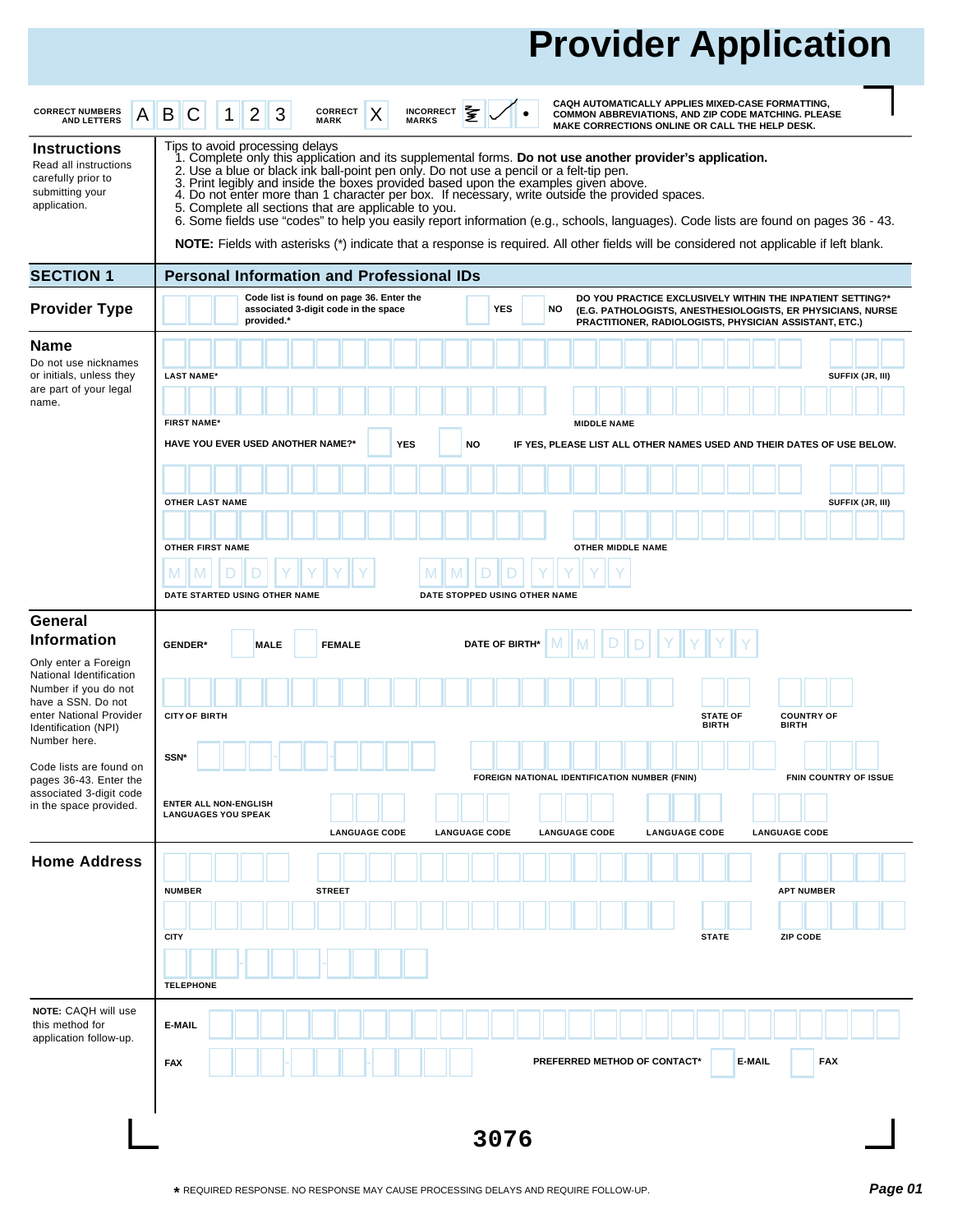# **Provider Application**

| <b>CORRECT NUMBERS</b><br>A<br><b>AND LETTERS</b>                                                                                                                | CAQH AUTOMATICALLY APPLIES MIXED-CASE FORMATTING,<br>全<br>3<br>CORRECT<br><b>INCORRECT</b><br>B<br>X<br>2<br>С<br>COMMON ABBREVIATIONS, AND ZIP CODE MATCHING. PLEASE<br><b>MARKS</b><br><b>MARK</b><br>MAKE CORRECTIONS ONLINE OR CALL THE HELP DESK.                                                                                                                                                                                                                                                                                                                                                                                                                                                                                                                           |  |
|------------------------------------------------------------------------------------------------------------------------------------------------------------------|----------------------------------------------------------------------------------------------------------------------------------------------------------------------------------------------------------------------------------------------------------------------------------------------------------------------------------------------------------------------------------------------------------------------------------------------------------------------------------------------------------------------------------------------------------------------------------------------------------------------------------------------------------------------------------------------------------------------------------------------------------------------------------|--|
| <b>Instructions</b><br>Read all instructions<br>carefully prior to<br>submitting your<br>application.                                                            | Tips to avoid processing delays<br>1. Complete only this application and its supplemental forms. Do not use another provider's application.<br>2. Use a blue or black ink ball-point pen only. Do not use a pencil or a felt-tip pen.<br>3. Print legibly and inside the boxes provided based upon the examples given above.<br>4. Do not enter more than 1 character per box. If necessary, write outside the provided spaces.<br>5. Complete all sections that are applicable to you.<br>6. Some fields use "codes" to help you easily report information (e.g., schools, languages). Code lists are found on pages 36 - 43.<br><b>NOTE:</b> Fields with asterisks (*) indicate that a response is required. All other fields will be considered not applicable if left blank. |  |
| <b>SECTION 1</b>                                                                                                                                                 | <b>Personal Information and Professional IDs</b>                                                                                                                                                                                                                                                                                                                                                                                                                                                                                                                                                                                                                                                                                                                                 |  |
| <b>Provider Type</b>                                                                                                                                             | Code list is found on page 36. Enter the<br>DO YOU PRACTICE EXCLUSIVELY WITHIN THE INPATIENT SETTING?*<br><b>YES</b><br>associated 3-digit code in the space<br>NO<br>(E.G. PATHOLOGISTS, ANESTHESIOLOGISTS, ER PHYSICIANS, NURSE<br>provided.*<br>PRACTITIONER, RADIOLOGISTS, PHYSICIAN ASSISTANT, ETC.)                                                                                                                                                                                                                                                                                                                                                                                                                                                                        |  |
| <b>Name</b><br>Do not use nicknames<br>or initials, unless they<br>are part of your legal<br>name.                                                               | SUFFIX (JR, III)<br><b>LAST NAME*</b><br><b>FIRST NAME*</b><br><b>MIDDLE NAME</b>                                                                                                                                                                                                                                                                                                                                                                                                                                                                                                                                                                                                                                                                                                |  |
|                                                                                                                                                                  | <b>OTHER LAST NAME</b><br>SUFFIX (JR, III)                                                                                                                                                                                                                                                                                                                                                                                                                                                                                                                                                                                                                                                                                                                                       |  |
|                                                                                                                                                                  | <b>OTHER FIRST NAME</b><br>OTHER MIDDLE NAME<br>M                                                                                                                                                                                                                                                                                                                                                                                                                                                                                                                                                                                                                                                                                                                                |  |
| General                                                                                                                                                          |                                                                                                                                                                                                                                                                                                                                                                                                                                                                                                                                                                                                                                                                                                                                                                                  |  |
| <b>Information</b>                                                                                                                                               | <b>DATE OF BIRTH*</b><br><b>GENDER*</b><br><b>FEMALE</b><br><b>MALE</b>                                                                                                                                                                                                                                                                                                                                                                                                                                                                                                                                                                                                                                                                                                          |  |
| Only enter a Foreign<br>National Identification<br>Number if you do not<br>have a SSN. Do not<br>enter National Provider<br>Identification (NPI)<br>Number here. | <b>CITY OF BIRTH</b><br><b>COUNTRY OF</b><br><b>STATE OF</b><br><b>BIRTH</b><br><b>BIRTH</b>                                                                                                                                                                                                                                                                                                                                                                                                                                                                                                                                                                                                                                                                                     |  |
| Code lists are found on<br>pages 36-43. Enter the<br>associated 3-digit code                                                                                     | SSN <sup>*</sup><br>FOREIGN NATIONAL IDENTIFICATION NUMBER (FNIN)<br><b>FNIN COUNTRY OF ISSUE</b>                                                                                                                                                                                                                                                                                                                                                                                                                                                                                                                                                                                                                                                                                |  |
| in the space provided.                                                                                                                                           | HAVE YOU EVER USED ANOTHER NAME?*<br><b>YES</b><br>NO<br>IF YES, PLEASE LIST ALL OTHER NAMES USED AND THEIR DATES OF USE BELOW.<br>DATE STARTED USING OTHER NAME<br>DATE STOPPED USING OTHER NAME<br><b>ENTER ALL NON-ENGLISH</b><br><b>LANGUAGES YOU SPEAK</b><br><b>LANGUAGE CODE</b><br><b>LANGUAGE CODE</b><br><b>LANGUAGE CODE</b><br><b>LANGUAGE CODE</b><br><b>LANGUAGE CODE</b>                                                                                                                                                                                                                                                                                                                                                                                          |  |
| <b>Home Address</b>                                                                                                                                              | <b>NUMBER</b><br><b>STREET</b><br><b>APT NUMBER</b><br><b>CITY</b><br><b>STATE</b><br><b>ZIP CODE</b>                                                                                                                                                                                                                                                                                                                                                                                                                                                                                                                                                                                                                                                                            |  |
|                                                                                                                                                                  | <b>TELEPHONE</b>                                                                                                                                                                                                                                                                                                                                                                                                                                                                                                                                                                                                                                                                                                                                                                 |  |
| NOTE: CAQH will use<br>this method for<br>application follow-up.                                                                                                 | E-MAIL<br><b>FAX</b><br>PREFERRED METHOD OF CONTACT*<br>E-MAIL<br><b>FAX</b>                                                                                                                                                                                                                                                                                                                                                                                                                                                                                                                                                                                                                                                                                                     |  |
|                                                                                                                                                                  | 3076                                                                                                                                                                                                                                                                                                                                                                                                                                                                                                                                                                                                                                                                                                                                                                             |  |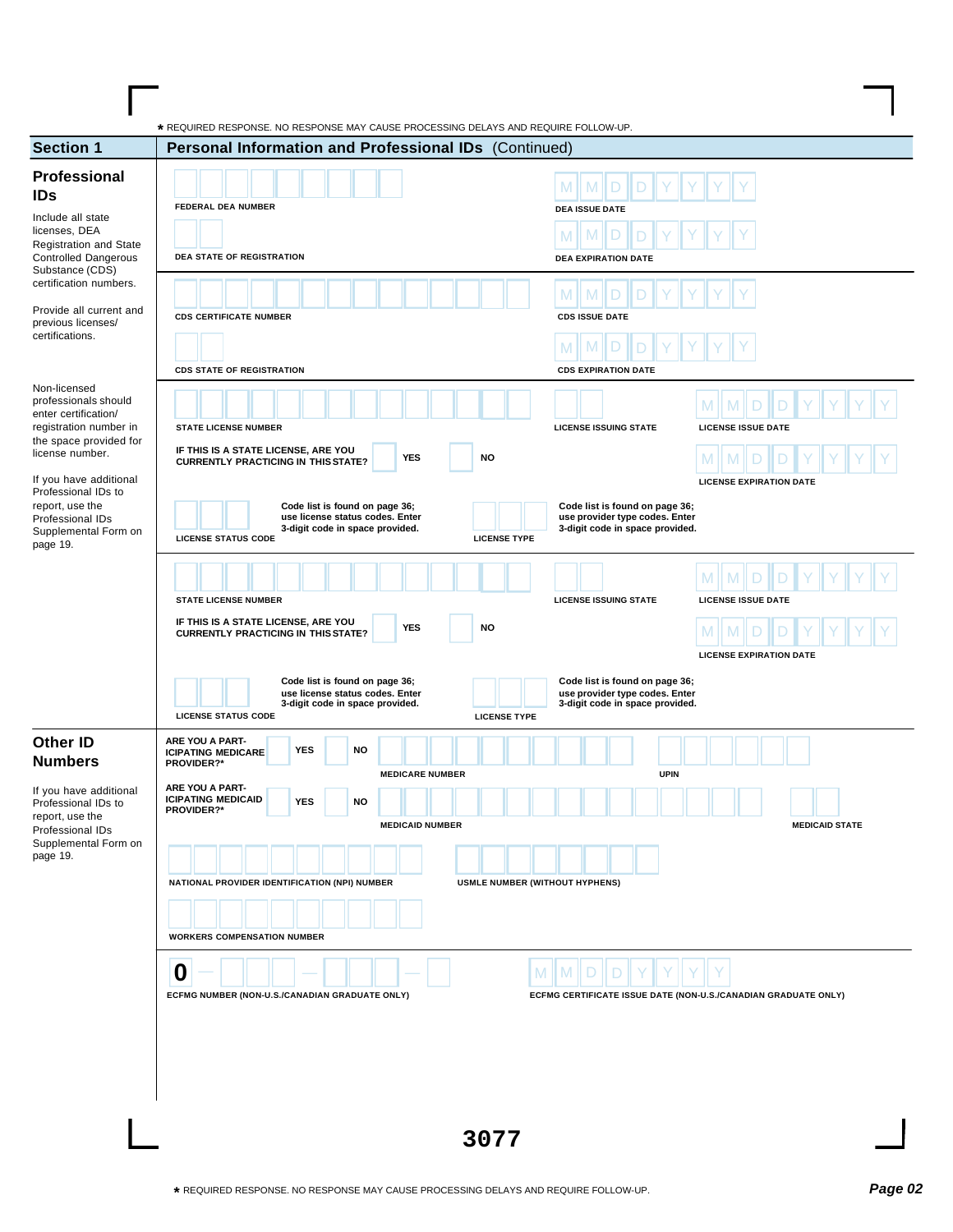| Professional<br>M<br><b>IDs</b><br><b>FEDERAL DEA NUMBER</b><br><b>DEA ISSUE DATE</b><br>Include all state<br>licenses, DEA<br><b>Registration and State</b><br><b>Controlled Dangerous</b><br>DEA STATE OF REGISTRATION<br><b>DEA EXPIRATION DATE</b><br>Substance (CDS)<br>certification numbers.<br>M<br><b>CDS CERTIFICATE NUMBER</b><br><b>CDS ISSUE DATE</b><br>previous licenses/<br><b>CDS STATE OF REGISTRATION</b><br><b>CDS EXPIRATION DATE</b><br><b>STATE LICENSE NUMBER</b><br><b>LICENSE ISSUING STATE</b><br><b>LICENSE ISSUE DATE</b><br>IF THIS IS A STATE LICENSE, ARE YOU<br><b>YES</b><br><b>NO</b><br><b>CURRENTLY PRACTICING IN THIS STATE?</b><br>If you have additional<br><b>LICENSE EXPIRATION DATE</b><br>Professional IDs to<br>report, use the<br>Code list is found on page 36;<br>Code list is found on page 36;<br>use license status codes. Enter<br>use provider type codes. Enter<br>3-digit code in space provided.<br>3-digit code in space provided.<br><b>LICENSE STATUS CODE</b><br><b>LICENSE TYPE</b><br><b>STATE LICENSE NUMBER</b><br><b>LICENSE ISSUING STATE</b><br><b>LICENSE ISSUE DATE</b><br>IF THIS IS A STATE LICENSE, ARE YOU<br><b>YES</b><br><b>NO</b><br><b>CURRENTLY PRACTICING IN THIS STATE?</b><br><b>LICENSE EXPIRATION DATE</b><br>Code list is found on page 36;<br>Code list is found on page 36;<br>use license status codes. Enter<br>use provider type codes. Enter<br>3-digit code in space provided.<br>3-digit code in space provided.<br><b>LICENSE STATUS CODE</b><br><b>LICENSE TYPE</b><br>ARE YOU A PART-<br><b>YES</b><br><b>NO</b><br><b>ICIPATING MEDICARE</b><br>PROVIDER?*<br><b>MEDICARE NUMBER</b><br><b>UPIN</b><br>ARE YOU A PART-<br><b>ICIPATING MEDICAID</b><br><b>YES</b><br><b>NO</b><br>PROVIDER?*<br><b>MEDICAID NUMBER</b><br><b>MEDICAID STATE</b><br>NATIONAL PROVIDER IDENTIFICATION (NPI) NUMBER<br><b>USMLE NUMBER (WITHOUT HYPHENS)</b><br><b>WORKERS COMPENSATION NUMBER</b><br>$\boldsymbol{0}$<br>M<br>M<br>ECFMG NUMBER (NON-U.S./CANADIAN GRADUATE ONLY)<br>ECFMG CERTIFICATE ISSUE DATE (NON-U.S./CANADIAN GRADUATE ONLY) | <b>Section 1</b>                           | * REQUIRED RESPONSE. NO RESPONSE MAY CAUSE PROCESSING DELAYS AND REQUIRE FOLLOW-UP.<br>Personal Information and Professional IDs (Continued) |  |
|------------------------------------------------------------------------------------------------------------------------------------------------------------------------------------------------------------------------------------------------------------------------------------------------------------------------------------------------------------------------------------------------------------------------------------------------------------------------------------------------------------------------------------------------------------------------------------------------------------------------------------------------------------------------------------------------------------------------------------------------------------------------------------------------------------------------------------------------------------------------------------------------------------------------------------------------------------------------------------------------------------------------------------------------------------------------------------------------------------------------------------------------------------------------------------------------------------------------------------------------------------------------------------------------------------------------------------------------------------------------------------------------------------------------------------------------------------------------------------------------------------------------------------------------------------------------------------------------------------------------------------------------------------------------------------------------------------------------------------------------------------------------------------------------------------------------------------------------------------------------------------------------------------------------------------------------------------------------------------------------------------------------------------------------------------------------------------------------------------------------------------|--------------------------------------------|----------------------------------------------------------------------------------------------------------------------------------------------|--|
|                                                                                                                                                                                                                                                                                                                                                                                                                                                                                                                                                                                                                                                                                                                                                                                                                                                                                                                                                                                                                                                                                                                                                                                                                                                                                                                                                                                                                                                                                                                                                                                                                                                                                                                                                                                                                                                                                                                                                                                                                                                                                                                                    |                                            |                                                                                                                                              |  |
| Non-licensed<br>professionals should<br>enter certification/<br>registration number in<br>the space provided for<br>license number.<br>Professional IDs<br>Supplemental Form on<br>page 19.<br><b>Numbers</b><br>If you have additional<br>Professional IDs to<br>report, use the<br>Professional IDs<br>Supplemental Form on<br>page 19.                                                                                                                                                                                                                                                                                                                                                                                                                                                                                                                                                                                                                                                                                                                                                                                                                                                                                                                                                                                                                                                                                                                                                                                                                                                                                                                                                                                                                                                                                                                                                                                                                                                                                                                                                                                          | Provide all current and<br>certifications. |                                                                                                                                              |  |
|                                                                                                                                                                                                                                                                                                                                                                                                                                                                                                                                                                                                                                                                                                                                                                                                                                                                                                                                                                                                                                                                                                                                                                                                                                                                                                                                                                                                                                                                                                                                                                                                                                                                                                                                                                                                                                                                                                                                                                                                                                                                                                                                    |                                            |                                                                                                                                              |  |
| <b>Other ID</b>                                                                                                                                                                                                                                                                                                                                                                                                                                                                                                                                                                                                                                                                                                                                                                                                                                                                                                                                                                                                                                                                                                                                                                                                                                                                                                                                                                                                                                                                                                                                                                                                                                                                                                                                                                                                                                                                                                                                                                                                                                                                                                                    |                                            |                                                                                                                                              |  |
|                                                                                                                                                                                                                                                                                                                                                                                                                                                                                                                                                                                                                                                                                                                                                                                                                                                                                                                                                                                                                                                                                                                                                                                                                                                                                                                                                                                                                                                                                                                                                                                                                                                                                                                                                                                                                                                                                                                                                                                                                                                                                                                                    |                                            |                                                                                                                                              |  |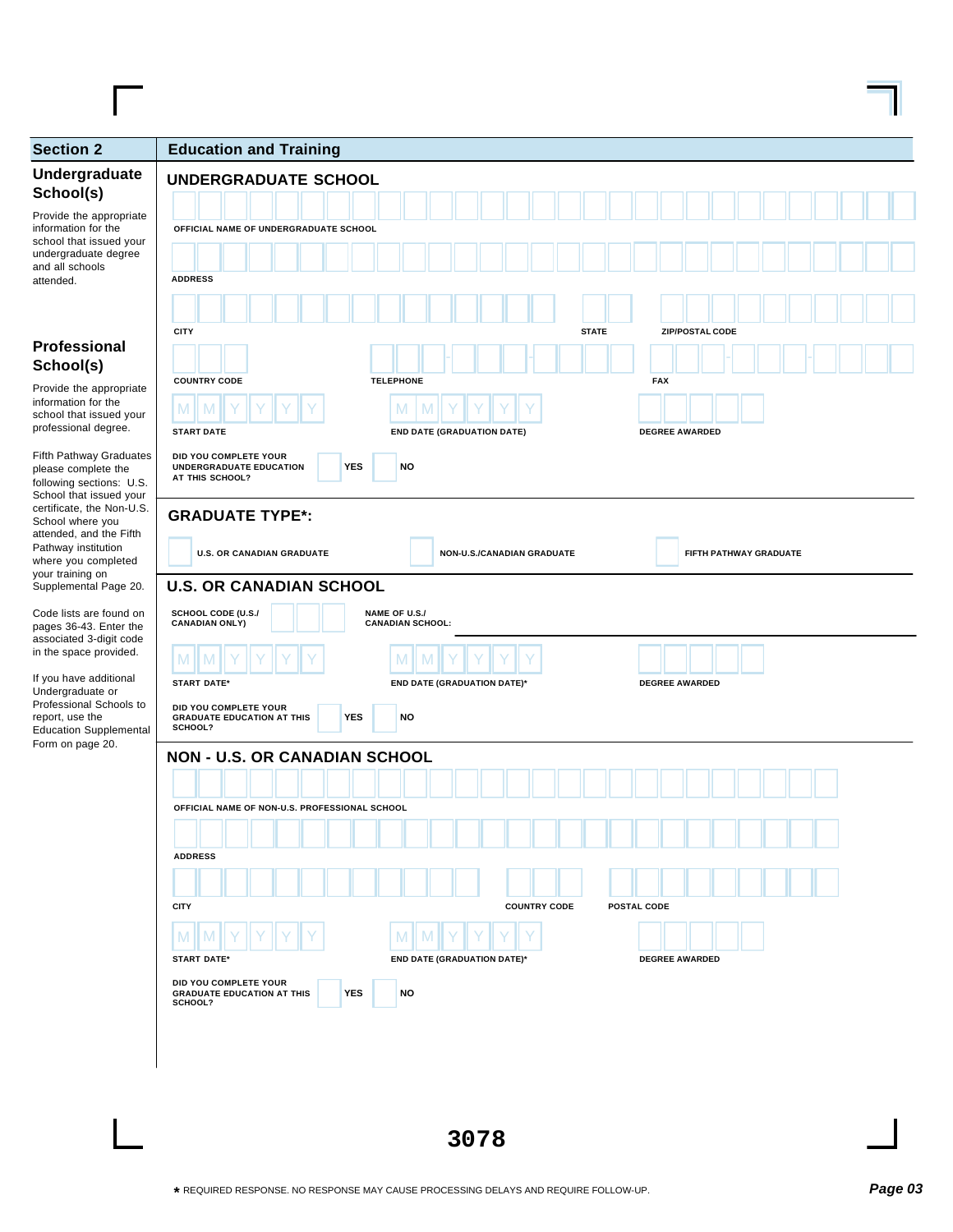| <b>Section 2</b>                                                                                                                                                                                                                                                                                               | <b>Education and Training</b>                                                                                                                                                                                                                                                                                                                     |
|----------------------------------------------------------------------------------------------------------------------------------------------------------------------------------------------------------------------------------------------------------------------------------------------------------------|---------------------------------------------------------------------------------------------------------------------------------------------------------------------------------------------------------------------------------------------------------------------------------------------------------------------------------------------------|
| Undergraduate<br>School(s)<br>Provide the appropriate<br>information for the<br>school that issued your<br>undergraduate degree<br>and all schools<br>attended.                                                                                                                                                | <b>UNDERGRADUATE SCHOOL</b><br>OFFICIAL NAME OF UNDERGRADUATE SCHOOL<br><b>ADDRESS</b>                                                                                                                                                                                                                                                            |
| Professional<br>School(s)<br>Provide the appropriate<br>information for the<br>school that issued your<br>professional degree.                                                                                                                                                                                 | <b>CITY</b><br><b>ZIP/POSTAL CODE</b><br><b>STATE</b><br><b>TELEPHONE</b><br><b>FAX</b><br><b>COUNTRY CODE</b><br>M<br>M<br><b>START DATE</b><br><b>END DATE (GRADUATION DATE)</b><br><b>DEGREE AWARDED</b>                                                                                                                                       |
| <b>Fifth Pathway Graduates</b><br>please complete the<br>following sections: U.S.<br>School that issued your<br>certificate, the Non-U.S.<br>School where you<br>attended, and the Fifth<br>Pathway institution<br>where you completed<br>your training on<br>Supplemental Page 20.<br>Code lists are found on | DID YOU COMPLETE YOUR<br><b>YES</b><br><b>NO</b><br>UNDERGRADUATE EDUCATION<br>AT THIS SCHOOL?<br><b>GRADUATE TYPE*:</b><br><b>U.S. OR CANADIAN GRADUATE</b><br>NON-U.S./CANADIAN GRADUATE<br>FIFTH PATHWAY GRADUATE<br><b>U.S. OR CANADIAN SCHOOL</b><br>SCHOOL CODE (U.S./<br>NAME OF U.S./<br><b>CANADIAN ONLY)</b><br><b>CANADIAN SCHOOL:</b> |
| pages 36-43. Enter the<br>associated 3-digit code<br>in the space provided.<br>If you have additional<br>Undergraduate or<br>Professional Schools to<br>report, use the<br><b>Education Supplemental</b><br>Form on page 20.                                                                                   | M<br>M<br>M<br><b>START DATE*</b><br><b>END DATE (GRADUATION DATE)*</b><br><b>DEGREE AWARDED</b><br>DID YOU COMPLETE YOUR<br><b>YES</b><br><b>NO</b><br><b>GRADUATE EDUCATION AT THIS</b><br>SCHOOL?<br><b>NON - U.S. OR CANADIAN SCHOOL</b>                                                                                                      |
|                                                                                                                                                                                                                                                                                                                | OFFICIAL NAME OF NON-U.S. PROFESSIONAL SCHOOL<br><b>ADDRESS</b><br><b>CITY</b><br><b>COUNTRY CODE</b><br><b>POSTAL CODE</b>                                                                                                                                                                                                                       |

**3078**

**START DATE\* END DATE (GRADUATION DATE)\* DEGREE AWARDED**

YES NO

 $M$  M  $\|N\|$   $\gamma$   $\|Y\|$   $\gamma$   $\|Y\|$   $\gamma$   $\|N\|$   $\|M\|$   $\gamma$   $\|Y\|$   $\gamma$ 

**DID YOU COMPLETE YOUR GRADUATE EDUCATION AT THIS SCHOOL?**

 $\blacksquare$ 

 $\overline{\phantom{0}}$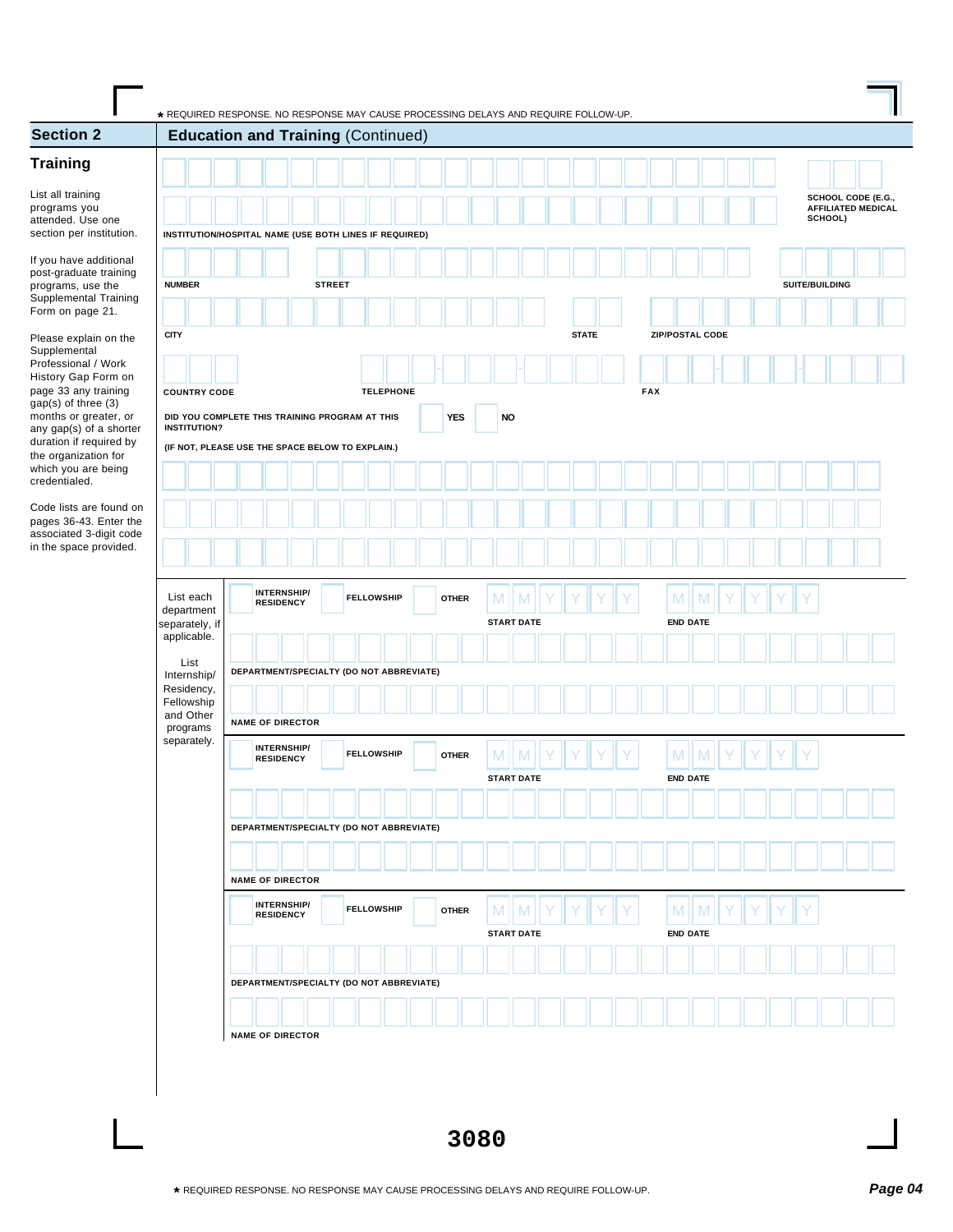| SCHOOL CODE (E.G.,<br><b>AFFILIATED MEDICAL</b><br>SCHOOL)<br>section per institution.<br>INSTITUTION/HOSPITAL NAME (USE BOTH LINES IF REQUIRED)<br>If you have additional<br><b>NUMBER</b><br><b>STREET</b><br>SUITE/BUILDING<br>Supplemental Training<br><b>CITY</b><br><b>STATE</b><br><b>ZIP/POSTAL CODE</b><br>Please explain on the<br>Professional / Work<br>History Gap Form on<br>page 33 any training<br><b>FAX</b><br><b>TELEPHONE</b><br><b>COUNTRY CODE</b><br>gap(s) of three (3)<br>months or greater, or<br>DID YOU COMPLETE THIS TRAINING PROGRAM AT THIS<br><b>YES</b><br><b>NO</b><br><b>INSTITUTION?</b><br>any gap(s) of a shorter<br>duration if required by<br>(IF NOT, PLEASE USE THE SPACE BELOW TO EXPLAIN.)<br>the organization for<br>which you are being<br>Code lists are found on<br>pages 36-43. Enter the<br>associated 3-digit code<br>in the space provided.<br>INTERNSHIP/<br>List each<br>M<br><b>FELLOWSHIP</b><br>M<br>M<br>M<br><b>OTHER</b><br><b>RESIDENCY</b><br>department<br><b>START DATE</b><br><b>END DATE</b><br>separately, if<br>applicable.<br>List<br>DEPARTMENT/SPECIALTY (DO NOT ABBREVIATE)<br>Internship/<br>Residency,<br>Fellowship<br>and Other<br><b>NAME OF DIRECTOR</b><br>programs<br>separately.<br>INTERNSHIP/<br><b>FELLOWSHIP</b><br>M<br><b>OTHER</b><br>M<br>M<br><b>RESIDENCY</b><br><b>END DATE</b><br><b>START DATE</b><br>DEPARTMENT/SPECIALTY (DO NOT ABBREVIATE)<br><b>NAME OF DIRECTOR</b><br><b>INTERNSHIP/</b><br><b>FELLOWSHIP</b><br>M<br>M<br>M<br><b>OTHER</b><br>M<br><b>RESIDENCY</b><br><b>START DATE</b><br><b>END DATE</b><br>DEPARTMENT/SPECIALTY (DO NOT ABBREVIATE)<br><b>NAME OF DIRECTOR</b> | <b>Section 2</b>                  |  | <b>Education and Training (Continued)</b> |  |  |  |  |  |  |  |  |  |  |  |  |
|-------------------------------------------------------------------------------------------------------------------------------------------------------------------------------------------------------------------------------------------------------------------------------------------------------------------------------------------------------------------------------------------------------------------------------------------------------------------------------------------------------------------------------------------------------------------------------------------------------------------------------------------------------------------------------------------------------------------------------------------------------------------------------------------------------------------------------------------------------------------------------------------------------------------------------------------------------------------------------------------------------------------------------------------------------------------------------------------------------------------------------------------------------------------------------------------------------------------------------------------------------------------------------------------------------------------------------------------------------------------------------------------------------------------------------------------------------------------------------------------------------------------------------------------------------------------------------------------------------------------------------------------------------------------------------------------|-----------------------------------|--|-------------------------------------------|--|--|--|--|--|--|--|--|--|--|--|--|
|                                                                                                                                                                                                                                                                                                                                                                                                                                                                                                                                                                                                                                                                                                                                                                                                                                                                                                                                                                                                                                                                                                                                                                                                                                                                                                                                                                                                                                                                                                                                                                                                                                                                                           |                                   |  |                                           |  |  |  |  |  |  |  |  |  |  |  |  |
|                                                                                                                                                                                                                                                                                                                                                                                                                                                                                                                                                                                                                                                                                                                                                                                                                                                                                                                                                                                                                                                                                                                                                                                                                                                                                                                                                                                                                                                                                                                                                                                                                                                                                           |                                   |  |                                           |  |  |  |  |  |  |  |  |  |  |  |  |
|                                                                                                                                                                                                                                                                                                                                                                                                                                                                                                                                                                                                                                                                                                                                                                                                                                                                                                                                                                                                                                                                                                                                                                                                                                                                                                                                                                                                                                                                                                                                                                                                                                                                                           | List all training<br>programs you |  |                                           |  |  |  |  |  |  |  |  |  |  |  |  |
|                                                                                                                                                                                                                                                                                                                                                                                                                                                                                                                                                                                                                                                                                                                                                                                                                                                                                                                                                                                                                                                                                                                                                                                                                                                                                                                                                                                                                                                                                                                                                                                                                                                                                           | attended. Use one                 |  |                                           |  |  |  |  |  |  |  |  |  |  |  |  |
|                                                                                                                                                                                                                                                                                                                                                                                                                                                                                                                                                                                                                                                                                                                                                                                                                                                                                                                                                                                                                                                                                                                                                                                                                                                                                                                                                                                                                                                                                                                                                                                                                                                                                           |                                   |  |                                           |  |  |  |  |  |  |  |  |  |  |  |  |
|                                                                                                                                                                                                                                                                                                                                                                                                                                                                                                                                                                                                                                                                                                                                                                                                                                                                                                                                                                                                                                                                                                                                                                                                                                                                                                                                                                                                                                                                                                                                                                                                                                                                                           | post-graduate training            |  |                                           |  |  |  |  |  |  |  |  |  |  |  |  |
|                                                                                                                                                                                                                                                                                                                                                                                                                                                                                                                                                                                                                                                                                                                                                                                                                                                                                                                                                                                                                                                                                                                                                                                                                                                                                                                                                                                                                                                                                                                                                                                                                                                                                           | programs, use the                 |  |                                           |  |  |  |  |  |  |  |  |  |  |  |  |
|                                                                                                                                                                                                                                                                                                                                                                                                                                                                                                                                                                                                                                                                                                                                                                                                                                                                                                                                                                                                                                                                                                                                                                                                                                                                                                                                                                                                                                                                                                                                                                                                                                                                                           | Form on page 21.                  |  |                                           |  |  |  |  |  |  |  |  |  |  |  |  |
|                                                                                                                                                                                                                                                                                                                                                                                                                                                                                                                                                                                                                                                                                                                                                                                                                                                                                                                                                                                                                                                                                                                                                                                                                                                                                                                                                                                                                                                                                                                                                                                                                                                                                           |                                   |  |                                           |  |  |  |  |  |  |  |  |  |  |  |  |
|                                                                                                                                                                                                                                                                                                                                                                                                                                                                                                                                                                                                                                                                                                                                                                                                                                                                                                                                                                                                                                                                                                                                                                                                                                                                                                                                                                                                                                                                                                                                                                                                                                                                                           |                                   |  |                                           |  |  |  |  |  |  |  |  |  |  |  |  |
|                                                                                                                                                                                                                                                                                                                                                                                                                                                                                                                                                                                                                                                                                                                                                                                                                                                                                                                                                                                                                                                                                                                                                                                                                                                                                                                                                                                                                                                                                                                                                                                                                                                                                           |                                   |  |                                           |  |  |  |  |  |  |  |  |  |  |  |  |
|                                                                                                                                                                                                                                                                                                                                                                                                                                                                                                                                                                                                                                                                                                                                                                                                                                                                                                                                                                                                                                                                                                                                                                                                                                                                                                                                                                                                                                                                                                                                                                                                                                                                                           |                                   |  |                                           |  |  |  |  |  |  |  |  |  |  |  |  |
|                                                                                                                                                                                                                                                                                                                                                                                                                                                                                                                                                                                                                                                                                                                                                                                                                                                                                                                                                                                                                                                                                                                                                                                                                                                                                                                                                                                                                                                                                                                                                                                                                                                                                           |                                   |  |                                           |  |  |  |  |  |  |  |  |  |  |  |  |
|                                                                                                                                                                                                                                                                                                                                                                                                                                                                                                                                                                                                                                                                                                                                                                                                                                                                                                                                                                                                                                                                                                                                                                                                                                                                                                                                                                                                                                                                                                                                                                                                                                                                                           |                                   |  |                                           |  |  |  |  |  |  |  |  |  |  |  |  |
|                                                                                                                                                                                                                                                                                                                                                                                                                                                                                                                                                                                                                                                                                                                                                                                                                                                                                                                                                                                                                                                                                                                                                                                                                                                                                                                                                                                                                                                                                                                                                                                                                                                                                           |                                   |  |                                           |  |  |  |  |  |  |  |  |  |  |  |  |
|                                                                                                                                                                                                                                                                                                                                                                                                                                                                                                                                                                                                                                                                                                                                                                                                                                                                                                                                                                                                                                                                                                                                                                                                                                                                                                                                                                                                                                                                                                                                                                                                                                                                                           |                                   |  |                                           |  |  |  |  |  |  |  |  |  |  |  |  |
|                                                                                                                                                                                                                                                                                                                                                                                                                                                                                                                                                                                                                                                                                                                                                                                                                                                                                                                                                                                                                                                                                                                                                                                                                                                                                                                                                                                                                                                                                                                                                                                                                                                                                           |                                   |  |                                           |  |  |  |  |  |  |  |  |  |  |  |  |
|                                                                                                                                                                                                                                                                                                                                                                                                                                                                                                                                                                                                                                                                                                                                                                                                                                                                                                                                                                                                                                                                                                                                                                                                                                                                                                                                                                                                                                                                                                                                                                                                                                                                                           |                                   |  |                                           |  |  |  |  |  |  |  |  |  |  |  |  |
|                                                                                                                                                                                                                                                                                                                                                                                                                                                                                                                                                                                                                                                                                                                                                                                                                                                                                                                                                                                                                                                                                                                                                                                                                                                                                                                                                                                                                                                                                                                                                                                                                                                                                           |                                   |  |                                           |  |  |  |  |  |  |  |  |  |  |  |  |
|                                                                                                                                                                                                                                                                                                                                                                                                                                                                                                                                                                                                                                                                                                                                                                                                                                                                                                                                                                                                                                                                                                                                                                                                                                                                                                                                                                                                                                                                                                                                                                                                                                                                                           |                                   |  |                                           |  |  |  |  |  |  |  |  |  |  |  |  |
|                                                                                                                                                                                                                                                                                                                                                                                                                                                                                                                                                                                                                                                                                                                                                                                                                                                                                                                                                                                                                                                                                                                                                                                                                                                                                                                                                                                                                                                                                                                                                                                                                                                                                           |                                   |  |                                           |  |  |  |  |  |  |  |  |  |  |  |  |
|                                                                                                                                                                                                                                                                                                                                                                                                                                                                                                                                                                                                                                                                                                                                                                                                                                                                                                                                                                                                                                                                                                                                                                                                                                                                                                                                                                                                                                                                                                                                                                                                                                                                                           |                                   |  |                                           |  |  |  |  |  |  |  |  |  |  |  |  |
|                                                                                                                                                                                                                                                                                                                                                                                                                                                                                                                                                                                                                                                                                                                                                                                                                                                                                                                                                                                                                                                                                                                                                                                                                                                                                                                                                                                                                                                                                                                                                                                                                                                                                           |                                   |  |                                           |  |  |  |  |  |  |  |  |  |  |  |  |
|                                                                                                                                                                                                                                                                                                                                                                                                                                                                                                                                                                                                                                                                                                                                                                                                                                                                                                                                                                                                                                                                                                                                                                                                                                                                                                                                                                                                                                                                                                                                                                                                                                                                                           |                                   |  |                                           |  |  |  |  |  |  |  |  |  |  |  |  |
|                                                                                                                                                                                                                                                                                                                                                                                                                                                                                                                                                                                                                                                                                                                                                                                                                                                                                                                                                                                                                                                                                                                                                                                                                                                                                                                                                                                                                                                                                                                                                                                                                                                                                           |                                   |  |                                           |  |  |  |  |  |  |  |  |  |  |  |  |
|                                                                                                                                                                                                                                                                                                                                                                                                                                                                                                                                                                                                                                                                                                                                                                                                                                                                                                                                                                                                                                                                                                                                                                                                                                                                                                                                                                                                                                                                                                                                                                                                                                                                                           |                                   |  |                                           |  |  |  |  |  |  |  |  |  |  |  |  |
|                                                                                                                                                                                                                                                                                                                                                                                                                                                                                                                                                                                                                                                                                                                                                                                                                                                                                                                                                                                                                                                                                                                                                                                                                                                                                                                                                                                                                                                                                                                                                                                                                                                                                           |                                   |  |                                           |  |  |  |  |  |  |  |  |  |  |  |  |
|                                                                                                                                                                                                                                                                                                                                                                                                                                                                                                                                                                                                                                                                                                                                                                                                                                                                                                                                                                                                                                                                                                                                                                                                                                                                                                                                                                                                                                                                                                                                                                                                                                                                                           |                                   |  |                                           |  |  |  |  |  |  |  |  |  |  |  |  |
|                                                                                                                                                                                                                                                                                                                                                                                                                                                                                                                                                                                                                                                                                                                                                                                                                                                                                                                                                                                                                                                                                                                                                                                                                                                                                                                                                                                                                                                                                                                                                                                                                                                                                           |                                   |  |                                           |  |  |  |  |  |  |  |  |  |  |  |  |
|                                                                                                                                                                                                                                                                                                                                                                                                                                                                                                                                                                                                                                                                                                                                                                                                                                                                                                                                                                                                                                                                                                                                                                                                                                                                                                                                                                                                                                                                                                                                                                                                                                                                                           |                                   |  |                                           |  |  |  |  |  |  |  |  |  |  |  |  |
|                                                                                                                                                                                                                                                                                                                                                                                                                                                                                                                                                                                                                                                                                                                                                                                                                                                                                                                                                                                                                                                                                                                                                                                                                                                                                                                                                                                                                                                                                                                                                                                                                                                                                           |                                   |  |                                           |  |  |  |  |  |  |  |  |  |  |  |  |
|                                                                                                                                                                                                                                                                                                                                                                                                                                                                                                                                                                                                                                                                                                                                                                                                                                                                                                                                                                                                                                                                                                                                                                                                                                                                                                                                                                                                                                                                                                                                                                                                                                                                                           |                                   |  |                                           |  |  |  |  |  |  |  |  |  |  |  |  |
|                                                                                                                                                                                                                                                                                                                                                                                                                                                                                                                                                                                                                                                                                                                                                                                                                                                                                                                                                                                                                                                                                                                                                                                                                                                                                                                                                                                                                                                                                                                                                                                                                                                                                           |                                   |  |                                           |  |  |  |  |  |  |  |  |  |  |  |  |
|                                                                                                                                                                                                                                                                                                                                                                                                                                                                                                                                                                                                                                                                                                                                                                                                                                                                                                                                                                                                                                                                                                                                                                                                                                                                                                                                                                                                                                                                                                                                                                                                                                                                                           |                                   |  |                                           |  |  |  |  |  |  |  |  |  |  |  |  |
|                                                                                                                                                                                                                                                                                                                                                                                                                                                                                                                                                                                                                                                                                                                                                                                                                                                                                                                                                                                                                                                                                                                                                                                                                                                                                                                                                                                                                                                                                                                                                                                                                                                                                           |                                   |  |                                           |  |  |  |  |  |  |  |  |  |  |  |  |
|                                                                                                                                                                                                                                                                                                                                                                                                                                                                                                                                                                                                                                                                                                                                                                                                                                                                                                                                                                                                                                                                                                                                                                                                                                                                                                                                                                                                                                                                                                                                                                                                                                                                                           |                                   |  |                                           |  |  |  |  |  |  |  |  |  |  |  |  |
|                                                                                                                                                                                                                                                                                                                                                                                                                                                                                                                                                                                                                                                                                                                                                                                                                                                                                                                                                                                                                                                                                                                                                                                                                                                                                                                                                                                                                                                                                                                                                                                                                                                                                           |                                   |  |                                           |  |  |  |  |  |  |  |  |  |  |  |  |
|                                                                                                                                                                                                                                                                                                                                                                                                                                                                                                                                                                                                                                                                                                                                                                                                                                                                                                                                                                                                                                                                                                                                                                                                                                                                                                                                                                                                                                                                                                                                                                                                                                                                                           |                                   |  |                                           |  |  |  |  |  |  |  |  |  |  |  |  |
|                                                                                                                                                                                                                                                                                                                                                                                                                                                                                                                                                                                                                                                                                                                                                                                                                                                                                                                                                                                                                                                                                                                                                                                                                                                                                                                                                                                                                                                                                                                                                                                                                                                                                           |                                   |  |                                           |  |  |  |  |  |  |  |  |  |  |  |  |
|                                                                                                                                                                                                                                                                                                                                                                                                                                                                                                                                                                                                                                                                                                                                                                                                                                                                                                                                                                                                                                                                                                                                                                                                                                                                                                                                                                                                                                                                                                                                                                                                                                                                                           |                                   |  |                                           |  |  |  |  |  |  |  |  |  |  |  |  |
|                                                                                                                                                                                                                                                                                                                                                                                                                                                                                                                                                                                                                                                                                                                                                                                                                                                                                                                                                                                                                                                                                                                                                                                                                                                                                                                                                                                                                                                                                                                                                                                                                                                                                           |                                   |  |                                           |  |  |  |  |  |  |  |  |  |  |  |  |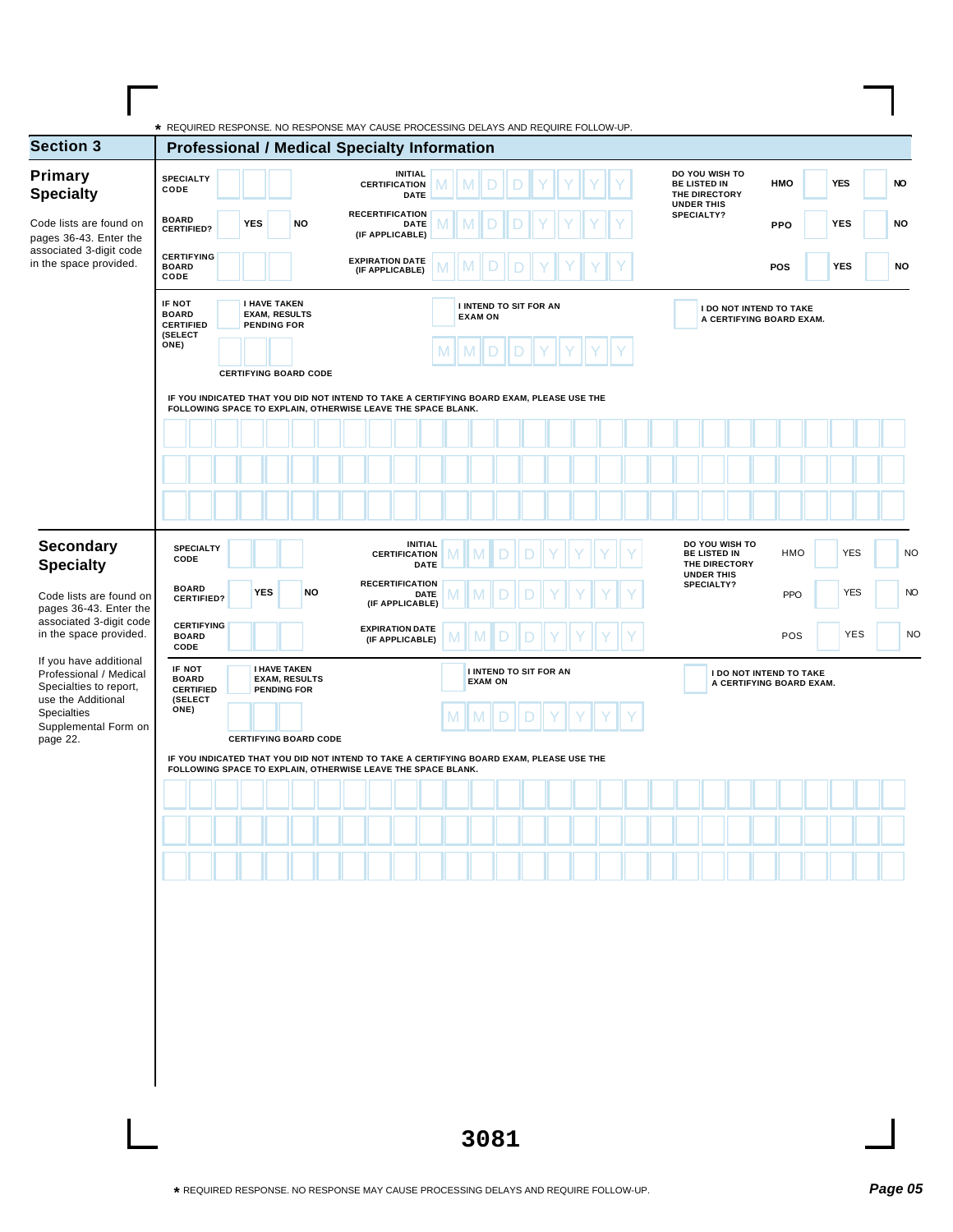| <b>Section 3</b>                                                           | <b>Professional / Medical Specialty Information</b>                                                                                                      |            |                                                                   |           |                                           |                               |   |                                                 |   |  |  |  |                                      |                                 |                                                            |            |     |           |
|----------------------------------------------------------------------------|----------------------------------------------------------------------------------------------------------------------------------------------------------|------------|-------------------------------------------------------------------|-----------|-------------------------------------------|-------------------------------|---|-------------------------------------------------|---|--|--|--|--------------------------------------|---------------------------------|------------------------------------------------------------|------------|-----|-----------|
| Primary<br><b>Specialty</b>                                                | <b>SPECIALTY</b><br>CODE                                                                                                                                 |            |                                                                   |           | <b>INITIAL</b><br><b>CERTIFICATION</b>    | <b>DATE</b>                   |   |                                                 |   |  |  |  | <b>BE LISTED IN</b><br>THE DIRECTORY | DO YOU WISH TO                  | <b>HMO</b>                                                 | <b>YES</b> |     | <b>NO</b> |
| Code lists are found on<br>pages 36-43. Enter the                          | <b>BOARD</b><br><b>CERTIFIED?</b>                                                                                                                        | <b>YES</b> |                                                                   | <b>NO</b> | <b>RECERTIFICATION</b><br>(IF APPLICABLE) | DATE                          |   |                                                 |   |  |  |  | <b>UNDER THIS</b><br>SPECIALTY?      |                                 | <b>PPO</b>                                                 | <b>YES</b> |     | <b>NO</b> |
| associated 3-digit code<br>in the space provided.                          | <b>CERTIFYING</b><br><b>BOARD</b><br>CODE                                                                                                                |            |                                                                   |           | <b>EXPIRATION DATE</b><br>(IF APPLICABLE) |                               |   |                                                 |   |  |  |  |                                      |                                 | <b>POS</b>                                                 | <b>YES</b> |     | <b>NO</b> |
|                                                                            | IF NOT<br><b>BOARD</b><br><b>CERTIFIED</b><br>(SELECT                                                                                                    |            | <b>I HAVE TAKEN</b><br><b>EXAM, RESULTS</b><br><b>PENDING FOR</b> |           |                                           |                               |   | <b>I INTEND TO SIT FOR AN</b><br><b>EXAM ON</b> |   |  |  |  |                                      |                                 | <b>I DO NOT INTEND TO TAKE</b><br>A CERTIFYING BOARD EXAM. |            |     |           |
|                                                                            | ONE)                                                                                                                                                     |            |                                                                   |           |                                           |                               | M | $\mathsf{M}$                                    | D |  |  |  |                                      |                                 |                                                            |            |     |           |
|                                                                            | IF YOU INDICATED THAT YOU DID NOT INTEND TO TAKE A CERTIFYING BOARD EXAM, PLEASE USE THE<br>FOLLOWING SPACE TO EXPLAIN, OTHERWISE LEAVE THE SPACE BLANK. |            | <b>CERTIFYING BOARD CODE</b>                                      |           |                                           |                               |   |                                                 |   |  |  |  |                                      |                                 |                                                            |            |     |           |
|                                                                            |                                                                                                                                                          |            |                                                                   |           |                                           |                               |   |                                                 |   |  |  |  |                                      |                                 |                                                            |            |     |           |
|                                                                            |                                                                                                                                                          |            |                                                                   |           |                                           |                               |   |                                                 |   |  |  |  |                                      |                                 |                                                            |            |     |           |
|                                                                            |                                                                                                                                                          |            |                                                                   |           |                                           |                               |   |                                                 |   |  |  |  |                                      |                                 |                                                            |            |     |           |
| <b>Secondary</b><br><b>Specialty</b>                                       | <b>SPECIALTY</b><br>CODE                                                                                                                                 |            |                                                                   |           | <b>CERTIFICATION</b>                      | <b>INITIAL</b><br><b>DATE</b> |   |                                                 |   |  |  |  | <b>BE LISTED IN</b>                  | DO YOU WISH TO<br>THE DIRECTORY | HMO                                                        | <b>YES</b> |     |           |
| Code lists are found on<br>pages 36-43. Enter the                          | <b>BOARD</b><br><b>CERTIFIED?</b>                                                                                                                        |            | <b>YES</b>                                                        | NO        | <b>RECERTIFICATION</b><br>(IF APPLICABLE) | DATE                          |   |                                                 |   |  |  |  | <b>UNDER THIS</b><br>SPECIALTY?      |                                 | PPO                                                        | <b>YES</b> |     |           |
| associated 3-digit code<br>in the space provided.                          | <b>CERTIFYING</b><br><b>BOARD</b><br>CODE                                                                                                                |            |                                                                   |           | <b>EXPIRATION DATE</b><br>(IF APPLICABLE) |                               |   | M                                               |   |  |  |  |                                      |                                 | POS                                                        |            | YES |           |
| If you have additional<br>Professional / Medical<br>Specialties to report, | IF NOT<br><b>BOARD</b><br><b>CERTIFIED</b>                                                                                                               |            | <b>I HAVE TAKEN</b><br><b>EXAM, RESULTS</b><br><b>PENDING FOR</b> |           |                                           |                               |   | <b>I INTEND TO SIT FOR AN</b><br><b>EXAM ON</b> |   |  |  |  |                                      |                                 | I DO NOT INTEND TO TAKE<br>A CERTIFYING BOARD EXAM.        |            |     |           |
| use the Additional<br><b>Specialties</b><br>Supplemental Form on           | (SELECT<br>ONE)                                                                                                                                          |            |                                                                   |           |                                           |                               |   |                                                 |   |  |  |  |                                      |                                 |                                                            |            |     |           |
| page 22.                                                                   | IF YOU INDICATED THAT YOU DID NOT INTEND TO TAKE A CERTIFYING BOARD EXAM, PLEASE USE THE                                                                 |            | <b>CERTIFYING BOARD CODE</b>                                      |           |                                           |                               |   |                                                 |   |  |  |  |                                      |                                 |                                                            |            |     |           |
|                                                                            | FOLLOWING SPACE TO EXPLAIN, OTHERWISE LEAVE THE SPACE BLANK.                                                                                             |            |                                                                   |           |                                           |                               |   |                                                 |   |  |  |  |                                      |                                 |                                                            |            |     |           |
|                                                                            |                                                                                                                                                          |            |                                                                   |           |                                           |                               |   |                                                 |   |  |  |  |                                      |                                 |                                                            |            |     |           |
|                                                                            |                                                                                                                                                          |            |                                                                   |           |                                           |                               |   |                                                 |   |  |  |  |                                      |                                 |                                                            |            |     |           |
|                                                                            |                                                                                                                                                          |            |                                                                   |           |                                           |                               |   |                                                 |   |  |  |  |                                      |                                 |                                                            |            |     |           |

Г

┑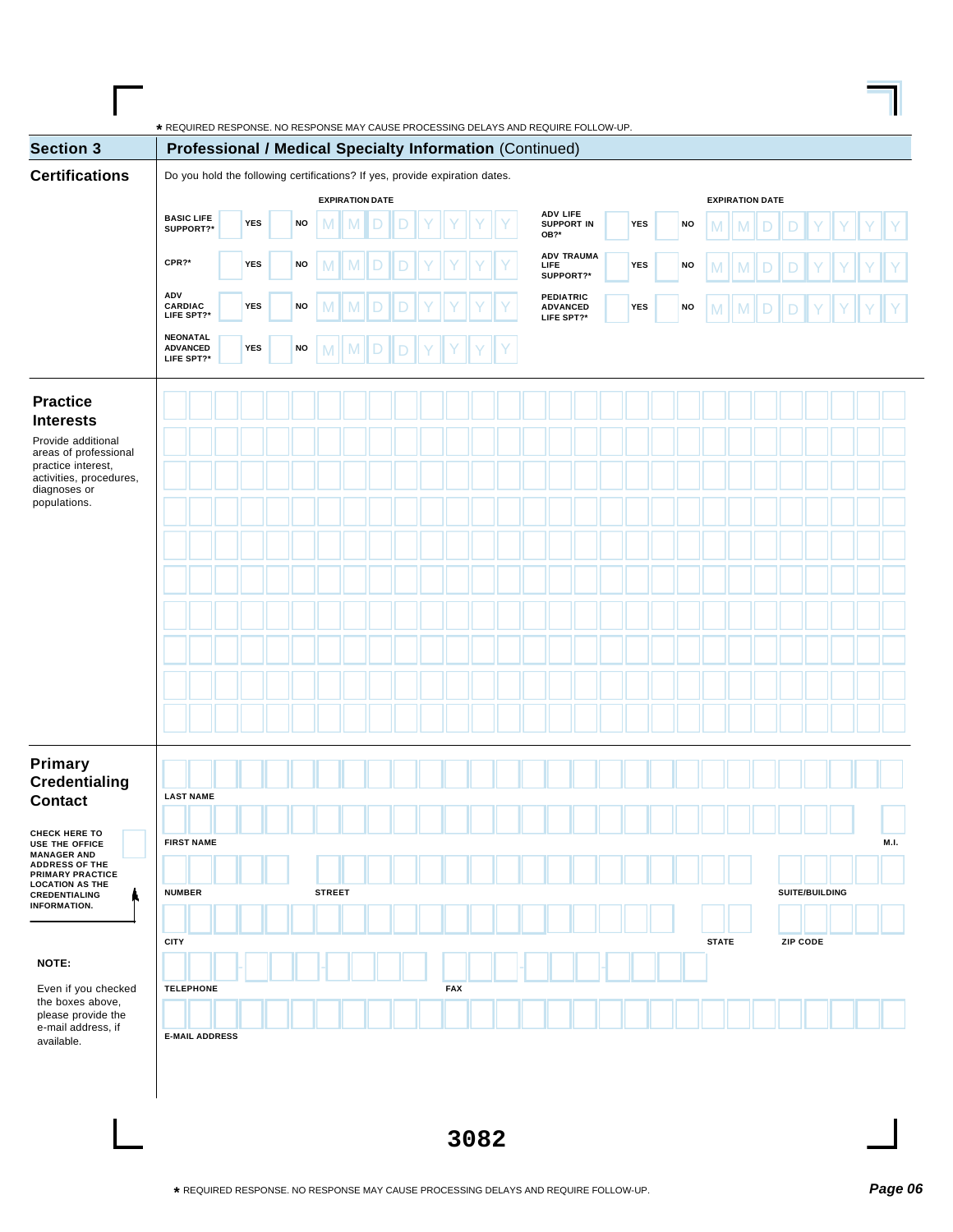| <b>Section 3</b>                                                                     | Professional / Medical Specialty Information (Continued)                    |            |    |                        |   |   |  |            |  |      |                                            |            |           |              |               |                        |             |                |             |
|--------------------------------------------------------------------------------------|-----------------------------------------------------------------------------|------------|----|------------------------|---|---|--|------------|--|------|--------------------------------------------|------------|-----------|--------------|---------------|------------------------|-------------|----------------|-------------|
| <b>Certifications</b>                                                                | Do you hold the following certifications? If yes, provide expiration dates. |            |    |                        |   |   |  |            |  |      |                                            |            |           |              |               |                        |             |                |             |
|                                                                                      |                                                                             |            |    | <b>EXPIRATION DATE</b> |   |   |  |            |  |      |                                            |            |           |              |               | <b>EXPIRATION DATE</b> |             |                |             |
|                                                                                      | <b>BASIC LIFE</b><br>SUPPORT?*                                              | YES        | NO | M                      | M |   |  |            |  | OB?* | <b>ADV LIFE</b><br><b>SUPPORT IN</b>       | YES        | NO        | M            | M             |                        |             |                |             |
|                                                                                      | CPR?*                                                                       | YES        | NO | M                      |   |   |  |            |  | LIFE | <b>ADV TRAUMA</b><br>SUPPORT?*             | <b>YES</b> | <b>NO</b> |              | M             |                        |             |                |             |
|                                                                                      | ADV<br>CARDIAC<br>LIFE SPT?*                                                | <b>YES</b> | NO | M                      |   |   |  |            |  |      | PEDIATRIC<br><b>ADVANCED</b><br>LIFE SPT?* | YES        | NO        | M            | $M \parallel$ | $\mathsf D$            | $\mathsf D$ | Υ              |             |
|                                                                                      | <b>NEONATAL</b><br><b>ADVANCED</b><br>LIFE SPT?*                            | <b>YES</b> | NO | M                      | M | D |  |            |  |      |                                            |            |           |              |               |                        |             |                |             |
| <b>Practice</b>                                                                      |                                                                             |            |    |                        |   |   |  |            |  |      |                                            |            |           |              |               |                        |             |                |             |
| <b>Interests</b><br>Provide additional<br>areas of professional                      |                                                                             |            |    |                        |   |   |  |            |  |      |                                            |            |           |              |               |                        |             |                |             |
| practice interest,<br>activities, procedures,<br>diagnoses or                        |                                                                             |            |    |                        |   |   |  |            |  |      |                                            |            |           |              |               |                        |             |                |             |
| populations.                                                                         |                                                                             |            |    |                        |   |   |  |            |  |      |                                            |            |           |              |               |                        |             |                |             |
|                                                                                      |                                                                             |            |    |                        |   |   |  |            |  |      |                                            |            |           |              |               |                        |             |                |             |
|                                                                                      |                                                                             |            |    |                        |   |   |  |            |  |      |                                            |            |           |              |               |                        |             |                |             |
|                                                                                      |                                                                             |            |    |                        |   |   |  |            |  |      |                                            |            |           |              |               |                        |             |                |             |
|                                                                                      |                                                                             |            |    |                        |   |   |  |            |  |      |                                            |            |           |              |               |                        |             |                |             |
|                                                                                      |                                                                             |            |    |                        |   |   |  |            |  |      |                                            |            |           |              |               |                        |             |                |             |
| Primary                                                                              |                                                                             |            |    |                        |   |   |  |            |  |      |                                            |            |           |              |               |                        |             |                |             |
| <b>Credentialing</b><br><b>Contact</b>                                               | <b>LAST NAME</b>                                                            |            |    |                        |   |   |  |            |  |      |                                            |            |           |              |               |                        |             |                |             |
| <b>CHECK HERE TO</b><br>USE THE OFFICE<br><b>MANAGER AND</b>                         | <b>FIRST NAME</b>                                                           |            |    |                        |   |   |  |            |  |      |                                            |            |           |              |               |                        |             |                | <b>M.I.</b> |
| <b>ADDRESS OF THE</b><br>PRIMARY PRACTICE<br><b>LOCATION AS THE</b><br>CREDENTIALING | <b>NUMBER</b>                                                               |            |    | <b>STREET</b>          |   |   |  |            |  |      |                                            |            |           |              |               |                        |             | SUITE/BUILDING |             |
| <b>INFORMATION.</b>                                                                  |                                                                             |            |    |                        |   |   |  |            |  |      |                                            |            |           |              |               |                        |             |                |             |
|                                                                                      | <b>CITY</b>                                                                 |            |    |                        |   |   |  |            |  |      |                                            |            |           | <b>STATE</b> |               |                        | ZIP CODE    |                |             |
| NOTE:                                                                                |                                                                             |            |    |                        |   |   |  |            |  |      |                                            |            |           |              |               |                        |             |                |             |
| Even if you checked<br>the boxes above,<br>please provide the                        | <b>TELEPHONE</b>                                                            |            |    |                        |   |   |  | <b>FAX</b> |  |      |                                            |            |           |              |               |                        |             |                |             |
| e-mail address, if<br>available.                                                     | <b>E-MAIL ADDRESS</b>                                                       |            |    |                        |   |   |  |            |  |      |                                            |            |           |              |               |                        |             |                |             |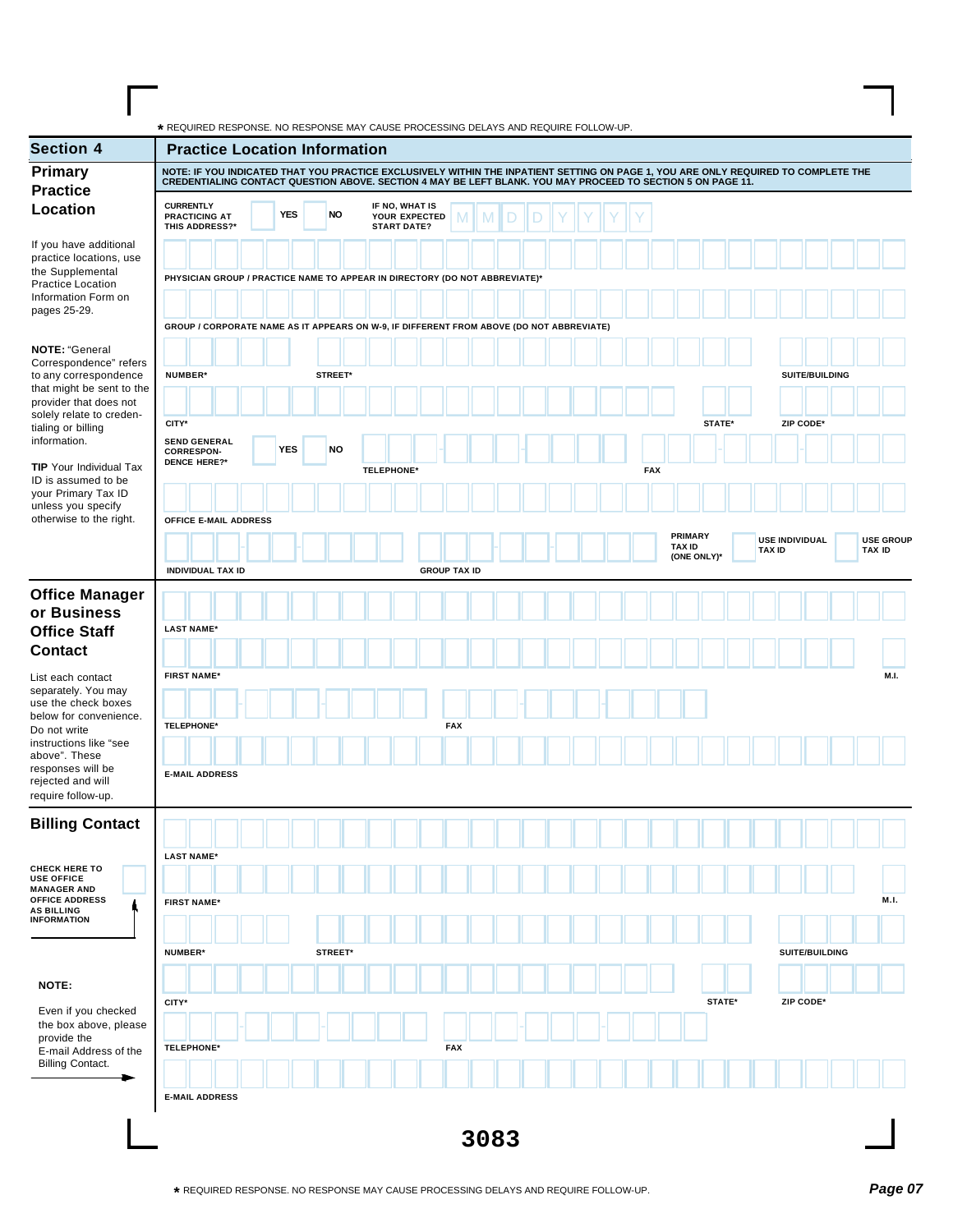**\*** REQUIRED RESPONSE. NO RESPONSE MAY CAUSE PROCESSING DELAYS AND REQUIRE FOLLOW-UP.

| <b>Section 4</b>                                                                       |                                                                                                                                                                                                                                                   | <b>Practice Location Information</b>                                        |                                                       |                     |      |  |            |                                         |               |                       |                                   |
|----------------------------------------------------------------------------------------|---------------------------------------------------------------------------------------------------------------------------------------------------------------------------------------------------------------------------------------------------|-----------------------------------------------------------------------------|-------------------------------------------------------|---------------------|------|--|------------|-----------------------------------------|---------------|-----------------------|-----------------------------------|
| <b>Primary</b>                                                                         | NOTE: IF YOU INDICATED THAT YOU PRACTICE EXCLUSIVELY WITHIN THE INPATIENT SETTING ON PAGE 1, YOU ARE ONLY REQUIRED TO COMPLETE THE<br>CREDENTIALING CONTACT QUESTION ABOVE. SECTION 4 MAY BE LEFT BLANK. YOU MAY PROCEED TO SECTION 5 ON PAGE 11. |                                                                             |                                                       |                     |      |  |            |                                         |               |                       |                                   |
| <b>Practice</b><br>Location                                                            | <b>CURRENTLY</b><br><b>PRACTICING AT</b><br>THIS ADDRESS?*                                                                                                                                                                                        | <b>YES</b><br>NO                                                            | IF NO, WHAT IS<br>YOUR EXPECTED<br><b>START DATE?</b> | M                   | D    |  |            |                                         |               |                       |                                   |
| If you have additional<br>practice locations, use                                      |                                                                                                                                                                                                                                                   |                                                                             |                                                       |                     |      |  |            |                                         |               |                       |                                   |
| the Supplemental<br><b>Practice Location</b><br>Information Form on                    |                                                                                                                                                                                                                                                   | PHYSICIAN GROUP / PRACTICE NAME TO APPEAR IN DIRECTORY (DO NOT ABBREVIATE)* |                                                       |                     |      |  |            |                                         |               |                       |                                   |
| pages 25-29.                                                                           | GROUP / CORPORATE NAME AS IT APPEARS ON W-9, IF DIFFERENT FROM ABOVE (DO NOT ABBREVIATE)                                                                                                                                                          |                                                                             |                                                       |                     |      |  |            |                                         |               |                       |                                   |
| <b>NOTE: "General</b><br>Correspondence" refers<br>to any correspondence               | NUMBER*                                                                                                                                                                                                                                           | STREET*                                                                     |                                                       |                     |      |  |            |                                         |               | SUITE/BUILDING        |                                   |
| that might be sent to the<br>provider that does not<br>solely relate to creden-        |                                                                                                                                                                                                                                                   |                                                                             |                                                       |                     |      |  |            |                                         |               |                       |                                   |
| tialing or billing<br>information.                                                     | CITY*<br><b>SEND GENERAL</b><br><b>CORRESPON-</b>                                                                                                                                                                                                 | <b>YES</b><br><b>NO</b>                                                     |                                                       |                     |      |  |            | STATE*                                  |               | ZIP CODE*             |                                   |
| <b>TIP</b> Your Individual Tax<br>ID is assumed to be                                  | <b>DENCE HERE?*</b>                                                                                                                                                                                                                               |                                                                             | <b>TELEPHONE*</b>                                     |                     |      |  | <b>FAX</b> |                                         |               |                       |                                   |
| your Primary Tax ID<br>unless you specify<br>otherwise to the right.                   | OFFICE E-MAIL ADDRESS                                                                                                                                                                                                                             |                                                                             |                                                       |                     |      |  |            |                                         |               |                       |                                   |
|                                                                                        |                                                                                                                                                                                                                                                   |                                                                             |                                                       |                     |      |  |            | PRIMARY<br><b>TAX ID</b><br>(ONE ONLY)* | <b>TAX ID</b> | <b>USE INDIVIDUAL</b> | <b>USE GROUP</b><br><b>TAX ID</b> |
|                                                                                        | <b>INDIVIDUAL TAX ID</b>                                                                                                                                                                                                                          |                                                                             |                                                       | <b>GROUP TAX ID</b> |      |  |            |                                         |               |                       |                                   |
| <b>Office Manager</b><br>or Business<br><b>Office Staff</b>                            | <b>LAST NAME*</b>                                                                                                                                                                                                                                 |                                                                             |                                                       |                     |      |  |            |                                         |               |                       |                                   |
| <b>Contact</b>                                                                         |                                                                                                                                                                                                                                                   |                                                                             |                                                       |                     |      |  |            |                                         |               |                       |                                   |
| List each contact<br>separately. You may<br>use the check boxes                        | <b>FIRST NAME*</b>                                                                                                                                                                                                                                |                                                                             |                                                       |                     |      |  |            |                                         |               |                       | M.I.                              |
| below for convenience.<br>Do not write<br>instructions like "see                       | <b>TELEPHONE*</b>                                                                                                                                                                                                                                 |                                                                             |                                                       | <b>FAX</b>          |      |  |            |                                         |               |                       |                                   |
| above". These<br>responses will be<br>rejected and will<br>require follow-up.          | <b>E-MAIL ADDRESS</b>                                                                                                                                                                                                                             |                                                                             |                                                       |                     |      |  |            |                                         |               |                       |                                   |
| <b>Billing Contact</b>                                                                 |                                                                                                                                                                                                                                                   |                                                                             |                                                       |                     |      |  |            |                                         |               |                       |                                   |
| <b>CHECK HERE TO</b><br><b>USE OFFICE</b>                                              | <b>LAST NAME*</b>                                                                                                                                                                                                                                 |                                                                             |                                                       |                     |      |  |            |                                         |               |                       |                                   |
| <b>MANAGER AND</b><br><b>OFFICE ADDRESS</b><br><b>AS BILLING</b><br><b>INFORMATION</b> | <b>FIRST NAME*</b>                                                                                                                                                                                                                                |                                                                             |                                                       |                     |      |  |            |                                         |               |                       | M.I.                              |
|                                                                                        | <b>NUMBER*</b>                                                                                                                                                                                                                                    | STREET*                                                                     |                                                       |                     |      |  |            |                                         |               | SUITE/BUILDING        |                                   |
| NOTE:                                                                                  |                                                                                                                                                                                                                                                   |                                                                             |                                                       |                     |      |  |            |                                         |               |                       |                                   |
| Even if you checked<br>the box above, please                                           | CITY*                                                                                                                                                                                                                                             |                                                                             |                                                       |                     |      |  |            | STATE*                                  |               | ZIP CODE*             |                                   |
| provide the<br>E-mail Address of the<br><b>Billing Contact.</b>                        | <b>TELEPHONE*</b>                                                                                                                                                                                                                                 |                                                                             |                                                       | <b>FAX</b>          |      |  |            |                                         |               |                       |                                   |
|                                                                                        | <b>E-MAIL ADDRESS</b>                                                                                                                                                                                                                             |                                                                             |                                                       |                     |      |  |            |                                         |               |                       |                                   |
|                                                                                        |                                                                                                                                                                                                                                                   |                                                                             |                                                       |                     | 3083 |  |            |                                         |               |                       |                                   |

 $\mathbf{I}$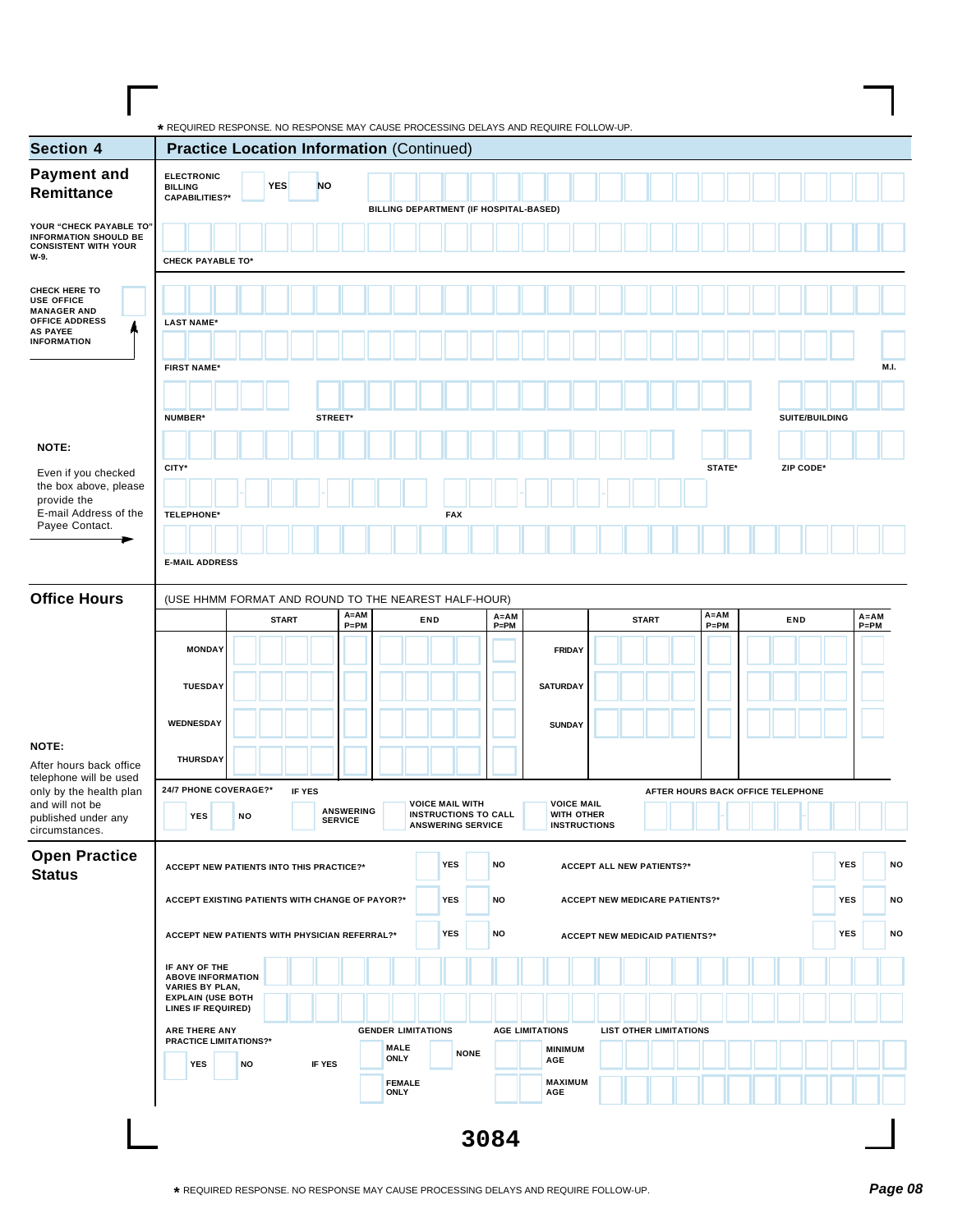| <b>Section 4</b>                                                                                                                                                                           | <b>Practice Location Information (Continued)</b>     |              |               |                                    |                                        |                                                         |             |                      |                                   |                                       |              |                                   |     |                |            |                      |
|--------------------------------------------------------------------------------------------------------------------------------------------------------------------------------------------|------------------------------------------------------|--------------|---------------|------------------------------------|----------------------------------------|---------------------------------------------------------|-------------|----------------------|-----------------------------------|---------------------------------------|--------------|-----------------------------------|-----|----------------|------------|----------------------|
| <b>Payment and</b>                                                                                                                                                                         | <b>ELECTRONIC</b>                                    |              |               |                                    |                                        |                                                         |             |                      |                                   |                                       |              |                                   |     |                |            |                      |
| Remittance                                                                                                                                                                                 | <b>BILLING</b><br><b>CAPABILITIES?*</b>              | <b>YES</b>   | <b>NO</b>     |                                    |                                        |                                                         |             |                      |                                   |                                       |              |                                   |     |                |            |                      |
|                                                                                                                                                                                            |                                                      |              |               |                                    | BILLING DEPARTMENT (IF HOSPITAL-BASED) |                                                         |             |                      |                                   |                                       |              |                                   |     |                |            |                      |
| YOUR "CHECK PAYABLE TO"<br><b>INFORMATION SHOULD BE</b><br><b>CONSISTENT WITH YOUR</b>                                                                                                     |                                                      |              |               |                                    |                                        |                                                         |             |                      |                                   |                                       |              |                                   |     |                |            |                      |
| W-9.                                                                                                                                                                                       | <b>CHECK PAYABLE TO*</b>                             |              |               |                                    |                                        |                                                         |             |                      |                                   |                                       |              |                                   |     |                |            |                      |
|                                                                                                                                                                                            |                                                      |              |               |                                    |                                        |                                                         |             |                      |                                   |                                       |              |                                   |     |                |            |                      |
| <b>CHECK HERE TO</b><br><b>USE OFFICE</b>                                                                                                                                                  |                                                      |              |               |                                    |                                        |                                                         |             |                      |                                   |                                       |              |                                   |     |                |            |                      |
| <b>MANAGER AND</b><br><b>OFFICE ADDRESS</b>                                                                                                                                                | <b>LAST NAME*</b>                                    |              |               |                                    |                                        |                                                         |             |                      |                                   |                                       |              |                                   |     |                |            |                      |
| <b>AS PAYEE</b><br><b>INFORMATION</b>                                                                                                                                                      |                                                      |              |               |                                    |                                        |                                                         |             |                      |                                   |                                       |              |                                   |     |                |            |                      |
|                                                                                                                                                                                            | <b>FIRST NAME*</b>                                   |              |               |                                    |                                        |                                                         |             |                      |                                   |                                       |              |                                   |     |                |            | M.I.                 |
|                                                                                                                                                                                            |                                                      |              |               |                                    |                                        |                                                         |             |                      |                                   |                                       |              |                                   |     |                |            |                      |
|                                                                                                                                                                                            |                                                      |              |               |                                    |                                        |                                                         |             |                      |                                   |                                       |              |                                   |     |                |            |                      |
|                                                                                                                                                                                            | NUMBER*                                              |              | STREET*       |                                    |                                        |                                                         |             |                      |                                   |                                       |              |                                   |     | SUITE/BUILDING |            |                      |
| NOTE:                                                                                                                                                                                      |                                                      |              |               |                                    |                                        |                                                         |             |                      |                                   |                                       |              |                                   |     |                |            |                      |
|                                                                                                                                                                                            | CITY*                                                |              |               |                                    |                                        |                                                         |             |                      |                                   |                                       |              | STATE*                            |     | ZIP CODE*      |            |                      |
| Even if you checked<br>the box above, please                                                                                                                                               |                                                      |              |               |                                    |                                        |                                                         |             |                      |                                   |                                       |              |                                   |     |                |            |                      |
| provide the                                                                                                                                                                                |                                                      |              |               |                                    |                                        |                                                         |             |                      |                                   |                                       |              |                                   |     |                |            |                      |
| E-mail Address of the<br>Payee Contact.                                                                                                                                                    | <b>TELEPHONE*</b>                                    |              |               |                                    |                                        | <b>FAX</b>                                              |             |                      |                                   |                                       |              |                                   |     |                |            |                      |
|                                                                                                                                                                                            |                                                      |              |               |                                    |                                        |                                                         |             |                      |                                   |                                       |              |                                   |     |                |            |                      |
|                                                                                                                                                                                            | <b>E-MAIL ADDRESS</b>                                |              |               |                                    |                                        |                                                         |             |                      |                                   |                                       |              |                                   |     |                |            |                      |
|                                                                                                                                                                                            |                                                      |              |               |                                    |                                        |                                                         |             |                      |                                   |                                       |              |                                   |     |                |            |                      |
| <b>Office Hours</b>                                                                                                                                                                        | (USE HHMM FORMAT AND ROUND TO THE NEAREST HALF-HOUR) |              |               |                                    |                                        |                                                         |             |                      |                                   |                                       |              |                                   |     |                |            |                      |
|                                                                                                                                                                                            |                                                      | <b>START</b> |               | $A = AM$<br>$P = PM$               |                                        | END                                                     |             | $A = AM$<br>$P = PM$ |                                   |                                       | <b>START</b> | $A = AM$<br>$P = PM$              | END |                |            | $A = AM$<br>$P = PM$ |
|                                                                                                                                                                                            |                                                      |              |               |                                    |                                        |                                                         |             |                      |                                   |                                       |              |                                   |     |                |            |                      |
|                                                                                                                                                                                            | <b>MONDAY</b>                                        |              |               |                                    |                                        |                                                         |             |                      | <b>FRIDAY</b>                     |                                       |              |                                   |     |                |            |                      |
|                                                                                                                                                                                            | <b>TUESDAY</b>                                       |              |               |                                    |                                        |                                                         |             |                      | <b>SATURDAY</b>                   |                                       |              |                                   |     |                |            |                      |
|                                                                                                                                                                                            |                                                      |              |               |                                    |                                        |                                                         |             |                      |                                   |                                       |              |                                   |     |                |            |                      |
|                                                                                                                                                                                            |                                                      |              |               |                                    |                                        |                                                         |             |                      | <b>SUNDAY</b>                     |                                       |              |                                   |     |                |            |                      |
|                                                                                                                                                                                            | WEDNESDAY                                            |              |               |                                    |                                        |                                                         |             |                      |                                   |                                       |              |                                   |     |                |            |                      |
|                                                                                                                                                                                            |                                                      |              |               |                                    |                                        |                                                         |             |                      |                                   |                                       |              |                                   |     |                |            |                      |
|                                                                                                                                                                                            | <b>THURSDAY</b>                                      |              |               |                                    |                                        |                                                         |             |                      |                                   |                                       |              |                                   |     |                |            |                      |
|                                                                                                                                                                                            |                                                      |              |               |                                    |                                        |                                                         |             |                      |                                   |                                       |              |                                   |     |                |            |                      |
|                                                                                                                                                                                            | 24/7 PHONE COVERAGE?*                                |              | <b>IF YES</b> |                                    |                                        | <b>VOICE MAIL WITH</b>                                  |             |                      | <b>VOICE MAIL</b>                 |                                       |              | AFTER HOURS BACK OFFICE TELEPHONE |     |                |            |                      |
|                                                                                                                                                                                            | <b>YES</b><br>NO                                     |              |               | <b>ANSWERING</b><br><b>SERVICE</b> |                                        | <b>INSTRUCTIONS TO CALL</b><br><b>ANSWERING SERVICE</b> |             |                      | WITH OTHER<br><b>INSTRUCTIONS</b> |                                       |              |                                   |     |                |            |                      |
|                                                                                                                                                                                            |                                                      |              |               |                                    |                                        |                                                         |             |                      |                                   |                                       |              |                                   |     |                |            |                      |
|                                                                                                                                                                                            | ACCEPT NEW PATIENTS INTO THIS PRACTICE?*             |              |               |                                    |                                        | <b>YES</b>                                              |             | NO                   |                                   | <b>ACCEPT ALL NEW PATIENTS?*</b>      |              |                                   |     |                | <b>YES</b> |                      |
| NOTE:<br>After hours back office<br>telephone will be used<br>only by the health plan<br>and will not be<br>published under any<br>circumstances.<br><b>Open Practice</b><br><b>Status</b> |                                                      |              |               |                                    |                                        |                                                         |             |                      |                                   |                                       |              |                                   |     |                |            |                      |
|                                                                                                                                                                                            | ACCEPT EXISTING PATIENTS WITH CHANGE OF PAYOR?*      |              |               |                                    |                                        | YES                                                     |             | NO                   |                                   | <b>ACCEPT NEW MEDICARE PATIENTS?*</b> |              |                                   |     |                | <b>YES</b> |                      |
|                                                                                                                                                                                            |                                                      |              |               |                                    |                                        |                                                         |             |                      |                                   |                                       |              |                                   |     |                |            |                      |
|                                                                                                                                                                                            | ACCEPT NEW PATIENTS WITH PHYSICIAN REFERRAL?*        |              |               |                                    |                                        | <b>YES</b>                                              |             | NO                   |                                   | <b>ACCEPT NEW MEDICAID PATIENTS?*</b> |              |                                   |     |                | <b>YES</b> |                      |
|                                                                                                                                                                                            | IF ANY OF THE                                        |              |               |                                    |                                        |                                                         |             |                      |                                   |                                       |              |                                   |     |                |            |                      |
|                                                                                                                                                                                            | <b>ABOVE INFORMATION</b><br><b>VARIES BY PLAN,</b>   |              |               |                                    |                                        |                                                         |             |                      |                                   |                                       |              |                                   |     |                |            |                      |
|                                                                                                                                                                                            | <b>EXPLAIN (USE BOTH</b><br>LINES IF REQUIRED)       |              |               |                                    |                                        |                                                         |             |                      |                                   |                                       |              |                                   |     |                |            |                      |
|                                                                                                                                                                                            | ARE THERE ANY                                        |              |               |                                    | <b>GENDER LIMITATIONS</b>              |                                                         |             |                      | <b>AGE LIMITATIONS</b>            | <b>LIST OTHER LIMITATIONS</b>         |              |                                   |     |                |            |                      |
|                                                                                                                                                                                            | <b>PRACTICE LIMITATIONS?*</b>                        |              |               |                                    | <b>MALE</b>                            |                                                         |             |                      | <b>MINIMUM</b>                    |                                       |              |                                   |     |                |            |                      |
|                                                                                                                                                                                            | YES<br><b>NO</b>                                     |              | IF YES        |                                    | <b>ONLY</b>                            |                                                         | <b>NONE</b> |                      | AGE                               |                                       |              |                                   |     |                |            |                      |
|                                                                                                                                                                                            |                                                      |              |               |                                    | <b>FEMALE</b><br><b>ONLY</b>           |                                                         |             |                      | <b>MAXIMUM</b><br>AGE             |                                       |              |                                   |     |                |            |                      |

 $\blacksquare$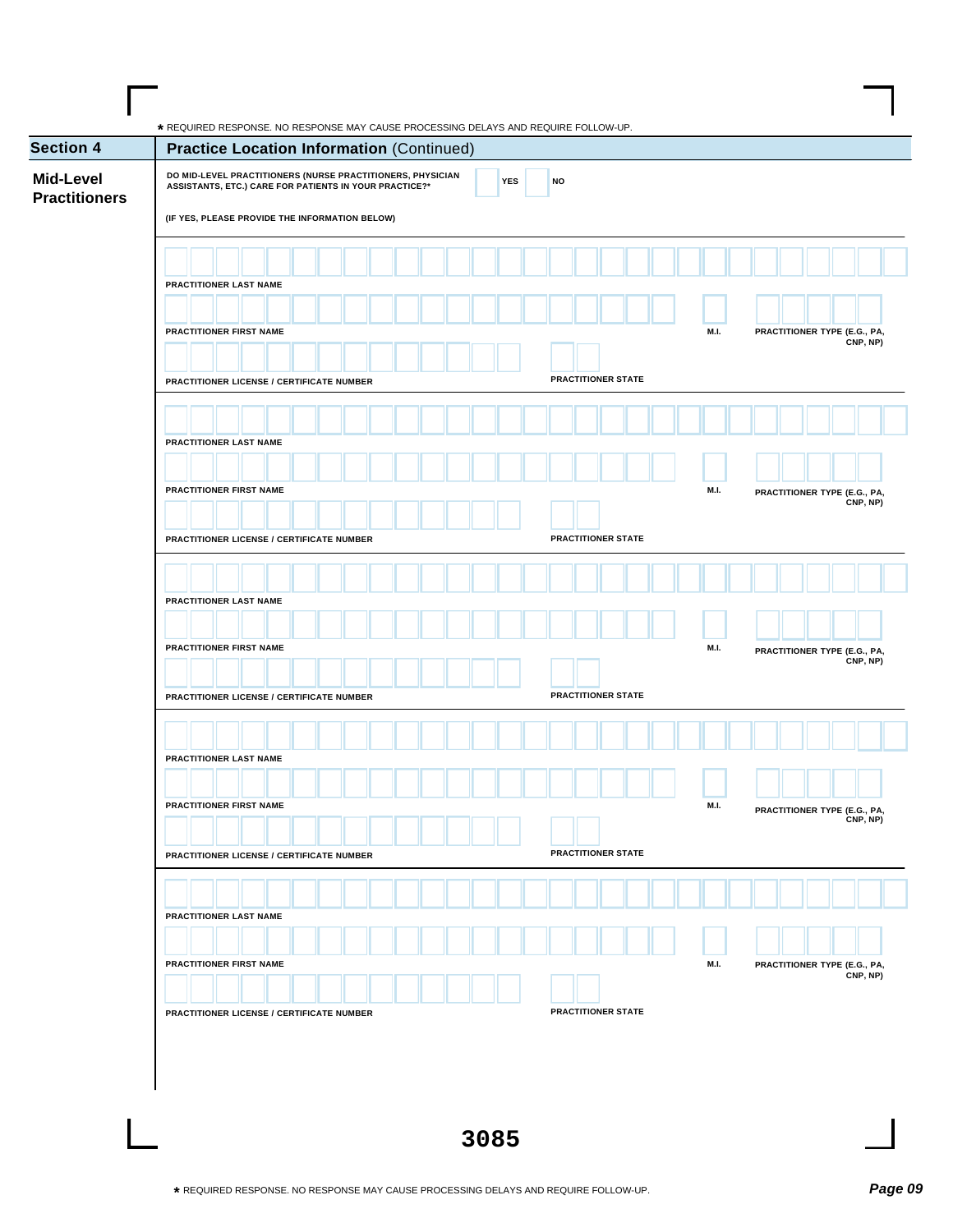| <b>Section 4</b>                         | <b>Practice Location Information (Continued)</b>                                                                                                                       |                           |                              |
|------------------------------------------|------------------------------------------------------------------------------------------------------------------------------------------------------------------------|---------------------------|------------------------------|
| <b>Mid-Level</b><br><b>Practitioners</b> | DO MID-LEVEL PRACTITIONERS (NURSE PRACTITIONERS, PHYSICIAN<br>ASSISTANTS, ETC.) CARE FOR PATIENTS IN YOUR PRACTICE?*<br>(IF YES, PLEASE PROVIDE THE INFORMATION BELOW) | <b>YES</b><br><b>NO</b>   |                              |
|                                          |                                                                                                                                                                        |                           |                              |
|                                          |                                                                                                                                                                        |                           |                              |
|                                          | PRACTITIONER LAST NAME                                                                                                                                                 |                           |                              |
|                                          |                                                                                                                                                                        |                           |                              |
|                                          | PRACTITIONER FIRST NAME                                                                                                                                                | M.I.                      | PRACTITIONER TYPE (E.G., PA, |
|                                          |                                                                                                                                                                        |                           | CNP, NP)                     |
|                                          | PRACTITIONER LICENSE / CERTIFICATE NUMBER                                                                                                                              | <b>PRACTITIONER STATE</b> |                              |
|                                          |                                                                                                                                                                        |                           |                              |
|                                          |                                                                                                                                                                        |                           |                              |
|                                          | PRACTITIONER LAST NAME                                                                                                                                                 |                           |                              |
|                                          |                                                                                                                                                                        |                           |                              |
|                                          | PRACTITIONER FIRST NAME                                                                                                                                                | M.I.                      | PRACTITIONER TYPE (E.G., PA, |
|                                          |                                                                                                                                                                        |                           | CNP, NP)                     |
|                                          | PRACTITIONER LICENSE / CERTIFICATE NUMBER                                                                                                                              | PRACTITIONER STATE        |                              |
|                                          |                                                                                                                                                                        |                           |                              |
|                                          |                                                                                                                                                                        |                           |                              |
|                                          | PRACTITIONER LAST NAME                                                                                                                                                 |                           |                              |
|                                          |                                                                                                                                                                        |                           |                              |
|                                          | PRACTITIONER FIRST NAME                                                                                                                                                | M.I.                      | PRACTITIONER TYPE (E.G., PA, |
|                                          |                                                                                                                                                                        |                           | CNP, NP)                     |
|                                          | PRACTITIONER LICENSE / CERTIFICATE NUMBER                                                                                                                              | PRACTITIONER STATE        |                              |
|                                          |                                                                                                                                                                        |                           |                              |
|                                          |                                                                                                                                                                        |                           |                              |
|                                          | PRACTITIONER LAST NAME                                                                                                                                                 |                           |                              |
|                                          |                                                                                                                                                                        |                           |                              |
|                                          | PRACTITIONER FIRST NAME                                                                                                                                                | M.I.                      | PRACTITIONER TYPE (E.G., PA, |
|                                          |                                                                                                                                                                        |                           | CNP, NP)                     |
|                                          | PRACTITIONER LICENSE / CERTIFICATE NUMBER                                                                                                                              | PRACTITIONER STATE        |                              |
|                                          |                                                                                                                                                                        |                           |                              |
|                                          |                                                                                                                                                                        |                           |                              |
|                                          | PRACTITIONER LAST NAME                                                                                                                                                 |                           |                              |
|                                          |                                                                                                                                                                        |                           |                              |
|                                          | PRACTITIONER FIRST NAME                                                                                                                                                | M.I.                      | PRACTITIONER TYPE (E.G., PA, |
|                                          |                                                                                                                                                                        |                           | CNP, NP)                     |
|                                          | PRACTITIONER LICENSE / CERTIFICATE NUMBER                                                                                                                              | PRACTITIONER STATE        |                              |
|                                          |                                                                                                                                                                        |                           |                              |
|                                          |                                                                                                                                                                        |                           |                              |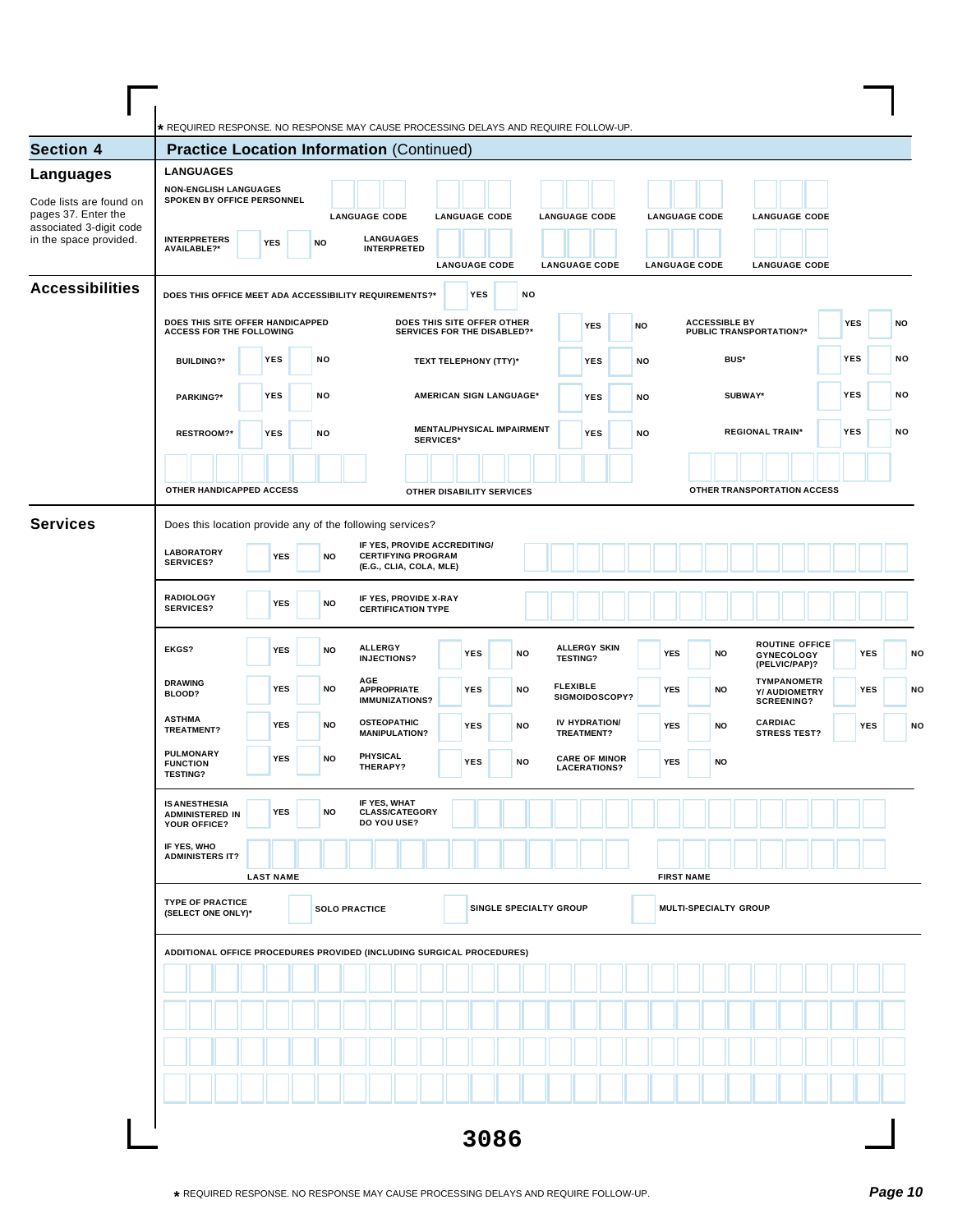| <b>Section 4</b>                                                                                    | * REQUIRED RESPONSE. NO RESPONSE MAY CAUSE PROCESSING DELAYS AND REQUIRE FOLLOW-UP.<br><b>Practice Location Information (Continued)</b> |                  |           |                                                                |                                                                                      |                                    |      |                        |                 |                                             |    |                      |                   |           |                                                        |                                                          |                             |            |            |           |    |
|-----------------------------------------------------------------------------------------------------|-----------------------------------------------------------------------------------------------------------------------------------------|------------------|-----------|----------------------------------------------------------------|--------------------------------------------------------------------------------------|------------------------------------|------|------------------------|-----------------|---------------------------------------------|----|----------------------|-------------------|-----------|--------------------------------------------------------|----------------------------------------------------------|-----------------------------|------------|------------|-----------|----|
| <b>Languages</b>                                                                                    | <b>LANGUAGES</b>                                                                                                                        |                  |           |                                                                |                                                                                      |                                    |      |                        |                 |                                             |    |                      |                   |           |                                                        |                                                          |                             |            |            |           |    |
| Code lists are found on<br>pages 37. Enter the<br>associated 3-digit code<br>in the space provided. | <b>NON-ENGLISH LANGUAGES</b><br>SPOKEN BY OFFICE PERSONNEL<br><b>INTERPRETERS</b><br><b>AVAILABLE?*</b>                                 | <b>YES</b>       | <b>NO</b> | <b>LANGUAGE CODE</b><br><b>LANGUAGES</b><br><b>INTERPRETED</b> |                                                                                      | <b>LANGUAGE CODE</b>               |      |                        |                 | <b>LANGUAGE CODE</b>                        |    | <b>LANGUAGE CODE</b> |                   |           |                                                        | <b>LANGUAGE CODE</b>                                     |                             |            |            |           |    |
| <b>Accessibilities</b>                                                                              | DOES THIS OFFICE MEET ADA ACCESSIBILITY REQUIREMENTS?*                                                                                  |                  |           |                                                                |                                                                                      | <b>LANGUAGE CODE</b><br><b>YES</b> |      | NO                     |                 | <b>LANGUAGE CODE</b>                        |    | <b>LANGUAGE CODE</b> |                   |           |                                                        | <b>LANGUAGE CODE</b>                                     |                             |            |            |           |    |
|                                                                                                     | DOES THIS SITE OFFER HANDICAPPED<br><b>ACCESS FOR THE FOLLOWING</b>                                                                     |                  |           |                                                                | DOES THIS SITE OFFER OTHER<br>SERVICES FOR THE DISABLED?*                            |                                    |      |                        |                 | <b>YES</b>                                  | NO |                      |                   |           | <b>ACCESSIBLE BY</b><br><b>PUBLIC TRANSPORTATION?*</b> |                                                          |                             | <b>YES</b> |            | <b>NO</b> |    |
|                                                                                                     | <b>BUILDING?*</b>                                                                                                                       | <b>YES</b>       | NO        |                                                                | TEXT TELEPHONY (TTY)*                                                                |                                    |      |                        |                 | <b>YES</b>                                  | NO |                      |                   |           | BUS*                                                   |                                                          |                             | <b>YES</b> |            | NO        |    |
|                                                                                                     | <b>PARKING?*</b>                                                                                                                        | <b>YES</b>       | NO        |                                                                | AMERICAN SIGN LANGUAGE*                                                              |                                    |      |                        |                 | YES                                         | NO |                      |                   |           | SUBWAY*                                                |                                                          |                             | YES        |            | NO        |    |
|                                                                                                     | <b>RESTROOM?*</b>                                                                                                                       | <b>YES</b>       | NO        |                                                                | <b>MENTAL/PHYSICAL IMPAIRMENT</b><br><b>SERVICES*</b>                                |                                    |      |                        |                 | <b>YES</b>                                  | NO |                      |                   |           | <b>REGIONAL TRAIN*</b>                                 |                                                          |                             | <b>YES</b> |            | <b>NO</b> |    |
|                                                                                                     | OTHER HANDICAPPED ACCESS                                                                                                                |                  |           |                                                                | OTHER DISABILITY SERVICES                                                            |                                    |      |                        |                 |                                             |    |                      |                   |           |                                                        |                                                          | OTHER TRANSPORTATION ACCESS |            |            |           |    |
| <b>Services</b>                                                                                     | Does this location provide any of the following services?                                                                               |                  |           |                                                                |                                                                                      |                                    |      |                        |                 |                                             |    |                      |                   |           |                                                        |                                                          |                             |            |            |           |    |
|                                                                                                     | <b>LABORATORY</b><br><b>SERVICES?</b>                                                                                                   | <b>YES</b>       | <b>NO</b> |                                                                | IF YES, PROVIDE ACCREDITING/<br><b>CERTIFYING PROGRAM</b><br>(E.G., CLIA, COLA, MLE) |                                    |      |                        |                 |                                             |    |                      |                   |           |                                                        |                                                          |                             |            |            |           |    |
|                                                                                                     | <b>RADIOLOGY</b><br><b>SERVICES?</b>                                                                                                    | <b>YES</b>       | <b>NO</b> |                                                                | IF YES, PROVIDE X-RAY<br><b>CERTIFICATION TYPE</b>                                   |                                    |      |                        |                 |                                             |    |                      |                   |           |                                                        |                                                          |                             |            |            |           |    |
|                                                                                                     | EKGS?                                                                                                                                   | <b>YES</b>       | <b>NO</b> | <b>ALLERGY</b><br><b>INJECTIONS?</b>                           |                                                                                      | <b>YES</b>                         |      | NO                     | <b>TESTING?</b> | <b>ALLERGY SKIN</b>                         |    | <b>YES</b>           |                   | <b>NO</b> |                                                        | <b>GYNECOLOGY</b><br>(PELVIC/PAP)?                       | <b>ROUTINE OFFICE</b>       |            | <b>YES</b> |           | NO |
|                                                                                                     | <b>DRAWING</b><br>BLOOD?                                                                                                                | <b>YES</b>       | <b>NO</b> | AGE<br><b>APPROPRIATE</b><br><b>IMMUNIZATIONS?</b>             |                                                                                      | <b>YES</b>                         |      | <b>NO</b>              | <b>FLEXIBLE</b> | SIGMOIDOSCOPY?                              |    | <b>YES</b>           |                   | NO        |                                                        | <b>TYMPANOMETR</b><br>Y/ AUDIOMETRY<br><b>SCREENING?</b> |                             |            | <b>YES</b> |           | NO |
|                                                                                                     | <b>ASTHMA</b><br><b>TREATMENT?</b><br><b>PULMONARY</b>                                                                                  | <b>YES</b>       | <b>NO</b> | <b>OSTEOPATHIC</b><br><b>MANIPULATION?</b>                     |                                                                                      | <b>YES</b>                         |      | NO                     |                 | IV HYDRATION/<br>TREATMENT?                 |    | YES                  |                   | <b>NO</b> |                                                        | <b>CARDIAC</b><br><b>STRESS TEST?</b>                    |                             |            | <b>YES</b> |           | NO |
|                                                                                                     | <b>FUNCTION</b><br><b>TESTING?</b>                                                                                                      | <b>YES</b>       | <b>NO</b> | <b>PHYSICAL</b><br>THERAPY?                                    |                                                                                      | <b>YES</b>                         |      | <b>NO</b>              |                 | <b>CARE OF MINOR</b><br><b>LACERATIONS?</b> |    | <b>YES</b>           |                   | <b>NO</b> |                                                        |                                                          |                             |            |            |           |    |
|                                                                                                     | <b>IS ANESTHESIA</b><br><b>ADMINISTERED IN</b><br>YOUR OFFICE?                                                                          | <b>YES</b>       | NO        | IF YES, WHAT<br><b>CLASS/CATEGORY</b><br>DO YOU USE?           |                                                                                      |                                    |      |                        |                 |                                             |    |                      |                   |           |                                                        |                                                          |                             |            |            |           |    |
|                                                                                                     | IF YES, WHO<br><b>ADMINISTERS IT?</b>                                                                                                   | <b>LAST NAME</b> |           |                                                                |                                                                                      |                                    |      |                        |                 |                                             |    |                      | <b>FIRST NAME</b> |           |                                                        |                                                          |                             |            |            |           |    |
|                                                                                                     | <b>TYPE OF PRACTICE</b><br>(SELECT ONE ONLY)*                                                                                           |                  |           | <b>SOLO PRACTICE</b>                                           |                                                                                      |                                    |      | SINGLE SPECIALTY GROUP |                 |                                             |    |                      |                   |           | MULTI-SPECIALTY GROUP                                  |                                                          |                             |            |            |           |    |
|                                                                                                     | ADDITIONAL OFFICE PROCEDURES PROVIDED (INCLUDING SURGICAL PROCEDURES)                                                                   |                  |           |                                                                |                                                                                      |                                    |      |                        |                 |                                             |    |                      |                   |           |                                                        |                                                          |                             |            |            |           |    |
|                                                                                                     |                                                                                                                                         |                  |           |                                                                |                                                                                      |                                    |      |                        |                 |                                             |    |                      |                   |           |                                                        |                                                          |                             |            |            |           |    |
|                                                                                                     |                                                                                                                                         |                  |           |                                                                |                                                                                      |                                    |      |                        |                 |                                             |    |                      |                   |           |                                                        |                                                          |                             |            |            |           |    |
|                                                                                                     |                                                                                                                                         |                  |           |                                                                |                                                                                      |                                    |      |                        |                 |                                             |    |                      |                   |           |                                                        |                                                          |                             |            |            |           |    |
|                                                                                                     |                                                                                                                                         |                  |           |                                                                |                                                                                      |                                    | 3086 |                        |                 |                                             |    |                      |                   |           |                                                        |                                                          |                             |            |            |           |    |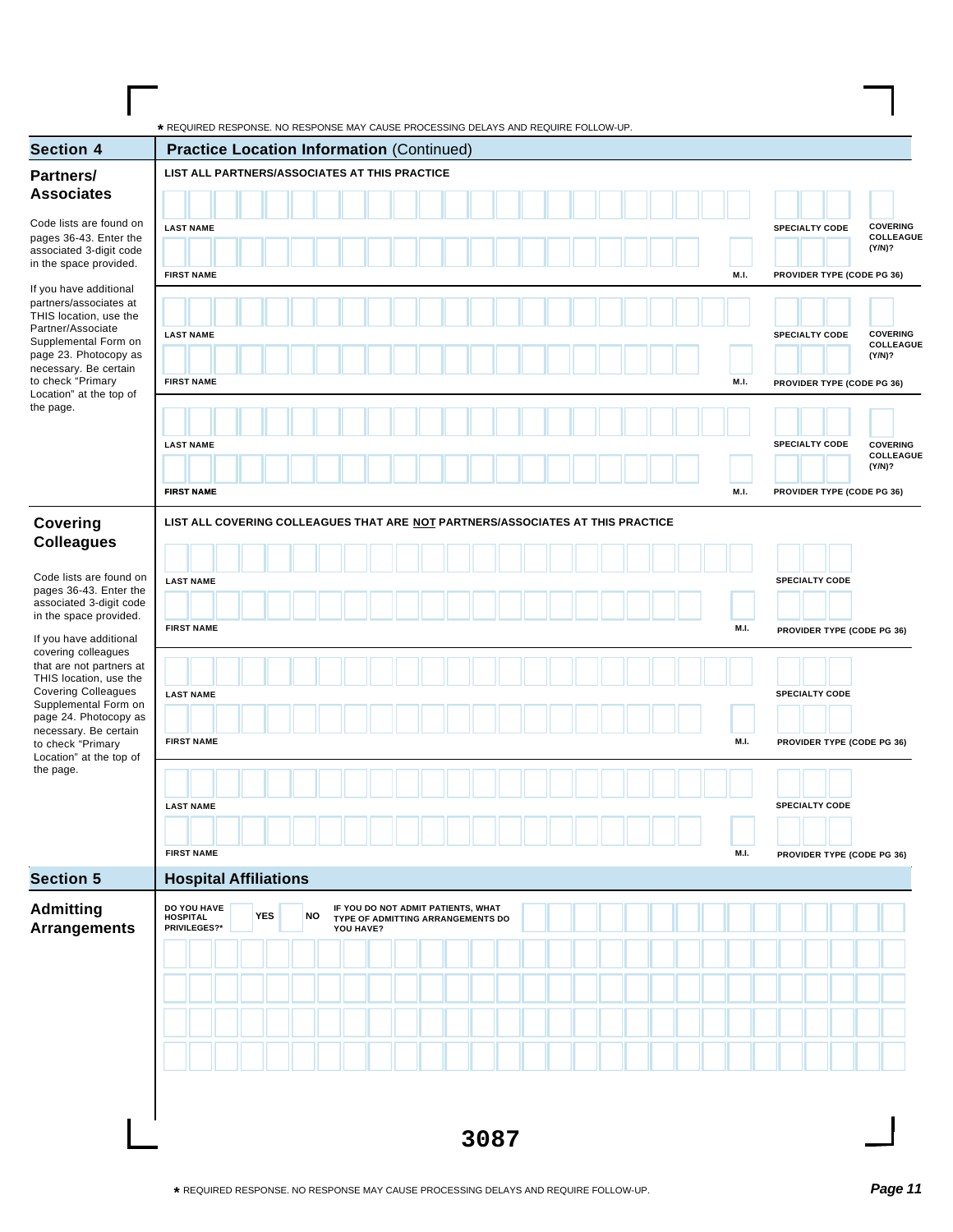| <b>Section 4</b>                                   | * REQUIRED RESPONSE. NO RESPONSE MAY CAUSE PROCESSING DELAYS AND REQUIRE FOLLOW-UP.<br><b>Practice Location Information (Continued)</b> |             |                                                                 |
|----------------------------------------------------|-----------------------------------------------------------------------------------------------------------------------------------------|-------------|-----------------------------------------------------------------|
| Partners/                                          | LIST ALL PARTNERS/ASSOCIATES AT THIS PRACTICE                                                                                           |             |                                                                 |
| <b>Associates</b>                                  |                                                                                                                                         |             |                                                                 |
| Code lists are found on                            |                                                                                                                                         |             |                                                                 |
| pages 36-43. Enter the                             | <b>LAST NAME</b>                                                                                                                        |             | <b>COVERING</b><br><b>SPECIALTY CODE</b><br>COLLEAGUE<br>(Y/N)? |
| associated 3-digit code<br>in the space provided.  | <b>FIRST NAME</b>                                                                                                                       |             |                                                                 |
| If you have additional                             |                                                                                                                                         | M.I.        | PROVIDER TYPE (CODE PG 36)                                      |
| partners/associates at<br>THIS location, use the   |                                                                                                                                         |             |                                                                 |
| Partner/Associate<br>Supplemental Form on          | <b>LAST NAME</b>                                                                                                                        |             | <b>COVERING</b><br><b>SPECIALTY CODE</b><br>COLLEAGUE           |
| page 23. Photocopy as<br>necessary. Be certain     |                                                                                                                                         |             | (Y/N)?                                                          |
| to check "Primary<br>Location" at the top of       | <b>FIRST NAME</b>                                                                                                                       | M.I.        | PROVIDER TYPE (CODE PG 36)                                      |
| the page.                                          |                                                                                                                                         |             |                                                                 |
|                                                    | <b>LAST NAME</b>                                                                                                                        |             | <b>SPECIALTY CODE</b><br><b>COVERING</b>                        |
|                                                    |                                                                                                                                         |             | COLLEAGUE<br>(Y/N)?                                             |
|                                                    | <b>FIRST NAME</b>                                                                                                                       | M.I.        | PROVIDER TYPE (CODE PG 36)                                      |
|                                                    |                                                                                                                                         |             |                                                                 |
| Covering<br><b>Colleagues</b>                      | LIST ALL COVERING COLLEAGUES THAT ARE NOT PARTNERS/ASSOCIATES AT THIS PRACTICE                                                          |             |                                                                 |
|                                                    |                                                                                                                                         |             |                                                                 |
| Code lists are found on<br>pages 36-43. Enter the  | <b>LAST NAME</b>                                                                                                                        |             | <b>SPECIALTY CODE</b>                                           |
| associated 3-digit code<br>in the space provided.  |                                                                                                                                         |             |                                                                 |
| If you have additional                             | <b>FIRST NAME</b>                                                                                                                       | <b>M.I.</b> | PROVIDER TYPE (CODE PG 36)                                      |
| covering colleagues<br>that are not partners at    |                                                                                                                                         |             |                                                                 |
| THIS location, use the                             |                                                                                                                                         |             |                                                                 |
| <b>Covering Colleagues</b><br>Supplemental Form on | <b>LAST NAME</b>                                                                                                                        |             | <b>SPECIALTY CODE</b>                                           |
| page 24. Photocopy as<br>necessary. Be certain     |                                                                                                                                         |             |                                                                 |
| to check "Primary<br>Location" at the top of       | <b>FIRST NAME</b>                                                                                                                       | M.I.        | PROVIDER TYPE (CODE PG 36)                                      |
| the page.                                          |                                                                                                                                         |             |                                                                 |
|                                                    | <b>LAST NAME</b>                                                                                                                        |             | <b>SPECIALTY CODE</b>                                           |
|                                                    |                                                                                                                                         |             |                                                                 |
|                                                    | <b>FIRST NAME</b>                                                                                                                       | M.I.        | PROVIDER TYPE (CODE PG 36)                                      |
| <b>Section 5</b>                                   | <b>Hospital Affiliations</b>                                                                                                            |             |                                                                 |
| <b>Admitting</b>                                   | DO YOU HAVE<br>IF YOU DO NOT ADMIT PATIENTS, WHAT                                                                                       |             |                                                                 |
| <b>Arrangements</b>                                | <b>YES</b><br>NO<br><b>HOSPITAL</b><br>TYPE OF ADMITTING ARRANGEMENTS DO<br>PRIVILEGES?*<br>YOU HAVE?                                   |             |                                                                 |
|                                                    |                                                                                                                                         |             |                                                                 |
|                                                    |                                                                                                                                         |             |                                                                 |
|                                                    |                                                                                                                                         |             |                                                                 |
|                                                    |                                                                                                                                         |             |                                                                 |
|                                                    |                                                                                                                                         |             |                                                                 |
|                                                    |                                                                                                                                         |             |                                                                 |
|                                                    |                                                                                                                                         |             |                                                                 |
|                                                    |                                                                                                                                         |             |                                                                 |
|                                                    | 3087                                                                                                                                    |             |                                                                 |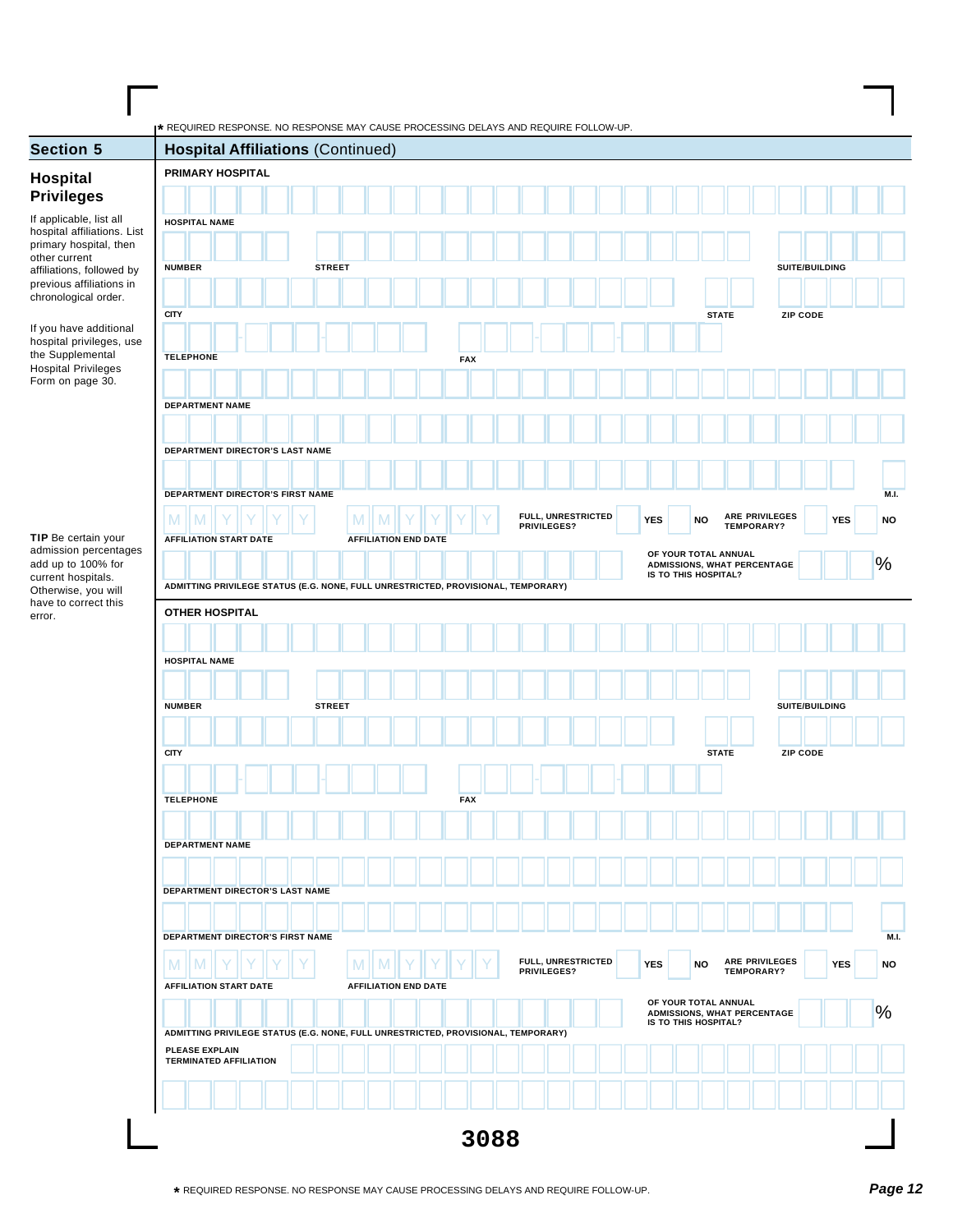| <b>Section 5</b>                                      | * REQUIRED RESPONSE. NO RESPONSE MAY CAUSE PROCESSING DELAYS AND REQUIRE FOLLOW-UP. | <b>Hospital Affiliations (Continued)</b>                                          |  |               |                             |            |  |                    |  |            |                      |              |                             |                 |            |                          |
|-------------------------------------------------------|-------------------------------------------------------------------------------------|-----------------------------------------------------------------------------------|--|---------------|-----------------------------|------------|--|--------------------|--|------------|----------------------|--------------|-----------------------------|-----------------|------------|--------------------------|
|                                                       |                                                                                     | PRIMARY HOSPITAL                                                                  |  |               |                             |            |  |                    |  |            |                      |              |                             |                 |            |                          |
| Hospital<br><b>Privileges</b>                         |                                                                                     |                                                                                   |  |               |                             |            |  |                    |  |            |                      |              |                             |                 |            |                          |
| If applicable, list all                               | <b>HOSPITAL NAME</b>                                                                |                                                                                   |  |               |                             |            |  |                    |  |            |                      |              |                             |                 |            |                          |
| hospital affiliations. List<br>primary hospital, then |                                                                                     |                                                                                   |  |               |                             |            |  |                    |  |            |                      |              |                             |                 |            |                          |
| other current<br>affiliations, followed by            | <b>NUMBER</b>                                                                       |                                                                                   |  | <b>STREET</b> |                             |            |  |                    |  |            |                      |              |                             | SUITE/BUILDING  |            |                          |
| previous affiliations in<br>chronological order.      |                                                                                     |                                                                                   |  |               |                             |            |  |                    |  |            |                      |              |                             |                 |            |                          |
|                                                       | <b>CITY</b>                                                                         |                                                                                   |  |               |                             |            |  |                    |  |            |                      | <b>STATE</b> |                             | ZIP CODE        |            |                          |
| If you have additional<br>hospital privileges, use    |                                                                                     |                                                                                   |  |               |                             |            |  |                    |  |            |                      |              |                             |                 |            |                          |
| the Supplemental<br><b>Hospital Privileges</b>        | <b>TELEPHONE</b>                                                                    |                                                                                   |  |               |                             | <b>FAX</b> |  |                    |  |            |                      |              |                             |                 |            |                          |
| Form on page 30.                                      |                                                                                     |                                                                                   |  |               |                             |            |  |                    |  |            |                      |              |                             |                 |            |                          |
|                                                       |                                                                                     | <b>DEPARTMENT NAME</b>                                                            |  |               |                             |            |  |                    |  |            |                      |              |                             |                 |            |                          |
|                                                       |                                                                                     |                                                                                   |  |               |                             |            |  |                    |  |            |                      |              |                             |                 |            |                          |
|                                                       |                                                                                     | DEPARTMENT DIRECTOR'S LAST NAME                                                   |  |               |                             |            |  |                    |  |            |                      |              |                             |                 |            |                          |
|                                                       |                                                                                     | DEPARTMENT DIRECTOR'S FIRST NAME                                                  |  |               |                             |            |  |                    |  |            |                      |              |                             |                 |            | <b>M.I.</b>              |
|                                                       | M<br>M                                                                              |                                                                                   |  | M             |                             |            |  | FULL, UNRESTRICTED |  | <b>YES</b> | <b>NO</b>            |              | ARE PRIVILEGES              |                 | <b>YES</b> | <b>NO</b>                |
| TIP Be certain your                                   |                                                                                     | <b>AFFILIATION START DATE</b>                                                     |  |               | <b>AFFILIATION END DATE</b> |            |  | PRIVILEGES?        |  |            |                      |              | TEMPORARY?                  |                 |            |                          |
| admission percentages<br>add up to 100% for           |                                                                                     |                                                                                   |  |               |                             |            |  |                    |  |            | OF YOUR TOTAL ANNUAL |              | ADMISSIONS, WHAT PERCENTAGE |                 |            | %                        |
| current hospitals.<br>Otherwise, you will             |                                                                                     | ADMITTING PRIVILEGE STATUS (E.G. NONE, FULL UNRESTRICTED, PROVISIONAL, TEMPORARY) |  |               |                             |            |  |                    |  |            | IS TO THIS HOSPITAL? |              |                             |                 |            |                          |
| have to correct this<br>error.                        |                                                                                     | <b>OTHER HOSPITAL</b>                                                             |  |               |                             |            |  |                    |  |            |                      |              |                             |                 |            |                          |
|                                                       |                                                                                     |                                                                                   |  |               |                             |            |  |                    |  |            |                      |              |                             |                 |            |                          |
|                                                       | <b>HOSPITAL NAME</b>                                                                |                                                                                   |  |               |                             |            |  |                    |  |            |                      |              |                             |                 |            |                          |
|                                                       |                                                                                     |                                                                                   |  |               |                             |            |  |                    |  |            |                      |              |                             |                 |            |                          |
|                                                       | <b>NUMBER</b>                                                                       |                                                                                   |  | <b>STREET</b> |                             |            |  |                    |  |            |                      |              |                             |                 |            |                          |
|                                                       |                                                                                     |                                                                                   |  |               |                             |            |  |                    |  |            |                      |              |                             | SUITE/BUILDING  |            |                          |
|                                                       |                                                                                     |                                                                                   |  |               |                             |            |  |                    |  |            |                      |              |                             |                 |            |                          |
|                                                       | <b>CITY</b>                                                                         |                                                                                   |  |               |                             |            |  |                    |  |            |                      | <b>STATE</b> |                             | <b>ZIP CODE</b> |            |                          |
|                                                       |                                                                                     |                                                                                   |  |               |                             |            |  |                    |  |            |                      |              |                             |                 |            |                          |
|                                                       | <b>TELEPHONE</b>                                                                    |                                                                                   |  |               |                             | <b>FAX</b> |  |                    |  |            |                      |              |                             |                 |            |                          |
|                                                       |                                                                                     |                                                                                   |  |               |                             |            |  |                    |  |            |                      |              |                             |                 |            |                          |
|                                                       |                                                                                     | <b>DEPARTMENT NAME</b>                                                            |  |               |                             |            |  |                    |  |            |                      |              |                             |                 |            |                          |
|                                                       |                                                                                     | DEPARTMENT DIRECTOR'S LAST NAME                                                   |  |               |                             |            |  |                    |  |            |                      |              |                             |                 |            |                          |
|                                                       |                                                                                     |                                                                                   |  |               |                             |            |  |                    |  |            |                      |              |                             |                 |            |                          |
|                                                       |                                                                                     | DEPARTMENT DIRECTOR'S FIRST NAME                                                  |  |               |                             |            |  |                    |  |            |                      |              |                             |                 |            |                          |
|                                                       | M<br>M                                                                              |                                                                                   |  | M             |                             |            |  | FULL, UNRESTRICTED |  | <b>YES</b> | NO                   |              | ARE PRIVILEGES              |                 | <b>YES</b> | <b>M.I.</b><br><b>NO</b> |
|                                                       |                                                                                     | <b>AFFILIATION START DATE</b>                                                     |  |               | <b>AFFILIATION END DATE</b> |            |  | PRIVILEGES?        |  |            |                      |              | <b>TEMPORARY?</b>           |                 |            |                          |
|                                                       |                                                                                     |                                                                                   |  |               |                             |            |  |                    |  |            | OF YOUR TOTAL ANNUAL |              | ADMISSIONS, WHAT PERCENTAGE |                 |            | %                        |
|                                                       |                                                                                     | ADMITTING PRIVILEGE STATUS (E.G. NONE, FULL UNRESTRICTED, PROVISIONAL, TEMPORARY) |  |               |                             |            |  |                    |  |            | IS TO THIS HOSPITAL? |              |                             |                 |            |                          |
|                                                       | PLEASE EXPLAIN                                                                      | <b>TERMINATED AFFILIATION</b>                                                     |  |               |                             |            |  |                    |  |            |                      |              |                             |                 |            |                          |
|                                                       |                                                                                     |                                                                                   |  |               |                             |            |  |                    |  |            |                      |              |                             |                 |            |                          |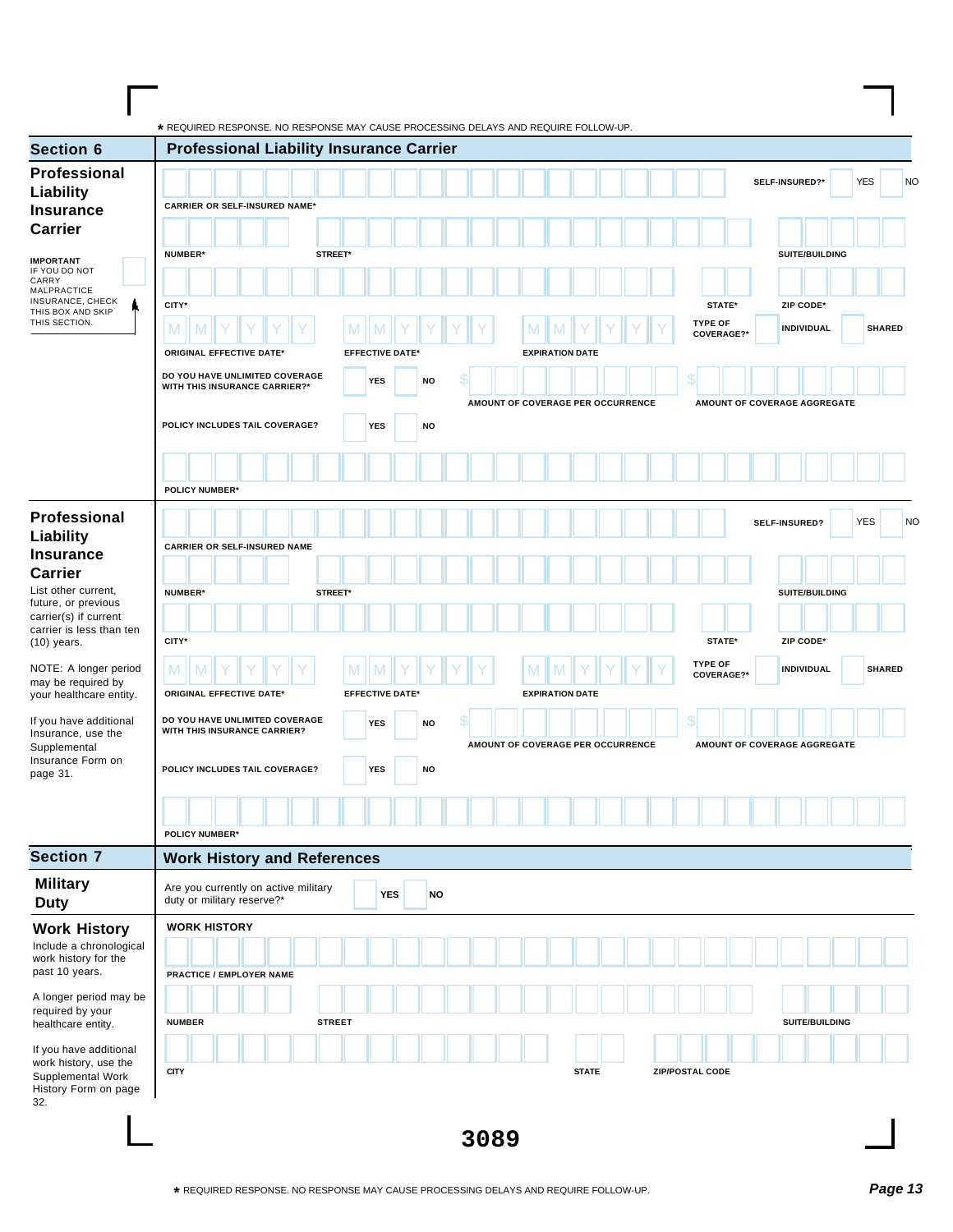| <b>Section 6</b>                                                                                                  | <b>Professional Liability Insurance Carrier</b>                 |               |            |                        |           |    |                                   |   |                        |  |  |                              |  |                |                   |                              |            |               |
|-------------------------------------------------------------------------------------------------------------------|-----------------------------------------------------------------|---------------|------------|------------------------|-----------|----|-----------------------------------|---|------------------------|--|--|------------------------------|--|----------------|-------------------|------------------------------|------------|---------------|
| Professional                                                                                                      |                                                                 |               |            |                        |           |    |                                   |   |                        |  |  |                              |  | SELF-INSURED?* |                   |                              | <b>YES</b> |               |
| Liability                                                                                                         | <b>CARRIER OR SELF-INSURED NAME*</b>                            |               |            |                        |           |    |                                   |   |                        |  |  |                              |  |                |                   |                              |            |               |
| <b>Insurance</b>                                                                                                  |                                                                 |               |            |                        |           |    |                                   |   |                        |  |  |                              |  |                |                   |                              |            |               |
| <b>Carrier</b>                                                                                                    |                                                                 |               |            |                        |           |    |                                   |   |                        |  |  |                              |  |                |                   |                              |            |               |
| <b>IMPORTANT</b><br>IF YOU DO NOT                                                                                 | <b>NUMBER*</b><br>STREET*                                       |               |            |                        |           |    |                                   |   |                        |  |  |                              |  |                | SUITE/BUILDING    |                              |            |               |
| CARRY<br>MALPRACTICE                                                                                              |                                                                 |               |            |                        |           |    |                                   |   |                        |  |  |                              |  |                |                   |                              |            |               |
| INSURANCE, CHECK<br>THIS BOX AND SKIP                                                                             | CITY*                                                           |               |            |                        |           |    |                                   |   |                        |  |  | STATE*                       |  |                | ZIP CODE*         |                              |            |               |
| THIS SECTION.                                                                                                     | M                                                               | M             |            |                        |           |    |                                   |   |                        |  |  | <b>TYPE OF</b><br>COVERAGE?* |  |                | <b>INDIVIDUAL</b> |                              |            | <b>SHARED</b> |
|                                                                                                                   | <b>ORIGINAL EFFECTIVE DATE*</b>                                 |               |            | <b>EFFECTIVE DATE*</b> |           |    |                                   |   | <b>EXPIRATION DATE</b> |  |  |                              |  |                |                   |                              |            |               |
|                                                                                                                   | DO YOU HAVE UNLIMITED COVERAGE<br>WITH THIS INSURANCE CARRIER?* |               | <b>YES</b> |                        | NO        | \$ |                                   |   |                        |  |  |                              |  |                |                   |                              |            |               |
|                                                                                                                   |                                                                 |               |            |                        |           |    | AMOUNT OF COVERAGE PER OCCURRENCE |   |                        |  |  |                              |  |                |                   | AMOUNT OF COVERAGE AGGREGATE |            |               |
|                                                                                                                   | POLICY INCLUDES TAIL COVERAGE?                                  |               | <b>YES</b> |                        | NO        |    |                                   |   |                        |  |  |                              |  |                |                   |                              |            |               |
|                                                                                                                   |                                                                 |               |            |                        |           |    |                                   |   |                        |  |  |                              |  |                |                   |                              |            |               |
|                                                                                                                   |                                                                 |               |            |                        |           |    |                                   |   |                        |  |  |                              |  |                |                   |                              |            |               |
|                                                                                                                   | <b>POLICY NUMBER*</b>                                           |               |            |                        |           |    |                                   |   |                        |  |  |                              |  |                |                   |                              |            |               |
| Professional                                                                                                      |                                                                 |               |            |                        |           |    |                                   |   |                        |  |  |                              |  | SELF-INSURED?  |                   |                              | <b>YES</b> |               |
| <b>Liability</b>                                                                                                  | <b>CARRIER OR SELF-INSURED NAME</b>                             |               |            |                        |           |    |                                   |   |                        |  |  |                              |  |                |                   |                              |            |               |
| <b>Insurance</b>                                                                                                  |                                                                 |               |            |                        |           |    |                                   |   |                        |  |  |                              |  |                |                   |                              |            |               |
| <b>Carrier</b><br>List other current,<br>future, or previous<br>carrier(s) if current<br>carrier is less than ten | NUMBER*<br>STREET*                                              |               |            |                        |           |    |                                   |   |                        |  |  |                              |  |                | SUITE/BUILDING    |                              |            |               |
|                                                                                                                   |                                                                 |               |            |                        |           |    |                                   |   |                        |  |  |                              |  |                |                   |                              |            |               |
|                                                                                                                   | CITY*                                                           |               |            |                        |           |    |                                   |   |                        |  |  | STATE*                       |  |                | ZIP CODE*         |                              |            |               |
| $(10)$ years.                                                                                                     |                                                                 |               |            |                        |           |    |                                   |   |                        |  |  | <b>TYPE OF</b>               |  |                |                   |                              |            |               |
| NOTE: A longer period<br>may be required by                                                                       | M                                                               | M             |            |                        |           |    |                                   | M |                        |  |  | COVERAGE?*                   |  |                | INDIVIDUAL        |                              |            | <b>SHARED</b> |
| your healthcare entity.                                                                                           | <b>ORIGINAL EFFECTIVE DATE*</b>                                 |               |            | <b>EFFECTIVE DATE*</b> |           |    |                                   |   | <b>EXPIRATION DATE</b> |  |  |                              |  |                |                   |                              |            |               |
| If you have additional<br>Insurance, use the                                                                      | DO YOU HAVE UNLIMITED COVERAGE<br>WITH THIS INSURANCE CARRIER?  |               | <b>YES</b> |                        | NO        | \$ |                                   |   |                        |  |  |                              |  |                |                   |                              |            |               |
| Supplemental                                                                                                      |                                                                 |               |            |                        |           |    | AMOUNT OF COVERAGE PER OCCURRENCE |   |                        |  |  |                              |  |                |                   | AMOUNT OF COVERAGE AGGREGATE |            |               |
| Insurance Form on<br>page 31.                                                                                     | POLICY INCLUDES TAIL COVERAGE?                                  |               | <b>YES</b> |                        | <b>NO</b> |    |                                   |   |                        |  |  |                              |  |                |                   |                              |            |               |
|                                                                                                                   |                                                                 |               |            |                        |           |    |                                   |   |                        |  |  |                              |  |                |                   |                              |            |               |
|                                                                                                                   |                                                                 |               |            |                        |           |    |                                   |   |                        |  |  |                              |  |                |                   |                              |            |               |
|                                                                                                                   | <b>POLICY NUMBER*</b>                                           |               |            |                        |           |    |                                   |   |                        |  |  |                              |  |                |                   |                              |            |               |
| <b>Section 7</b>                                                                                                  | <b>Work History and References</b>                              |               |            |                        |           |    |                                   |   |                        |  |  |                              |  |                |                   |                              |            |               |
| <b>Military</b>                                                                                                   | Are you currently on active military                            |               |            | <b>YES</b>             | <b>NO</b> |    |                                   |   |                        |  |  |                              |  |                |                   |                              |            |               |
| <b>Duty</b>                                                                                                       | duty or military reserve?*                                      |               |            |                        |           |    |                                   |   |                        |  |  |                              |  |                |                   |                              |            |               |
| <b>Work History</b><br>Include a chronological                                                                    | <b>WORK HISTORY</b>                                             |               |            |                        |           |    |                                   |   |                        |  |  |                              |  |                |                   |                              |            |               |
| work history for the                                                                                              |                                                                 |               |            |                        |           |    |                                   |   |                        |  |  |                              |  |                |                   |                              |            |               |
| past 10 years.                                                                                                    | PRACTICE / EMPLOYER NAME                                        |               |            |                        |           |    |                                   |   |                        |  |  |                              |  |                |                   |                              |            |               |
| A longer period may be<br>required by your                                                                        |                                                                 |               |            |                        |           |    |                                   |   |                        |  |  |                              |  |                |                   |                              |            |               |
| healthcare entity.                                                                                                | <b>NUMBER</b>                                                   | <b>STREET</b> |            |                        |           |    |                                   |   |                        |  |  |                              |  |                | SUITE/BUILDING    |                              |            |               |
| If you have additional                                                                                            |                                                                 |               |            |                        |           |    |                                   |   |                        |  |  |                              |  |                |                   |                              |            |               |
| work history, use the<br>Supplemental Work                                                                        | <b>CITY</b>                                                     |               |            |                        |           |    |                                   |   | <b>STATE</b>           |  |  | ZIP/POSTAL CODE              |  |                |                   |                              |            |               |
| History Form on page                                                                                              |                                                                 |               |            |                        |           |    |                                   |   |                        |  |  |                              |  |                |                   |                              |            |               |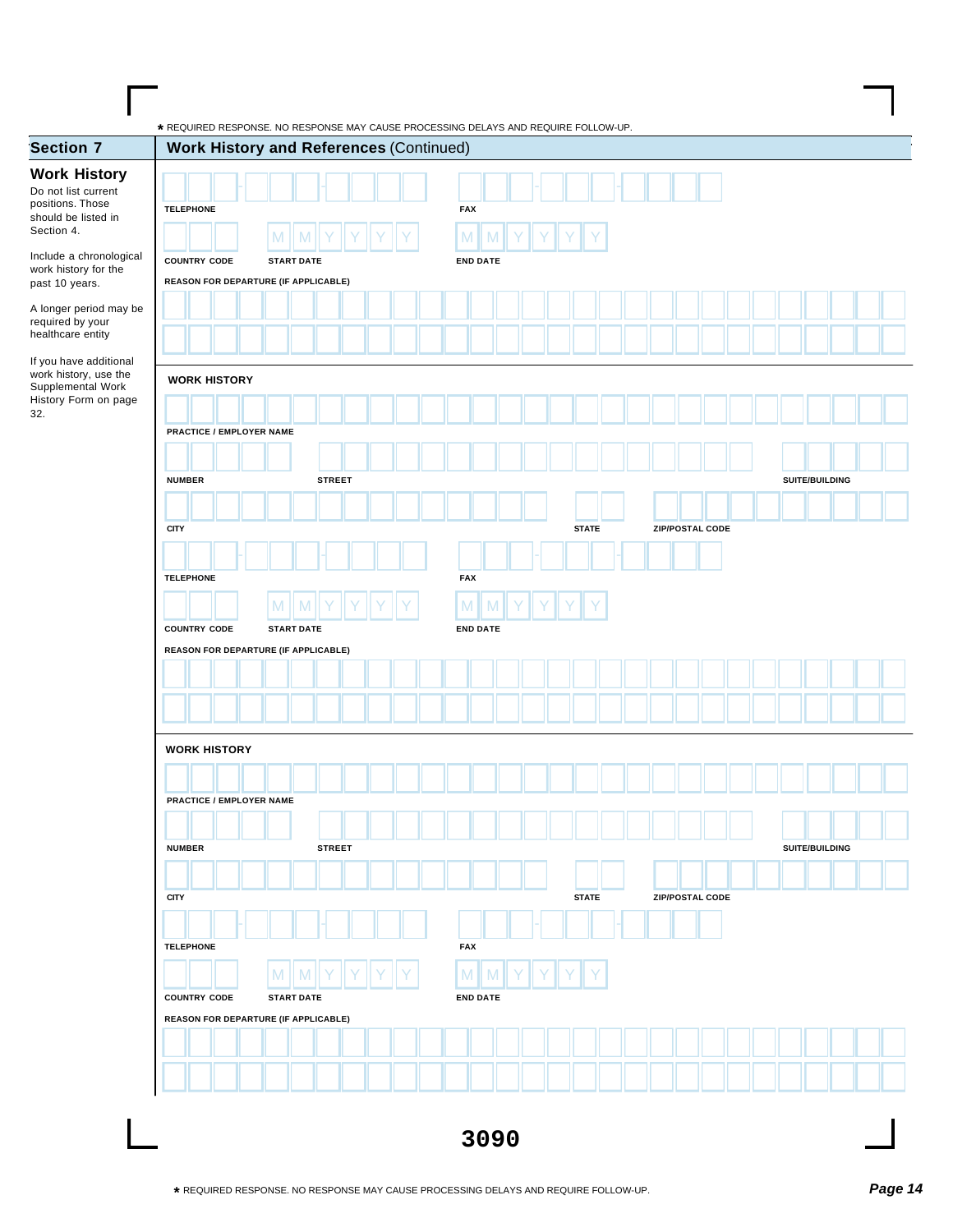| <b>Work History</b><br>Do not list current<br>positions. Those<br><b>TELEPHONE</b><br><b>FAX</b><br>should be listed in<br>Section 4.<br>M<br>M<br>Include a chronological<br><b>COUNTRY CODE</b><br><b>END DATE</b><br><b>START DATE</b><br>work history for the<br>REASON FOR DEPARTURE (IF APPLICABLE)<br>past 10 years.<br>A longer period may be<br>required by your<br>healthcare entity<br>If you have additional<br>work history, use the<br><b>WORK HISTORY</b><br>Supplemental Work<br>History Form on page<br><b>PRACTICE / EMPLOYER NAME</b><br><b>NUMBER</b><br><b>STREET</b><br>SUITE/BUILDING<br><b>CITY</b><br><b>STATE</b><br>ZIP/POSTAL CODE<br><b>FAX</b><br><b>TELEPHONE</b><br>M<br>M<br><b>COUNTRY CODE</b><br><b>START DATE</b><br><b>END DATE</b><br>REASON FOR DEPARTURE (IF APPLICABLE)<br><b>WORK HISTORY</b><br><b>PRACTICE / EMPLOYER NAME</b><br>SUITE/BUILDING<br><b>NUMBER</b><br><b>STREET</b><br><b>CITY</b><br><b>STATE</b><br><b>ZIP/POSTAL CODE</b><br><b>TELEPHONE</b><br><b>FAX</b><br>M<br>M<br>M<br><b>COUNTRY CODE</b><br><b>START DATE</b><br><b>END DATE</b><br>REASON FOR DEPARTURE (IF APPLICABLE) | <b>Section 7</b> | <b>Work History and References (Continued)</b> |  |
|--------------------------------------------------------------------------------------------------------------------------------------------------------------------------------------------------------------------------------------------------------------------------------------------------------------------------------------------------------------------------------------------------------------------------------------------------------------------------------------------------------------------------------------------------------------------------------------------------------------------------------------------------------------------------------------------------------------------------------------------------------------------------------------------------------------------------------------------------------------------------------------------------------------------------------------------------------------------------------------------------------------------------------------------------------------------------------------------------------------------------------------------------|------------------|------------------------------------------------|--|
|                                                                                                                                                                                                                                                                                                                                                                                                                                                                                                                                                                                                                                                                                                                                                                                                                                                                                                                                                                                                                                                                                                                                                  |                  |                                                |  |
|                                                                                                                                                                                                                                                                                                                                                                                                                                                                                                                                                                                                                                                                                                                                                                                                                                                                                                                                                                                                                                                                                                                                                  |                  |                                                |  |
|                                                                                                                                                                                                                                                                                                                                                                                                                                                                                                                                                                                                                                                                                                                                                                                                                                                                                                                                                                                                                                                                                                                                                  |                  |                                                |  |
|                                                                                                                                                                                                                                                                                                                                                                                                                                                                                                                                                                                                                                                                                                                                                                                                                                                                                                                                                                                                                                                                                                                                                  |                  |                                                |  |
|                                                                                                                                                                                                                                                                                                                                                                                                                                                                                                                                                                                                                                                                                                                                                                                                                                                                                                                                                                                                                                                                                                                                                  |                  |                                                |  |
|                                                                                                                                                                                                                                                                                                                                                                                                                                                                                                                                                                                                                                                                                                                                                                                                                                                                                                                                                                                                                                                                                                                                                  |                  |                                                |  |
|                                                                                                                                                                                                                                                                                                                                                                                                                                                                                                                                                                                                                                                                                                                                                                                                                                                                                                                                                                                                                                                                                                                                                  |                  |                                                |  |
|                                                                                                                                                                                                                                                                                                                                                                                                                                                                                                                                                                                                                                                                                                                                                                                                                                                                                                                                                                                                                                                                                                                                                  |                  |                                                |  |
|                                                                                                                                                                                                                                                                                                                                                                                                                                                                                                                                                                                                                                                                                                                                                                                                                                                                                                                                                                                                                                                                                                                                                  |                  |                                                |  |
|                                                                                                                                                                                                                                                                                                                                                                                                                                                                                                                                                                                                                                                                                                                                                                                                                                                                                                                                                                                                                                                                                                                                                  |                  |                                                |  |
|                                                                                                                                                                                                                                                                                                                                                                                                                                                                                                                                                                                                                                                                                                                                                                                                                                                                                                                                                                                                                                                                                                                                                  |                  |                                                |  |
|                                                                                                                                                                                                                                                                                                                                                                                                                                                                                                                                                                                                                                                                                                                                                                                                                                                                                                                                                                                                                                                                                                                                                  |                  |                                                |  |
|                                                                                                                                                                                                                                                                                                                                                                                                                                                                                                                                                                                                                                                                                                                                                                                                                                                                                                                                                                                                                                                                                                                                                  |                  |                                                |  |
|                                                                                                                                                                                                                                                                                                                                                                                                                                                                                                                                                                                                                                                                                                                                                                                                                                                                                                                                                                                                                                                                                                                                                  |                  |                                                |  |
|                                                                                                                                                                                                                                                                                                                                                                                                                                                                                                                                                                                                                                                                                                                                                                                                                                                                                                                                                                                                                                                                                                                                                  |                  |                                                |  |
|                                                                                                                                                                                                                                                                                                                                                                                                                                                                                                                                                                                                                                                                                                                                                                                                                                                                                                                                                                                                                                                                                                                                                  |                  |                                                |  |
|                                                                                                                                                                                                                                                                                                                                                                                                                                                                                                                                                                                                                                                                                                                                                                                                                                                                                                                                                                                                                                                                                                                                                  |                  |                                                |  |
|                                                                                                                                                                                                                                                                                                                                                                                                                                                                                                                                                                                                                                                                                                                                                                                                                                                                                                                                                                                                                                                                                                                                                  |                  |                                                |  |
|                                                                                                                                                                                                                                                                                                                                                                                                                                                                                                                                                                                                                                                                                                                                                                                                                                                                                                                                                                                                                                                                                                                                                  |                  |                                                |  |
|                                                                                                                                                                                                                                                                                                                                                                                                                                                                                                                                                                                                                                                                                                                                                                                                                                                                                                                                                                                                                                                                                                                                                  |                  |                                                |  |
|                                                                                                                                                                                                                                                                                                                                                                                                                                                                                                                                                                                                                                                                                                                                                                                                                                                                                                                                                                                                                                                                                                                                                  |                  |                                                |  |
|                                                                                                                                                                                                                                                                                                                                                                                                                                                                                                                                                                                                                                                                                                                                                                                                                                                                                                                                                                                                                                                                                                                                                  |                  |                                                |  |
|                                                                                                                                                                                                                                                                                                                                                                                                                                                                                                                                                                                                                                                                                                                                                                                                                                                                                                                                                                                                                                                                                                                                                  |                  |                                                |  |
|                                                                                                                                                                                                                                                                                                                                                                                                                                                                                                                                                                                                                                                                                                                                                                                                                                                                                                                                                                                                                                                                                                                                                  |                  |                                                |  |
|                                                                                                                                                                                                                                                                                                                                                                                                                                                                                                                                                                                                                                                                                                                                                                                                                                                                                                                                                                                                                                                                                                                                                  |                  |                                                |  |
|                                                                                                                                                                                                                                                                                                                                                                                                                                                                                                                                                                                                                                                                                                                                                                                                                                                                                                                                                                                                                                                                                                                                                  |                  |                                                |  |
|                                                                                                                                                                                                                                                                                                                                                                                                                                                                                                                                                                                                                                                                                                                                                                                                                                                                                                                                                                                                                                                                                                                                                  |                  |                                                |  |
|                                                                                                                                                                                                                                                                                                                                                                                                                                                                                                                                                                                                                                                                                                                                                                                                                                                                                                                                                                                                                                                                                                                                                  |                  |                                                |  |
|                                                                                                                                                                                                                                                                                                                                                                                                                                                                                                                                                                                                                                                                                                                                                                                                                                                                                                                                                                                                                                                                                                                                                  |                  |                                                |  |
|                                                                                                                                                                                                                                                                                                                                                                                                                                                                                                                                                                                                                                                                                                                                                                                                                                                                                                                                                                                                                                                                                                                                                  |                  |                                                |  |
|                                                                                                                                                                                                                                                                                                                                                                                                                                                                                                                                                                                                                                                                                                                                                                                                                                                                                                                                                                                                                                                                                                                                                  |                  |                                                |  |
|                                                                                                                                                                                                                                                                                                                                                                                                                                                                                                                                                                                                                                                                                                                                                                                                                                                                                                                                                                                                                                                                                                                                                  |                  |                                                |  |
|                                                                                                                                                                                                                                                                                                                                                                                                                                                                                                                                                                                                                                                                                                                                                                                                                                                                                                                                                                                                                                                                                                                                                  |                  |                                                |  |
|                                                                                                                                                                                                                                                                                                                                                                                                                                                                                                                                                                                                                                                                                                                                                                                                                                                                                                                                                                                                                                                                                                                                                  |                  |                                                |  |
|                                                                                                                                                                                                                                                                                                                                                                                                                                                                                                                                                                                                                                                                                                                                                                                                                                                                                                                                                                                                                                                                                                                                                  |                  |                                                |  |
|                                                                                                                                                                                                                                                                                                                                                                                                                                                                                                                                                                                                                                                                                                                                                                                                                                                                                                                                                                                                                                                                                                                                                  |                  |                                                |  |
|                                                                                                                                                                                                                                                                                                                                                                                                                                                                                                                                                                                                                                                                                                                                                                                                                                                                                                                                                                                                                                                                                                                                                  |                  |                                                |  |
|                                                                                                                                                                                                                                                                                                                                                                                                                                                                                                                                                                                                                                                                                                                                                                                                                                                                                                                                                                                                                                                                                                                                                  |                  |                                                |  |
|                                                                                                                                                                                                                                                                                                                                                                                                                                                                                                                                                                                                                                                                                                                                                                                                                                                                                                                                                                                                                                                                                                                                                  |                  |                                                |  |
|                                                                                                                                                                                                                                                                                                                                                                                                                                                                                                                                                                                                                                                                                                                                                                                                                                                                                                                                                                                                                                                                                                                                                  |                  |                                                |  |
|                                                                                                                                                                                                                                                                                                                                                                                                                                                                                                                                                                                                                                                                                                                                                                                                                                                                                                                                                                                                                                                                                                                                                  |                  |                                                |  |
|                                                                                                                                                                                                                                                                                                                                                                                                                                                                                                                                                                                                                                                                                                                                                                                                                                                                                                                                                                                                                                                                                                                                                  |                  |                                                |  |
|                                                                                                                                                                                                                                                                                                                                                                                                                                                                                                                                                                                                                                                                                                                                                                                                                                                                                                                                                                                                                                                                                                                                                  |                  |                                                |  |
|                                                                                                                                                                                                                                                                                                                                                                                                                                                                                                                                                                                                                                                                                                                                                                                                                                                                                                                                                                                                                                                                                                                                                  |                  |                                                |  |
|                                                                                                                                                                                                                                                                                                                                                                                                                                                                                                                                                                                                                                                                                                                                                                                                                                                                                                                                                                                                                                                                                                                                                  |                  |                                                |  |
|                                                                                                                                                                                                                                                                                                                                                                                                                                                                                                                                                                                                                                                                                                                                                                                                                                                                                                                                                                                                                                                                                                                                                  |                  |                                                |  |
|                                                                                                                                                                                                                                                                                                                                                                                                                                                                                                                                                                                                                                                                                                                                                                                                                                                                                                                                                                                                                                                                                                                                                  |                  |                                                |  |
|                                                                                                                                                                                                                                                                                                                                                                                                                                                                                                                                                                                                                                                                                                                                                                                                                                                                                                                                                                                                                                                                                                                                                  |                  |                                                |  |
|                                                                                                                                                                                                                                                                                                                                                                                                                                                                                                                                                                                                                                                                                                                                                                                                                                                                                                                                                                                                                                                                                                                                                  |                  |                                                |  |
|                                                                                                                                                                                                                                                                                                                                                                                                                                                                                                                                                                                                                                                                                                                                                                                                                                                                                                                                                                                                                                                                                                                                                  |                  |                                                |  |
|                                                                                                                                                                                                                                                                                                                                                                                                                                                                                                                                                                                                                                                                                                                                                                                                                                                                                                                                                                                                                                                                                                                                                  |                  |                                                |  |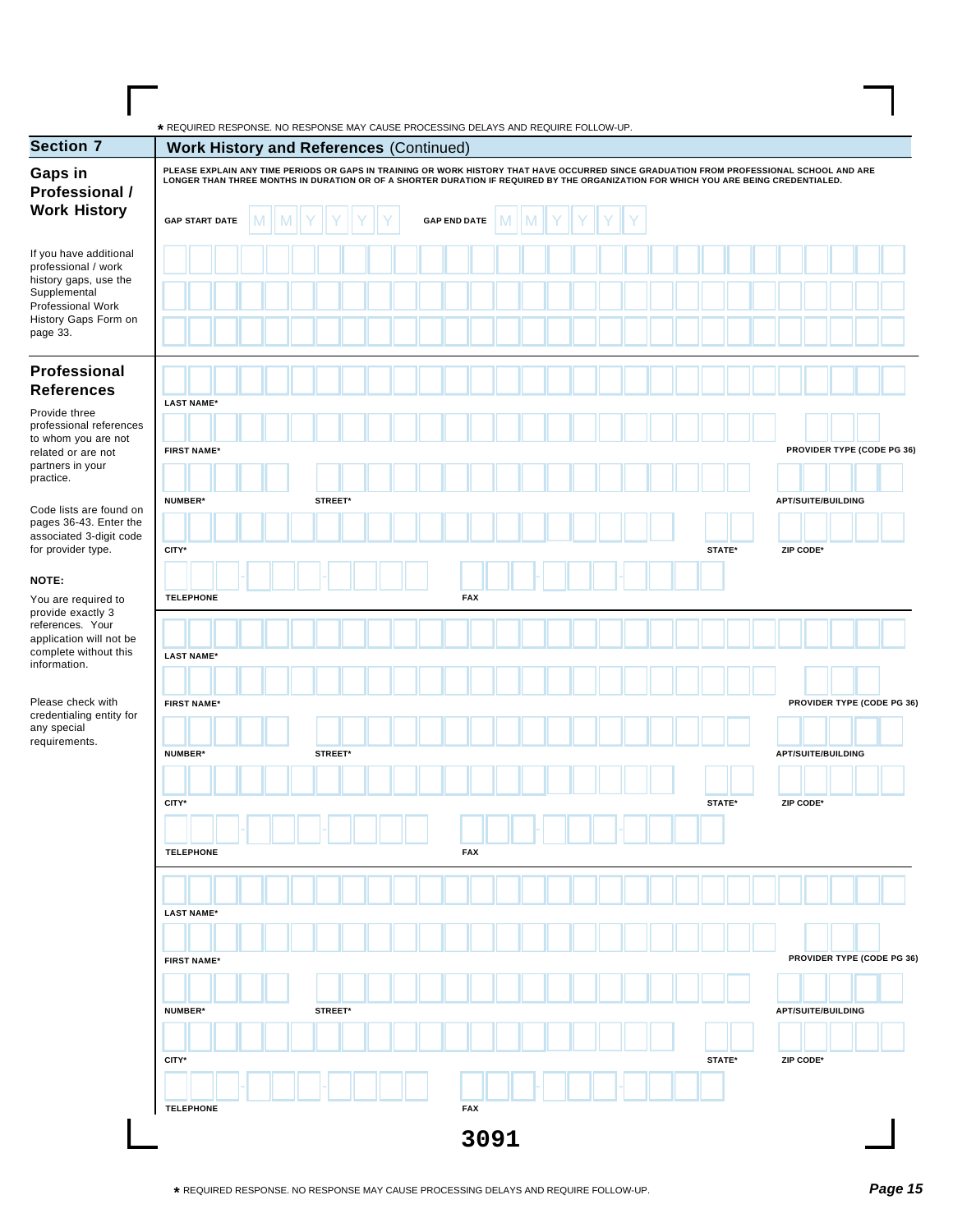| <b>Section 7</b>                                                                                   |                                                                                                                                     |   |         |  |  |  |                     |   |   |  |  |  |  |  | <b>Work History and References (Continued)</b><br>PLEASE EXPLAIN ANY TIME PERIODS OR GAPS IN TRAINING OR WORK HISTORY THAT HAVE OCCURRED SINCE GRADUATION FROM PROFESSIONAL SCHOOL AND ARE |        |  |  |           |                            |  |  |  |  |  |  |  |  |  |
|----------------------------------------------------------------------------------------------------|-------------------------------------------------------------------------------------------------------------------------------------|---|---------|--|--|--|---------------------|---|---|--|--|--|--|--|--------------------------------------------------------------------------------------------------------------------------------------------------------------------------------------------|--------|--|--|-----------|----------------------------|--|--|--|--|--|--|--|--|--|
| Gaps in<br>Professional /                                                                          | LONGER THAN THREE MONTHS IN DURATION OR OF A SHORTER DURATION IF REQUIRED BY THE ORGANIZATION FOR WHICH YOU ARE BEING CREDENTIALED. |   |         |  |  |  |                     |   |   |  |  |  |  |  |                                                                                                                                                                                            |        |  |  |           |                            |  |  |  |  |  |  |  |  |  |
| <b>Work History</b>                                                                                | <b>GAP START DATE</b>                                                                                                               | M |         |  |  |  | <b>GAP END DATE</b> | M | M |  |  |  |  |  |                                                                                                                                                                                            |        |  |  |           |                            |  |  |  |  |  |  |  |  |  |
| If you have additional<br>professional / work                                                      |                                                                                                                                     |   |         |  |  |  |                     |   |   |  |  |  |  |  |                                                                                                                                                                                            |        |  |  |           |                            |  |  |  |  |  |  |  |  |  |
| history gaps, use the<br>Supplemental                                                              |                                                                                                                                     |   |         |  |  |  |                     |   |   |  |  |  |  |  |                                                                                                                                                                                            |        |  |  |           |                            |  |  |  |  |  |  |  |  |  |
| Professional Work<br>History Gaps Form on<br>page 33.                                              |                                                                                                                                     |   |         |  |  |  |                     |   |   |  |  |  |  |  |                                                                                                                                                                                            |        |  |  |           |                            |  |  |  |  |  |  |  |  |  |
| Professional<br><b>References</b>                                                                  |                                                                                                                                     |   |         |  |  |  |                     |   |   |  |  |  |  |  |                                                                                                                                                                                            |        |  |  |           |                            |  |  |  |  |  |  |  |  |  |
| Provide three                                                                                      | <b>LAST NAME*</b>                                                                                                                   |   |         |  |  |  |                     |   |   |  |  |  |  |  |                                                                                                                                                                                            |        |  |  |           |                            |  |  |  |  |  |  |  |  |  |
| professional references<br>to whom you are not                                                     |                                                                                                                                     |   |         |  |  |  |                     |   |   |  |  |  |  |  |                                                                                                                                                                                            |        |  |  |           |                            |  |  |  |  |  |  |  |  |  |
| related or are not<br>partners in your                                                             | <b>FIRST NAME*</b>                                                                                                                  |   |         |  |  |  |                     |   |   |  |  |  |  |  |                                                                                                                                                                                            |        |  |  |           | PROVIDER TYPE (CODE PG 36) |  |  |  |  |  |  |  |  |  |
| practice.                                                                                          | NUMBER*                                                                                                                             |   | STREET* |  |  |  |                     |   |   |  |  |  |  |  |                                                                                                                                                                                            |        |  |  |           | <b>APT/SUITE/BUILDING</b>  |  |  |  |  |  |  |  |  |  |
| Code lists are found on<br>pages 36-43. Enter the<br>associated 3-digit code<br>for provider type. |                                                                                                                                     |   |         |  |  |  |                     |   |   |  |  |  |  |  |                                                                                                                                                                                            |        |  |  |           |                            |  |  |  |  |  |  |  |  |  |
|                                                                                                    | CITY*                                                                                                                               |   |         |  |  |  |                     |   |   |  |  |  |  |  |                                                                                                                                                                                            | STATE* |  |  | ZIP CODE* |                            |  |  |  |  |  |  |  |  |  |
| NOTE:                                                                                              |                                                                                                                                     |   |         |  |  |  |                     |   |   |  |  |  |  |  |                                                                                                                                                                                            |        |  |  |           |                            |  |  |  |  |  |  |  |  |  |
| You are required to<br>provide exactly 3                                                           | <b>TELEPHONE</b>                                                                                                                    |   |         |  |  |  | <b>FAX</b>          |   |   |  |  |  |  |  |                                                                                                                                                                                            |        |  |  |           |                            |  |  |  |  |  |  |  |  |  |
| references. Your<br>application will not be                                                        |                                                                                                                                     |   |         |  |  |  |                     |   |   |  |  |  |  |  |                                                                                                                                                                                            |        |  |  |           |                            |  |  |  |  |  |  |  |  |  |
| complete without this<br>information.                                                              | <b>LAST NAME*</b>                                                                                                                   |   |         |  |  |  |                     |   |   |  |  |  |  |  |                                                                                                                                                                                            |        |  |  |           |                            |  |  |  |  |  |  |  |  |  |
| Please check with                                                                                  | <b>FIRST NAME*</b>                                                                                                                  |   |         |  |  |  |                     |   |   |  |  |  |  |  |                                                                                                                                                                                            |        |  |  |           | PROVIDER TYPE (CODE PG 36) |  |  |  |  |  |  |  |  |  |
| credentialing entity for<br>any special                                                            |                                                                                                                                     |   |         |  |  |  |                     |   |   |  |  |  |  |  |                                                                                                                                                                                            |        |  |  |           |                            |  |  |  |  |  |  |  |  |  |
| requirements.                                                                                      | <b>NUMBER*</b>                                                                                                                      |   | STREET* |  |  |  |                     |   |   |  |  |  |  |  |                                                                                                                                                                                            |        |  |  |           | <b>APT/SUITE/BUILDING</b>  |  |  |  |  |  |  |  |  |  |
|                                                                                                    |                                                                                                                                     |   |         |  |  |  |                     |   |   |  |  |  |  |  |                                                                                                                                                                                            |        |  |  |           |                            |  |  |  |  |  |  |  |  |  |
|                                                                                                    | CITY*                                                                                                                               |   |         |  |  |  |                     |   |   |  |  |  |  |  |                                                                                                                                                                                            | STATE* |  |  | ZIP CODE* |                            |  |  |  |  |  |  |  |  |  |
|                                                                                                    | <b>TELEPHONE</b>                                                                                                                    |   |         |  |  |  | <b>FAX</b>          |   |   |  |  |  |  |  |                                                                                                                                                                                            |        |  |  |           |                            |  |  |  |  |  |  |  |  |  |
|                                                                                                    |                                                                                                                                     |   |         |  |  |  |                     |   |   |  |  |  |  |  |                                                                                                                                                                                            |        |  |  |           |                            |  |  |  |  |  |  |  |  |  |
|                                                                                                    |                                                                                                                                     |   |         |  |  |  |                     |   |   |  |  |  |  |  |                                                                                                                                                                                            |        |  |  |           |                            |  |  |  |  |  |  |  |  |  |
|                                                                                                    | <b>LAST NAME*</b>                                                                                                                   |   |         |  |  |  |                     |   |   |  |  |  |  |  |                                                                                                                                                                                            |        |  |  |           |                            |  |  |  |  |  |  |  |  |  |
|                                                                                                    | <b>FIRST NAME*</b>                                                                                                                  |   |         |  |  |  |                     |   |   |  |  |  |  |  |                                                                                                                                                                                            |        |  |  |           | PROVIDER TYPE (CODE PG 36) |  |  |  |  |  |  |  |  |  |
|                                                                                                    |                                                                                                                                     |   |         |  |  |  |                     |   |   |  |  |  |  |  |                                                                                                                                                                                            |        |  |  |           |                            |  |  |  |  |  |  |  |  |  |
|                                                                                                    | <b>NUMBER*</b>                                                                                                                      |   | STREET* |  |  |  |                     |   |   |  |  |  |  |  |                                                                                                                                                                                            |        |  |  |           | <b>APT/SUITE/BUILDING</b>  |  |  |  |  |  |  |  |  |  |
|                                                                                                    |                                                                                                                                     |   |         |  |  |  |                     |   |   |  |  |  |  |  |                                                                                                                                                                                            |        |  |  |           |                            |  |  |  |  |  |  |  |  |  |
|                                                                                                    | CITY*                                                                                                                               |   |         |  |  |  |                     |   |   |  |  |  |  |  |                                                                                                                                                                                            | STATE* |  |  | ZIP CODE* |                            |  |  |  |  |  |  |  |  |  |
|                                                                                                    |                                                                                                                                     |   |         |  |  |  |                     |   |   |  |  |  |  |  |                                                                                                                                                                                            |        |  |  |           |                            |  |  |  |  |  |  |  |  |  |
|                                                                                                    | <b>TELEPHONE</b>                                                                                                                    |   |         |  |  |  | <b>FAX</b>          |   |   |  |  |  |  |  |                                                                                                                                                                                            |        |  |  |           |                            |  |  |  |  |  |  |  |  |  |

 $\Gamma$ 

 $\mathbf l$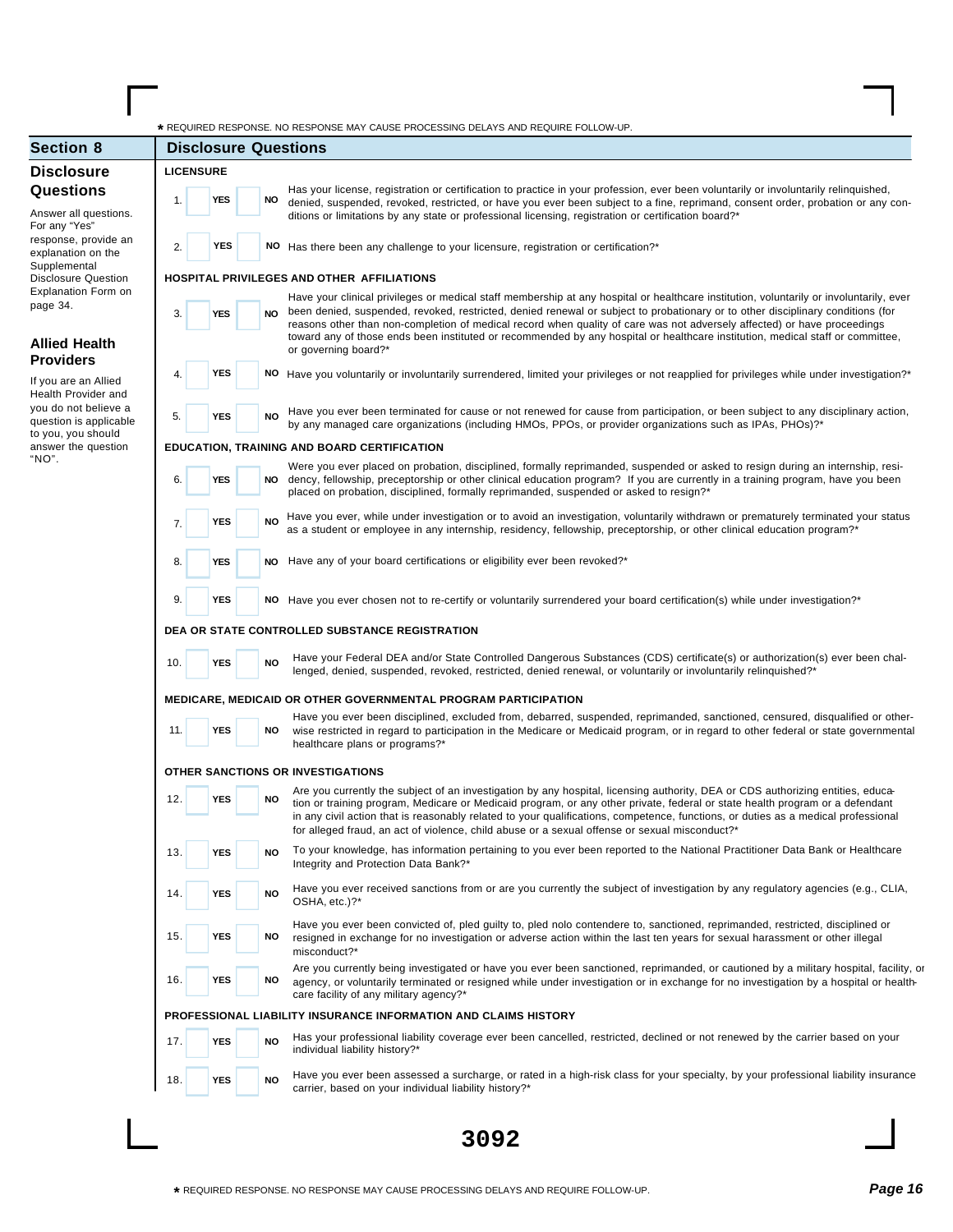|                                              | * REQUIRED RESPONSE. NO RESPONSE MAY CAUSE PROCESSING DELAYS AND REQUIRE FOLLOW-UP.                                                                                                                                                                                                                                                                                                                                                                                                                                              |
|----------------------------------------------|----------------------------------------------------------------------------------------------------------------------------------------------------------------------------------------------------------------------------------------------------------------------------------------------------------------------------------------------------------------------------------------------------------------------------------------------------------------------------------------------------------------------------------|
| <b>Section 8</b>                             | <b>Disclosure Questions</b>                                                                                                                                                                                                                                                                                                                                                                                                                                                                                                      |
| <b>Disclosure</b>                            | <b>LICENSURE</b>                                                                                                                                                                                                                                                                                                                                                                                                                                                                                                                 |
| <b>Questions</b>                             | Has your license, registration or certification to practice in your profession, ever been voluntarily or involuntarily relinquished,                                                                                                                                                                                                                                                                                                                                                                                             |
| Answer all questions.                        | <b>YES</b><br>NO<br>1.<br>denied, suspended, revoked, restricted, or have you ever been subject to a fine, reprimand, consent order, probation or any con-<br>ditions or limitations by any state or professional licensing, registration or certification board?*                                                                                                                                                                                                                                                               |
| For any "Yes"                                |                                                                                                                                                                                                                                                                                                                                                                                                                                                                                                                                  |
| response, provide an<br>explanation on the   | <b>YES</b><br>2.<br>NO Has there been any challenge to your licensure, registration or certification?*                                                                                                                                                                                                                                                                                                                                                                                                                           |
| Supplemental<br><b>Disclosure Question</b>   | HOSPITAL PRIVILEGES AND OTHER AFFILIATIONS                                                                                                                                                                                                                                                                                                                                                                                                                                                                                       |
| <b>Explanation Form on</b>                   | Have your clinical privileges or medical staff membership at any hospital or healthcare institution, voluntarily or involuntarily, ever                                                                                                                                                                                                                                                                                                                                                                                          |
| page 34.                                     | been denied, suspended, revoked, restricted, denied renewal or subject to probationary or to other disciplinary conditions (for<br>3.<br><b>NO</b><br>YES<br>reasons other than non-completion of medical record when quality of care was not adversely affected) or have proceedings                                                                                                                                                                                                                                            |
| <b>Allied Health</b>                         | toward any of those ends been instituted or recommended by any hospital or healthcare institution, medical staff or committee,                                                                                                                                                                                                                                                                                                                                                                                                   |
| <b>Providers</b>                             | or governing board?*                                                                                                                                                                                                                                                                                                                                                                                                                                                                                                             |
|                                              | YES<br>NO Have you voluntarily or involuntarily surrendered, limited your privileges or not reapplied for privileges while under investigation?*<br>4.                                                                                                                                                                                                                                                                                                                                                                           |
| If you are an Allied<br>Health Provider and  |                                                                                                                                                                                                                                                                                                                                                                                                                                                                                                                                  |
| you do not believe a                         | Have you ever been terminated for cause or not renewed for cause from participation, or been subject to any disciplinary action,<br><b>NO</b><br><b>YES</b><br>5.                                                                                                                                                                                                                                                                                                                                                                |
| question is applicable<br>to you, you should | by any managed care organizations (including HMOs, PPOs, or provider organizations such as IPAs, PHOs)?*                                                                                                                                                                                                                                                                                                                                                                                                                         |
| answer the question                          | EDUCATION, TRAINING AND BOARD CERTIFICATION                                                                                                                                                                                                                                                                                                                                                                                                                                                                                      |
| "NO".                                        | Were you ever placed on probation, disciplined, formally reprimanded, suspended or asked to resign during an internship, resi-                                                                                                                                                                                                                                                                                                                                                                                                   |
|                                              | dency, fellowship, preceptorship or other clinical education program? If you are currently in a training program, have you been<br>6.<br>YES<br>NO<br>placed on probation, disciplined, formally reprimanded, suspended or asked to resign?*                                                                                                                                                                                                                                                                                     |
|                                              | Have you ever, while under investigation or to avoid an investigation, voluntarily withdrawn or prematurely terminated your status<br><b>NO</b><br>YES<br>7.                                                                                                                                                                                                                                                                                                                                                                     |
|                                              | as a student or employee in any internship, residency, fellowship, preceptorship, or other clinical education program?*                                                                                                                                                                                                                                                                                                                                                                                                          |
|                                              | NO Have any of your board certifications or eligibility ever been revoked?*<br>8.<br><b>YES</b>                                                                                                                                                                                                                                                                                                                                                                                                                                  |
|                                              |                                                                                                                                                                                                                                                                                                                                                                                                                                                                                                                                  |
|                                              |                                                                                                                                                                                                                                                                                                                                                                                                                                                                                                                                  |
|                                              | 9.<br><b>YES</b><br>NO Have you ever chosen not to re-certify or voluntarily surrendered your board certification(s) while under investigation?*                                                                                                                                                                                                                                                                                                                                                                                 |
|                                              | DEA OR STATE CONTROLLED SUBSTANCE REGISTRATION                                                                                                                                                                                                                                                                                                                                                                                                                                                                                   |
|                                              | Have your Federal DEA and/or State Controlled Dangerous Substances (CDS) certificate(s) or authorization(s) ever been chal-                                                                                                                                                                                                                                                                                                                                                                                                      |
|                                              | <b>NO</b><br>10.<br>YES<br>lenged, denied, suspended, revoked, restricted, denied renewal, or voluntarily or involuntarily relinquished?*                                                                                                                                                                                                                                                                                                                                                                                        |
|                                              |                                                                                                                                                                                                                                                                                                                                                                                                                                                                                                                                  |
|                                              | <b>MEDICARE, MEDICAID OR OTHER GOVERNMENTAL PROGRAM PARTICIPATION</b><br>Have you ever been disciplined, excluded from, debarred, suspended, reprimanded, sanctioned, censured, disqualified or other-                                                                                                                                                                                                                                                                                                                           |
|                                              | 11.<br>YES<br>NO<br>wise restricted in regard to participation in the Medicare or Medicaid program, or in regard to other federal or state governmental<br>healthcare plans or programs?*                                                                                                                                                                                                                                                                                                                                        |
|                                              | OTHER SANCTIONS OR INVESTIGATIONS                                                                                                                                                                                                                                                                                                                                                                                                                                                                                                |
|                                              |                                                                                                                                                                                                                                                                                                                                                                                                                                                                                                                                  |
|                                              | Are you currently the subject of an investigation by any hospital, licensing authority, DEA or CDS authorizing entities, educa-<br>12.<br><b>YES</b><br>NO<br>tion or training program, Medicare or Medicaid program, or any other private, federal or state health program or a defendant<br>in any civil action that is reasonably related to your qualifications, competence, functions, or duties as a medical professional<br>for alleged fraud, an act of violence, child abuse or a sexual offense or sexual misconduct?* |
|                                              | To your knowledge, has information pertaining to you ever been reported to the National Practitioner Data Bank or Healthcare<br>13.<br><b>YES</b><br><b>NO</b>                                                                                                                                                                                                                                                                                                                                                                   |
|                                              | Integrity and Protection Data Bank?*                                                                                                                                                                                                                                                                                                                                                                                                                                                                                             |
|                                              | Have you ever received sanctions from or are you currently the subject of investigation by any regulatory agencies (e.g., CLIA,                                                                                                                                                                                                                                                                                                                                                                                                  |
|                                              | YES<br><b>NO</b><br>14.<br>OSHA, etc.)?*                                                                                                                                                                                                                                                                                                                                                                                                                                                                                         |
|                                              | Have you ever been convicted of, pled guilty to, pled nolo contendere to, sanctioned, reprimanded, restricted, disciplined or                                                                                                                                                                                                                                                                                                                                                                                                    |
|                                              | 15.<br><b>YES</b><br>NO<br>resigned in exchange for no investigation or adverse action within the last ten years for sexual harassment or other illegal                                                                                                                                                                                                                                                                                                                                                                          |
|                                              | misconduct?*                                                                                                                                                                                                                                                                                                                                                                                                                                                                                                                     |
|                                              | Are you currently being investigated or have you ever been sanctioned, reprimanded, or cautioned by a military hospital, facility, or<br>16.<br><b>YES</b><br>NO                                                                                                                                                                                                                                                                                                                                                                 |
|                                              | agency, or voluntarily terminated or resigned while under investigation or in exchange for no investigation by a hospital or health-<br>care facility of any military agency?*                                                                                                                                                                                                                                                                                                                                                   |
|                                              | PROFESSIONAL LIABILITY INSURANCE INFORMATION AND CLAIMS HISTORY                                                                                                                                                                                                                                                                                                                                                                                                                                                                  |
|                                              |                                                                                                                                                                                                                                                                                                                                                                                                                                                                                                                                  |
|                                              | Has your professional liability coverage ever been cancelled, restricted, declined or not renewed by the carrier based on your<br>17.<br><b>YES</b><br><b>NO</b><br>individual liability history?*                                                                                                                                                                                                                                                                                                                               |
|                                              |                                                                                                                                                                                                                                                                                                                                                                                                                                                                                                                                  |
|                                              | Have you ever been assessed a surcharge, or rated in a high-risk class for your specialty, by your professional liability insurance<br>YES<br><b>NO</b><br>18.<br>carrier, based on your individual liability history?*                                                                                                                                                                                                                                                                                                          |
|                                              |                                                                                                                                                                                                                                                                                                                                                                                                                                                                                                                                  |

Г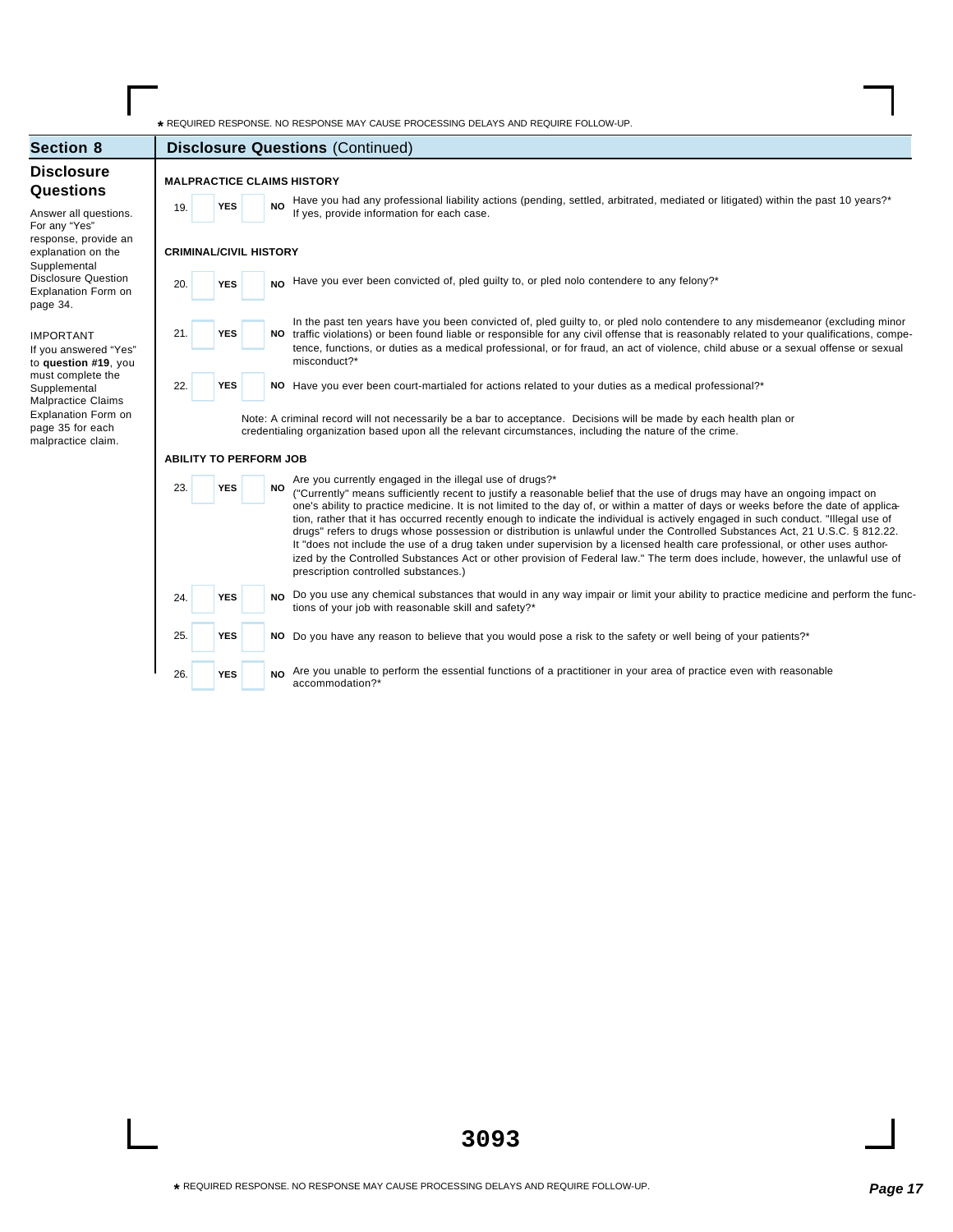**\*** REQUIRED RESPONSE. NO RESPONSE MAY CAUSE PROCESSING DELAYS AND REQUIRE FOLLOW-UP.

accommodation?\*

| <b>Section 8</b>                                                            | <b>Disclosure Questions (Continued)</b>                                                                                                                                                                                                                                                                                                                                                                                                                                                                                                                                                                                                                                                                                                                                                                                                                                                                                                |
|-----------------------------------------------------------------------------|----------------------------------------------------------------------------------------------------------------------------------------------------------------------------------------------------------------------------------------------------------------------------------------------------------------------------------------------------------------------------------------------------------------------------------------------------------------------------------------------------------------------------------------------------------------------------------------------------------------------------------------------------------------------------------------------------------------------------------------------------------------------------------------------------------------------------------------------------------------------------------------------------------------------------------------|
| <b>Disclosure</b><br><b>Questions</b>                                       | <b>MALPRACTICE CLAIMS HISTORY</b>                                                                                                                                                                                                                                                                                                                                                                                                                                                                                                                                                                                                                                                                                                                                                                                                                                                                                                      |
| Answer all questions.                                                       | Have you had any professional liability actions (pending, settled, arbitrated, mediated or litigated) within the past 10 years?*<br><b>NO</b><br><b>YES</b><br>19.<br>If yes, provide information for each case.                                                                                                                                                                                                                                                                                                                                                                                                                                                                                                                                                                                                                                                                                                                       |
| For any "Yes"<br>response, provide an<br>explanation on the<br>Supplemental | <b>CRIMINAL/CIVIL HISTORY</b>                                                                                                                                                                                                                                                                                                                                                                                                                                                                                                                                                                                                                                                                                                                                                                                                                                                                                                          |
| <b>Disclosure Question</b><br>Explanation Form on<br>page 34.               | Have you ever been convicted of, pled guilty to, or pled nolo contendere to any felony?*<br><b>NO</b><br>20.<br><b>YES</b>                                                                                                                                                                                                                                                                                                                                                                                                                                                                                                                                                                                                                                                                                                                                                                                                             |
| <b>IMPORTANT</b><br>If you answered "Yes"<br>to question #19, you           | In the past ten years have you been convicted of, pled guilty to, or pled nolo contendere to any misdemeanor (excluding minor<br>21.<br><b>YES</b><br>traffic violations) or been found liable or responsible for any civil offense that is reasonably related to your qualifications, compe-<br>NO.<br>tence, functions, or duties as a medical professional, or for fraud, an act of violence, child abuse or a sexual offense or sexual<br>misconduct?*                                                                                                                                                                                                                                                                                                                                                                                                                                                                             |
| must complete the<br>Supplemental<br><b>Malpractice Claims</b>              | <b>YES</b><br>22.<br>NO Have you ever been court-martialed for actions related to your duties as a medical professional?*                                                                                                                                                                                                                                                                                                                                                                                                                                                                                                                                                                                                                                                                                                                                                                                                              |
| Explanation Form on<br>page 35 for each<br>malpractice claim.               | Note: A criminal record will not necessarily be a bar to acceptance. Decisions will be made by each health plan or<br>credentialing organization based upon all the relevant circumstances, including the nature of the crime.                                                                                                                                                                                                                                                                                                                                                                                                                                                                                                                                                                                                                                                                                                         |
|                                                                             | <b>ABILITY TO PERFORM JOB</b>                                                                                                                                                                                                                                                                                                                                                                                                                                                                                                                                                                                                                                                                                                                                                                                                                                                                                                          |
|                                                                             | Are you currently engaged in the illegal use of drugs?*<br>23.<br><b>YES</b><br>NO.<br>("Currently" means sufficiently recent to justify a reasonable belief that the use of drugs may have an ongoing impact on<br>one's ability to practice medicine. It is not limited to the day of, or within a matter of days or weeks before the date of applica-<br>tion, rather that it has occurred recently enough to indicate the individual is actively engaged in such conduct. "Illegal use of<br>drugs" refers to drugs whose possession or distribution is unlawful under the Controlled Substances Act, 21 U.S.C. § 812.22.<br>It "does not include the use of a drug taken under supervision by a licensed health care professional, or other uses author-<br>ized by the Controlled Substances Act or other provision of Federal law." The term does include, however, the unlawful use of<br>prescription controlled substances.) |
|                                                                             | Do you use any chemical substances that would in any way impair or limit your ability to practice medicine and perform the func-<br><b>YES</b><br><b>NO</b><br>24.<br>tions of your job with reasonable skill and safety?*                                                                                                                                                                                                                                                                                                                                                                                                                                                                                                                                                                                                                                                                                                             |
|                                                                             | 25.<br><b>YES</b><br>NO Do you have any reason to believe that you would pose a risk to the safety or well being of your patients?*                                                                                                                                                                                                                                                                                                                                                                                                                                                                                                                                                                                                                                                                                                                                                                                                    |
|                                                                             | Are you unable to perform the essential functions of a practitioner in your area of practice even with reasonable<br>26.<br><b>YES</b><br><b>NO</b>                                                                                                                                                                                                                                                                                                                                                                                                                                                                                                                                                                                                                                                                                                                                                                                    |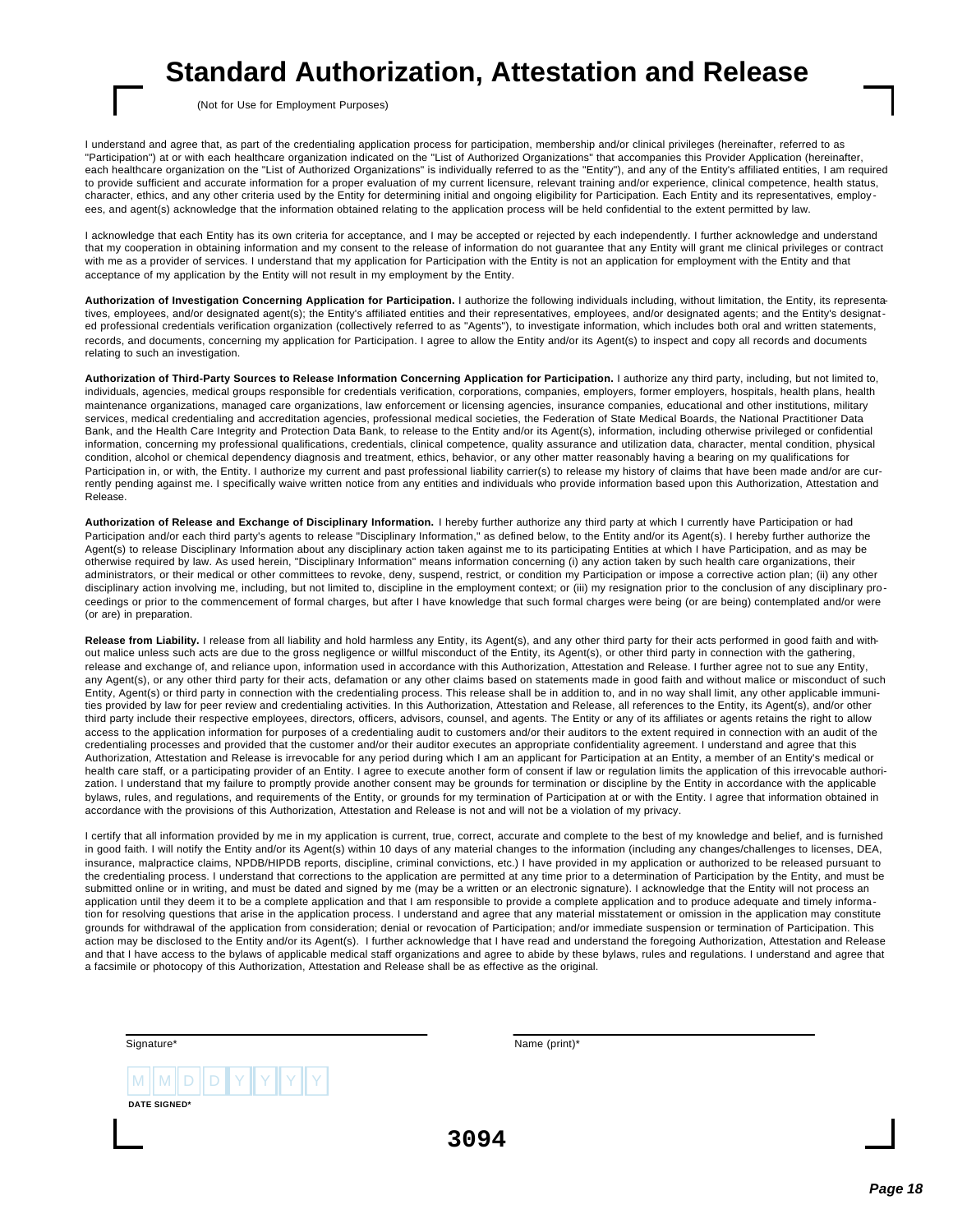## **Standard Authorization, Attestation and Release**

(Not for Use for Employment Purposes)

I understand and agree that, as part of the credentialing application process for participation, membership and/or clinical privileges (hereinafter, referred to as "Participation") at or with each healthcare organization indicated on the "List of Authorized Organizations" that accompanies this Provider Application (hereinafter, each healthcare organization on the "List of Authorized Organizations" is individually referred to as the "Entity"), and any of the Entity's affiliated entities, I am required to provide sufficient and accurate information for a proper evaluation of my current licensure, relevant training and/or experience, clinical competence, health status, character, ethics, and any other criteria used by the Entity for determining initial and ongoing eligibility for Participation. Each Entity and its representatives, employ ees, and agent(s) acknowledge that the information obtained relating to the application process will be held confidential to the extent permitted by law.

I acknowledge that each Entity has its own criteria for acceptance, and I may be accepted or rejected by each independently. I further acknowledge and understand that my cooperation in obtaining information and my consent to the release of information do not guarantee that any Entity will grant me clinical privileges or contract with me as a provider of services. I understand that my application for Participation with the Entity is not an application for employment with the Entity and that acceptance of my application by the Entity will not result in my employment by the Entity.

**Authorization of Investigation Concerning Application for Participation.** I authorize the following individuals including, without limitation, the Entity, its representatives, employees, and/or designated agent(s); the Entity's affiliated entities and their representatives, employees, and/or designated agents; and the Entity's designated professional credentials verification organization (collectively referred to as "Agents"), to investigate information, which includes both oral and written statements, records, and documents, concerning my application for Participation. I agree to allow the Entity and/or its Agent(s) to inspect and copy all records and documents relating to such an investigation.

**Authorization of Third-Party Sources to Release Information Concerning Application for Participation.** I authorize any third party, including, but not limited to, individuals, agencies, medical groups responsible for credentials verification, corporations, companies, employers, former employers, hospitals, health plans, health maintenance organizations, managed care organizations, law enforcement or licensing agencies, insurance companies, educational and other institutions, military services, medical credentialing and accreditation agencies, professional medical societies, the Federation of State Medical Boards, the National Practitioner Data Bank, and the Health Care Integrity and Protection Data Bank, to release to the Entity and/or its Agent(s), information, including otherwise privileged or confidential information, concerning my professional qualifications, credentials, clinical competence, quality assurance and utilization data, character, mental condition, physical condition, alcohol or chemical dependency diagnosis and treatment, ethics, behavior, or any other matter reasonably having a bearing on my qualifications for Participation in, or with, the Entity. I authorize my current and past professional liability carrier(s) to release my history of claims that have been made and/or are currently pending against me. I specifically waive written notice from any entities and individuals who provide information based upon this Authorization, Attestation and Release.

**Authorization of Release and Exchange of Disciplinary Information.** I hereby further authorize any third party at which I currently have Participation or had Participation and/or each third party's agents to release "Disciplinary Information," as defined below, to the Entity and/or its Agent(s). I hereby further authorize the Agent(s) to release Disciplinary Information about any disciplinary action taken against me to its participating Entities at which I have Participation, and as may be otherwise required by law. As used herein, "Disciplinary Information" means information concerning (i) any action taken by such health care organizations, their administrators, or their medical or other committees to revoke, deny, suspend, restrict, or condition my Participation or impose a corrective action plan; (ii) any other disciplinary action involving me, including, but not limited to, discipline in the employment context; or (iii) my resignation prior to the conclusion of any disciplinary proceedings or prior to the commencement of formal charges, but after I have knowledge that such formal charges were being (or are being) contemplated and/or were (or are) in preparation.

**Release from Liability.** I release from all liability and hold harmless any Entity, its Agent(s), and any other third party for their acts performed in good faith and without malice unless such acts are due to the gross negligence or willful misconduct of the Entity, its Agent(s), or other third party in connection with the gathering, release and exchange of, and reliance upon, information used in accordance with this Authorization, Attestation and Release. I further agree not to sue any Entity, any Agent(s), or any other third party for their acts, defamation or any other claims based on statements made in good faith and without malice or misconduct of such Entity, Agent(s) or third party in connection with the credentialing process. This release shall be in addition to, and in no way shall limit, any other applicable immunities provided by law for peer review and credentialing activities. In this Authorization, Attestation and Release, all references to the Entity, its Agent(s), and/or other third party include their respective employees, directors, officers, advisors, counsel, and agents. The Entity or any of its affiliates or agents retains the right to allow access to the application information for purposes of a credentialing audit to customers and/or their auditors to the extent required in connection with an audit of the credentialing processes and provided that the customer and/or their auditor executes an appropriate confidentiality agreement. I understand and agree that this Authorization, Attestation and Release is irrevocable for any period during which I am an applicant for Participation at an Entity, a member of an Entity's medical or health care staff, or a participating provider of an Entity. I agree to execute another form of consent if law or regulation limits the application of this irrevocable authorization. I understand that my failure to promptly provide another consent may be grounds for termination or discipline by the Entity in accordance with the applicable bylaws, rules, and regulations, and requirements of the Entity, or grounds for my termination of Participation at or with the Entity. I agree that information obtained in accordance with the provisions of this Authorization, Attestation and Release is not and will not be a violation of my privacy.

I certify that all information provided by me in my application is current, true, correct, accurate and complete to the best of my knowledge and belief, and is furnished in good faith. I will notify the Entity and/or its Agent(s) within 10 days of any material changes to the information (including any changes/challenges to licenses, DEA, insurance, malpractice claims, NPDB/HIPDB reports, discipline, criminal convictions, etc.) I have provided in my application or authorized to be released pursuant to the credentialing process. I understand that corrections to the application are permitted at any time prior to a determination of Participation by the Entity, and must be submitted online or in writing, and must be dated and signed by me (may be a written or an electronic signature). I acknowledge that the Entity will not process an application until they deem it to be a complete application and that I am responsible to provide a complete application and to produce adequate and timely information for resolving questions that arise in the application process. I understand and agree that any material misstatement or omission in the application may constitute grounds for withdrawal of the application from consideration; denial or revocation of Participation; and/or immediate suspension or termination of Participation. This action may be disclosed to the Entity and/or its Agent(s). I further acknowledge that I have read and understand the foregoing Authorization, Attestation and Release and that I have access to the bylaws of applicable medical staff organizations and agree to abide by these bylaws, rules and regulations. I understand and agree that a facsimile or photocopy of this Authorization, Attestation and Release shall be as effective as the original.

| Signature*                                          | Name (print)* |  |
|-----------------------------------------------------|---------------|--|
| $\ M\ M\ D\ D\ Y\ Y\ Y\ Y\ $<br><b>DATE SIGNED*</b> |               |  |
|                                                     | 3094          |  |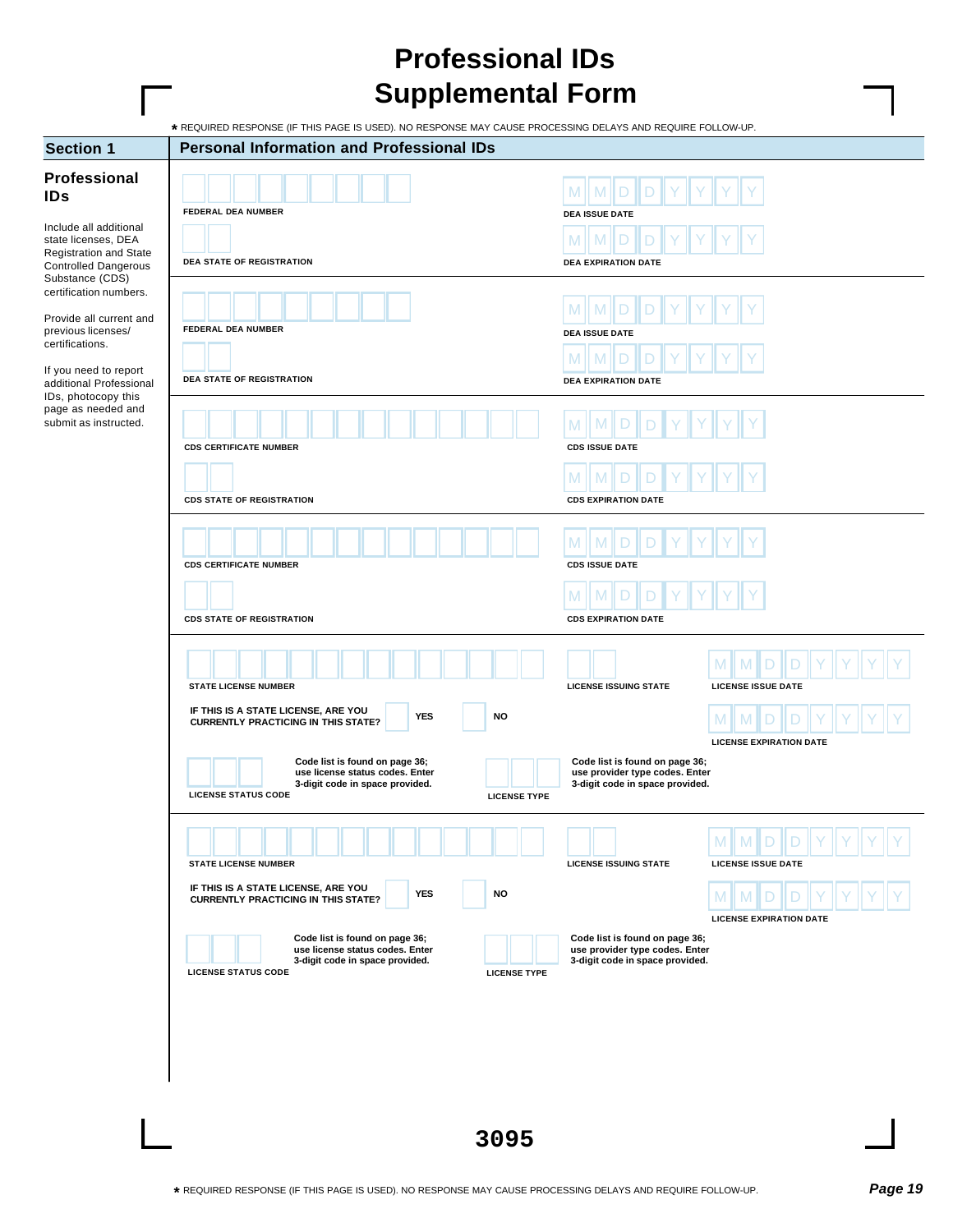## **Professional IDs Supplemental Form**

**\*** REQUIRED RESPONSE (IF THIS PAGE IS USED). NO RESPONSE MAY CAUSE PROCESSING DELAYS AND REQUIRE FOLLOW-UP.

| <b>Section 1</b>                                                                                                                                                  | <b>Personal Information and Professional IDs</b>                                                                                                                                                                                                                          |                                                                                                                                         |
|-------------------------------------------------------------------------------------------------------------------------------------------------------------------|---------------------------------------------------------------------------------------------------------------------------------------------------------------------------------------------------------------------------------------------------------------------------|-----------------------------------------------------------------------------------------------------------------------------------------|
| Professional<br><b>IDs</b><br>Include all additional<br>state licenses, DEA<br><b>Registration and State</b><br><b>Controlled Dangerous</b>                       | FEDERAL DEA NUMBER<br><b>DEA STATE OF REGISTRATION</b>                                                                                                                                                                                                                    | <b>DEA ISSUE DATE</b><br>M<br>M<br><b>DEA EXPIRATION DATE</b>                                                                           |
| Substance (CDS)<br>certification numbers.<br>Provide all current and<br>previous licenses/<br>certifications.<br>If you need to report<br>additional Professional | FEDERAL DEA NUMBER<br>DEA STATE OF REGISTRATION                                                                                                                                                                                                                           | <b>DEA ISSUE DATE</b><br><b>DEA EXPIRATION DATE</b>                                                                                     |
| IDs, photocopy this<br>page as needed and<br>submit as instructed.                                                                                                | <b>CDS CERTIFICATE NUMBER</b><br><b>CDS STATE OF REGISTRATION</b>                                                                                                                                                                                                         | M<br><b>CDS ISSUE DATE</b><br>M<br><b>CDS EXPIRATION DATE</b>                                                                           |
|                                                                                                                                                                   | <b>CDS CERTIFICATE NUMBER</b><br><b>CDS STATE OF REGISTRATION</b>                                                                                                                                                                                                         | M<br><b>CDS ISSUE DATE</b><br><b>CDS EXPIRATION DATE</b>                                                                                |
|                                                                                                                                                                   | <b>STATE LICENSE NUMBER</b><br>IF THIS IS A STATE LICENSE, ARE YOU<br><b>YES</b><br><b>NO</b><br><b>CURRENTLY PRACTICING IN THIS STATE?</b><br>Code list is found on page 36;                                                                                             | M<br><b>LICENSE ISSUING STATE</b><br><b>LICENSE ISSUE DATE</b><br>M<br><b>LICENSE EXPIRATION DATE</b><br>Code list is found on page 36; |
|                                                                                                                                                                   | use license status codes. Enter<br>3-digit code in space provided.<br><b>LICENSE STATUS CODE</b><br><b>LICENSE TYPE</b><br><b>STATE LICENSE NUMBER</b>                                                                                                                    | use provider type codes. Enter<br>3-digit code in space provided.<br><b>LICENSE ISSUING STATE</b><br><b>LICENSE ISSUE DATE</b>          |
|                                                                                                                                                                   | IF THIS IS A STATE LICENSE, ARE YOU<br><b>YES</b><br><b>NO</b><br><b>CURRENTLY PRACTICING IN THIS STATE?</b><br>Code list is found on page 36;<br>use license status codes. Enter<br>3-digit code in space provided.<br><b>LICENSE STATUS CODE</b><br><b>LICENSE TYPE</b> | <b>LICENSE EXPIRATION DATE</b><br>Code list is found on page 36;<br>use provider type codes. Enter<br>3-digit code in space provided.   |
|                                                                                                                                                                   |                                                                                                                                                                                                                                                                           |                                                                                                                                         |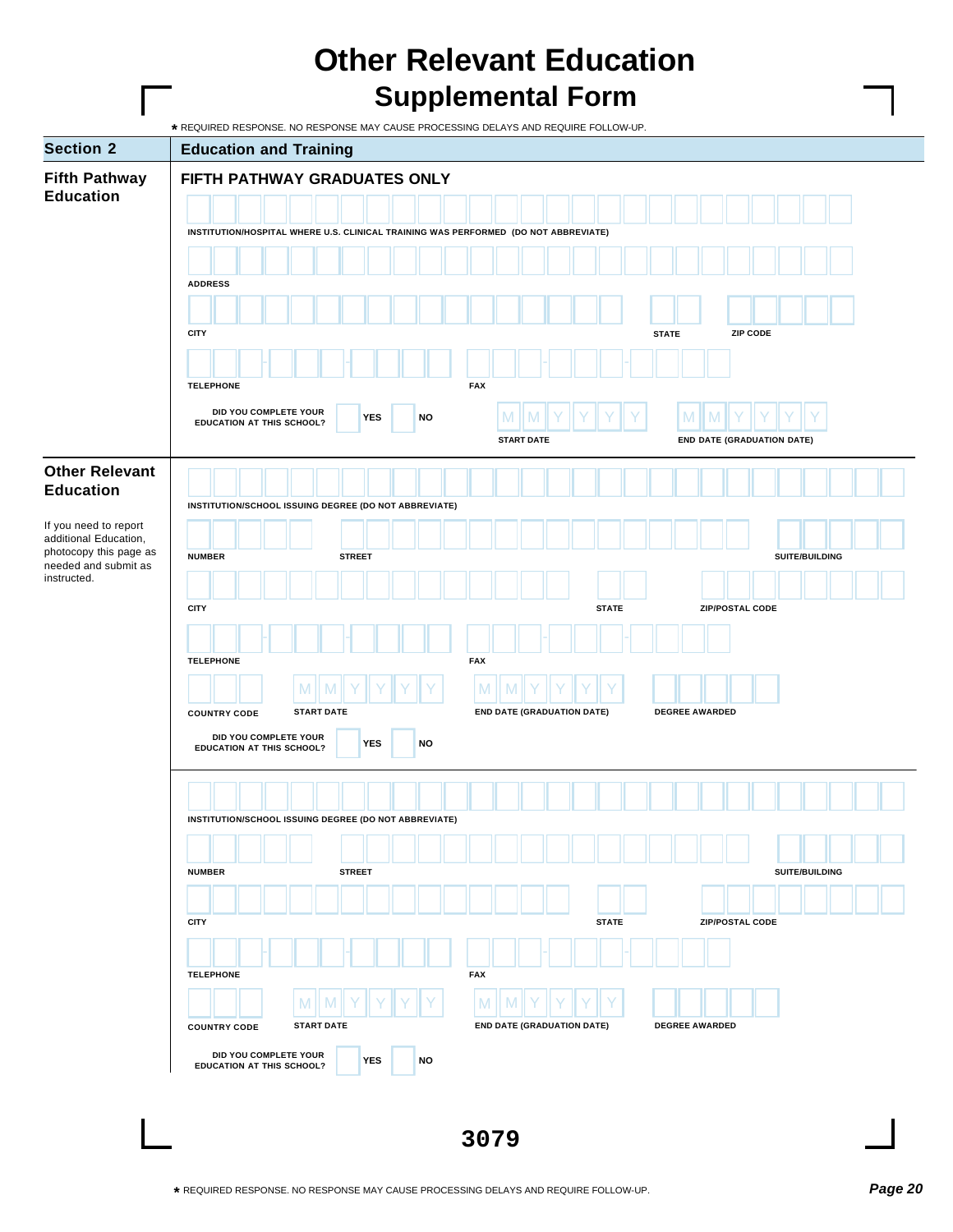## **Other Relevant Education Supplemental Form**

|                                                 | * REQUIRED RESPONSE. NO RESPONSE MAY CAUSE PROCESSING DELAYS AND REQUIRE FOLLOW-UP.                                         |  |  |  |  |  |  |  |  |  |  |  |  |  |  |
|-------------------------------------------------|-----------------------------------------------------------------------------------------------------------------------------|--|--|--|--|--|--|--|--|--|--|--|--|--|--|
| <b>Section 2</b>                                | <b>Education and Training</b>                                                                                               |  |  |  |  |  |  |  |  |  |  |  |  |  |  |
| <b>Fifth Pathway</b>                            | FIFTH PATHWAY GRADUATES ONLY                                                                                                |  |  |  |  |  |  |  |  |  |  |  |  |  |  |
| <b>Education</b>                                |                                                                                                                             |  |  |  |  |  |  |  |  |  |  |  |  |  |  |
|                                                 | INSTITUTION/HOSPITAL WHERE U.S. CLINICAL TRAINING WAS PERFORMED (DO NOT ABBREVIATE)                                         |  |  |  |  |  |  |  |  |  |  |  |  |  |  |
|                                                 |                                                                                                                             |  |  |  |  |  |  |  |  |  |  |  |  |  |  |
|                                                 |                                                                                                                             |  |  |  |  |  |  |  |  |  |  |  |  |  |  |
|                                                 | <b>ADDRESS</b>                                                                                                              |  |  |  |  |  |  |  |  |  |  |  |  |  |  |
|                                                 |                                                                                                                             |  |  |  |  |  |  |  |  |  |  |  |  |  |  |
|                                                 | <b>CITY</b><br>ZIP CODE<br><b>STATE</b>                                                                                     |  |  |  |  |  |  |  |  |  |  |  |  |  |  |
|                                                 |                                                                                                                             |  |  |  |  |  |  |  |  |  |  |  |  |  |  |
|                                                 | <b>FAX</b><br><b>TELEPHONE</b>                                                                                              |  |  |  |  |  |  |  |  |  |  |  |  |  |  |
|                                                 | DID YOU COMPLETE YOUR                                                                                                       |  |  |  |  |  |  |  |  |  |  |  |  |  |  |
|                                                 | <b>YES</b><br><b>NO</b><br><b>IV</b><br>EDUCATION AT THIS SCHOOL?<br><b>START DATE</b><br><b>END DATE (GRADUATION DATE)</b> |  |  |  |  |  |  |  |  |  |  |  |  |  |  |
|                                                 |                                                                                                                             |  |  |  |  |  |  |  |  |  |  |  |  |  |  |
| <b>Other Relevant</b>                           |                                                                                                                             |  |  |  |  |  |  |  |  |  |  |  |  |  |  |
| <b>Education</b>                                | INSTITUTION/SCHOOL ISSUING DEGREE (DO NOT ABBREVIATE)                                                                       |  |  |  |  |  |  |  |  |  |  |  |  |  |  |
| If you need to report                           |                                                                                                                             |  |  |  |  |  |  |  |  |  |  |  |  |  |  |
| additional Education,<br>photocopy this page as | <b>NUMBER</b><br>SUITE/BUILDING<br><b>STREET</b>                                                                            |  |  |  |  |  |  |  |  |  |  |  |  |  |  |
| needed and submit as<br>instructed.             |                                                                                                                             |  |  |  |  |  |  |  |  |  |  |  |  |  |  |
|                                                 |                                                                                                                             |  |  |  |  |  |  |  |  |  |  |  |  |  |  |
|                                                 | <b>CITY</b><br>ZIP/POSTAL CODE<br><b>STATE</b>                                                                              |  |  |  |  |  |  |  |  |  |  |  |  |  |  |
|                                                 |                                                                                                                             |  |  |  |  |  |  |  |  |  |  |  |  |  |  |
|                                                 | <b>TELEPHONE</b><br><b>FAX</b>                                                                                              |  |  |  |  |  |  |  |  |  |  |  |  |  |  |
|                                                 | M<br>M                                                                                                                      |  |  |  |  |  |  |  |  |  |  |  |  |  |  |
|                                                 | <b>START DATE</b><br><b>END DATE (GRADUATION DATE)</b><br>DEGREE AWARDED<br><b>COUNTRY CODE</b>                             |  |  |  |  |  |  |  |  |  |  |  |  |  |  |
|                                                 | DID YOU COMPLETE YOUR                                                                                                       |  |  |  |  |  |  |  |  |  |  |  |  |  |  |
|                                                 | <b>YES</b><br><b>NO</b><br>EDUCATION AT THIS SCHOOL?                                                                        |  |  |  |  |  |  |  |  |  |  |  |  |  |  |
|                                                 |                                                                                                                             |  |  |  |  |  |  |  |  |  |  |  |  |  |  |
|                                                 |                                                                                                                             |  |  |  |  |  |  |  |  |  |  |  |  |  |  |
|                                                 | INSTITUTION/SCHOOL ISSUING DEGREE (DO NOT ABBREVIATE)                                                                       |  |  |  |  |  |  |  |  |  |  |  |  |  |  |
|                                                 |                                                                                                                             |  |  |  |  |  |  |  |  |  |  |  |  |  |  |
|                                                 | SUITE/BUILDING<br><b>NUMBER</b><br><b>STREET</b>                                                                            |  |  |  |  |  |  |  |  |  |  |  |  |  |  |
|                                                 |                                                                                                                             |  |  |  |  |  |  |  |  |  |  |  |  |  |  |
|                                                 | <b>CITY</b><br>ZIP/POSTAL CODE<br><b>STATE</b>                                                                              |  |  |  |  |  |  |  |  |  |  |  |  |  |  |
|                                                 |                                                                                                                             |  |  |  |  |  |  |  |  |  |  |  |  |  |  |
|                                                 |                                                                                                                             |  |  |  |  |  |  |  |  |  |  |  |  |  |  |
|                                                 | <b>TELEPHONE</b><br><b>FAX</b>                                                                                              |  |  |  |  |  |  |  |  |  |  |  |  |  |  |
|                                                 | M<br>M                                                                                                                      |  |  |  |  |  |  |  |  |  |  |  |  |  |  |
|                                                 | <b>START DATE</b><br><b>END DATE (GRADUATION DATE)</b><br>DEGREE AWARDED<br><b>COUNTRY CODE</b>                             |  |  |  |  |  |  |  |  |  |  |  |  |  |  |
|                                                 | DID YOU COMPLETE YOUR<br><b>YES</b><br><b>NO</b><br><b>EDUCATION AT THIS SCHOOL?</b>                                        |  |  |  |  |  |  |  |  |  |  |  |  |  |  |
|                                                 |                                                                                                                             |  |  |  |  |  |  |  |  |  |  |  |  |  |  |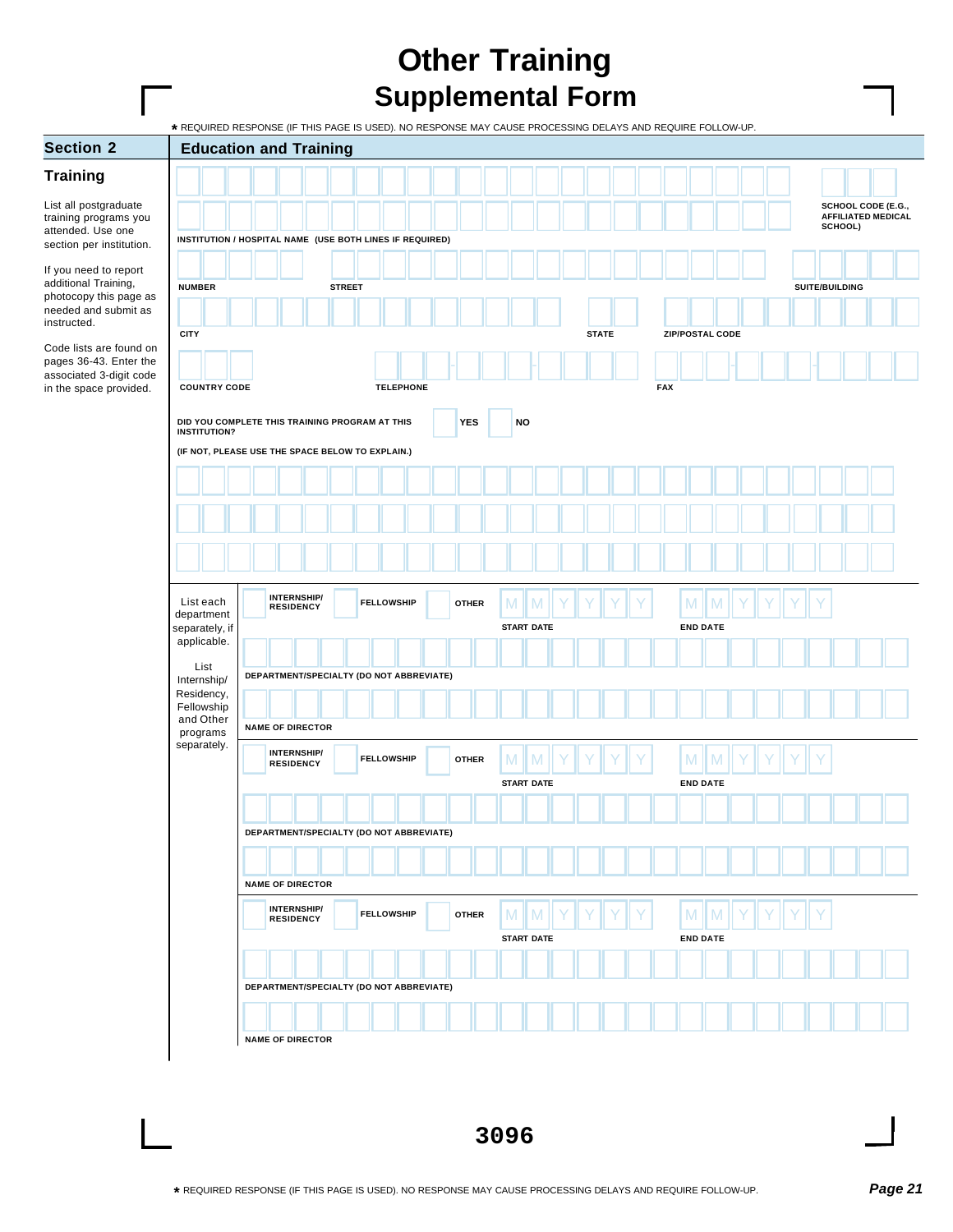## **Other Training Supplemental Form**

**\*** REQUIRED RESPONSE (IF THIS PAGE IS USED). NO RESPONSE MAY CAUSE PROCESSING DELAYS AND REQUIRE FOLLOW-UP.

| <b>Section 2</b>                                  | ADMILLED MULTIM TO THOLD TO COLD). NO INLOTED WITH ONOCE THOOLOGING BLETHO AND NEWSTILET OLLOW<br><b>Education and Training</b> |                                          |               |                   |  |              |           |                   |  |              |            |                        |                 |  |  |                |                                                 |  |
|---------------------------------------------------|---------------------------------------------------------------------------------------------------------------------------------|------------------------------------------|---------------|-------------------|--|--------------|-----------|-------------------|--|--------------|------------|------------------------|-----------------|--|--|----------------|-------------------------------------------------|--|
| <b>Training</b>                                   |                                                                                                                                 |                                          |               |                   |  |              |           |                   |  |              |            |                        |                 |  |  |                |                                                 |  |
| List all postgraduate<br>training programs you    |                                                                                                                                 |                                          |               |                   |  |              |           |                   |  |              |            |                        |                 |  |  |                | SCHOOL CODE (E.G.,<br><b>AFFILIATED MEDICAL</b> |  |
| attended. Use one<br>section per institution.     | INSTITUTION / HOSPITAL NAME (USE BOTH LINES IF REQUIRED)                                                                        |                                          |               |                   |  |              |           |                   |  |              |            |                        |                 |  |  | SCHOOL)        |                                                 |  |
| If you need to report                             |                                                                                                                                 |                                          |               |                   |  |              |           |                   |  |              |            |                        |                 |  |  |                |                                                 |  |
| additional Training,<br>photocopy this page as    | <b>NUMBER</b>                                                                                                                   |                                          | <b>STREET</b> |                   |  |              |           |                   |  |              |            |                        |                 |  |  | SUITE/BUILDING |                                                 |  |
| needed and submit as<br>instructed.               |                                                                                                                                 |                                          |               |                   |  |              |           |                   |  |              |            |                        |                 |  |  |                |                                                 |  |
| Code lists are found on                           | <b>CITY</b>                                                                                                                     |                                          |               |                   |  |              |           |                   |  | <b>STATE</b> |            | <b>ZIP/POSTAL CODE</b> |                 |  |  |                |                                                 |  |
| pages 36-43. Enter the<br>associated 3-digit code |                                                                                                                                 |                                          |               |                   |  |              |           |                   |  |              |            |                        |                 |  |  |                |                                                 |  |
| in the space provided.                            | <b>COUNTRY CODE</b>                                                                                                             |                                          |               | <b>TELEPHONE</b>  |  |              |           |                   |  |              | <b>FAX</b> |                        |                 |  |  |                |                                                 |  |
|                                                   | DID YOU COMPLETE THIS TRAINING PROGRAM AT THIS<br><b>INSTITUTION?</b>                                                           |                                          |               |                   |  | <b>YES</b>   | <b>NO</b> |                   |  |              |            |                        |                 |  |  |                |                                                 |  |
|                                                   | (IF NOT, PLEASE USE THE SPACE BELOW TO EXPLAIN.)                                                                                |                                          |               |                   |  |              |           |                   |  |              |            |                        |                 |  |  |                |                                                 |  |
|                                                   |                                                                                                                                 |                                          |               |                   |  |              |           |                   |  |              |            |                        |                 |  |  |                |                                                 |  |
|                                                   |                                                                                                                                 |                                          |               |                   |  |              |           |                   |  |              |            |                        |                 |  |  |                |                                                 |  |
|                                                   |                                                                                                                                 |                                          |               |                   |  |              |           |                   |  |              |            |                        |                 |  |  |                |                                                 |  |
|                                                   |                                                                                                                                 |                                          |               |                   |  |              |           |                   |  |              |            |                        |                 |  |  |                |                                                 |  |
|                                                   | List each<br>department                                                                                                         | <b>INTERNSHIP/</b><br>RESIDENCY          |               | <b>FELLOWSHIP</b> |  | <b>OTHER</b> | M         | M                 |  |              |            | $M \parallel$          | M               |  |  |                |                                                 |  |
|                                                   | separately, if<br>applicable.                                                                                                   |                                          |               |                   |  |              |           | <b>START DATE</b> |  |              |            | <b>END DATE</b>        |                 |  |  |                |                                                 |  |
|                                                   | List                                                                                                                            |                                          |               |                   |  |              |           |                   |  |              |            |                        |                 |  |  |                |                                                 |  |
|                                                   | Internship/<br>Residency,                                                                                                       | DEPARTMENT/SPECIALTY (DO NOT ABBREVIATE) |               |                   |  |              |           |                   |  |              |            |                        |                 |  |  |                |                                                 |  |
|                                                   | Fellowship<br>and Other                                                                                                         |                                          |               |                   |  |              |           |                   |  |              |            |                        |                 |  |  |                |                                                 |  |
|                                                   | programs<br>separately.                                                                                                         | <b>NAME OF DIRECTOR</b>                  |               |                   |  |              |           |                   |  |              |            |                        |                 |  |  |                |                                                 |  |
|                                                   |                                                                                                                                 | <b>INTERNSHIP/</b><br><b>RESIDENCY</b>   |               | <b>FELLOWSHIP</b> |  | <b>OTHER</b> | M         | M                 |  |              |            | M                      | M               |  |  |                |                                                 |  |
|                                                   |                                                                                                                                 |                                          |               |                   |  |              |           | <b>START DATE</b> |  |              |            | <b>END DATE</b>        |                 |  |  |                |                                                 |  |
|                                                   |                                                                                                                                 |                                          |               |                   |  |              |           |                   |  |              |            |                        |                 |  |  |                |                                                 |  |
|                                                   |                                                                                                                                 | DEPARTMENT/SPECIALTY (DO NOT ABBREVIATE) |               |                   |  |              |           |                   |  |              |            |                        |                 |  |  |                |                                                 |  |
|                                                   |                                                                                                                                 |                                          |               |                   |  |              |           |                   |  |              |            |                        |                 |  |  |                |                                                 |  |
|                                                   |                                                                                                                                 | <b>NAME OF DIRECTOR</b>                  |               |                   |  |              |           |                   |  |              |            |                        |                 |  |  |                |                                                 |  |
|                                                   |                                                                                                                                 | <b>INTERNSHIP/</b><br><b>RESIDENCY</b>   |               | <b>FELLOWSHIP</b> |  | <b>OTHER</b> | M         | M                 |  |              |            | M                      | M               |  |  |                |                                                 |  |
|                                                   |                                                                                                                                 |                                          |               |                   |  |              |           | <b>START DATE</b> |  |              |            |                        | <b>END DATE</b> |  |  |                |                                                 |  |
|                                                   |                                                                                                                                 |                                          |               |                   |  |              |           |                   |  |              |            |                        |                 |  |  |                |                                                 |  |
|                                                   |                                                                                                                                 | DEPARTMENT/SPECIALTY (DO NOT ABBREVIATE) |               |                   |  |              |           |                   |  |              |            |                        |                 |  |  |                |                                                 |  |
|                                                   |                                                                                                                                 |                                          |               |                   |  |              |           |                   |  |              |            |                        |                 |  |  |                |                                                 |  |
|                                                   |                                                                                                                                 | <b>NAME OF DIRECTOR</b>                  |               |                   |  |              |           |                   |  |              |            |                        |                 |  |  |                |                                                 |  |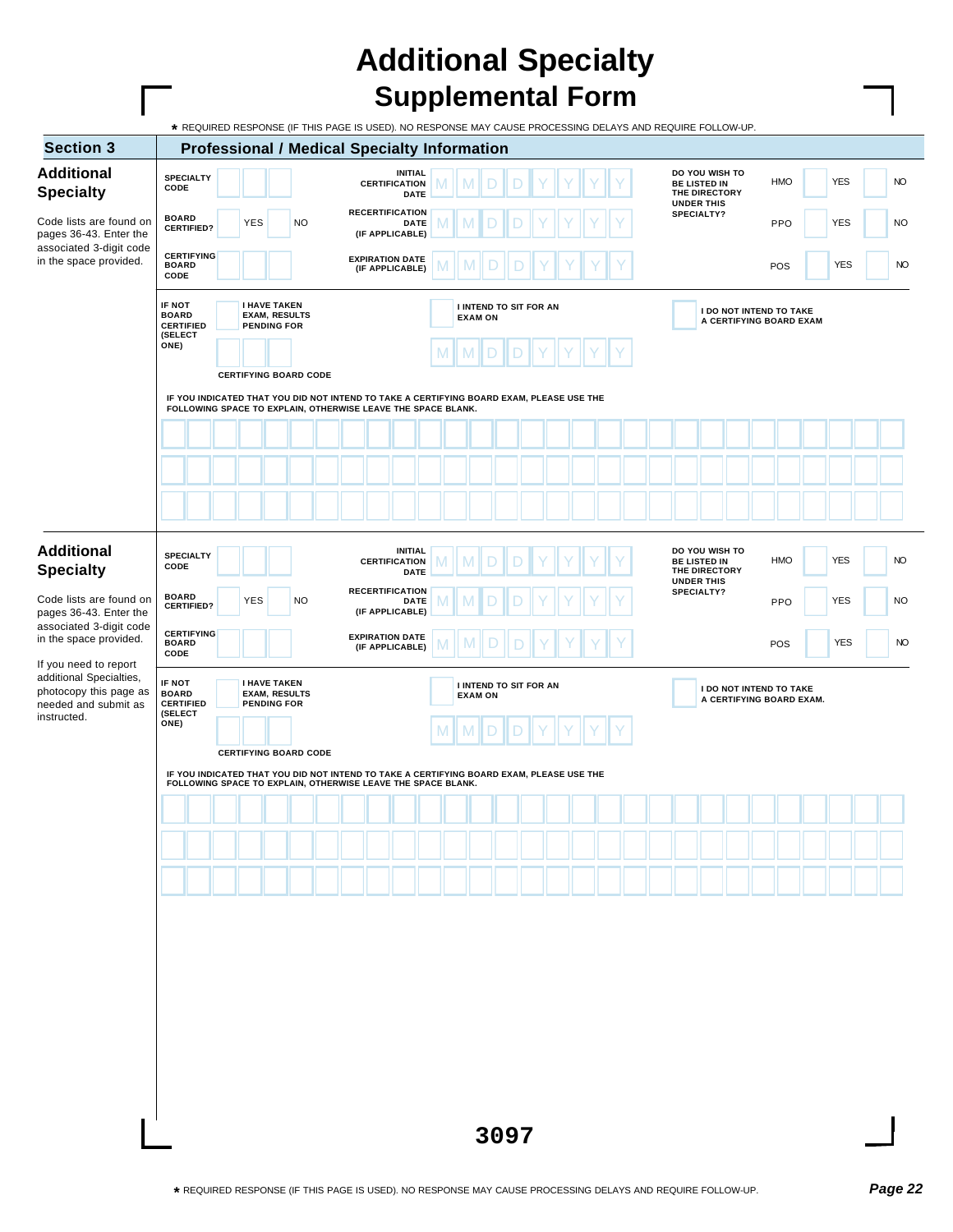## **Additional Specialty Supplemental Form**

Г

| <b>Additional</b><br><b>Specialty</b><br>Code lists are found on                                 |                                                                                                                                                                                          |                              |                                           |                      |  | <b>Professional / Medical Specialty Information</b> |                                           |                                          |   |                                          |  |  |  |  |  |  |                                                                             |  |                                                           |            |  |           |
|--------------------------------------------------------------------------------------------------|------------------------------------------------------------------------------------------------------------------------------------------------------------------------------------------|------------------------------|-------------------------------------------|----------------------|--|-----------------------------------------------------|-------------------------------------------|------------------------------------------|---|------------------------------------------|--|--|--|--|--|--|-----------------------------------------------------------------------------|--|-----------------------------------------------------------|------------|--|-----------|
|                                                                                                  | <b>SPECIALTY</b><br>CODE                                                                                                                                                                 |                              |                                           |                      |  |                                                     | <b>CERTIFICATION</b>                      | <b>INITIAL</b><br><b>DATE</b>            |   | M                                        |  |  |  |  |  |  | DO YOU WISH TO<br><b>BE LISTED IN</b><br>THE DIRECTORY<br><b>UNDER THIS</b> |  | HMO                                                       | <b>YES</b> |  | <b>NO</b> |
| pages 36-43. Enter the                                                                           | <b>BOARD</b><br><b>CERTIFIED?</b>                                                                                                                                                        | <b>YES</b>                   |                                           | <b>NO</b>            |  |                                                     | <b>RECERTIFICATION</b><br>(IF APPLICABLE) | <b>DATE</b>                              |   |                                          |  |  |  |  |  |  | SPECIALTY?                                                                  |  | PPO                                                       | <b>YES</b> |  | <b>NO</b> |
| associated 3-digit code<br>in the space provided.                                                | <b>CERTIFYING</b><br><b>BOARD</b><br>CODE                                                                                                                                                |                              |                                           |                      |  |                                                     | <b>EXPIRATION DATE</b><br>(IF APPLICABLE) |                                          |   | M                                        |  |  |  |  |  |  |                                                                             |  | POS                                                       | <b>YES</b> |  | NO        |
|                                                                                                  | IF NOT<br><b>BOARD</b><br><b>CERTIFIED</b>                                                                                                                                               |                              | <b>I HAVE TAKEN</b><br><b>PENDING FOR</b> | <b>EXAM, RESULTS</b> |  |                                                     |                                           |                                          |   | I INTEND TO SIT FOR AN<br><b>EXAM ON</b> |  |  |  |  |  |  |                                                                             |  | <b>I DO NOT INTEND TO TAKE</b><br>A CERTIFYING BOARD EXAM |            |  |           |
|                                                                                                  | (SELECT<br>ONE)                                                                                                                                                                          |                              |                                           |                      |  |                                                     |                                           |                                          | M | M                                        |  |  |  |  |  |  |                                                                             |  |                                                           |            |  |           |
|                                                                                                  | IF YOU INDICATED THAT YOU DID NOT INTEND TO TAKE A CERTIFYING BOARD EXAM, PLEASE USE THE                                                                                                 | <b>CERTIFYING BOARD CODE</b> |                                           |                      |  |                                                     |                                           |                                          |   |                                          |  |  |  |  |  |  |                                                                             |  |                                                           |            |  |           |
|                                                                                                  | FOLLOWING SPACE TO EXPLAIN, OTHERWISE LEAVE THE SPACE BLANK.                                                                                                                             |                              |                                           |                      |  |                                                     |                                           |                                          |   |                                          |  |  |  |  |  |  |                                                                             |  |                                                           |            |  |           |
|                                                                                                  |                                                                                                                                                                                          |                              |                                           |                      |  |                                                     |                                           |                                          |   |                                          |  |  |  |  |  |  |                                                                             |  |                                                           |            |  |           |
|                                                                                                  |                                                                                                                                                                                          |                              |                                           |                      |  |                                                     |                                           |                                          |   |                                          |  |  |  |  |  |  |                                                                             |  |                                                           |            |  |           |
| <b>Additional</b>                                                                                | <b>SPECIALTY</b>                                                                                                                                                                         |                              |                                           |                      |  |                                                     |                                           | <b>INITIAL</b>                           |   |                                          |  |  |  |  |  |  | DO YOU WISH TO                                                              |  |                                                           |            |  |           |
| <b>Specialty</b><br>Code lists are found on<br>pages 36-43. Enter the<br>associated 3-digit code | CODE                                                                                                                                                                                     |                              |                                           |                      |  |                                                     | <b>CERTIFICATION</b>                      | <b>DATE</b>                              |   | M                                        |  |  |  |  |  |  | <b>BE LISTED IN</b><br>THE DIRECTORY<br><b>UNDER THIS</b>                   |  | <b>HMO</b>                                                | <b>YES</b> |  | <b>NO</b> |
|                                                                                                  | <b>BOARD</b><br><b>CERTIFIED?</b>                                                                                                                                                        | <b>YES</b>                   |                                           | <b>NO</b>            |  |                                                     | <b>RECERTIFICATION</b><br>(IF APPLICABLE) | <b>DATE</b>                              |   |                                          |  |  |  |  |  |  | <b>SPECIALTY?</b>                                                           |  | PPO                                                       | <b>YES</b> |  | <b>NO</b> |
| in the space provided.<br>If you need to report                                                  | <b>CERTIFYING</b><br><b>BOARD</b><br>CODE                                                                                                                                                |                              |                                           |                      |  |                                                     | <b>EXPIRATION DATE</b><br>(IF APPLICABLE) |                                          |   |                                          |  |  |  |  |  |  |                                                                             |  | POS                                                       | <b>YES</b> |  | NO        |
| additional Specialties,<br>photocopy this page as<br>needed and submit as<br>instructed.         | IF NOT<br><b>BOARD</b><br><b>CERTIFIED</b><br>(SELECT                                                                                                                                    |                              | <b>I HAVE TAKEN</b><br><b>PENDING FOR</b> | <b>EXAM, RESULTS</b> |  |                                                     |                                           | I INTEND TO SIT FOR AN<br><b>EXAM ON</b> |   |                                          |  |  |  |  |  |  | I DO NOT INTEND TO TAKE<br>A CERTIFYING BOARD EXAM.                         |  |                                                           |            |  |           |
|                                                                                                  | ONE)                                                                                                                                                                                     |                              |                                           |                      |  |                                                     |                                           |                                          |   |                                          |  |  |  |  |  |  |                                                                             |  |                                                           |            |  |           |
|                                                                                                  | <b>CERTIFYING BOARD CODE</b><br>IF YOU INDICATED THAT YOU DID NOT INTEND TO TAKE A CERTIFYING BOARD EXAM, PLEASE USE THE<br>FOLLOWING SPACE TO EXPLAIN, OTHERWISE LEAVE THE SPACE BLANK. |                              |                                           |                      |  |                                                     |                                           |                                          |   |                                          |  |  |  |  |  |  |                                                                             |  |                                                           |            |  |           |
|                                                                                                  |                                                                                                                                                                                          |                              |                                           |                      |  |                                                     |                                           |                                          |   |                                          |  |  |  |  |  |  |                                                                             |  |                                                           |            |  |           |
|                                                                                                  |                                                                                                                                                                                          |                              |                                           |                      |  |                                                     |                                           |                                          |   |                                          |  |  |  |  |  |  |                                                                             |  |                                                           |            |  |           |
|                                                                                                  |                                                                                                                                                                                          |                              |                                           |                      |  |                                                     |                                           |                                          |   |                                          |  |  |  |  |  |  |                                                                             |  |                                                           |            |  |           |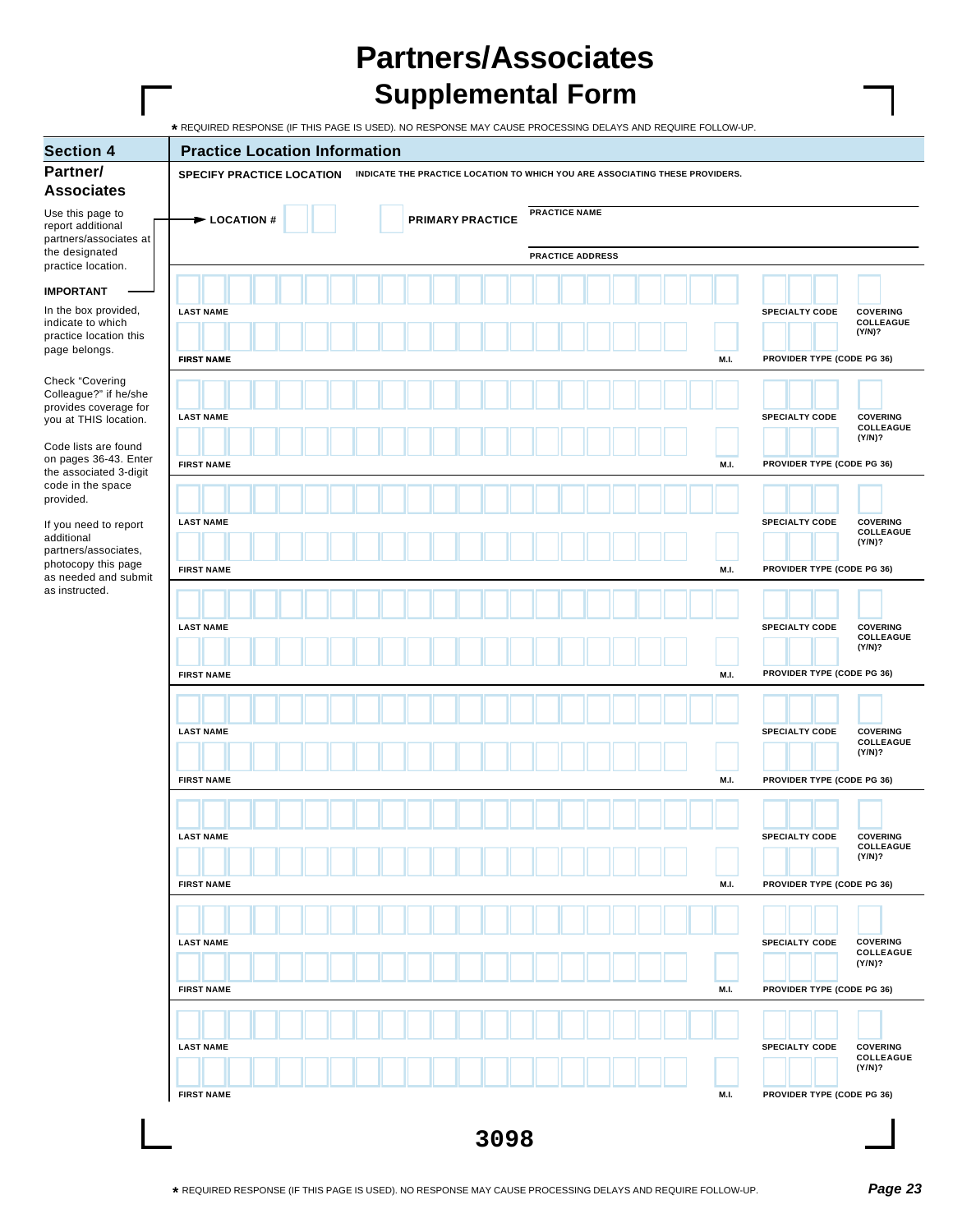## **Partners/Associates Supplemental Form**

| <b>Section 4</b>                                                     | <b>Practice Location Information</b>                                                                      |                            |                            |                                        |
|----------------------------------------------------------------------|-----------------------------------------------------------------------------------------------------------|----------------------------|----------------------------|----------------------------------------|
| Partner/<br><b>Associates</b>                                        | SPECIFY PRACTICE LOCATION<br>INDICATE THE PRACTICE LOCATION TO WHICH YOU ARE ASSOCIATING THESE PROVIDERS. |                            |                            |                                        |
| Use this page to<br>report additional                                | <b>PRACTICE NAME</b><br>$\blacktriangleright$ LOCATION #<br><b>PRIMARY PRACTICE</b>                       |                            |                            |                                        |
| partners/associates at<br>the designated<br>practice location.       | <b>PRACTICE ADDRESS</b>                                                                                   |                            |                            |                                        |
| <b>IMPORTANT</b>                                                     |                                                                                                           |                            |                            |                                        |
| In the box provided,<br>indicate to which<br>practice location this  | <b>LAST NAME</b>                                                                                          |                            | <b>SPECIALTY CODE</b>      | <b>COVERING</b><br>COLLEAGUE<br>(Y/N)? |
| page belongs.                                                        | <b>FIRST NAME</b>                                                                                         | M.I.                       | PROVIDER TYPE (CODE PG 36) |                                        |
| Check "Covering<br>Colleague?" if he/she<br>provides coverage for    | <b>LAST NAME</b>                                                                                          |                            | <b>SPECIALTY CODE</b>      | <b>COVERING</b>                        |
| you at THIS location.<br>Code lists are found                        |                                                                                                           |                            |                            | COLLEAGUE<br>(Y/N)?                    |
| on pages 36-43. Enter<br>the associated 3-digit<br>code in the space | <b>FIRST NAME</b>                                                                                         | M.I.                       | PROVIDER TYPE (CODE PG 36) |                                        |
| provided.                                                            |                                                                                                           |                            |                            |                                        |
| If you need to report<br>additional<br>partners/associates,          | <b>LAST NAME</b>                                                                                          |                            | <b>SPECIALTY CODE</b>      | <b>COVERING</b><br>COLLEAGUE<br>(Y/N)? |
| photocopy this page<br>as needed and submit                          | <b>FIRST NAME</b>                                                                                         | M.I.                       | PROVIDER TYPE (CODE PG 36) |                                        |
| as instructed.                                                       |                                                                                                           |                            |                            |                                        |
|                                                                      | <b>LAST NAME</b>                                                                                          |                            | <b>SPECIALTY CODE</b>      | <b>COVERING</b><br>COLLEAGUE<br>(Y/N)? |
|                                                                      | <b>FIRST NAME</b>                                                                                         | PROVIDER TYPE (CODE PG 36) |                            |                                        |
|                                                                      |                                                                                                           |                            |                            |                                        |
|                                                                      | <b>LAST NAME</b>                                                                                          |                            | <b>SPECIALTY CODE</b>      | <b>COVERING</b><br>COLLEAGUE<br>(Y/N)? |
|                                                                      | <b>FIRST NAME</b>                                                                                         | M.I.                       | PROVIDER TYPE (CODE PG 36) |                                        |
|                                                                      |                                                                                                           |                            |                            |                                        |
|                                                                      | <b>LAST NAME</b>                                                                                          |                            | <b>SPECIALTY CODE</b>      | <b>COVERING</b><br>COLLEAGUE           |
|                                                                      | <b>FIRST NAME</b>                                                                                         | M.I.                       | PROVIDER TYPE (CODE PG 36) | (Y/N)?                                 |
|                                                                      |                                                                                                           |                            |                            |                                        |
|                                                                      |                                                                                                           |                            |                            | <b>COVERING</b>                        |
|                                                                      | <b>LAST NAME</b>                                                                                          |                            | <b>SPECIALTY CODE</b>      | COLLEAGUE<br>(Y/N)?                    |
|                                                                      | <b>FIRST NAME</b>                                                                                         | M.I.                       | PROVIDER TYPE (CODE PG 36) |                                        |
|                                                                      |                                                                                                           |                            |                            |                                        |
|                                                                      | <b>LAST NAME</b>                                                                                          |                            | <b>SPECIALTY CODE</b>      | <b>COVERING</b><br>COLLEAGUE           |
|                                                                      | <b>FIRST NAME</b>                                                                                         | M.I.                       | PROVIDER TYPE (CODE PG 36) | (Y/N)?                                 |
|                                                                      |                                                                                                           |                            |                            |                                        |
|                                                                      | 3098                                                                                                      |                            |                            |                                        |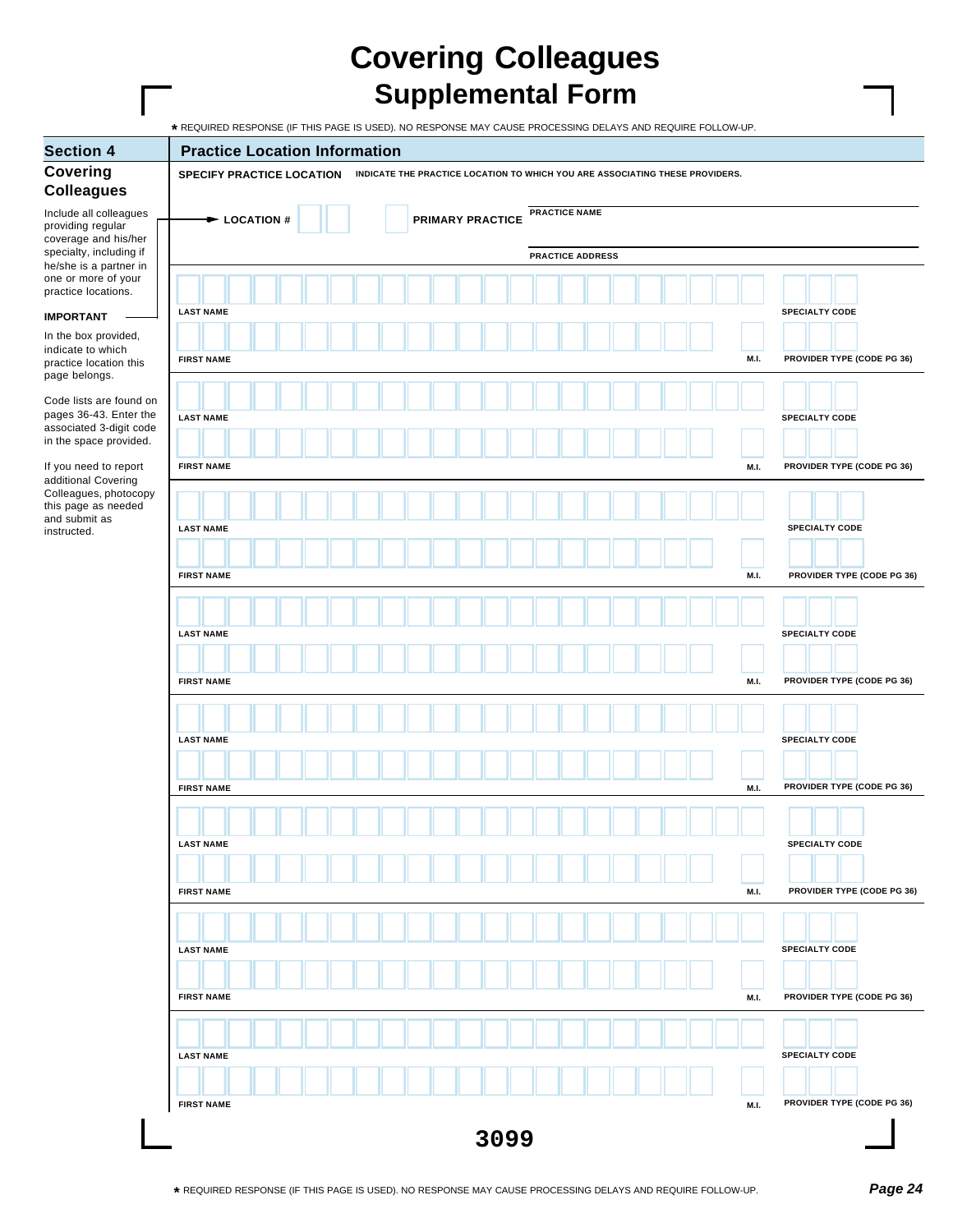## **Covering Colleagues Supplemental Form**

| <b>Section 4</b>                                                                                    | <b>Practice Location Information</b>                                                                             |                                    |
|-----------------------------------------------------------------------------------------------------|------------------------------------------------------------------------------------------------------------------|------------------------------------|
| <b>Covering</b><br><b>Colleagues</b>                                                                | <b>SPECIFY PRACTICE LOCATION</b><br>INDICATE THE PRACTICE LOCATION TO WHICH YOU ARE ASSOCIATING THESE PROVIDERS. |                                    |
| Include all colleagues<br>providing regular<br>coverage and his/her                                 | <b>PRACTICE NAME</b><br><b>PRIMARY PRACTICE</b><br>$\blacktriangleright$ LOCATION #                              |                                    |
| specialty, including if<br>he/she is a partner in                                                   | <b>PRACTICE ADDRESS</b>                                                                                          |                                    |
| one or more of your<br>practice locations.                                                          |                                                                                                                  |                                    |
| <b>IMPORTANT</b>                                                                                    | <b>LAST NAME</b>                                                                                                 | <b>SPECIALTY CODE</b>              |
| In the box provided,<br>indicate to which<br>practice location this<br>page belongs.                | <b>FIRST NAME</b>                                                                                                | M.I.<br>PROVIDER TYPE (CODE PG 36) |
| Code lists are found on<br>pages 36-43. Enter the<br>associated 3-digit code                        | <b>LAST NAME</b>                                                                                                 | <b>SPECIALTY CODE</b>              |
| in the space provided.<br>If you need to report                                                     | <b>FIRST NAME</b>                                                                                                | PROVIDER TYPE (CODE PG 36)<br>M.I. |
| additional Covering<br>Colleagues, photocopy<br>this page as needed<br>and submit as<br>instructed. | <b>LAST NAME</b>                                                                                                 | <b>SPECIALTY CODE</b>              |
|                                                                                                     | <b>FIRST NAME</b>                                                                                                | M.I.<br>PROVIDER TYPE (CODE PG 36) |
|                                                                                                     | <b>LAST NAME</b>                                                                                                 | <b>SPECIALTY CODE</b>              |
|                                                                                                     | <b>FIRST NAME</b>                                                                                                | PROVIDER TYPE (CODE PG 36)<br>M.I. |
|                                                                                                     | <b>LAST NAME</b>                                                                                                 | <b>SPECIALTY CODE</b>              |
|                                                                                                     | <b>FIRST NAME</b>                                                                                                | PROVIDER TYPE (CODE PG 36)<br>M.I. |
|                                                                                                     | <b>LAST NAME</b>                                                                                                 | <b>SPECIALTY CODE</b>              |
|                                                                                                     | <b>FIRST NAME</b>                                                                                                | PROVIDER TYPE (CODE PG 36)<br>M.I. |
|                                                                                                     | <b>LAST NAME</b>                                                                                                 | <b>SPECIALTY CODE</b>              |
|                                                                                                     | <b>FIRST NAME</b>                                                                                                | PROVIDER TYPE (CODE PG 36)<br>M.I. |
|                                                                                                     | <b>LAST NAME</b>                                                                                                 | <b>SPECIALTY CODE</b>              |
|                                                                                                     | <b>FIRST NAME</b>                                                                                                | PROVIDER TYPE (CODE PG 36)<br>M.I. |
|                                                                                                     | 3099                                                                                                             |                                    |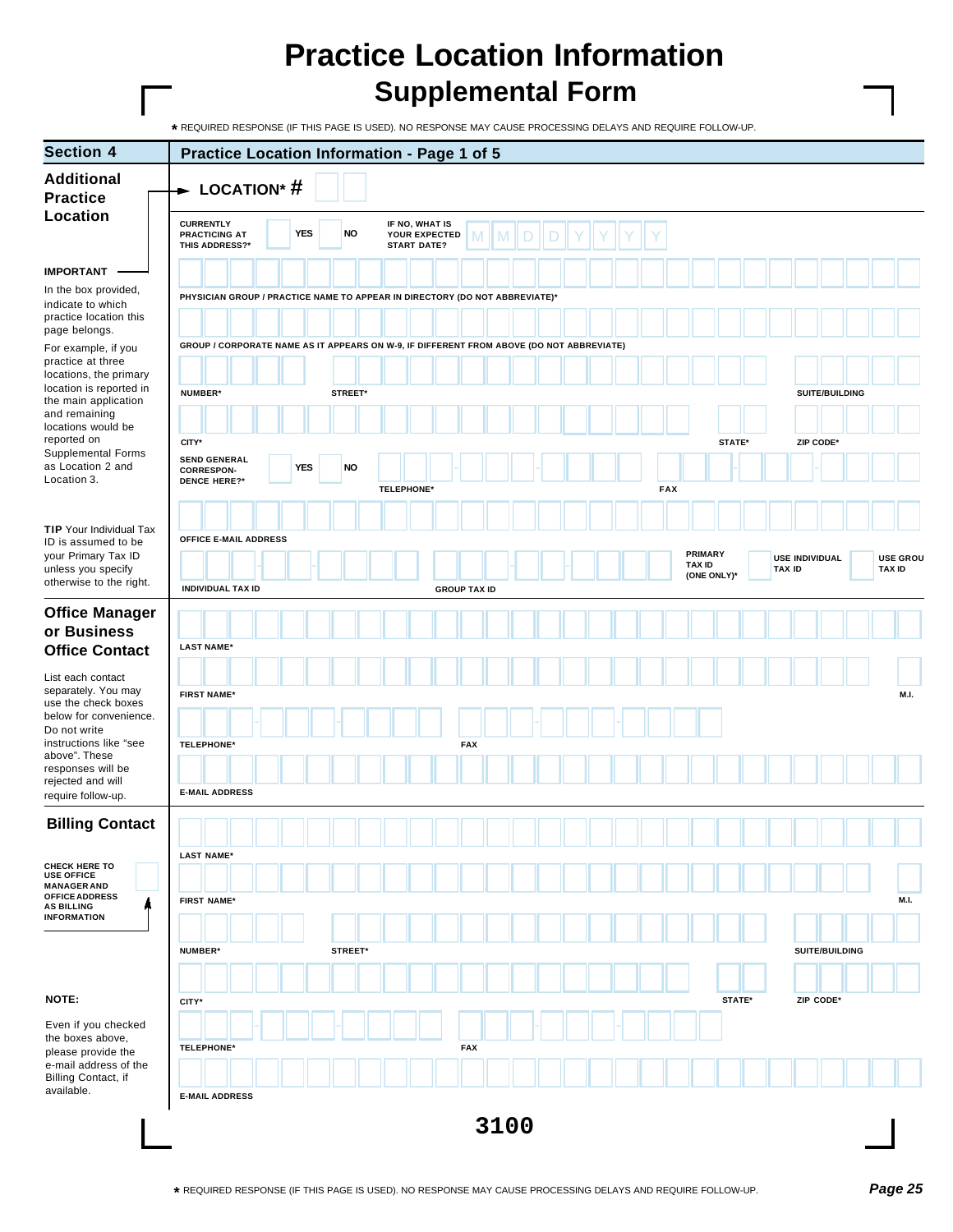| <b>Section 4</b>                                                                     | Practice Location Information - Page 1 of 5                                              |                         |                                                       |                     |               |             |                                        |                                  |
|--------------------------------------------------------------------------------------|------------------------------------------------------------------------------------------|-------------------------|-------------------------------------------------------|---------------------|---------------|-------------|----------------------------------------|----------------------------------|
| <b>Additional</b><br><b>Practice</b>                                                 | $\blacktriangleright$ LOCATION* #                                                        |                         |                                                       |                     |               |             |                                        |                                  |
| Location                                                                             | <b>CURRENTLY</b><br><b>PRACTICING AT</b><br>THIS ADDRESS?*                               | <b>YES</b><br><b>NO</b> | IF NO, WHAT IS<br>YOUR EXPECTED<br><b>START DATE?</b> | M                   |               |             |                                        |                                  |
| <b>IMPORTANT</b>                                                                     |                                                                                          |                         |                                                       |                     |               |             |                                        |                                  |
| In the box provided,<br>indicate to which<br>practice location this<br>page belongs. | PHYSICIAN GROUP / PRACTICE NAME TO APPEAR IN DIRECTORY (DO NOT ABBREVIATE)*              |                         |                                                       |                     |               |             |                                        |                                  |
| For example, if you<br>practice at three                                             | GROUP / CORPORATE NAME AS IT APPEARS ON W-9, IF DIFFERENT FROM ABOVE (DO NOT ABBREVIATE) |                         |                                                       |                     |               |             |                                        |                                  |
| locations, the primary<br>location is reported in                                    | <b>NUMBER*</b>                                                                           | STREET*                 |                                                       |                     |               |             | SUITE/BUILDING                         |                                  |
| the main application<br>and remaining                                                |                                                                                          |                         |                                                       |                     |               |             |                                        |                                  |
| locations would be<br>reported on                                                    | CITY*                                                                                    |                         |                                                       |                     |               | STATE*      | ZIP CODE*                              |                                  |
| <b>Supplemental Forms</b><br>as Location 2 and<br>Location 3.                        | <b>SEND GENERAL</b><br><b>CORRESPON-</b><br><b>DENCE HERE?*</b>                          | <b>NO</b><br><b>YES</b> | <b>TELEPHONE*</b>                                     |                     | <b>FAX</b>    |             |                                        |                                  |
|                                                                                      |                                                                                          |                         |                                                       |                     |               |             |                                        |                                  |
| <b>TIP</b> Your Individual Tax<br>ID is assumed to be                                | OFFICE E-MAIL ADDRESS                                                                    |                         |                                                       |                     |               |             |                                        |                                  |
| your Primary Tax ID<br>unless you specify                                            |                                                                                          |                         |                                                       |                     | <b>TAX ID</b> | PRIMARY     | <b>USE INDIVIDUAL</b><br><b>TAX ID</b> | <b>USE GROU</b><br><b>TAX ID</b> |
| otherwise to the right.                                                              | <b>INDIVIDUAL TAX ID</b>                                                                 |                         |                                                       | <b>GROUP TAX ID</b> |               | (ONE ONLY)* |                                        |                                  |
| <b>Office Manager</b><br>or Business                                                 |                                                                                          |                         |                                                       |                     |               |             |                                        |                                  |
| <b>Office Contact</b>                                                                | <b>LAST NAME*</b>                                                                        |                         |                                                       |                     |               |             |                                        |                                  |
| List each contact<br>separately. You may<br>use the check boxes                      | <b>FIRST NAME*</b>                                                                       |                         |                                                       |                     |               |             |                                        | M.I.                             |
| below for convenience.<br>Do not write                                               |                                                                                          |                         |                                                       |                     |               |             |                                        |                                  |
| instructions like "see<br>above". These                                              | <b>TELEPHONE*</b>                                                                        |                         |                                                       | <b>FAX</b>          |               |             |                                        |                                  |
| responses will be<br>rejected and will                                               |                                                                                          |                         |                                                       |                     |               |             |                                        |                                  |
| require follow-up.                                                                   | <b>E-MAIL ADDRESS</b>                                                                    |                         |                                                       |                     |               |             |                                        |                                  |
| <b>Billing Contact</b>                                                               |                                                                                          |                         |                                                       |                     |               |             |                                        |                                  |
| CHECK HERE TO<br><b>USE OFFICE</b><br><b>MANAGER AND</b>                             | <b>LAST NAME*</b>                                                                        |                         |                                                       |                     |               |             |                                        |                                  |
| <b>OFFICE ADDRESS</b><br><b>AS BILLING</b>                                           | <b>FIRST NAME*</b>                                                                       |                         |                                                       |                     |               |             |                                        | <b>M.I.</b>                      |
| <b>INFORMATION</b>                                                                   |                                                                                          |                         |                                                       |                     |               |             |                                        |                                  |
|                                                                                      | <b>NUMBER*</b>                                                                           | STREET*                 |                                                       |                     |               |             | SUITE/BUILDING                         |                                  |
|                                                                                      |                                                                                          |                         |                                                       |                     |               |             |                                        |                                  |
| NOTE:                                                                                | CITY*                                                                                    |                         |                                                       |                     |               | STATE*      | ZIP CODE*                              |                                  |
| Even if you checked<br>the boxes above,<br>please provide the                        | <b>TELEPHONE*</b>                                                                        |                         |                                                       | <b>FAX</b>          |               |             |                                        |                                  |
| e-mail address of the<br>Billing Contact, if                                         |                                                                                          |                         |                                                       |                     |               |             |                                        |                                  |
| available.                                                                           | <b>E-MAIL ADDRESS</b>                                                                    |                         |                                                       |                     |               |             |                                        |                                  |
|                                                                                      |                                                                                          |                         |                                                       | 3100                |               |             |                                        |                                  |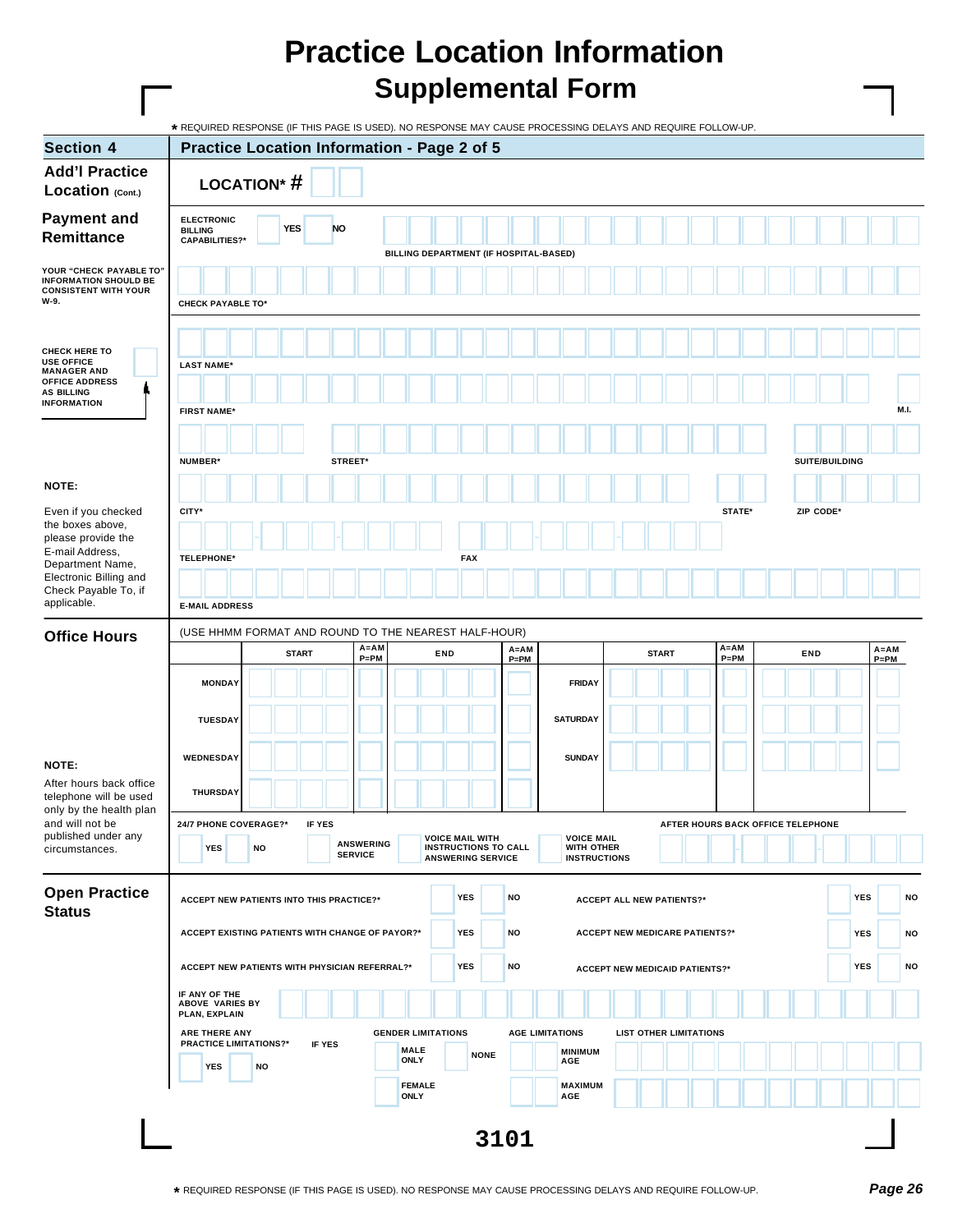|                                                                                                        | * REQUIRED RESPONSE (IF THIS PAGE IS USED). NO RESPONSE MAY CAUSE PROCESSING DELAYS AND REQUIRE FOLLOW-UP. |                                                                      |                |                  |                              |                                                                                   |          |                                                        |                                       |              |                               |          |                                   |           |                |          |      |
|--------------------------------------------------------------------------------------------------------|------------------------------------------------------------------------------------------------------------|----------------------------------------------------------------------|----------------|------------------|------------------------------|-----------------------------------------------------------------------------------|----------|--------------------------------------------------------|---------------------------------------|--------------|-------------------------------|----------|-----------------------------------|-----------|----------------|----------|------|
| <b>Section 4</b>                                                                                       |                                                                                                            | <b>Practice Location Information - Page 2 of 5</b>                   |                |                  |                              |                                                                                   |          |                                                        |                                       |              |                               |          |                                   |           |                |          |      |
| <b>Add'l Practice</b><br>Location (Cont.)                                                              |                                                                                                            | <b>LOCATION*#</b>                                                    |                |                  |                              |                                                                                   |          |                                                        |                                       |              |                               |          |                                   |           |                |          |      |
| <b>Payment and</b><br>Remittance                                                                       | <b>ELECTRONIC</b><br><b>BILLING</b><br><b>CAPABILITIES?*</b>                                               | <b>YES</b>                                                           | <b>NO</b>      |                  |                              |                                                                                   |          |                                                        |                                       |              |                               |          |                                   |           |                |          |      |
| YOUR "CHECK PAYABLE TO"                                                                                |                                                                                                            |                                                                      |                |                  |                              | BILLING DEPARTMENT (IF HOSPITAL-BASED)                                            |          |                                                        |                                       |              |                               |          |                                   |           |                |          |      |
| <b>INFORMATION SHOULD BE</b><br><b>CONSISTENT WITH YOUR</b><br>W-9.                                    | <b>CHECK PAYABLE TO*</b>                                                                                   |                                                                      |                |                  |                              |                                                                                   |          |                                                        |                                       |              |                               |          |                                   |           |                |          |      |
|                                                                                                        |                                                                                                            |                                                                      |                |                  |                              |                                                                                   |          |                                                        |                                       |              |                               |          |                                   |           |                |          |      |
| <b>CHECK HERE TO</b><br><b>USE OFFICE</b><br><b>MANAGER AND</b><br><b>OFFICE ADDRESS</b><br>AS BILLING | <b>LAST NAME*</b>                                                                                          |                                                                      |                |                  |                              |                                                                                   |          |                                                        |                                       |              |                               |          |                                   |           |                |          |      |
| <b>INFORMATION</b>                                                                                     | <b>FIRST NAME*</b>                                                                                         |                                                                      |                |                  |                              |                                                                                   |          |                                                        |                                       |              |                               |          |                                   |           |                |          | M.I. |
|                                                                                                        | NUMBER*                                                                                                    |                                                                      | STREET*        |                  |                              |                                                                                   |          |                                                        |                                       |              |                               |          |                                   |           | SUITE/BUILDING |          |      |
| NOTE:                                                                                                  |                                                                                                            |                                                                      |                |                  |                              |                                                                                   |          |                                                        |                                       |              |                               |          |                                   |           |                |          |      |
| Even if you checked                                                                                    | CITY*                                                                                                      |                                                                      |                |                  |                              |                                                                                   |          |                                                        |                                       |              |                               | STATE*   |                                   | ZIP CODE* |                |          |      |
| the boxes above,<br>please provide the                                                                 |                                                                                                            |                                                                      |                |                  |                              |                                                                                   |          |                                                        |                                       |              |                               |          |                                   |           |                |          |      |
| E-mail Address,<br>Department Name,                                                                    | <b>TELEPHONE*</b>                                                                                          |                                                                      |                |                  |                              | <b>FAX</b>                                                                        |          |                                                        |                                       |              |                               |          |                                   |           |                |          |      |
| Electronic Billing and<br>Check Payable To, if<br>applicable.                                          | <b>E-MAIL ADDRESS</b>                                                                                      |                                                                      |                |                  |                              |                                                                                   |          |                                                        |                                       |              |                               |          |                                   |           |                |          |      |
|                                                                                                        |                                                                                                            |                                                                      |                |                  |                              |                                                                                   |          |                                                        |                                       |              |                               |          |                                   |           |                |          |      |
| <b>Office Hours</b>                                                                                    |                                                                                                            | (USE HHMM FORMAT AND ROUND TO THE NEAREST HALF-HOUR)<br><b>START</b> |                | $A = AM$         | END                          |                                                                                   | $A = AM$ |                                                        |                                       | <b>START</b> |                               | $A = AM$ |                                   | END       |                | $A = AM$ |      |
|                                                                                                        |                                                                                                            |                                                                      |                | $P = PM$         |                              |                                                                                   | $P = PM$ |                                                        |                                       |              |                               | $P = PM$ |                                   |           |                | $P = PM$ |      |
|                                                                                                        | <b>MONDAY</b>                                                                                              |                                                                      |                |                  |                              |                                                                                   |          | <b>FRIDAY</b>                                          |                                       |              |                               |          |                                   |           |                |          |      |
|                                                                                                        | <b>TUESDAY</b>                                                                                             |                                                                      |                |                  |                              |                                                                                   |          | <b>SATURDAY</b>                                        |                                       |              |                               |          |                                   |           |                |          |      |
| NOTE:                                                                                                  | WEDNESDAY                                                                                                  |                                                                      |                |                  |                              |                                                                                   |          | <b>SUNDAY</b>                                          |                                       |              |                               |          |                                   |           |                |          |      |
| After hours back office<br>telephone will be used                                                      | <b>THURSDAY</b>                                                                                            |                                                                      |                |                  |                              |                                                                                   |          |                                                        |                                       |              |                               |          |                                   |           |                |          |      |
| only by the health plan<br>and will not be                                                             | 24/7 PHONE COVERAGE?*                                                                                      |                                                                      | <b>IF YES</b>  |                  |                              |                                                                                   |          |                                                        |                                       |              |                               |          | AFTER HOURS BACK OFFICE TELEPHONE |           |                |          |      |
| published under any<br>circumstances.                                                                  | <b>YES</b>                                                                                                 | <b>NO</b>                                                            | <b>SERVICE</b> | <b>ANSWERING</b> |                              | <b>VOICE MAIL WITH</b><br><b>INSTRUCTIONS TO CALL</b><br><b>ANSWERING SERVICE</b> |          | <b>VOICE MAIL</b><br>WITH OTHER<br><b>INSTRUCTIONS</b> |                                       |              |                               |          |                                   |           |                |          |      |
| <b>Open Practice</b><br><b>Status</b>                                                                  |                                                                                                            | <b>ACCEPT NEW PATIENTS INTO THIS PRACTICE?*</b>                      |                |                  |                              | <b>YES</b>                                                                        | NO       |                                                        | <b>ACCEPT ALL NEW PATIENTS?*</b>      |              |                               |          |                                   |           | <b>YES</b>     |          | NO   |
|                                                                                                        |                                                                                                            | ACCEPT EXISTING PATIENTS WITH CHANGE OF PAYOR?*                      |                |                  |                              | <b>YES</b>                                                                        | NO       |                                                        | <b>ACCEPT NEW MEDICARE PATIENTS?*</b> |              |                               |          |                                   |           | <b>YES</b>     |          | NO   |
|                                                                                                        |                                                                                                            | ACCEPT NEW PATIENTS WITH PHYSICIAN REFERRAL?*                        |                |                  |                              | <b>YES</b>                                                                        | NO       |                                                        | <b>ACCEPT NEW MEDICAID PATIENTS?*</b> |              |                               |          |                                   |           | <b>YES</b>     |          | NO   |
|                                                                                                        | IF ANY OF THE<br>ABOVE VARIES BY<br>PLAN, EXPLAIN                                                          |                                                                      |                |                  |                              |                                                                                   |          |                                                        |                                       |              |                               |          |                                   |           |                |          |      |
|                                                                                                        | ARE THERE ANY<br><b>PRACTICE LIMITATIONS?*</b>                                                             |                                                                      | IF YES         |                  | <b>GENDER LIMITATIONS</b>    |                                                                                   |          | <b>AGE LIMITATIONS</b>                                 |                                       |              | <b>LIST OTHER LIMITATIONS</b> |          |                                   |           |                |          |      |
|                                                                                                        | <b>YES</b>                                                                                                 | NO                                                                   |                |                  | <b>MALE</b><br><b>ONLY</b>   | <b>NONE</b>                                                                       |          | <b>MINIMUM</b><br>AGE                                  |                                       |              |                               |          |                                   |           |                |          |      |
|                                                                                                        |                                                                                                            |                                                                      |                |                  | <b>FEMALE</b><br><b>ONLY</b> |                                                                                   |          | <b>MAXIMUM</b><br>AGE                                  |                                       |              |                               |          |                                   |           |                |          |      |
|                                                                                                        |                                                                                                            |                                                                      |                |                  |                              |                                                                                   | 3101     |                                                        |                                       |              |                               |          |                                   |           |                |          |      |
|                                                                                                        |                                                                                                            |                                                                      |                |                  |                              |                                                                                   |          |                                                        |                                       |              |                               |          |                                   |           |                |          |      |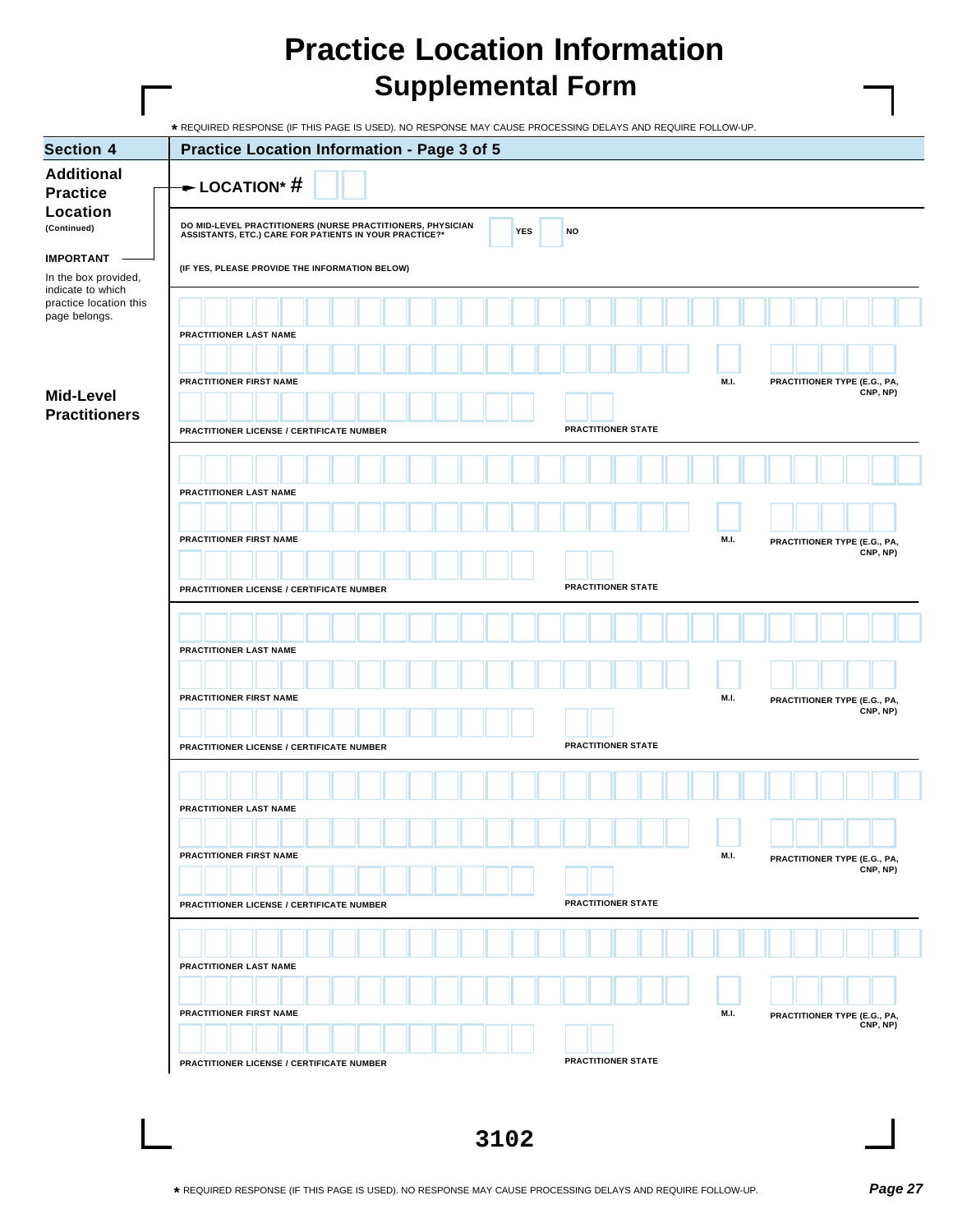|                                                               | * REQUIRED RESPONSE (IF THIS PAGE IS USED). NO RESPONSE MAY CAUSE PROCESSING DELAYS AND REQUIRE FOLLOW-UP.                                          |                                                  |
|---------------------------------------------------------------|-----------------------------------------------------------------------------------------------------------------------------------------------------|--------------------------------------------------|
| <b>Section 4</b>                                              | Practice Location Information - Page 3 of 5                                                                                                         |                                                  |
| <b>Additional</b><br><b>Practice</b>                          | $\rightarrow$ LOCATION* #                                                                                                                           |                                                  |
| Location<br>(Continued)                                       | <b>DO MID-LEVEL PRACTITIONERS (NURSE PRACTITIONERS, PHYSICIAN ASSISTANTS, ETC.) CARE FOR PATIENTS IN YOUR PRACTICE?*</b><br><b>YES</b><br><b>NO</b> |                                                  |
| <b>IMPORTANT</b><br>In the box provided,<br>indicate to which | (IF YES, PLEASE PROVIDE THE INFORMATION BELOW)                                                                                                      |                                                  |
| practice location this<br>page belongs.                       | PRACTITIONER LAST NAME                                                                                                                              |                                                  |
|                                                               |                                                                                                                                                     |                                                  |
| Mid-Level<br><b>Practitioners</b>                             | PRACTITIONER FIRST NAME                                                                                                                             | M.I.<br>PRACTITIONER TYPE (E.G., PA,<br>CNP, NP) |
|                                                               | <b>PRACTITIONER STATE</b><br>PRACTITIONER LICENSE / CERTIFICATE NUMBER                                                                              |                                                  |
|                                                               |                                                                                                                                                     |                                                  |
|                                                               | PRACTITIONER LAST NAME                                                                                                                              |                                                  |
|                                                               | PRACTITIONER FIRST NAME                                                                                                                             | M.I.<br>PRACTITIONER TYPE (E.G., PA,<br>CNP, NP) |
|                                                               |                                                                                                                                                     |                                                  |
|                                                               | <b>PRACTITIONER STATE</b><br>PRACTITIONER LICENSE / CERTIFICATE NUMBER                                                                              |                                                  |
|                                                               |                                                                                                                                                     |                                                  |
|                                                               | PRACTITIONER LAST NAME                                                                                                                              |                                                  |
|                                                               | PRACTITIONER FIRST NAME                                                                                                                             | M.I.                                             |
|                                                               |                                                                                                                                                     | PRACTITIONER TYPE (E.G., PA,<br>CNP, NP)         |
|                                                               | PRACTITIONER STATE<br>PRACTITIONER LICENSE / CERTIFICATE NUMBER                                                                                     |                                                  |
|                                                               |                                                                                                                                                     |                                                  |
|                                                               | PRACTITIONER LAST NAME                                                                                                                              |                                                  |
|                                                               |                                                                                                                                                     |                                                  |
|                                                               | <b>PRACTITIONER FIRST NAME</b>                                                                                                                      | M.I.<br>PRACTITIONER TYPE (E.G., PA,             |
|                                                               |                                                                                                                                                     | CNP, NP)                                         |
|                                                               | PRACTITIONER STATE<br><b>PRACTITIONER LICENSE / CERTIFICATE NUMBER</b>                                                                              |                                                  |
|                                                               |                                                                                                                                                     |                                                  |
|                                                               | PRACTITIONER LAST NAME                                                                                                                              |                                                  |
|                                                               |                                                                                                                                                     |                                                  |
|                                                               | PRACTITIONER FIRST NAME                                                                                                                             | M.I.<br>PRACTITIONER TYPE (E.G., PA,<br>CNP, NP) |
|                                                               | <b>PRACTITIONER STATE</b><br>PRACTITIONER LICENSE / CERTIFICATE NUMBER                                                                              |                                                  |
|                                                               |                                                                                                                                                     |                                                  |
|                                                               |                                                                                                                                                     |                                                  |
|                                                               |                                                                                                                                                     |                                                  |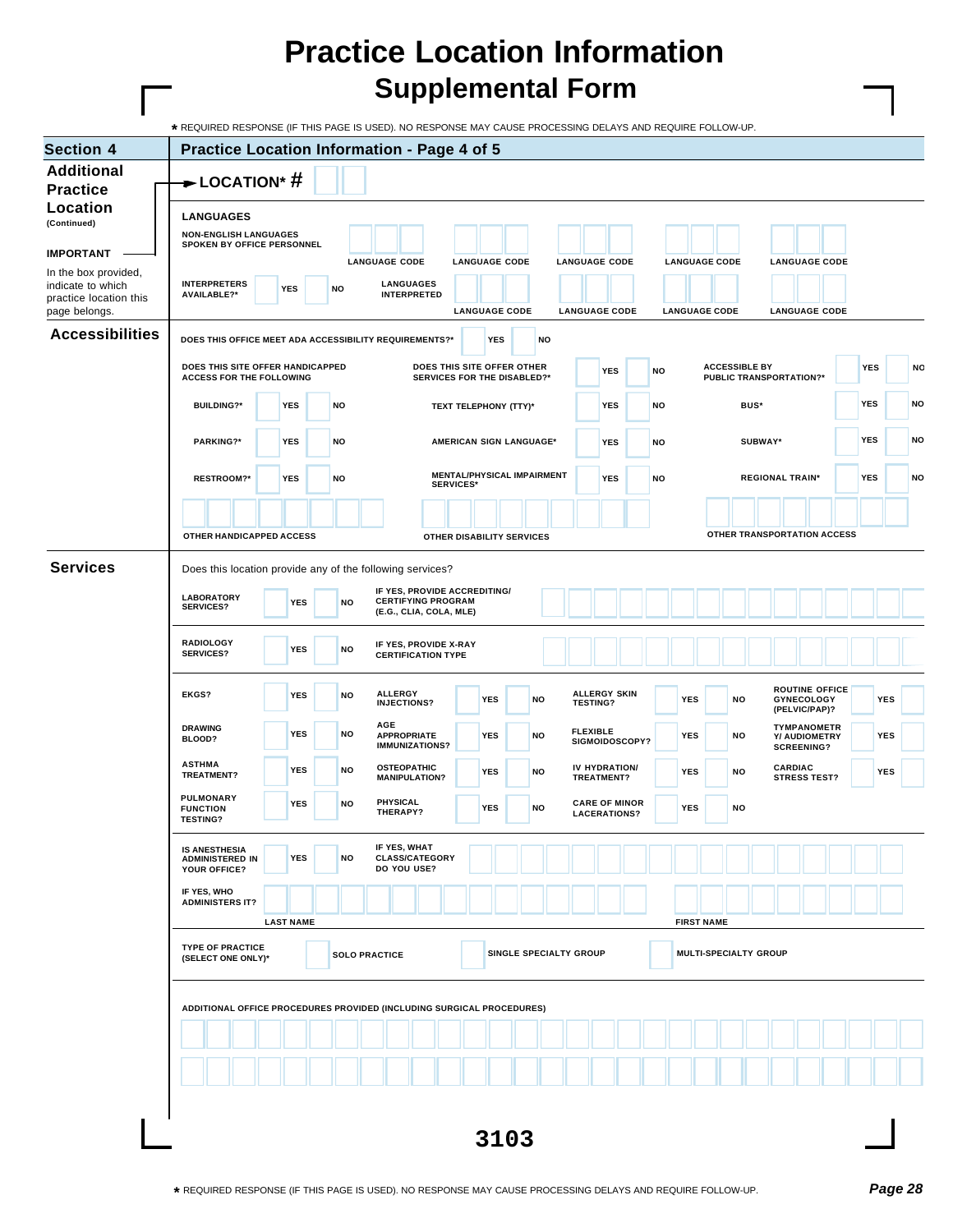Г

| <b>Section 4</b>                            | <b>Practice Location Information - Page 4 of 5</b>     |                  |           |                                                                       |                       |            |                                |                 |                                             |           |                       |                      |                                |                                            |                             |            |            |
|---------------------------------------------|--------------------------------------------------------|------------------|-----------|-----------------------------------------------------------------------|-----------------------|------------|--------------------------------|-----------------|---------------------------------------------|-----------|-----------------------|----------------------|--------------------------------|--------------------------------------------|-----------------------------|------------|------------|
| <b>Additional</b>                           |                                                        |                  |           |                                                                       |                       |            |                                |                 |                                             |           |                       |                      |                                |                                            |                             |            |            |
| <b>Practice</b>                             | $\rightarrow$ LOCATION* #                              |                  |           |                                                                       |                       |            |                                |                 |                                             |           |                       |                      |                                |                                            |                             |            |            |
| Location                                    | <b>LANGUAGES</b>                                       |                  |           |                                                                       |                       |            |                                |                 |                                             |           |                       |                      |                                |                                            |                             |            |            |
| (Continued)                                 | <b>NON-ENGLISH LANGUAGES</b>                           |                  |           |                                                                       |                       |            |                                |                 |                                             |           |                       |                      |                                |                                            |                             |            |            |
| <b>IMPORTANT</b>                            | SPOKEN BY OFFICE PERSONNEL                             |                  |           | <b>LANGUAGE CODE</b>                                                  | <b>LANGUAGE CODE</b>  |            |                                |                 | <b>LANGUAGE CODE</b>                        |           | <b>LANGUAGE CODE</b>  |                      |                                | <b>LANGUAGE CODE</b>                       |                             |            |            |
| In the box provided,                        |                                                        |                  |           |                                                                       |                       |            |                                |                 |                                             |           |                       |                      |                                |                                            |                             |            |            |
| indicate to which<br>practice location this | <b>INTERPRETERS</b><br><b>AVAILABLE?*</b>              | <b>YES</b>       | NO        | <b>LANGUAGES</b><br><b>INTERPRETED</b>                                |                       |            |                                |                 |                                             |           |                       |                      |                                |                                            |                             |            |            |
| page belongs.                               |                                                        |                  |           |                                                                       | <b>LANGUAGE CODE</b>  |            |                                |                 | <b>LANGUAGE CODE</b>                        |           | <b>LANGUAGE CODE</b>  |                      |                                | <b>LANGUAGE CODE</b>                       |                             |            |            |
| <b>Accessibilities</b>                      | DOES THIS OFFICE MEET ADA ACCESSIBILITY REQUIREMENTS?* |                  |           |                                                                       |                       | <b>YES</b> | <b>NO</b>                      |                 |                                             |           |                       |                      |                                |                                            |                             |            |            |
|                                             | DOES THIS SITE OFFER HANDICAPPED                       |                  |           |                                                                       |                       |            | DOES THIS SITE OFFER OTHER     |                 |                                             |           |                       | <b>ACCESSIBLE BY</b> |                                |                                            |                             |            |            |
|                                             | <b>ACCESS FOR THE FOLLOWING</b>                        |                  |           |                                                                       |                       |            | SERVICES FOR THE DISABLED?*    |                 | <b>YES</b>                                  | <b>NO</b> |                       |                      | <b>PUBLIC TRANSPORTATION?*</b> |                                            |                             | <b>YES</b> | NO         |
|                                             | <b>BUILDING?*</b>                                      | <b>YES</b>       | NO        |                                                                       | TEXT TELEPHONY (TTY)* |            |                                |                 | <b>YES</b>                                  | <b>NO</b> |                       | BUS*                 |                                |                                            |                             | <b>YES</b> | <b>NO</b>  |
|                                             |                                                        |                  |           |                                                                       |                       |            |                                |                 |                                             |           |                       |                      |                                |                                            |                             |            |            |
|                                             | PARKING?*                                              | <b>YES</b>       | <b>NO</b> |                                                                       |                       |            | <b>AMERICAN SIGN LANGUAGE*</b> |                 | <b>YES</b>                                  | <b>NO</b> |                       | SUBWAY*              |                                |                                            |                             | YES        | NO         |
|                                             |                                                        |                  |           |                                                                       |                       |            |                                |                 |                                             |           |                       |                      |                                |                                            |                             |            |            |
|                                             | <b>RESTROOM?*</b>                                      | <b>YES</b>       | <b>NO</b> |                                                                       | <b>SERVICES*</b>      |            | MENTAL/PHYSICAL IMPAIRMENT     |                 | <b>YES</b>                                  | <b>NO</b> |                       |                      | <b>REGIONAL TRAIN*</b>         |                                            |                             | <b>YES</b> | NO         |
|                                             |                                                        |                  |           |                                                                       |                       |            |                                |                 |                                             |           |                       |                      |                                |                                            |                             |            |            |
|                                             | OTHER HANDICAPPED ACCESS                               |                  |           |                                                                       |                       |            | OTHER DISABILITY SERVICES      |                 |                                             |           |                       |                      |                                |                                            | OTHER TRANSPORTATION ACCESS |            |            |
|                                             |                                                        |                  |           |                                                                       |                       |            |                                |                 |                                             |           |                       |                      |                                |                                            |                             |            |            |
| <b>Services</b>                             |                                                        |                  |           | Does this location provide any of the following services?             |                       |            |                                |                 |                                             |           |                       |                      |                                |                                            |                             |            |            |
|                                             | <b>LABORATORY</b>                                      |                  |           | IF YES, PROVIDE ACCREDITING/<br><b>CERTIFYING PROGRAM</b>             |                       |            |                                |                 |                                             |           |                       |                      |                                |                                            |                             |            |            |
|                                             | <b>SERVICES?</b>                                       | <b>YES</b>       | <b>NO</b> | (E.G., CLIA, COLA, MLE)                                               |                       |            |                                |                 |                                             |           |                       |                      |                                |                                            |                             |            |            |
|                                             | <b>RADIOLOGY</b>                                       |                  |           | IF YES, PROVIDE X-RAY                                                 |                       |            |                                |                 |                                             |           |                       |                      |                                |                                            |                             |            |            |
|                                             | <b>SERVICES?</b>                                       | <b>YES</b>       | <b>NO</b> | <b>CERTIFICATION TYPE</b>                                             |                       |            |                                |                 |                                             |           |                       |                      |                                |                                            |                             |            |            |
|                                             |                                                        |                  |           |                                                                       |                       |            |                                |                 |                                             |           |                       |                      |                                |                                            |                             |            |            |
|                                             | <b>EKGS?</b>                                           | <b>YES</b>       | <b>NO</b> | <b>ALLERGY</b><br><b>INJECTIONS?</b>                                  |                       | <b>YES</b> | <b>NO</b>                      |                 | <b>ALLERGY SKIN</b><br><b>TESTING?</b>      |           | <b>YES</b>            | NO                   |                                | <b>ROUTINE OFFICE</b><br><b>GYNECOLOGY</b> |                             |            | <b>YES</b> |
|                                             | <b>DRAWING</b>                                         |                  |           | AGE                                                                   |                       |            |                                |                 |                                             |           |                       |                      |                                | (PELVIC/PAP)?<br><b>TYMPANOMETR</b>        |                             |            |            |
|                                             | BLOOD?                                                 | <b>YES</b>       | NO        | <b>APPROPRIATE</b><br><b>IMMUNIZATIONS?</b>                           |                       | <b>YES</b> | <b>NO</b>                      | <b>FLEXIBLE</b> | SIGMOIDOSCOPY?                              |           | <b>YES</b>            | NO                   |                                | Y/ AUDIOMETRY<br><b>SCREENING?</b>         |                             | <b>YES</b> |            |
|                                             | <b>ASTHMA</b>                                          | <b>YES</b>       | <b>NO</b> | <b>OSTEOPATHIC</b>                                                    |                       | <b>YES</b> | <b>NO</b>                      |                 | IV HYDRATION/                               |           | <b>YES</b>            | NO                   |                                | <b>CARDIAC</b>                             |                             | <b>YES</b> |            |
|                                             | TREATMENT?                                             |                  |           | <b>MANIPULATION?</b>                                                  |                       |            |                                |                 | TREATMENT?                                  |           |                       |                      |                                | <b>STRESS TEST?</b>                        |                             |            |            |
|                                             | <b>PULMONARY</b><br><b>FUNCTION</b>                    | <b>YES</b>       | <b>NO</b> | PHYSICAL<br>THERAPY?                                                  |                       | YES        | NO                             |                 | <b>CARE OF MINOR</b><br><b>LACERATIONS?</b> |           | YES                   | NO                   |                                |                                            |                             |            |            |
|                                             | <b>TESTING?</b>                                        |                  |           |                                                                       |                       |            |                                |                 |                                             |           |                       |                      |                                |                                            |                             |            |            |
|                                             | IS ANESTHESIA                                          |                  |           | IF YES, WHAT                                                          |                       |            |                                |                 |                                             |           |                       |                      |                                |                                            |                             |            |            |
|                                             | <b>ADMINISTERED IN</b><br>YOUR OFFICE?                 | <b>YES</b>       | NO        | <b>CLASS/CATEGORY</b><br>DO YOU USE?                                  |                       |            |                                |                 |                                             |           |                       |                      |                                |                                            |                             |            |            |
|                                             | IF YES, WHO                                            |                  |           |                                                                       |                       |            |                                |                 |                                             |           |                       |                      |                                |                                            |                             |            |            |
|                                             | <b>ADMINISTERS IT?</b>                                 |                  |           |                                                                       |                       |            |                                |                 |                                             |           |                       |                      |                                |                                            |                             |            |            |
|                                             |                                                        | <b>LAST NAME</b> |           |                                                                       |                       |            |                                |                 |                                             |           | <b>FIRST NAME</b>     |                      |                                |                                            |                             |            |            |
|                                             | <b>TYPE OF PRACTICE</b><br>(SELECT ONE ONLY)*          |                  |           | <b>SOLO PRACTICE</b>                                                  |                       |            | SINGLE SPECIALTY GROUP         |                 |                                             |           | MULTI-SPECIALTY GROUP |                      |                                |                                            |                             |            |            |
|                                             |                                                        |                  |           |                                                                       |                       |            |                                |                 |                                             |           |                       |                      |                                |                                            |                             |            |            |
|                                             |                                                        |                  |           |                                                                       |                       |            |                                |                 |                                             |           |                       |                      |                                |                                            |                             |            |            |
|                                             |                                                        |                  |           | ADDITIONAL OFFICE PROCEDURES PROVIDED (INCLUDING SURGICAL PROCEDURES) |                       |            |                                |                 |                                             |           |                       |                      |                                |                                            |                             |            |            |
|                                             |                                                        |                  |           |                                                                       |                       |            |                                |                 |                                             |           |                       |                      |                                |                                            |                             |            |            |
|                                             |                                                        |                  |           |                                                                       |                       |            |                                |                 |                                             |           |                       |                      |                                |                                            |                             |            |            |
|                                             |                                                        |                  |           |                                                                       |                       |            |                                |                 |                                             |           |                       |                      |                                |                                            |                             |            |            |
|                                             |                                                        |                  |           |                                                                       |                       |            |                                |                 |                                             |           |                       |                      |                                |                                            |                             |            |            |
|                                             |                                                        |                  |           |                                                                       |                       |            |                                |                 |                                             |           |                       |                      |                                |                                            |                             |            |            |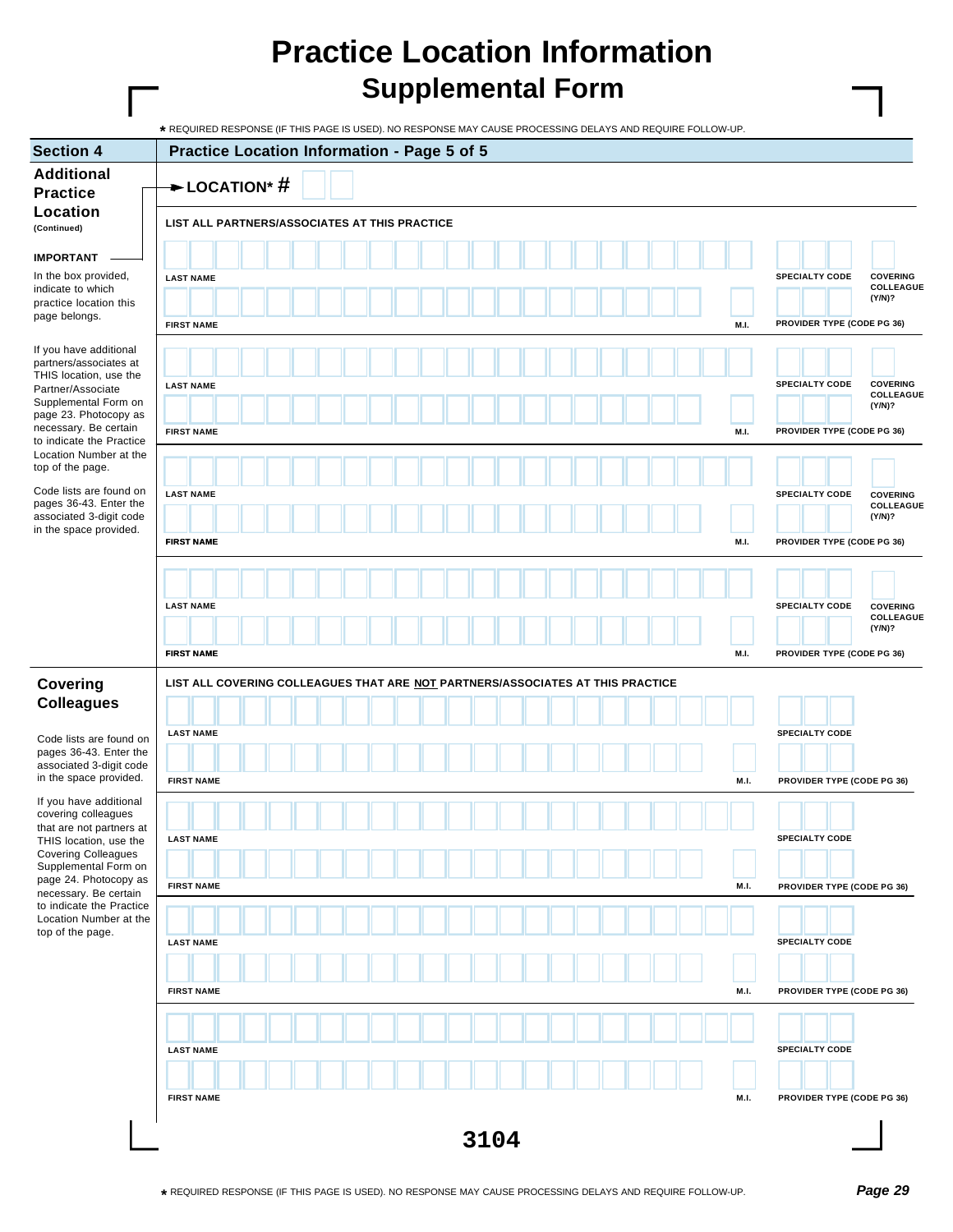| <b>Section 4</b>                                     | Practice Location Information - Page 5 of 5                                    |                                                       |
|------------------------------------------------------|--------------------------------------------------------------------------------|-------------------------------------------------------|
| <b>Additional</b>                                    |                                                                                |                                                       |
| <b>Practice</b>                                      | $\rightarrow$ LOCATION* #                                                      |                                                       |
| Location                                             | LIST ALL PARTNERS/ASSOCIATES AT THIS PRACTICE                                  |                                                       |
| (Continued)                                          |                                                                                |                                                       |
| <b>IMPORTANT</b>                                     |                                                                                |                                                       |
| In the box provided,                                 | <b>LAST NAME</b>                                                               | <b>SPECIALTY CODE</b><br><b>COVERING</b><br>COLLEAGUE |
| indicate to which<br>practice location this          |                                                                                | (Y/N)?                                                |
| page belongs.                                        | <b>FIRST NAME</b><br>M.I.                                                      | PROVIDER TYPE (CODE PG 36)                            |
| If you have additional                               |                                                                                |                                                       |
| partners/associates at<br>THIS location, use the     |                                                                                |                                                       |
| Partner/Associate                                    | <b>LAST NAME</b>                                                               | <b>SPECIALTY CODE</b><br><b>COVERING</b><br>COLLEAGUE |
| Supplemental Form on<br>page 23. Photocopy as        |                                                                                | (Y/N)?                                                |
| necessary. Be certain<br>to indicate the Practice    | M.I.<br><b>FIRST NAME</b>                                                      | PROVIDER TYPE (CODE PG 36)                            |
| Location Number at the                               |                                                                                |                                                       |
| top of the page.                                     |                                                                                |                                                       |
| Code lists are found on<br>pages 36-43. Enter the    | <b>LAST NAME</b>                                                               | <b>SPECIALTY CODE</b><br><b>COVERING</b><br>COLLEAGUE |
| associated 3-digit code                              |                                                                                | (Y/N)?                                                |
| in the space provided.                               | M.I.<br><b>FIRST NAME</b>                                                      | PROVIDER TYPE (CODE PG 36)                            |
|                                                      |                                                                                |                                                       |
|                                                      |                                                                                |                                                       |
|                                                      | <b>LAST NAME</b>                                                               | <b>SPECIALTY CODE</b><br><b>COVERING</b>              |
|                                                      |                                                                                | COLLEAGUE<br>(Y/N)?                                   |
|                                                      | <b>FIRST NAME</b><br>M.I.                                                      | PROVIDER TYPE (CODE PG 36)                            |
|                                                      |                                                                                |                                                       |
| <b>Covering</b><br><b>Colleagues</b>                 | LIST ALL COVERING COLLEAGUES THAT ARE NOT PARTNERS/ASSOCIATES AT THIS PRACTICE |                                                       |
|                                                      |                                                                                |                                                       |
| Code lists are found on                              | <b>LAST NAME</b>                                                               | <b>SPECIALTY CODE</b>                                 |
| pages 36-43. Enter the<br>associated 3-digit code    |                                                                                |                                                       |
| in the space provided.                               | <b>FIRST NAME</b><br>M.I.                                                      | PROVIDER TYPE (CODE PG 36)                            |
| If you have additional                               |                                                                                |                                                       |
| covering colleagues<br>that are not partners at      |                                                                                |                                                       |
| THIS location, use the<br><b>Covering Colleagues</b> | <b>LAST NAME</b>                                                               | <b>SPECIALTY CODE</b>                                 |
| Supplemental Form on                                 |                                                                                |                                                       |
| page 24. Photocopy as<br>necessary. Be certain       | <b>FIRST NAME</b><br>M.I.                                                      | PROVIDER TYPE (CODE PG 36)                            |
| to indicate the Practice<br>Location Number at the   |                                                                                |                                                       |
| top of the page.                                     | <b>LAST NAME</b>                                                               | <b>SPECIALTY CODE</b>                                 |
|                                                      |                                                                                |                                                       |
|                                                      |                                                                                |                                                       |
|                                                      | <b>FIRST NAME</b><br>M.I.                                                      | PROVIDER TYPE (CODE PG 36)                            |
|                                                      |                                                                                |                                                       |
|                                                      |                                                                                | <b>SPECIALTY CODE</b>                                 |
|                                                      | <b>LAST NAME</b>                                                               |                                                       |
|                                                      |                                                                                |                                                       |
|                                                      | <b>FIRST NAME</b><br>M.I.                                                      | PROVIDER TYPE (CODE PG 36)                            |
|                                                      |                                                                                |                                                       |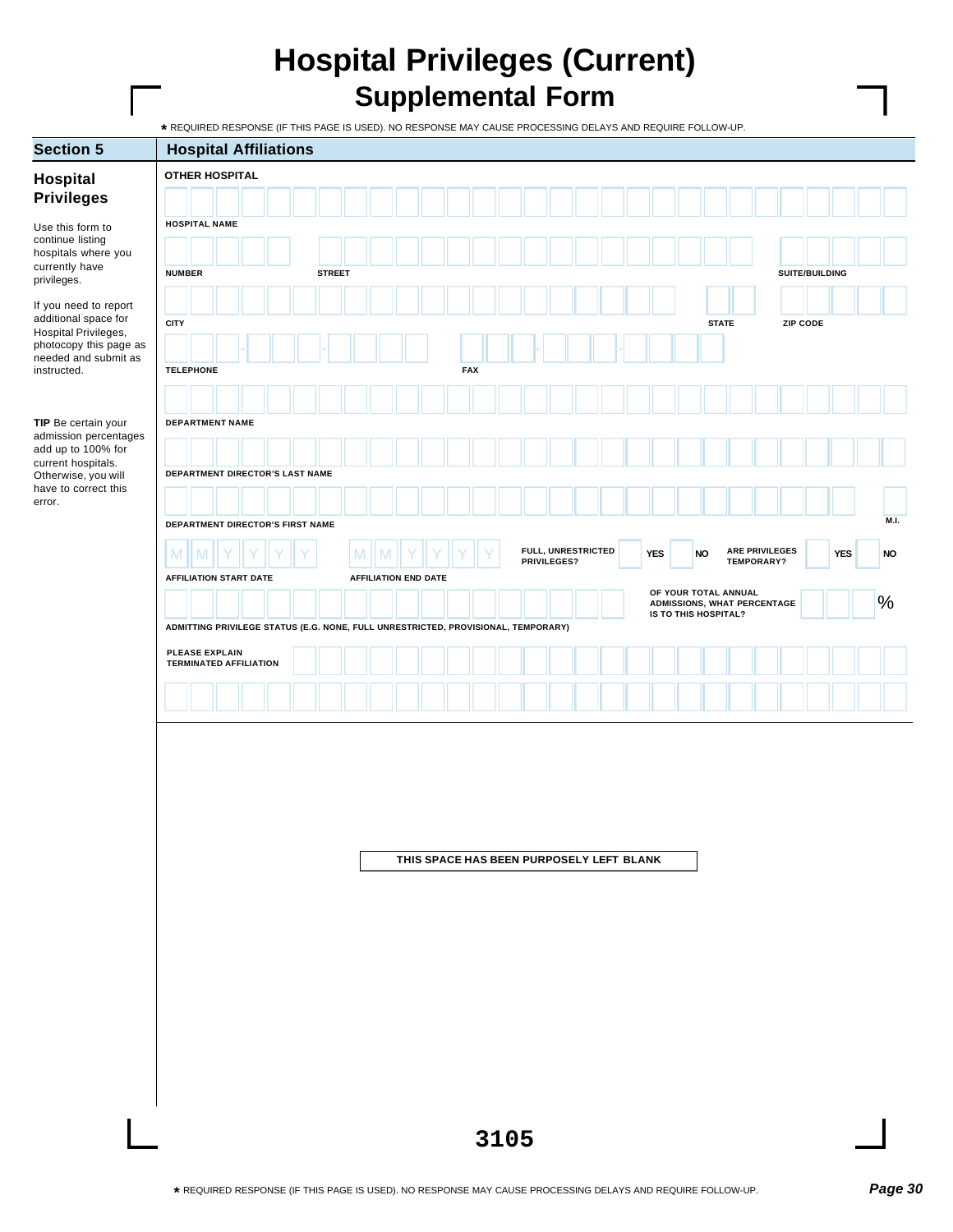## **Hospital Privileges (Current) Supplemental Form**

| <b>Section 5</b>                               | <b>Hospital Affiliations</b>                                                      |  |               |                             |                                          |            |      |                                   |  |            |                      |                                                     |            |                       |            |               |
|------------------------------------------------|-----------------------------------------------------------------------------------|--|---------------|-----------------------------|------------------------------------------|------------|------|-----------------------------------|--|------------|----------------------|-----------------------------------------------------|------------|-----------------------|------------|---------------|
| <b>Hospital</b>                                | <b>OTHER HOSPITAL</b>                                                             |  |               |                             |                                          |            |      |                                   |  |            |                      |                                                     |            |                       |            |               |
| <b>Privileges</b>                              |                                                                                   |  |               |                             |                                          |            |      |                                   |  |            |                      |                                                     |            |                       |            |               |
| Use this form to                               | <b>HOSPITAL NAME</b>                                                              |  |               |                             |                                          |            |      |                                   |  |            |                      |                                                     |            |                       |            |               |
| continue listing<br>hospitals where you        |                                                                                   |  |               |                             |                                          |            |      |                                   |  |            |                      |                                                     |            |                       |            |               |
| currently have<br>privileges.                  | <b>NUMBER</b>                                                                     |  | <b>STREET</b> |                             |                                          |            |      |                                   |  |            |                      |                                                     |            | SUITE/BUILDING        |            |               |
|                                                |                                                                                   |  |               |                             |                                          |            |      |                                   |  |            |                      |                                                     |            |                       |            |               |
| If you need to report<br>additional space for  | <b>CITY</b>                                                                       |  |               |                             |                                          |            |      |                                   |  |            |                      | <b>STATE</b>                                        |            | <b>ZIP CODE</b>       |            |               |
| Hospital Privileges,<br>photocopy this page as |                                                                                   |  |               |                             |                                          |            |      |                                   |  |            |                      |                                                     |            |                       |            |               |
| needed and submit as<br>instructed.            | <b>TELEPHONE</b>                                                                  |  |               |                             |                                          | <b>FAX</b> |      |                                   |  |            |                      |                                                     |            |                       |            |               |
|                                                |                                                                                   |  |               |                             |                                          |            |      |                                   |  |            |                      |                                                     |            |                       |            |               |
|                                                | <b>DEPARTMENT NAME</b>                                                            |  |               |                             |                                          |            |      |                                   |  |            |                      |                                                     |            |                       |            |               |
| TIP Be certain your<br>admission percentages   |                                                                                   |  |               |                             |                                          |            |      |                                   |  |            |                      |                                                     |            |                       |            |               |
| add up to 100% for<br>current hospitals.       |                                                                                   |  |               |                             |                                          |            |      |                                   |  |            |                      |                                                     |            |                       |            |               |
| Otherwise, you will<br>have to correct this    | DEPARTMENT DIRECTOR'S LAST NAME                                                   |  |               |                             |                                          |            |      |                                   |  |            |                      |                                                     |            |                       |            |               |
| error.                                         |                                                                                   |  |               |                             |                                          |            |      |                                   |  |            |                      |                                                     |            |                       |            |               |
|                                                | DEPARTMENT DIRECTOR'S FIRST NAME                                                  |  |               |                             |                                          |            |      |                                   |  |            |                      |                                                     |            |                       |            | M.L.          |
|                                                | M                                                                                 |  |               | M                           |                                          |            |      | FULL, UNRESTRICTED<br>PRIVILEGES? |  | <b>YES</b> | <b>NO</b>            |                                                     | TEMPORARY? | <b>ARE PRIVILEGES</b> | <b>YES</b> | $\mathsf{NO}$ |
|                                                | <b>AFFILIATION START DATE</b>                                                     |  |               | <b>AFFILIATION END DATE</b> |                                          |            |      |                                   |  |            |                      |                                                     |            |                       |            |               |
|                                                |                                                                                   |  |               |                             |                                          |            |      |                                   |  |            |                      | OF YOUR TOTAL ANNUAL<br>ADMISSIONS, WHAT PERCENTAGE |            |                       |            | $\%$          |
|                                                | ADMITTING PRIVILEGE STATUS (E.G. NONE, FULL UNRESTRICTED, PROVISIONAL, TEMPORARY) |  |               |                             |                                          |            |      |                                   |  |            | IS TO THIS HOSPITAL? |                                                     |            |                       |            |               |
|                                                | PLEASE EXPLAIN                                                                    |  |               |                             |                                          |            |      |                                   |  |            |                      |                                                     |            |                       |            |               |
|                                                | <b>TERMINATED AFFILIATION</b>                                                     |  |               |                             |                                          |            |      |                                   |  |            |                      |                                                     |            |                       |            |               |
|                                                |                                                                                   |  |               |                             |                                          |            |      |                                   |  |            |                      |                                                     |            |                       |            |               |
|                                                |                                                                                   |  |               |                             |                                          |            |      |                                   |  |            |                      |                                                     |            |                       |            |               |
|                                                |                                                                                   |  |               |                             |                                          |            |      |                                   |  |            |                      |                                                     |            |                       |            |               |
|                                                |                                                                                   |  |               |                             |                                          |            |      |                                   |  |            |                      |                                                     |            |                       |            |               |
|                                                |                                                                                   |  |               |                             |                                          |            |      |                                   |  |            |                      |                                                     |            |                       |            |               |
|                                                |                                                                                   |  |               |                             |                                          |            |      |                                   |  |            |                      |                                                     |            |                       |            |               |
|                                                |                                                                                   |  |               |                             |                                          |            |      |                                   |  |            |                      |                                                     |            |                       |            |               |
|                                                |                                                                                   |  |               |                             | THIS SPACE HAS BEEN PURPOSELY LEFT BLANK |            |      |                                   |  |            |                      |                                                     |            |                       |            |               |
|                                                |                                                                                   |  |               |                             |                                          |            |      |                                   |  |            |                      |                                                     |            |                       |            |               |
|                                                |                                                                                   |  |               |                             |                                          |            |      |                                   |  |            |                      |                                                     |            |                       |            |               |
|                                                |                                                                                   |  |               |                             |                                          |            |      |                                   |  |            |                      |                                                     |            |                       |            |               |
|                                                |                                                                                   |  |               |                             |                                          |            |      |                                   |  |            |                      |                                                     |            |                       |            |               |
|                                                |                                                                                   |  |               |                             |                                          |            |      |                                   |  |            |                      |                                                     |            |                       |            |               |
|                                                |                                                                                   |  |               |                             |                                          |            |      |                                   |  |            |                      |                                                     |            |                       |            |               |
|                                                |                                                                                   |  |               |                             |                                          |            |      |                                   |  |            |                      |                                                     |            |                       |            |               |
|                                                |                                                                                   |  |               |                             |                                          |            |      |                                   |  |            |                      |                                                     |            |                       |            |               |
|                                                |                                                                                   |  |               |                             |                                          |            |      |                                   |  |            |                      |                                                     |            |                       |            |               |
|                                                |                                                                                   |  |               |                             |                                          |            |      |                                   |  |            |                      |                                                     |            |                       |            |               |
|                                                |                                                                                   |  |               |                             |                                          |            |      |                                   |  |            |                      |                                                     |            |                       |            |               |
|                                                |                                                                                   |  |               |                             |                                          |            | 3105 |                                   |  |            |                      |                                                     |            |                       |            |               |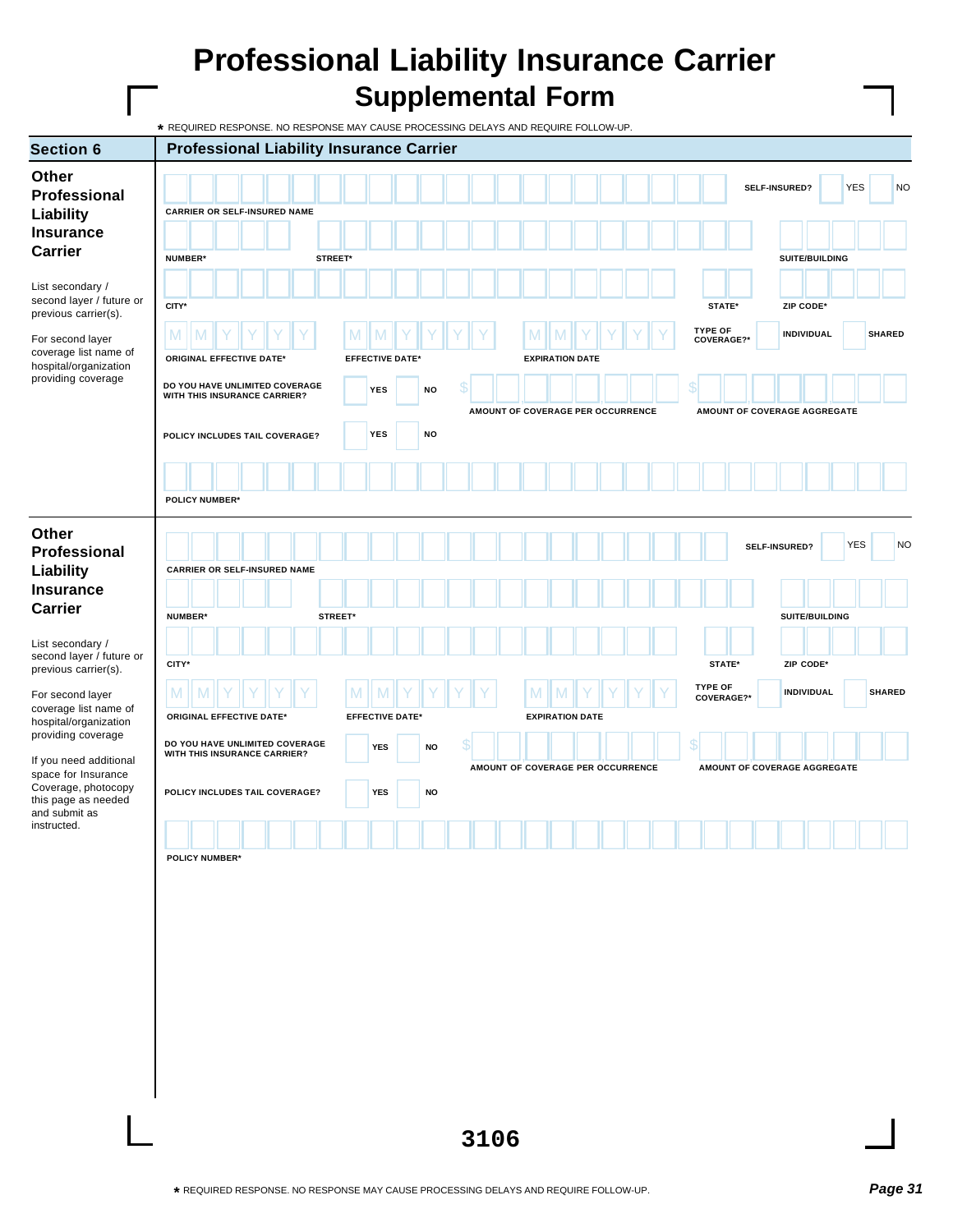## **Professional Liability Insurance Carrier Supplemental Form**

|                                                                                    | * REQUIRED RESPONSE. NO RESPONSE MAY CAUSE PROCESSING DELAYS AND REQUIRE FOLLOW-UP. |  |         |         |                             |           |   |  |          |                                   |  |    |                              |                              |           |                   |            |               |
|------------------------------------------------------------------------------------|-------------------------------------------------------------------------------------|--|---------|---------|-----------------------------|-----------|---|--|----------|-----------------------------------|--|----|------------------------------|------------------------------|-----------|-------------------|------------|---------------|
| <b>Section 6</b>                                                                   | <b>Professional Liability Insurance Carrier</b>                                     |  |         |         |                             |           |   |  |          |                                   |  |    |                              |                              |           |                   |            |               |
| <b>Other</b><br>Professional<br>Liability<br><b>Insurance</b>                      | <b>CARRIER OR SELF-INSURED NAME</b>                                                 |  |         |         |                             |           |   |  |          |                                   |  |    |                              | SELF-INSURED?                |           |                   | <b>YES</b> | <b>NO</b>     |
| <b>Carrier</b>                                                                     | NUMBER*                                                                             |  | STREET* |         |                             |           |   |  |          |                                   |  |    |                              |                              |           | SUITE/BUILDING    |            |               |
| List secondary /<br>second layer / future or<br>previous carrier(s).               | CITY*                                                                               |  |         |         |                             |           |   |  |          |                                   |  |    | STATE*<br><b>TYPE OF</b>     |                              | ZIP CODE* |                   |            |               |
| For second layer<br>coverage list name of                                          | M<br><b>ORIGINAL EFFECTIVE DATE*</b>                                                |  |         | M       | <b>EFFECTIVE DATE*</b>      |           |   |  | <b>M</b> | <b>EXPIRATION DATE</b>            |  |    | COVERAGE?*                   |                              |           | <b>INDIVIDUAL</b> |            | <b>SHARED</b> |
| hospital/organization<br>providing coverage                                        | DO YOU HAVE UNLIMITED COVERAGE<br>WITH THIS INSURANCE CARRIER?                      |  |         |         | <b>YES</b>                  | <b>NO</b> | S |  |          |                                   |  |    |                              |                              |           |                   |            |               |
|                                                                                    | POLICY INCLUDES TAIL COVERAGE?                                                      |  |         |         | <b>YES</b>                  | NO        |   |  |          | AMOUNT OF COVERAGE PER OCCURRENCE |  |    |                              | AMOUNT OF COVERAGE AGGREGATE |           |                   |            |               |
|                                                                                    | <b>POLICY NUMBER*</b>                                                               |  |         |         |                             |           |   |  |          |                                   |  |    |                              |                              |           |                   |            |               |
| Other<br>Professional<br>Liability                                                 | <b>CARRIER OR SELF-INSURED NAME</b>                                                 |  |         |         |                             |           |   |  |          |                                   |  |    |                              | SELF-INSURED?                |           |                   | <b>YES</b> | <b>NO</b>     |
| <b>Insurance</b><br><b>Carrier</b>                                                 | NUMBER*                                                                             |  |         | STREET* |                             |           |   |  |          |                                   |  |    |                              |                              |           | SUITE/BUILDING    |            |               |
| List secondary /<br>second layer / future or<br>previous carrier(s).               | CITY*                                                                               |  |         |         |                             |           |   |  |          |                                   |  |    | STATE*                       |                              |           | ZIP CODE*         |            |               |
| For second layer<br>coverage list name of                                          | M<br>M<br><b>ORIGINAL EFFECTIVE DATE*</b>                                           |  |         | M       | M<br><b>EFFECTIVE DATE*</b> |           |   |  | M        | <b>EXPIRATION DATE</b>            |  |    | <b>TYPE OF</b><br>COVERAGE?* |                              |           | <b>INDIVIDUAL</b> |            | <b>SHARED</b> |
| hospital/organization<br>providing coverage<br>If you need additional              | DO YOU HAVE UNLIMITED COVERAGE<br>WITH THIS INSURANCE CARRIER?                      |  |         |         | <b>YES</b>                  | <b>NO</b> | S |  |          |                                   |  | \$ |                              |                              |           |                   |            |               |
| space for Insurance<br>Coverage, photocopy<br>this page as needed<br>and submit as | POLICY INCLUDES TAIL COVERAGE?                                                      |  |         |         | <b>YES</b>                  | <b>NO</b> |   |  |          | AMOUNT OF COVERAGE PER OCCURRENCE |  |    |                              | AMOUNT OF COVERAGE AGGREGATE |           |                   |            |               |
| instructed.                                                                        | <b>POLICY NUMBER*</b>                                                               |  |         |         |                             |           |   |  |          |                                   |  |    |                              |                              |           |                   |            |               |
|                                                                                    |                                                                                     |  |         |         |                             |           |   |  |          |                                   |  |    |                              |                              |           |                   |            |               |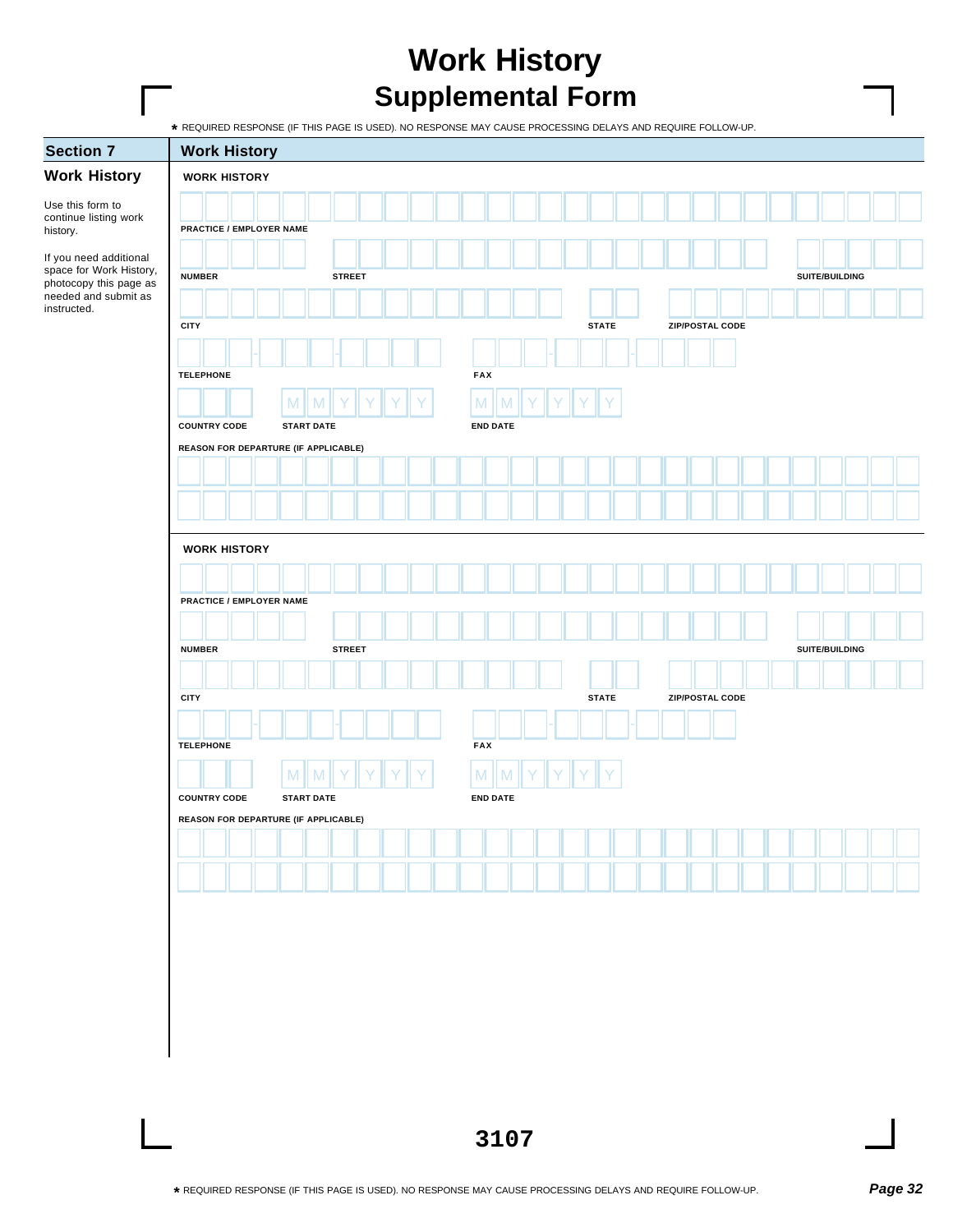## **Work History Supplemental Form**

|  | REQUIRED RESPONSE (IF THIS PAGE IS USED). NO RESPONSE MAY CAUSE PROCESSING DELAYS AND REQUIRE FOLLOW-UP. |
|--|----------------------------------------------------------------------------------------------------------|
|  |                                                                                                          |

|                                                   | * REQUIRED RESPONSE (IF THIS PAGE IS USED). NO RESPONSE MAY CAUSE PROCESSING DELAYS AND REQUIRE FOLLOW-UP. |   |                   |               |  |  |            |                 |  |              |  |                 |  |  |                |  |  |
|---------------------------------------------------|------------------------------------------------------------------------------------------------------------|---|-------------------|---------------|--|--|------------|-----------------|--|--------------|--|-----------------|--|--|----------------|--|--|
| <b>Section 7</b>                                  | <b>Work History</b>                                                                                        |   |                   |               |  |  |            |                 |  |              |  |                 |  |  |                |  |  |
| <b>Work History</b>                               | <b>WORK HISTORY</b>                                                                                        |   |                   |               |  |  |            |                 |  |              |  |                 |  |  |                |  |  |
| Use this form to                                  |                                                                                                            |   |                   |               |  |  |            |                 |  |              |  |                 |  |  |                |  |  |
| continue listing work<br>history.                 | PRACTICE / EMPLOYER NAME                                                                                   |   |                   |               |  |  |            |                 |  |              |  |                 |  |  |                |  |  |
| If you need additional                            |                                                                                                            |   |                   |               |  |  |            |                 |  |              |  |                 |  |  |                |  |  |
| space for Work History,<br>photocopy this page as | <b>NUMBER</b>                                                                                              |   |                   | <b>STREET</b> |  |  |            |                 |  |              |  |                 |  |  | SUITE/BUILDING |  |  |
| needed and submit as<br>instructed.               |                                                                                                            |   |                   |               |  |  |            |                 |  |              |  |                 |  |  |                |  |  |
|                                                   | <b>CITY</b>                                                                                                |   |                   |               |  |  |            |                 |  | <b>STATE</b> |  | ZIP/POSTAL CODE |  |  |                |  |  |
|                                                   |                                                                                                            |   |                   |               |  |  |            |                 |  |              |  |                 |  |  |                |  |  |
|                                                   | <b>TELEPHONE</b>                                                                                           |   |                   |               |  |  | FAX        |                 |  |              |  |                 |  |  |                |  |  |
|                                                   |                                                                                                            | M | M                 |               |  |  | M          |                 |  |              |  |                 |  |  |                |  |  |
|                                                   | <b>COUNTRY CODE</b>                                                                                        |   | <b>START DATE</b> |               |  |  |            | <b>END DATE</b> |  |              |  |                 |  |  |                |  |  |
|                                                   | REASON FOR DEPARTURE (IF APPLICABLE)                                                                       |   |                   |               |  |  |            |                 |  |              |  |                 |  |  |                |  |  |
|                                                   |                                                                                                            |   |                   |               |  |  |            |                 |  |              |  |                 |  |  |                |  |  |
|                                                   |                                                                                                            |   |                   |               |  |  |            |                 |  |              |  |                 |  |  |                |  |  |
|                                                   |                                                                                                            |   |                   |               |  |  |            |                 |  |              |  |                 |  |  |                |  |  |
|                                                   | <b>WORK HISTORY</b>                                                                                        |   |                   |               |  |  |            |                 |  |              |  |                 |  |  |                |  |  |
|                                                   |                                                                                                            |   |                   |               |  |  |            |                 |  |              |  |                 |  |  |                |  |  |
|                                                   | PRACTICE / EMPLOYER NAME                                                                                   |   |                   |               |  |  |            |                 |  |              |  |                 |  |  |                |  |  |
|                                                   |                                                                                                            |   |                   |               |  |  |            |                 |  |              |  |                 |  |  |                |  |  |
|                                                   | <b>NUMBER</b>                                                                                              |   |                   | <b>STREET</b> |  |  |            |                 |  |              |  |                 |  |  | SUITE/BUILDING |  |  |
|                                                   |                                                                                                            |   |                   |               |  |  |            |                 |  |              |  |                 |  |  |                |  |  |
|                                                   | <b>CITY</b>                                                                                                |   |                   |               |  |  |            |                 |  | <b>STATE</b> |  | ZIP/POSTAL CODE |  |  |                |  |  |
|                                                   |                                                                                                            |   |                   |               |  |  |            |                 |  |              |  |                 |  |  |                |  |  |
|                                                   | <b>TELEPHONE</b>                                                                                           |   |                   |               |  |  | <b>FAX</b> |                 |  |              |  |                 |  |  |                |  |  |
|                                                   |                                                                                                            |   |                   |               |  |  |            |                 |  |              |  |                 |  |  |                |  |  |
|                                                   |                                                                                                            | M |                   |               |  |  | M          |                 |  |              |  |                 |  |  |                |  |  |
|                                                   | <b>COUNTRY CODE</b><br>REASON FOR DEPARTURE (IF APPLICABLE)                                                |   | <b>START DATE</b> |               |  |  |            | <b>END DATE</b> |  |              |  |                 |  |  |                |  |  |
|                                                   |                                                                                                            |   |                   |               |  |  |            |                 |  |              |  |                 |  |  |                |  |  |
|                                                   |                                                                                                            |   |                   |               |  |  |            |                 |  |              |  |                 |  |  |                |  |  |
|                                                   |                                                                                                            |   |                   |               |  |  |            |                 |  |              |  |                 |  |  |                |  |  |
|                                                   |                                                                                                            |   |                   |               |  |  |            |                 |  |              |  |                 |  |  |                |  |  |
|                                                   |                                                                                                            |   |                   |               |  |  |            |                 |  |              |  |                 |  |  |                |  |  |
|                                                   |                                                                                                            |   |                   |               |  |  |            |                 |  |              |  |                 |  |  |                |  |  |
|                                                   |                                                                                                            |   |                   |               |  |  |            |                 |  |              |  |                 |  |  |                |  |  |
|                                                   |                                                                                                            |   |                   |               |  |  |            |                 |  |              |  |                 |  |  |                |  |  |
|                                                   |                                                                                                            |   |                   |               |  |  |            |                 |  |              |  |                 |  |  |                |  |  |
|                                                   |                                                                                                            |   |                   |               |  |  |            |                 |  |              |  |                 |  |  |                |  |  |
|                                                   |                                                                                                            |   |                   |               |  |  |            |                 |  |              |  |                 |  |  |                |  |  |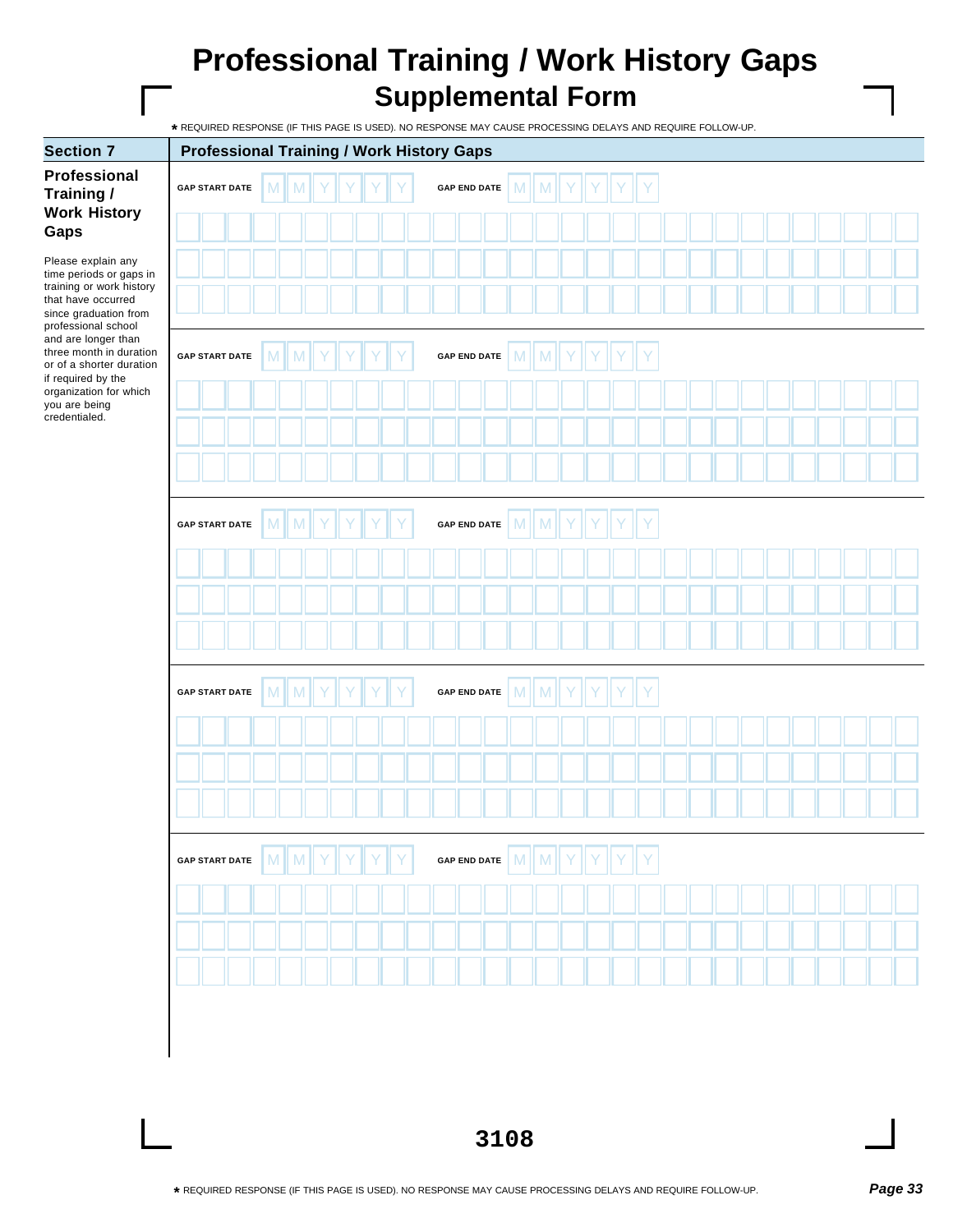## **Professional Training / Work History Gaps Supplemental Form**

**\*** REQUIRED RESPONSE (IF THIS PAGE IS USED). NO RESPONSE MAY CAUSE PROCESSING DELAYS AND REQUIRE FOLLOW-UP.

| <b>Section 7</b>                                                                                                        | <b>Professional Training / Work History Gaps</b> |  |   |   |  |  |  |                     |   |   |  |  |  |  |  |  |  |
|-------------------------------------------------------------------------------------------------------------------------|--------------------------------------------------|--|---|---|--|--|--|---------------------|---|---|--|--|--|--|--|--|--|
| Professional<br>Training /                                                                                              | <b>GAP START DATE</b>                            |  | M | M |  |  |  | <b>GAP END DATE</b> | M | M |  |  |  |  |  |  |  |
| <b>Work History</b><br>Gaps                                                                                             |                                                  |  |   |   |  |  |  |                     |   |   |  |  |  |  |  |  |  |
| Please explain any<br>time periods or gaps in                                                                           |                                                  |  |   |   |  |  |  |                     |   |   |  |  |  |  |  |  |  |
| training or work history<br>that have occurred<br>since graduation from                                                 |                                                  |  |   |   |  |  |  |                     |   |   |  |  |  |  |  |  |  |
| professional school<br>and are longer than<br>three month in duration<br>or of a shorter duration<br>if required by the | <b>GAP START DATE</b>                            |  | M | M |  |  |  | <b>GAP END DATE</b> | M | M |  |  |  |  |  |  |  |
| organization for which<br>you are being<br>credentialed.                                                                |                                                  |  |   |   |  |  |  |                     |   |   |  |  |  |  |  |  |  |
|                                                                                                                         |                                                  |  |   |   |  |  |  |                     |   |   |  |  |  |  |  |  |  |
|                                                                                                                         |                                                  |  |   |   |  |  |  |                     |   |   |  |  |  |  |  |  |  |
|                                                                                                                         | <b>GAP START DATE</b>                            |  | M | M |  |  |  | <b>GAP END DATE</b> | M | M |  |  |  |  |  |  |  |
|                                                                                                                         |                                                  |  |   |   |  |  |  |                     |   |   |  |  |  |  |  |  |  |
|                                                                                                                         |                                                  |  |   |   |  |  |  |                     |   |   |  |  |  |  |  |  |  |
|                                                                                                                         |                                                  |  |   |   |  |  |  |                     |   |   |  |  |  |  |  |  |  |
|                                                                                                                         | <b>GAP START DATE</b>                            |  | M | M |  |  |  | <b>GAP END DATE</b> | M | M |  |  |  |  |  |  |  |
|                                                                                                                         |                                                  |  |   |   |  |  |  |                     |   |   |  |  |  |  |  |  |  |
|                                                                                                                         |                                                  |  |   |   |  |  |  |                     |   |   |  |  |  |  |  |  |  |
|                                                                                                                         |                                                  |  |   |   |  |  |  |                     |   |   |  |  |  |  |  |  |  |
|                                                                                                                         | <b>GAP START DATE</b>                            |  | M |   |  |  |  | <b>GAP END DATE</b> | M | M |  |  |  |  |  |  |  |
|                                                                                                                         |                                                  |  |   |   |  |  |  |                     |   |   |  |  |  |  |  |  |  |
|                                                                                                                         |                                                  |  |   |   |  |  |  |                     |   |   |  |  |  |  |  |  |  |
|                                                                                                                         |                                                  |  |   |   |  |  |  |                     |   |   |  |  |  |  |  |  |  |
|                                                                                                                         |                                                  |  |   |   |  |  |  |                     |   |   |  |  |  |  |  |  |  |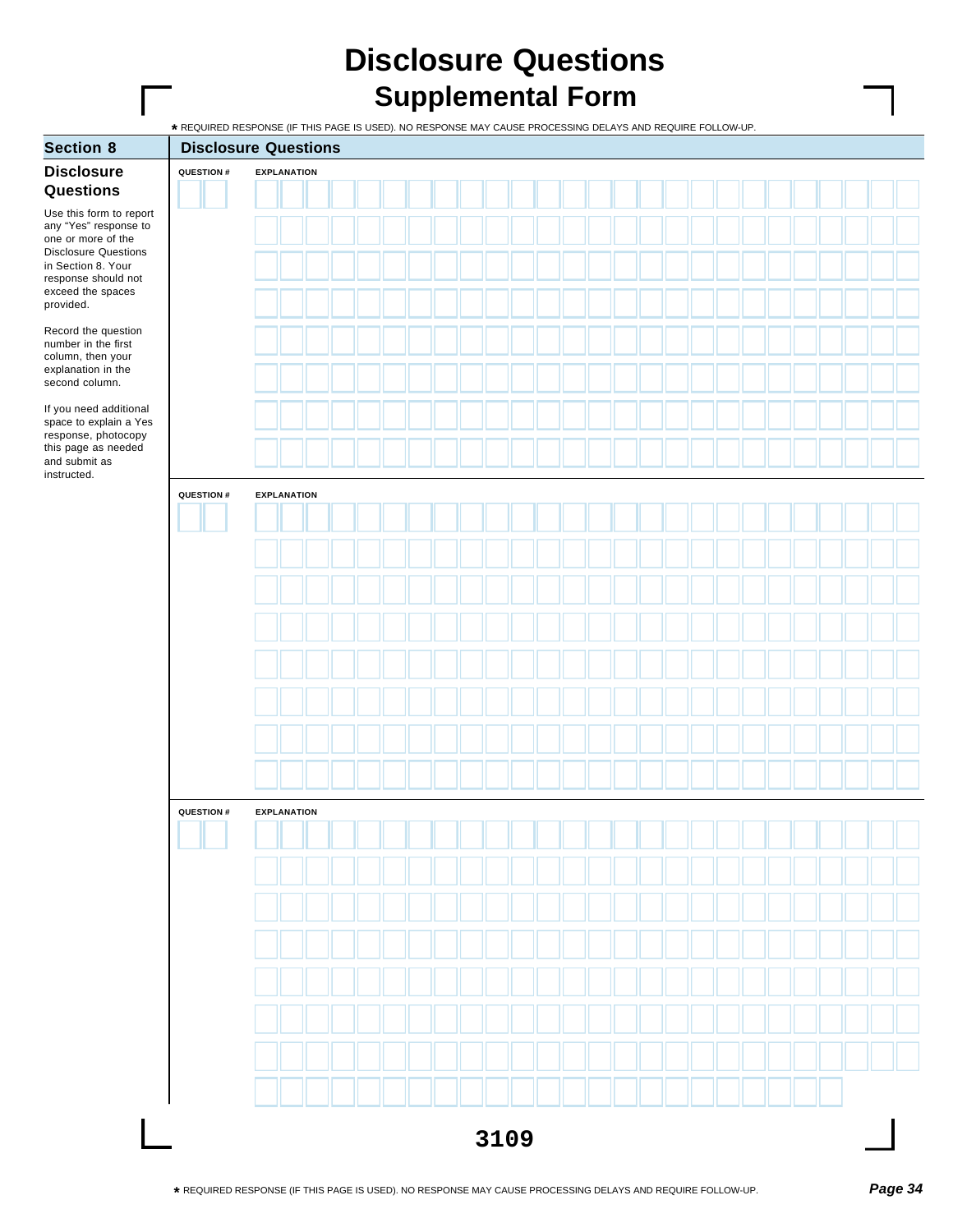## **Disclosure Questions Supplemental Form**

| <b>Section 8</b>                                                         |                  | <b>Disclosure Questions</b> |  |  |  |  |  |  |  |  |  |  |  |
|--------------------------------------------------------------------------|------------------|-----------------------------|--|--|--|--|--|--|--|--|--|--|--|
| <b>Disclosure</b>                                                        | QUESTION #       | <b>EXPLANATION</b>          |  |  |  |  |  |  |  |  |  |  |  |
| Questions                                                                |                  |                             |  |  |  |  |  |  |  |  |  |  |  |
| Use this form to report<br>any "Yes" response to<br>one or more of the   |                  |                             |  |  |  |  |  |  |  |  |  |  |  |
| <b>Disclosure Questions</b><br>in Section 8. Your<br>response should not |                  |                             |  |  |  |  |  |  |  |  |  |  |  |
| exceed the spaces<br>provided.                                           |                  |                             |  |  |  |  |  |  |  |  |  |  |  |
| Record the question<br>number in the first                               |                  |                             |  |  |  |  |  |  |  |  |  |  |  |
| column, then your<br>explanation in the<br>second column.                |                  |                             |  |  |  |  |  |  |  |  |  |  |  |
| If you need additional<br>space to explain a Yes                         |                  |                             |  |  |  |  |  |  |  |  |  |  |  |
| response, photocopy<br>this page as needed<br>and submit as              |                  |                             |  |  |  |  |  |  |  |  |  |  |  |
| instructed.                                                              |                  |                             |  |  |  |  |  |  |  |  |  |  |  |
|                                                                          | QUESTION #       | <b>EXPLANATION</b>          |  |  |  |  |  |  |  |  |  |  |  |
|                                                                          |                  |                             |  |  |  |  |  |  |  |  |  |  |  |
|                                                                          |                  |                             |  |  |  |  |  |  |  |  |  |  |  |
|                                                                          |                  |                             |  |  |  |  |  |  |  |  |  |  |  |
|                                                                          |                  |                             |  |  |  |  |  |  |  |  |  |  |  |
|                                                                          |                  |                             |  |  |  |  |  |  |  |  |  |  |  |
|                                                                          |                  |                             |  |  |  |  |  |  |  |  |  |  |  |
|                                                                          |                  |                             |  |  |  |  |  |  |  |  |  |  |  |
|                                                                          |                  |                             |  |  |  |  |  |  |  |  |  |  |  |
|                                                                          | <b>QUESTION#</b> | <b>EXPLANATION</b>          |  |  |  |  |  |  |  |  |  |  |  |
|                                                                          |                  |                             |  |  |  |  |  |  |  |  |  |  |  |
|                                                                          |                  |                             |  |  |  |  |  |  |  |  |  |  |  |
|                                                                          |                  |                             |  |  |  |  |  |  |  |  |  |  |  |
|                                                                          |                  |                             |  |  |  |  |  |  |  |  |  |  |  |
|                                                                          |                  |                             |  |  |  |  |  |  |  |  |  |  |  |
|                                                                          |                  |                             |  |  |  |  |  |  |  |  |  |  |  |
|                                                                          |                  |                             |  |  |  |  |  |  |  |  |  |  |  |
|                                                                          |                  |                             |  |  |  |  |  |  |  |  |  |  |  |
|                                                                          |                  | 3109                        |  |  |  |  |  |  |  |  |  |  |  |
|                                                                          |                  |                             |  |  |  |  |  |  |  |  |  |  |  |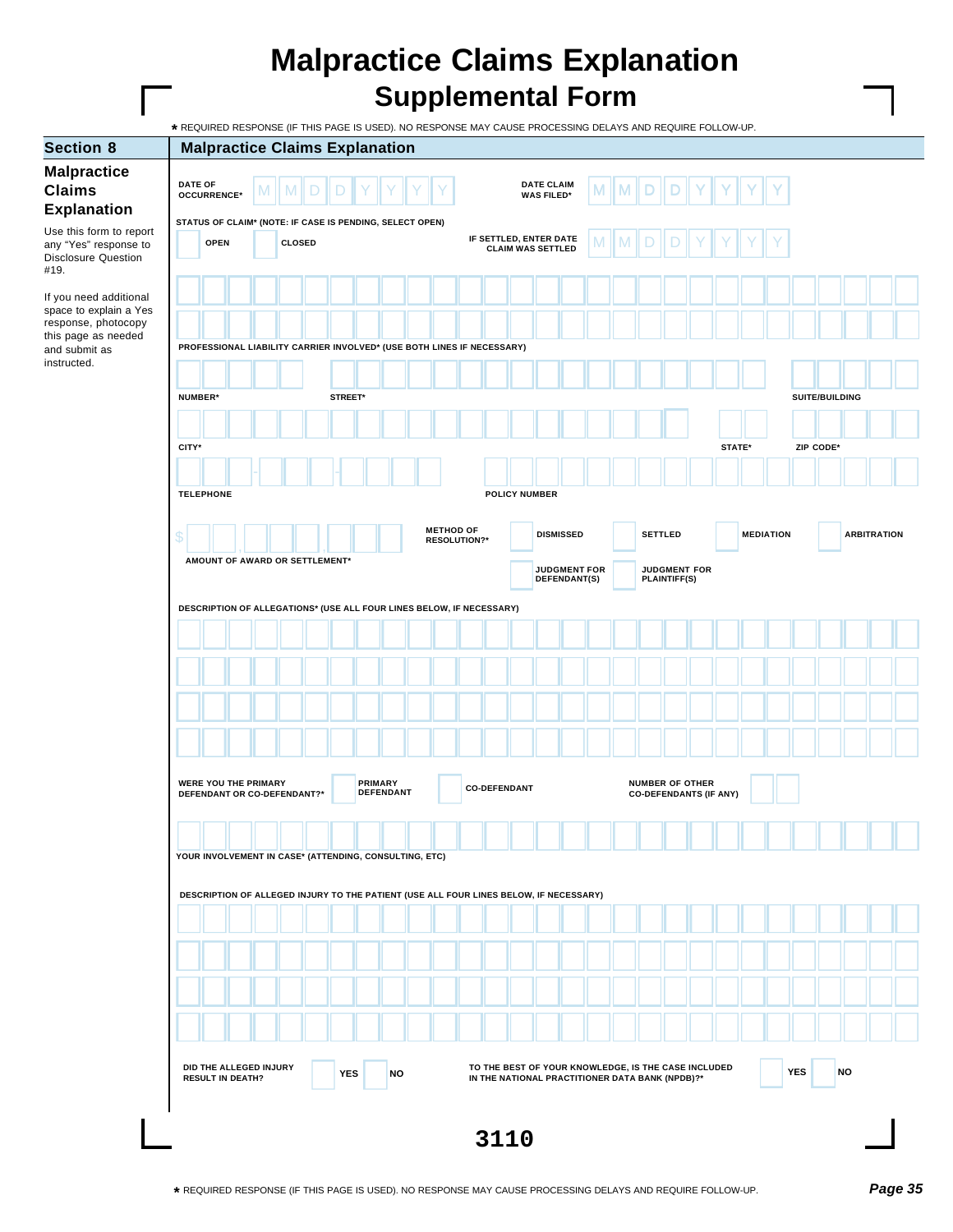## **Malpractice Claims Explanation Supplemental Form**

**3110 Section 8 Malpractice Claims Explanation Malpractice Claims Explanation** Use this form to report any "Yes" response to Disclosure Question #19. If you need additional space to explain a Yes response, photocopy this page as needed and submit as instructed. **STATUS OF CLAIM\* (NOTE: IF CASE IS PENDING, SELECT OPEN) DESCRIPTION OF ALLEGATIONS\* (USE ALL FOUR LINES BELOW, IF NECESSARY) PROFESSIONAL LIABILITY CARRIER INVOLVED\* (USE BOTH LINES IF NECESSARY) NUMBER\* STREET\* SUITE/BUILDING TELEPHONE** - - **POLICY NUMBER** M || M || D || D || Y || Y || Y || Y DATE OF  $\begin{array}{|c|c|c|c|c|c|}\n\hline\n\text{DCTR} & \text{DCT} & \text{DCT} & \text{DCT} & \text{DCT} & \text{DCT} & \text{DCT} & \text{DCT} & \text{DCT} & \text{DCT} & \text{DCT} & \text{DCT} & \text{DCT} & \text{DCT} & \text{DCT} & \text{DCT} & \text{DCT} & \text{DCT} & \text{DCT} & \text{DCT} & \text{DCT} & \text{DCT} & \text{DCT} & \text{DCT} & \text{DCT} & \text{DCT} & \text{DCT}$ **DATE CLAIM WAS FILED\*** M || M || D || D || Y || Y || Y || Y M || M || D || D || Y || Y || Y || Y **IF SETTLED, ENTER DATE CLAIM WAS SETTLED** , , **AMOUNT OF AWARD OR SETTLEMENT METHOD OF RESOLUTION?\*** DISMISSED SETTLED MEDIATION **OPEN CLOSED JUDGMENT FOR PLAINTIFF(S) ARBITRATION JUDGMENT FOR DEFENDANT(S) WERE YOU THE PRIMARY DEFENDANT OR CO-DEFENDANT?\* PRIMARY DEFENDANT CO-DEFENDANT NUMBER OF OTHER CO-DEFENDANTS (IF ANY) YOUR INVOLVEMENT IN CASE\* (ATTENDING, CONSULTING, ETC) TO THE BEST OF YOUR KNOWLEDGE, IS THE CASE INCLUDED IN THE ALLEGED INJURY THE SECOND OF THE BEST OF YOUR KNOWLEDGE, IS THE CASE INCLUDED YES NO<br>RESULT IN DEATH? THE RATIONAL PRACTITIONER DATA BANK (NPDB)?\* THE RATIONAL PRACTITIONER DATA BANK (NPDB)?\* THE RATIONAL PRACTITIO RESULT IN DEATH? DESCRIPTION OF ALLEGED INJURY TO THE PATIENT (USE ALL FOUR LINES BELOW, IF NECESSARY) YES NO CITY\* STATE\* ZIP CODE\* \*** REQUIRED RESPONSE (IF THIS PAGE IS USED). NO RESPONSE MAY CAUSE PROCESSING DELAYS AND REQUIRE FOLLOW-UP.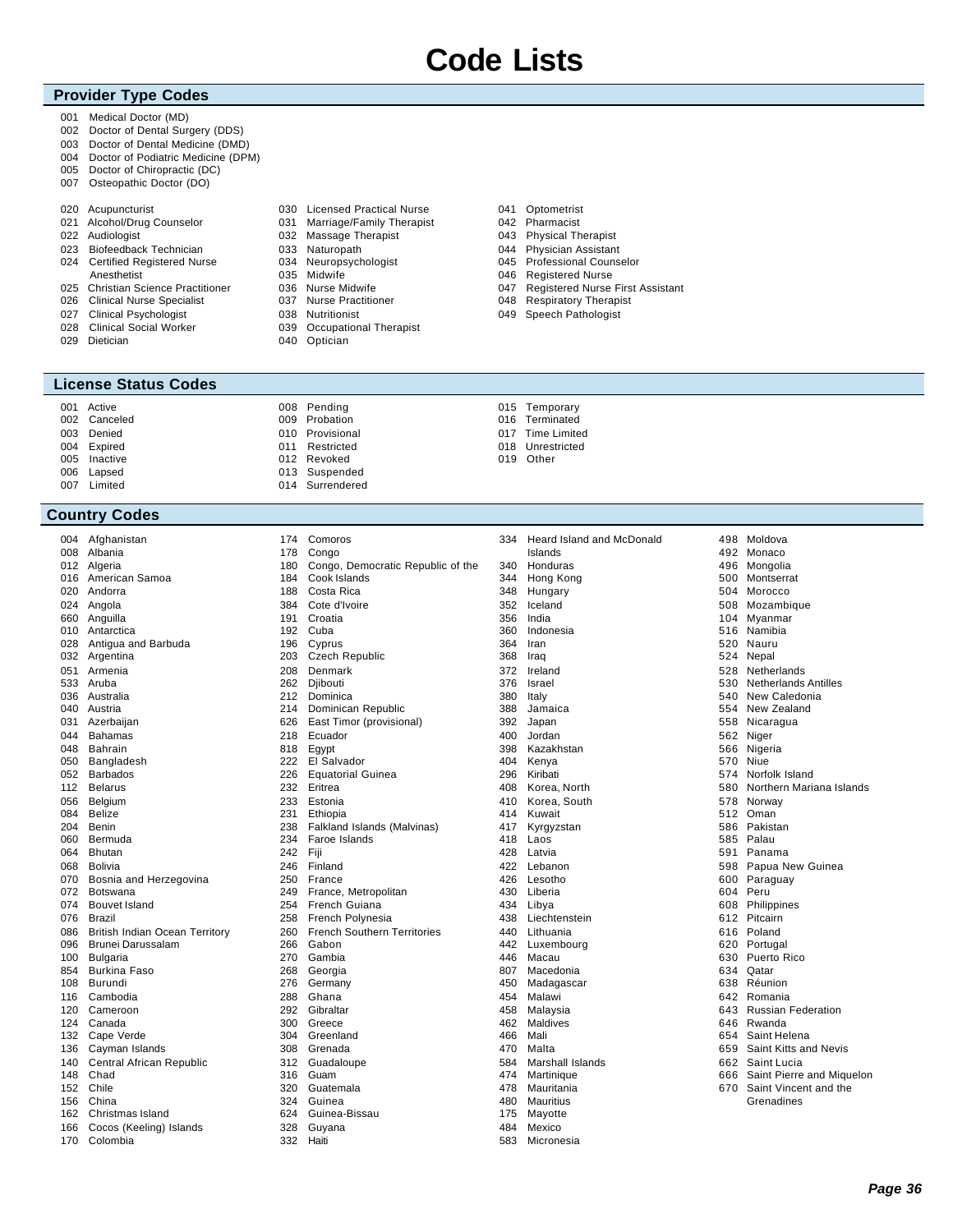### **Provider Type Codes**

- 001 Medical Doctor (MD)
- 002 Doctor of Dental Surgery (DDS)
- 003 Doctor of Dental Medicine (DMD)
- 004 Doctor of Podiatric Medicine (DPM)
- 005 Doctor of Chiropractic (DC)
- 007 Osteopathic Doctor (DO)

|     | 020 Acupuncturist                  |  |
|-----|------------------------------------|--|
|     | 021 Alcohol/Drug Counselor         |  |
|     | 022 Audiologist                    |  |
| 023 | Biofeedback Technician             |  |
|     | 024 Certified Registered Nurse     |  |
|     | Anesthetist                        |  |
|     | 025 Christian Science Practitioner |  |
|     | 026 Clinical Nurse Specialist      |  |
|     | 027 Clinical Psychologist          |  |
|     | 028 Clinical Social Worker         |  |

029 Dietician

### **License Status Codes**

|     | 001 Active |  |
|-----|------------|--|
| 002 | Canceled   |  |
| 003 | Denied     |  |
| 004 | Expired    |  |
| 005 | Inactive   |  |
| 006 | Lapsed     |  |
| 007 | Limited    |  |

### **Country Codes**

| 004 | Afghanistan                           |
|-----|---------------------------------------|
| 008 | Albania                               |
| 012 | Algeria                               |
| 016 | American Samoa                        |
| 020 | Andorra                               |
| 024 | Angola                                |
| 660 | Anguilla                              |
| 010 | Antarctica                            |
| 028 | Antigua and Barbuda                   |
| 032 | Argentina                             |
| 051 | Armenia                               |
| 533 | Aruba                                 |
|     | 036 Australia                         |
| 040 | Austria                               |
|     | 031 Azerbaijan                        |
| 044 | Bahamas                               |
| 048 | <b>Bahrain</b>                        |
| 050 | Bangladesh                            |
| 052 | <b>Barbados</b>                       |
| 112 | <b>Belarus</b>                        |
| 056 | Belgium                               |
| 084 | <b>Belize</b>                         |
| 204 | Benin                                 |
| 060 | Bermuda                               |
| 064 | Bhutan                                |
| 860 | <b>Bolivia</b>                        |
| 070 | Bosnia and Herzegovina                |
| 072 | Botswana                              |
| 074 | Bouvet Island                         |
| 076 | Brazil                                |
| 086 | <b>British Indian Ocean Territory</b> |
| 096 | <b>Brunei Darussalam</b>              |
| 100 | Bulgaria                              |
| 854 | Burkina Faso                          |
| 108 | Burundi                               |
| 116 | Cambodia                              |
| 120 | Cameroon                              |
| 124 | Canada                                |
| 132 | Cape Verde                            |
| 136 | Cayman Islands                        |
| 140 | Central African Republic              |
| 148 | Chad                                  |
| 152 | Chile                                 |
| 156 | China                                 |
| 162 | Christmas Island                      |
| 166 | Cocos (Keeling) Islands               |
| 170 | Colombia                              |

- 030 Licensed Practical Nurse 031 Marriage/Family Therapist 032 Massage Therapist 033 Naturopath 034 Neuropsychologist 035 Midwife 036 Nurse Midwife 037 Nurse Practitioner 038 Nutritionist
- 039 Occupational Therapist
- 040 Optician

008 Pending 009 Probation 010 Provisional 011 Restricted 012 Revoked 013 Suspended 014 Surrendered

 Comoros Congo

 Ecuador Egypt El Salvador Equatorial Guinea

 Eritrea Estonia Ethiopia

 Gabon Gambia Georgia Germany Ghana Gibraltar Greece Greenland Grenada Guadaloupe Guam Guatemala Guinea Guinea-Bissau Guyana Haiti

 Faroe Islands Fiji Finland France

 France, Metropolitan French Guiana French Polynesia French Southern Territories

Falkland Islands (Malvinas)

 Cook Islands Costa Rica Cote d'Ivoire Croatia Cuba Cyprus Czech Republic Denmark 262 Diibouti Dominica Dominican Republic East Timor (provisional)

Congo, Democratic Republic of the

- 041 Optometrist 042 Pharmacist
	- 043 Physical Therapist
	- 044 Physician Assistant 045 Professional Counselor
	- 046 Registered Nurse
	- 047 Registered Nurse First Assistant
	- 048 Respiratory Therapist
	- 049 Speech Pathologist
	- 015 Temporary 016 Terminated
		- 017 Time Limited
		- 018 Unrestricted
	- 019 Other

| 334 | Heard Island and McDonald<br>Islands |
|-----|--------------------------------------|
| 340 | Honduras                             |
| 344 | Hong Kong                            |
|     | 348 Hungary                          |
| 352 | Iceland                              |
| 356 |                                      |
| 360 | India<br>Indonesia                   |
| 364 | Iran                                 |
|     |                                      |
| 372 | 368 Iraq<br>Ireland                  |
| 376 | Israel                               |
| 380 | Italy                                |
| 388 | Jamaica                              |
| 392 | Japan                                |
| 400 | Jordan                               |
| 398 | Kazakhstan                           |
| 404 | Kenya                                |
|     | 296 Kiribati                         |
|     | 408 Korea, North                     |
| 410 | Korea, South                         |
|     | 414 Kuwait                           |
| 417 | Kyrgyzstan                           |
| 418 | Laos                                 |
| 428 | Latvia                               |
| 422 | Lebanon                              |
|     | 426 Lesotho                          |
| 430 | Liberia                              |
|     | 434 Libya                            |
| 438 | Liechtenstein                        |
| 440 | Lithuania                            |
|     | 442 Luxembourg                       |
| 446 | Macau                                |
|     | 807 Macedonia                        |
| 450 | Madagascar                           |
| 454 | Malawi                               |
|     | 458 Malaysia                         |
| 462 | Maldives                             |
| 466 | Mali                                 |
| 470 | Malta                                |
| 584 | <b>Marshall Islands</b>              |
|     | 474 Martinique                       |
| 478 | Mauritania                           |
| 480 | Mauritius                            |
| 175 | Mayotte                              |
|     | 484 Mexico                           |
| 583 | Micronesia                           |

| 498 | Moldova                     |
|-----|-----------------------------|
| 492 | Monaco                      |
| 496 | Mongolia                    |
| 500 | Montserrat                  |
| 504 | Morocco                     |
| 508 | Mozambique                  |
| 104 | Myanmar                     |
| 516 | Namibia                     |
| 520 | Nauru                       |
| 524 | Nepal                       |
| 528 | Netherlands                 |
| 530 | <b>Netherlands Antilles</b> |
| 540 | New Caledonia               |
| 554 | New Zealand                 |
| 558 | Nicaragua                   |
| 562 | Niger                       |
| 566 | Nigeria                     |
| 570 | Niue                        |
| 574 | Norfolk Island              |
| 580 | Northern Mariana Islands    |
| 578 | Norway                      |
| 512 | Oman                        |
| 586 | Pakistan                    |
| 585 | Palau                       |
| 591 | Panama                      |
| 598 | Papua New Guinea            |
| 600 | Paraguay                    |
| 604 | Peru                        |
| 608 | Philippines                 |
| 612 | Pitcairn                    |
| 616 | Poland                      |
|     | 620 Portugal                |
| 630 | Puerto Rico                 |
| 634 | Qatar                       |
| 638 | Réunion                     |
| 642 | Romania                     |
| 643 | <b>Russian Federation</b>   |
|     | 646 Rwanda                  |
| 654 | Saint Helena                |
| 659 | Saint Kitts and Nevis       |
| 662 | Saint Lucia                 |
| 666 | Saint Pierre and Miquelon   |
| 670 | Saint Vincent and the       |
|     | Grenadines                  |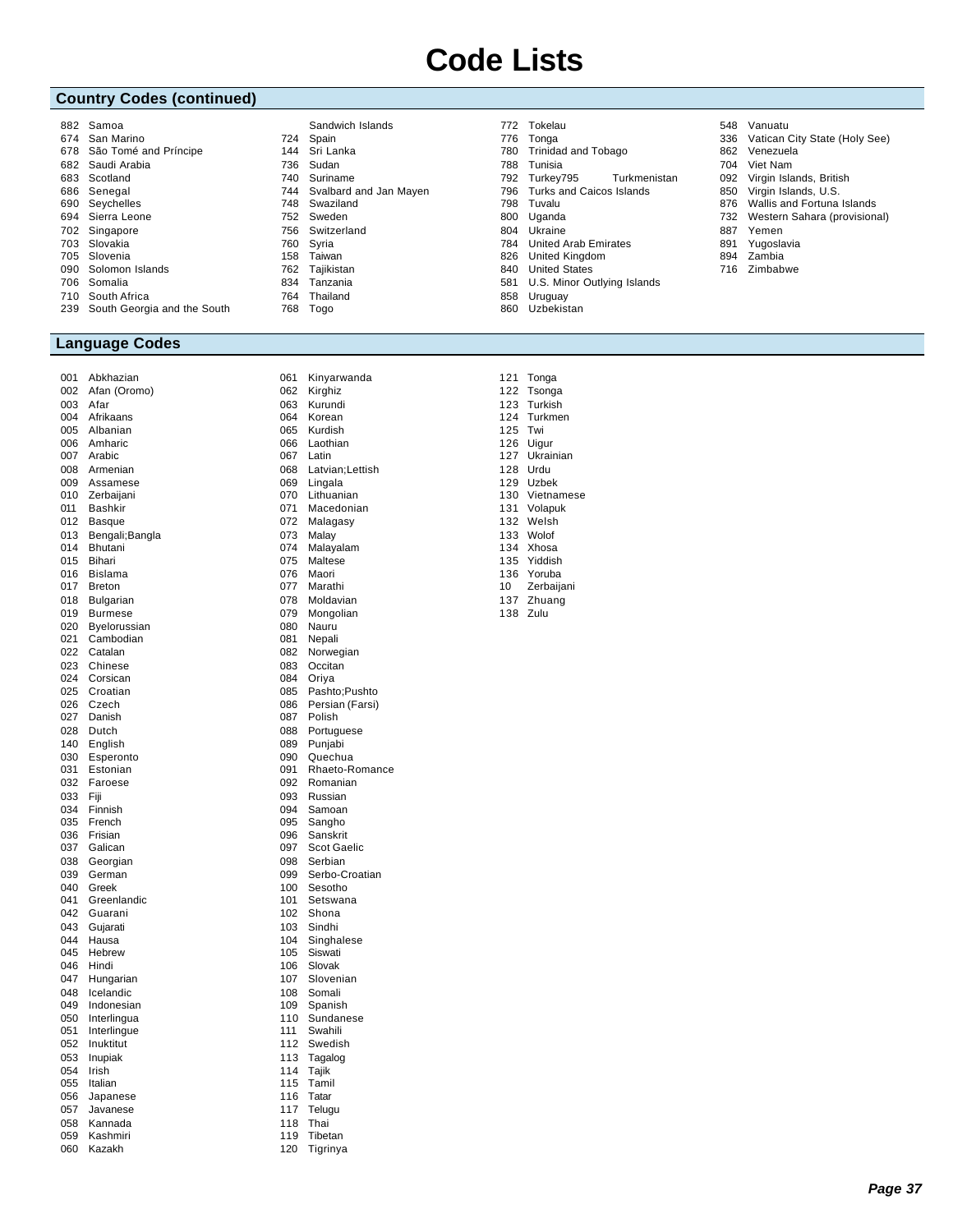### **Country Codes (continued)**

| 882 | Samoa                       |     | Sandwich Islands       |
|-----|-----------------------------|-----|------------------------|
| 674 | San Marino                  | 724 | Spain                  |
| 678 | São Tomé and Príncipe       | 144 | Sri Lanka              |
|     | 682 Saudi Arabia            | 736 | Sudan                  |
| 683 | Scotland                    | 740 | Suriname               |
| 686 | Senegal                     | 744 | Svalbard and Jan Mayen |
| 690 | Seychelles                  | 748 | Swaziland              |
| 694 | Sierra Leone                | 752 | Sweden                 |
|     | 702 Singapore               | 756 | Switzerland            |
| 703 | Slovakia                    | 760 | Syria                  |
| 705 | Slovenia                    | 158 | Taiwan                 |
| 090 | Solomon Islands             | 762 | Tajikistan             |
| 706 | Somalia                     | 834 | Tanzania               |
|     | 710 South Africa            | 764 | Thailand               |
| 239 | South Georgia and the South | 768 | Togo                   |
|     |                             |     |                        |

### **Language Codes**

Abkhazian

| ו שט | <b>AUNIIC</b><br>ι∠ιαι ι |
|------|--------------------------|
| 002  | Afan (Oromo)             |
| 003  | Afar                     |
| 004  | Afrikaans                |
| 005  | Albanian                 |
|      |                          |
| 006  | Amharic                  |
| 007  | Arabic                   |
| 008  | Armenian                 |
| 009  | Assamese                 |
| 010  | Zerbaijani               |
| 011  | Bashkir                  |
|      |                          |
| 012  | <b>Basque</b>            |
| 013  | Bengali; Bangla          |
| 014  | Bhutani                  |
| 015  | Bihari                   |
| 016  | Bislama                  |
| 017  | <b>Breton</b>            |
| 018  | Bulgarian                |
|      |                          |
| 019  | <b>Burmese</b>           |
| 020  | Byelorussian             |
| 021  | Cambodian                |
| 022  | Catalan                  |
| 023  | Chinese                  |
| 024  | Corsican                 |
| 025  | Croatian                 |
| 026  | Czech                    |
|      |                          |
| 027  | Danish                   |
| 028  | Dutch                    |
| 140  | English                  |
| 030  | Esperonto                |
| 031  | Estonian                 |
| 032  | Faroese                  |
| 033  | Fiji                     |
| 034  | Finnish                  |
| 035  | French                   |
|      | Frisian                  |
| 036  |                          |
| 037  | Galican                  |
| 038  | Georgian                 |
| 039  | German                   |
| 040  | Greek                    |
| 041  | Greenlandic              |
| 042  | Guarani                  |
| 043  | Gujarati                 |
| 044  | Hausa                    |
| 045  | Hebrew                   |
|      | Hindi                    |
| 046  |                          |
| 047  | Hungarian                |
| 048  | Icelandic                |
| 049  | Indonesian               |
| 050  | Interlingua              |
| 051  | Interlingue              |
| 052  | Inuktitut                |
| 053  | Inupiak                  |
| 054  | Irish                    |
|      | Italian                  |
| 055  |                          |
| 056  | Japanese                 |
| 057  | Javanese                 |
| 058  | Kannada                  |
| 059  | Kashmiri                 |
|      |                          |

 Kinyarwanda Kirghiz Kurundi Korean 065 Kurdish<br>066 Laothiar Laothian Latin Latvian;Lettish Lingala Lithuanian Macedonian Malagasy 073 Malay<br>074 Malava Malayalam Maltese Maori Marathi Moldavian Mongolian Nauru Nepali 082 Norwegian<br>083 Occitan Occitan 084 Oriya<br>085 Pashto Pashto;Pushto Persian (Farsi) Polish Portuguese Punjabi Quechua Rhaeto-Romance Romanian Russian 094 Samoan<br>095 Sangho Sangho Sanskrit Scot Gaelic Serbian Serbo-Croatian Sesotho Setswana Shona Sindhi 104 Singhalese<br>105 Siswati 105 Siswati<br>106 Slovak Slovak Slovenian Somali 109 Spanish<br>110 Sundane Sundanese Swahili Swedish Tagalog Tajik Tamil Tatar Telugu Thai Tibetan Tigrinya

- Tokelau
- 776 Tonga<br>780 Trinida Trinidad and Tobago
- Tunisia
- Turkey795 Turkmenistan
- Turks and Caicos Islands
- Tuvalu
- Uganda
- Ukraine
- United Arab Emirates
- United Kingdom
- United States
- U.S. Minor Outlying Islands Uruguay
- Uzbekistan

 Tonga Tsonga Vanuatu

- Vatican City State (Holy See)
- Venezuela
- Viet Nam
- Virgin Islands, British
- Virgin Islands, U.S.
- Wallis and Fortuna Islands
- Western Sahara (provisional)
- Yemen
- Yugoslavia
- Zambia
- Zimbabwe

 Turkish Turkmen Twi Uigur Ukrainian Urdu Uzbek Vietnamese Volapuk Welsh Wolof Xhosa Yiddish Yoruba Zerbaijani Zhuang Zulu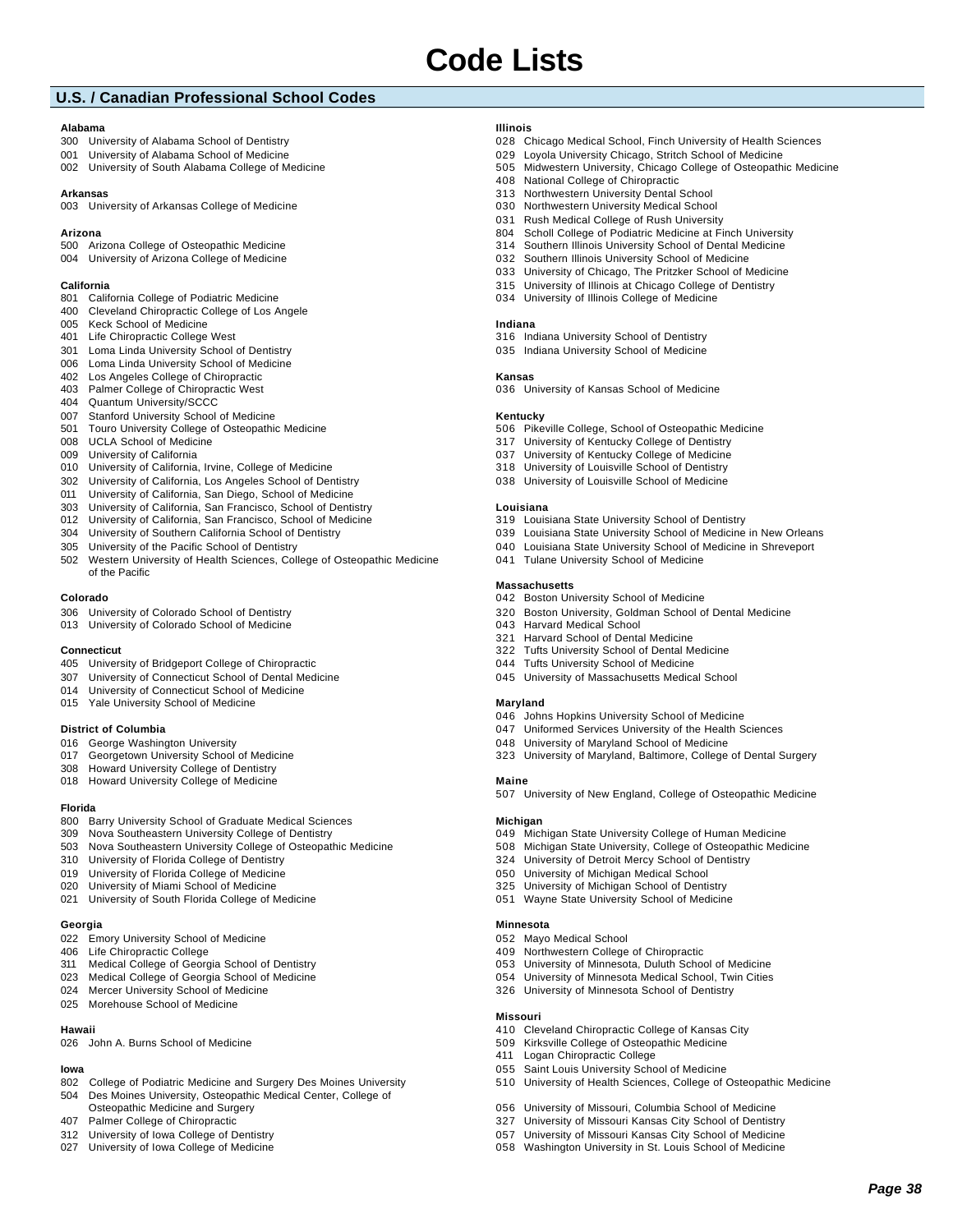### **U.S. / Canadian Professional School Codes**

#### **Alabama**

- University of Alabama School of Dentistry
- University of Alabama School of Medicine
- University of South Alabama College of Medicine

### **Arkansas**

University of Arkansas College of Medicine

#### **Arizona**

- Arizona College of Osteopathic Medicine
- University of Arizona College of Medicine

#### **California**

- California College of Podiatric Medicine Cleveland Chiropractic College of Los Angele
- 
- Keck School of Medicine Life Chiropractic College West
- Loma Linda University School of Dentistry
- Loma Linda University School of Medicine
- Los Angeles College of Chiropractic
- Palmer College of Chiropractic West
- Quantum University/SCCC
- Stanford University School of Medicine
- Touro University College of Osteopathic Medicine
- UCLA School of Medicine
- University of California
- University of California, Irvine, College of Medicine
- University of California, Los Angeles School of Dentistry
- University of California, San Diego, School of Medicine
- University of California, San Francisco, School of Dentistry
- University of California, San Francisco, School of Medicine
- University of Southern California School of Dentistry
- University of the Pacific School of Dentistry
- Western University of Health Sciences, College of Osteopathic Medicine of the Pacific

#### **Colorado**

- University of Colorado School of Dentistry
- University of Colorado School of Medicine

#### **Connecticut**

- University of Bridgeport College of Chiropractic
- University of Connecticut School of Dental Medicine
- University of Connecticut School of Medicine
- Yale University School of Medicine

### **District of Columbia**

- George Washington University
- Georgetown University School of Medicine
- Howard University College of Dentistry
- Howard University College of Medicine

#### **Florida**

- 800 Barry University School of Graduate Medical Sciences
- Nova Southeastern University College of Dentistry
- Nova Southeastern University College of Osteopathic Medicine
- University of Florida College of Dentistry
- University of Florida College of Medicine
- University of Miami School of Medicine
- University of South Florida College of Medicine

#### **Georgia**

- Emory University School of Medicine
- Life Chiropractic College
- Medical College of Georgia School of Dentistry
- Medical College of Georgia School of Medicine
- Mercer University School of Medicine
- Morehouse School of Medicine

### **Hawaii**

John A. Burns School of Medicine

### **Iowa**

- 802 College of Podiatric Medicine and Surgery Des Moines University
- Des Moines University, Osteopathic Medical Center, College of Osteopathic Medicine and Surgery
- Palmer College of Chiropractic
- University of Iowa College of Dentistry
- University of Iowa College of Medicine

### **Illinois**

- Chicago Medical School, Finch University of Health Sciences
- Loyola University Chicago, Stritch School of Medicine
- Midwestern University, Chicago College of Osteopathic Medicine
- National College of Chiropractic
- Northwestern University Dental School
- Northwestern University Medical School
- Rush Medical College of Rush University
- 804 Scholl College of Podiatric Medicine at Finch University
- Southern Illinois University School of Dental Medicine Southern Illinois University School of Medicine
- University of Chicago, The Pritzker School of Medicine
- University of Illinois at Chicago College of Dentistry
- University of Illinois College of Medicine
- 

### **Indiana**

- Indiana University School of Dentistry
- Indiana University School of Medicine

### **Kansas**

University of Kansas School of Medicine

#### **Kentucky**

- Pikeville College, School of Osteopathic Medicine
- University of Kentucky College of Dentistry
- University of Kentucky College of Medicine
- University of Louisville School of Dentistry
- University of Louisville School of Medicine

#### **Louisiana**

- Louisiana State University School of Dentistry
- Louisiana State University School of Medicine in New Orleans
- Louisiana State University School of Medicine in Shreveport

Boston University, Goldman School of Dental Medicine

University of Maryland, Baltimore, College of Dental Surgery

University of New England, College of Osteopathic Medicine

 Michigan State University College of Human Medicine Michigan State University, College of Osteopathic Medicine

 University of Detroit Mercy School of Dentistry University of Michigan Medical School University of Michigan School of Dentistry Wayne State University School of Medicine

 University of Minnesota, Duluth School of Medicine University of Minnesota Medical School, Twin Cities University of Minnesota School of Dentistry

 Cleveland Chiropractic College of Kansas City Kirksville College of Osteopathic Medicine

 University of Missouri, Columbia School of Medicine University of Missouri Kansas City School of Dentistry University of Missouri Kansas City School of Medicine Washington University in St. Louis School of Medicine

University of Health Sciences, College of Osteopathic Medicine

*Page 38*

Saint Louis University School of Medicine

Tulane University School of Medicine

#### **Massachusetts**

**Maryland**

**Maine**

**Michigan**

**Minnesota**

**Missouri**

Mayo Medical School

Logan Chiropractic College

Northwestern College of Chiropractic

Boston University School of Medicine

 Johns Hopkins University School of Medicine 047 Uniformed Services University of the Health Sciences University of Maryland School of Medicine

 Harvard Medical School Harvard School of Dental Medicine Tufts University School of Dental Medicine Tufts University School of Medicine University of Massachusetts Medical School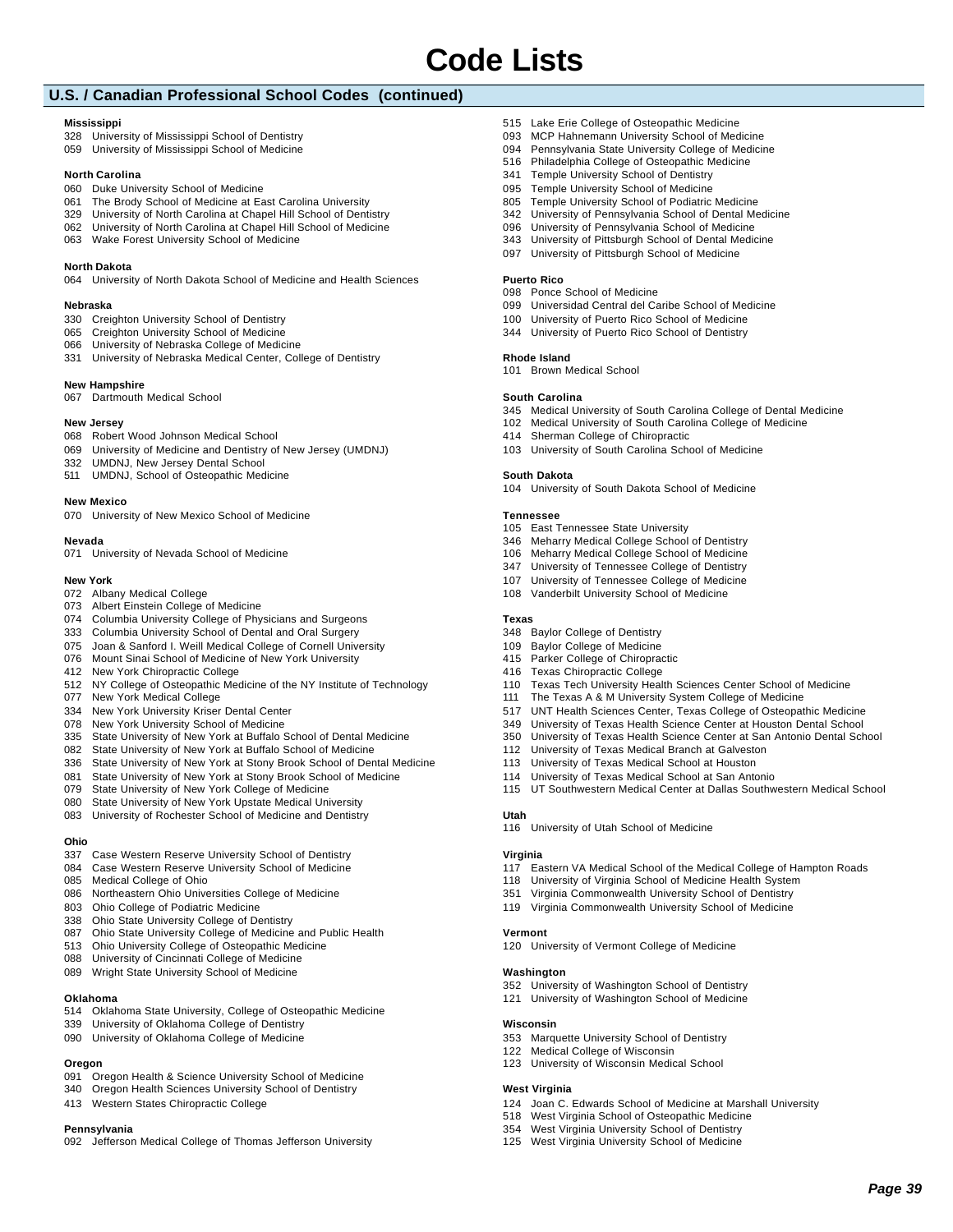### **U.S. / Canadian Professional School Codes (continued)**

### **Mississippi**

 University of Mississippi School of Dentistry University of Mississippi School of Medicine

### **North Carolina**

- Duke University School of Medicine
- The Brody School of Medicine at East Carolina University
- University of North Carolina at Chapel Hill School of Dentistry
- University of North Carolina at Chapel Hill School of Medicine
- Wake Forest University School of Medicine

### **North Dakota**

University of North Dakota School of Medicine and Health Sciences

#### **Nebraska**

- Creighton University School of Dentistry
- Creighton University School of Medicine
- University of Nebraska College of Medicine
- University of Nebraska Medical Center, College of Dentistry

#### **New Hampshire**

Dartmouth Medical School

#### **New Jersey**

- Robert Wood Johnson Medical School
- University of Medicine and Dentistry of New Jersey (UMDNJ)
- UMDNJ, New Jersey Dental School
- UMDNJ, School of Osteopathic Medicine

#### **New Mexico**

University of New Mexico School of Medicine

#### **Nevada**

- 
- University of Nevada School of Medicine

#### **New York**

- Albany Medical College
- Albert Einstein College of Medicine
- Columbia University College of Physicians and Surgeons
- Columbia University School of Dental and Oral Surgery
- Joan & Sanford I. Weill Medical College of Cornell University
- Mount Sinai School of Medicine of New York University
- New York Chiropractic College
- NY College of Osteopathic Medicine of the NY Institute of Technology
- New York Medical College
- New York University Kriser Dental Center
- New York University School of Medicine
- State University of New York at Buffalo School of Dental Medicine
- State University of New York at Buffalo School of Medicine
- State University of New York at Stony Brook School of Dental Medicine
- State University of New York at Stony Brook School of Medicine
- State University of New York College of Medicine
- State University of New York Upstate Medical University
- University of Rochester School of Medicine and Dentistry

#### **Ohio**

- Case Western Reserve University School of Dentistry
- Case Western Reserve University School of Medicine
- Medical College of Ohio
- Northeastern Ohio Universities College of Medicine
- 803 Ohio College of Podiatric Medicine
- Ohio State University College of Dentistry
- Ohio State University College of Medicine and Public Health
- Ohio University College of Osteopathic Medicine
- University of Cincinnati College of Medicine
- Wright State University School of Medicine

### **Oklahoma**

- Oklahoma State University, College of Osteopathic Medicine
- University of Oklahoma College of Dentistry
- University of Oklahoma College of Medicine

### **Oregon**

- Oregon Health & Science University School of Medicine
- Oregon Health Sciences University School of Dentistry
- Western States Chiropractic College

### **Pennsylvania**

Jefferson Medical College of Thomas Jefferson University

- Lake Erie College of Osteopathic Medicine
- MCP Hahnemann University School of Medicine
- Pennsylvania State University College of Medicine
- Philadelphia College of Osteopathic Medicine
- Temple University School of Dentistry
- Temple University School of Medicine 805 Temple University School of Podiatric Medicine
- University of Pennsylvania School of Dental Medicine
- University of Pennsylvania School of Medicine
- University of Pittsburgh School of Dental Medicine
- University of Pittsburgh School of Medicine

#### **Puerto Rico**

- Ponce School of Medicine
- Universidad Central del Caribe School of Medicine
- University of Puerto Rico School of Medicine
- University of Puerto Rico School of Dentistry

#### **Rhode Island**

Brown Medical School

#### **South Carolina**

Medical University of South Carolina College of Dental Medicine

 Texas Tech University Health Sciences Center School of Medicine The Texas A & M University System College of Medicine

 UNT Health Sciences Center, Texas College of Osteopathic Medicine University of Texas Health Science Center at Houston Dental School University of Texas Health Science Center at San Antonio Dental School

UT Southwestern Medical Center at Dallas Southwestern Medical School

Eastern VA Medical School of the Medical College of Hampton Roads

 University of Virginia School of Medicine Health System Virginia Commonwealth University School of Dentistry Virginia Commonwealth University School of Medicine

Joan C. Edwards School of Medicine at Marshall University

*Page 39*

- Medical University of South Carolina College of Medicine
- Sherman College of Chiropractic
- University of South Carolina School of Medicine

#### **South Dakota**

University of South Dakota School of Medicine

#### **Tennessee**

**Texas**

**Utah**

**Virginia**

**Vermont**

**Washington**

**Wisconsin**

**West Virginia**

East Tennessee State University

 Baylor College of Dentistry Baylor College of Medicine Parker College of Chiropractic Texas Chiropractic College

- Meharry Medical College School of Dentistry
- Meharry Medical College School of Medicine
- University of Tennessee College of Dentistry
- University of Tennessee College of Medicine

 University of Texas Medical Branch at Galveston University of Texas Medical School at Houston University of Texas Medical School at San Antonio

University of Utah School of Medicine

University of Vermont College of Medicine

 University of Washington School of Dentistry University of Washington School of Medicine

 West Virginia School of Osteopathic Medicine West Virginia University School of Dentistry West Virginia University School of Medicine

 Marquette University School of Dentistry Medical College of Wisconsin University of Wisconsin Medical School

Vanderbilt University School of Medicine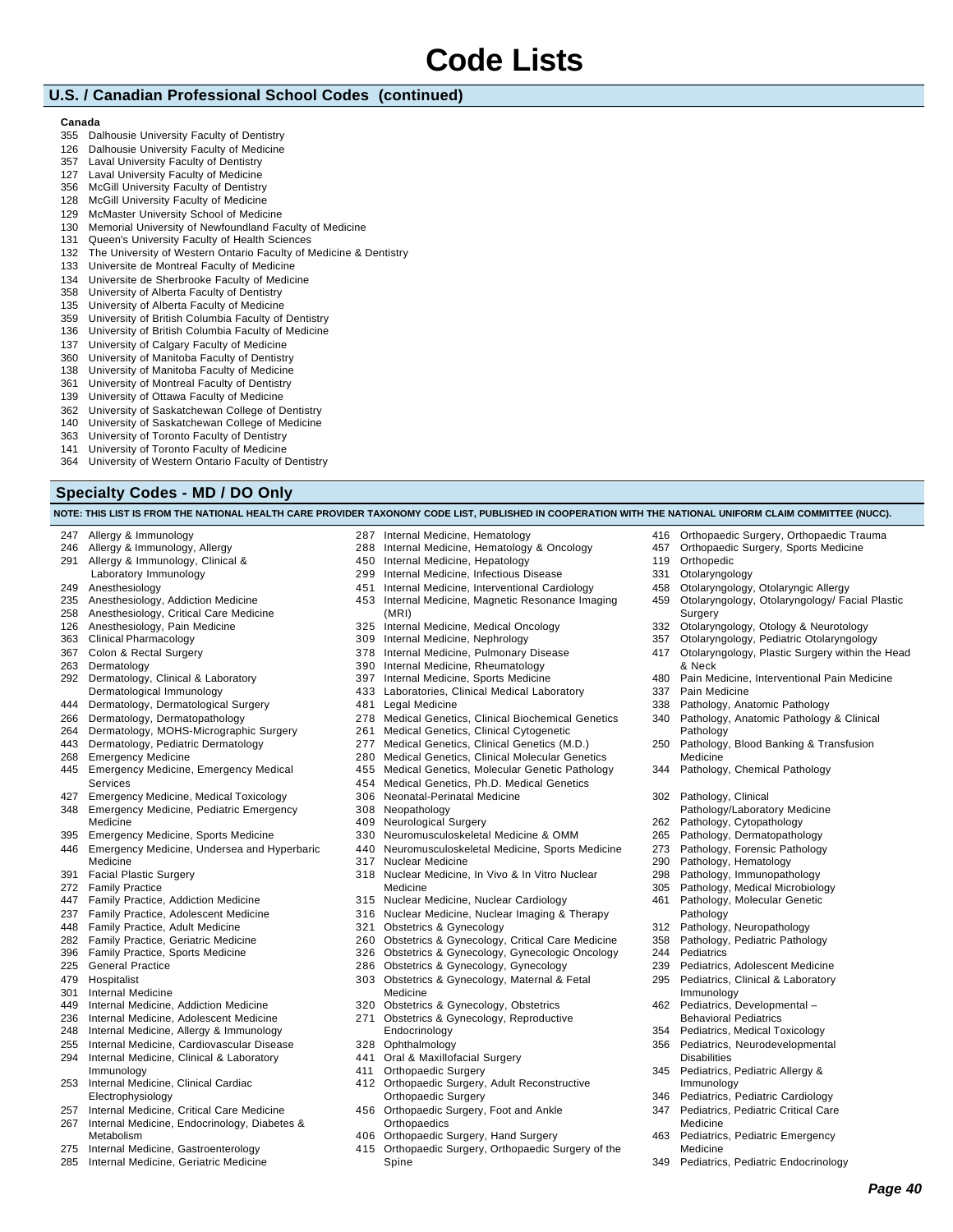### **U.S. / Canadian Professional School Codes (continued)**

#### **Canada**

- Dalhousie University Faculty of Dentistry
- Dalhousie University Faculty of Medicine
- Laval University Faculty of Dentistry
- Laval University Faculty of Medicine
- McGill University Faculty of Dentistry McGill University Faculty of Medicine
- McMaster University School of Medicine
- Memorial University of Newfoundland Faculty of Medicine
- Queen's University Faculty of Health Sciences
- The University of Western Ontario Faculty of Medicine & Dentistry
- Universite de Montreal Faculty of Medicine
- Universite de Sherbrooke Faculty of Medicine
- University of Alberta Faculty of Dentistry
- University of Alberta Faculty of Medicine
- University of British Columbia Faculty of Dentistry
- University of British Columbia Faculty of Medicine
- University of Calgary Faculty of Medicine
- University of Manitoba Faculty of Dentistry
- University of Manitoba Faculty of Medicine
- University of Montreal Faculty of Dentistry
- University of Ottawa Faculty of Medicine
- University of Saskatchewan College of Dentistry
- University of Saskatchewan College of Medicine
- University of Toronto Faculty of Dentistry
- University of Toronto Faculty of Medicine
- University of Western Ontario Faculty of Dentistry

### **Specialty Codes - MD / DO Only**

Allergy & Immunology

|  |  |  | NOTE: THIS LIST IS FROM THE NATIONAL HEALTH CARE PROVIDER TAXONOMY CODE LIST, PUBLISHED IN COOPERATION WITH THE NATIONAL UNIFORM CLAIM COMMITTEE (NUCC). |
|--|--|--|----------------------------------------------------------------------------------------------------------------------------------------------------------|
|  |  |  |                                                                                                                                                          |
|  |  |  |                                                                                                                                                          |

Internal Medicine, Hematology

- Allergy & Immunology, Allergy Allergy & Immunology, Clinical & Laboratory Immunology Anesthesiology Anesthesiology, Addiction Medicine Anesthesiology, Critical Care Medicine Anesthesiology, Pain Medicine Clinical Pharmacology Colon & Rectal Surgery Dermatology Dermatology, Clinical & Laboratory Dermatological Immunology Dermatology, Dermatological Surgery Dermatology, Dermatopathology Dermatology, MOHS-Micrographic Surgery Dermatology, Pediatric Dermatology Emergency Medicine Emergency Medicine, Emergency Medical Services Emergency Medicine, Medical Toxicology Emergency Medicine, Pediatric Emergency Medicine Emergency Medicine, Sports Medicine Emergency Medicine, Undersea and Hyperbaric Medicine Facial Plastic Surgery Family Practice Family Practice, Addiction Medicine Family Practice, Adolescent Medicine Family Practice, Adult Medicine Family Practice, Geriatric Medicine Family Practice, Sports Medicine General Practice Hospitalist Internal Medicine Internal Medicine, Addiction Medicine Internal Medicine, Adolescent Medicine Internal Medicine, Allergy & Immunology Internal Medicine, Cardiovascular Disease Internal Medicine, Clinical & Laboratory Immunology Internal Medicine, Clinical Cardiac Electrophysiology Internal Medicine, Hematology & Oncology Internal Medicine, Hepatology Internal Medicine, Infectious Disease Internal Medicine, Interventional Cardiology Internal Medicine, Magnetic Resonance Imaging (MRI) Internal Medicine, Medical Oncology Internal Medicine, Nephrology Internal Medicine, Pulmonary Disease Internal Medicine, Rheumatology Internal Medicine, Sports Medicine Laboratories, Clinical Medical Laboratory Legal Medicine Medical Genetics, Clinical Biochemical Genetics Medical Genetics, Clinical Cytogenetic Medical Genetics, Clinical Genetics (M.D.) Medical Genetics, Clinical Molecular Genetics Medical Genetics, Molecular Genetic Pathology Medical Genetics, Ph.D. Medical Genetics Neonatal-Perinatal Medicine Neopathology Neurological Surgery Neuromusculoskeletal Medicine & OMM Neuromusculoskeletal Medicine, Sports Medicine Nuclear Medicine Nuclear Medicine, In Vivo & In Vitro Nuclear Medicine Nuclear Medicine, Nuclear Cardiology Nuclear Medicine, Nuclear Imaging & Therapy Obstetrics & Gynecology Obstetrics & Gynecology, Critical Care Medicine Obstetrics & Gynecology, Gynecology Medicine Obstetrics & Gynecology, Obstetrics Obstetrics & Gynecology, Reproductive **Endocrinology**  Ophthalmology Oral & Maxillofacial Surgery Orthopaedic Surgery Orthopaedic Surgery, Adult Reconstructive Orthopaedic Surgery
	- Orthopaedic Surgery, Foot and Ankle **Orthopaedics** 
		- Orthopaedic Surgery, Hand Surgery
		- Orthopaedic Surgery, Orthopaedic Surgery of the Spine
- Orthopaedic Surgery, Orthopaedic Trauma
- Orthopaedic Surgery, Sports Medicine
- Orthopedic
- Otolaryngology
- Otolaryngology, Otolaryngic Allergy
- Otolaryngology, Otolaryngology/ Facial Plastic Surgery
- Otolaryngology, Otology & Neurotology
- Otolaryngology, Pediatric Otolaryngology
- Otolaryngology, Plastic Surgery within the Head & Neck
- Pain Medicine, Interventional Pain Medicine
- Pain Medicine
- Pathology, Anatomic Pathology
- Pathology, Anatomic Pathology & Clinical Pathology
- Pathology, Blood Banking & Transfusion Medicine
- Pathology, Chemical Pathology
- Pathology, Clinical
- Pathology/Laboratory Medicine
- Pathology, Cytopathology
- Pathology, Dermatopathology
- 
- Pathology, Forensic Pathology
- Pathology, Hematology
- Pathology, Immunopathology
- Pathology, Medical Microbiology
- Pathology, Molecular Genetic Pathology
- Pathology, Neuropathology
- Pathology, Pediatric Pathology
- Pediatrics
- Pediatrics, Adolescent Medicine
- Pediatrics, Clinical & Laboratory Immunology
- Pediatrics, Developmental Behavioral Pediatrics
- Pediatrics, Medical Toxicology
- Pediatrics, Neurodevelopmental **Disabilities**
- Pediatrics, Pediatric Allergy & Immunology
- Pediatrics, Pediatric Cardiology
- Pediatrics, Pediatric Critical Care Medicine
- Pediatrics, Pediatric Emergency Medicine
- Pediatrics, Pediatric Endocrinology
- 
- 
- Internal Medicine, Critical Care Medicine
- Internal Medicine, Endocrinology, Diabetes & Metabolism
- Internal Medicine, Gastroenterology
- Internal Medicine, Geriatric Medicine
- 
- 
- 
- 
- 
- 
- Obstetrics & Gynecology, Gynecologic Oncology
	-
- Obstetrics & Gynecology, Maternal & Fetal
- 
-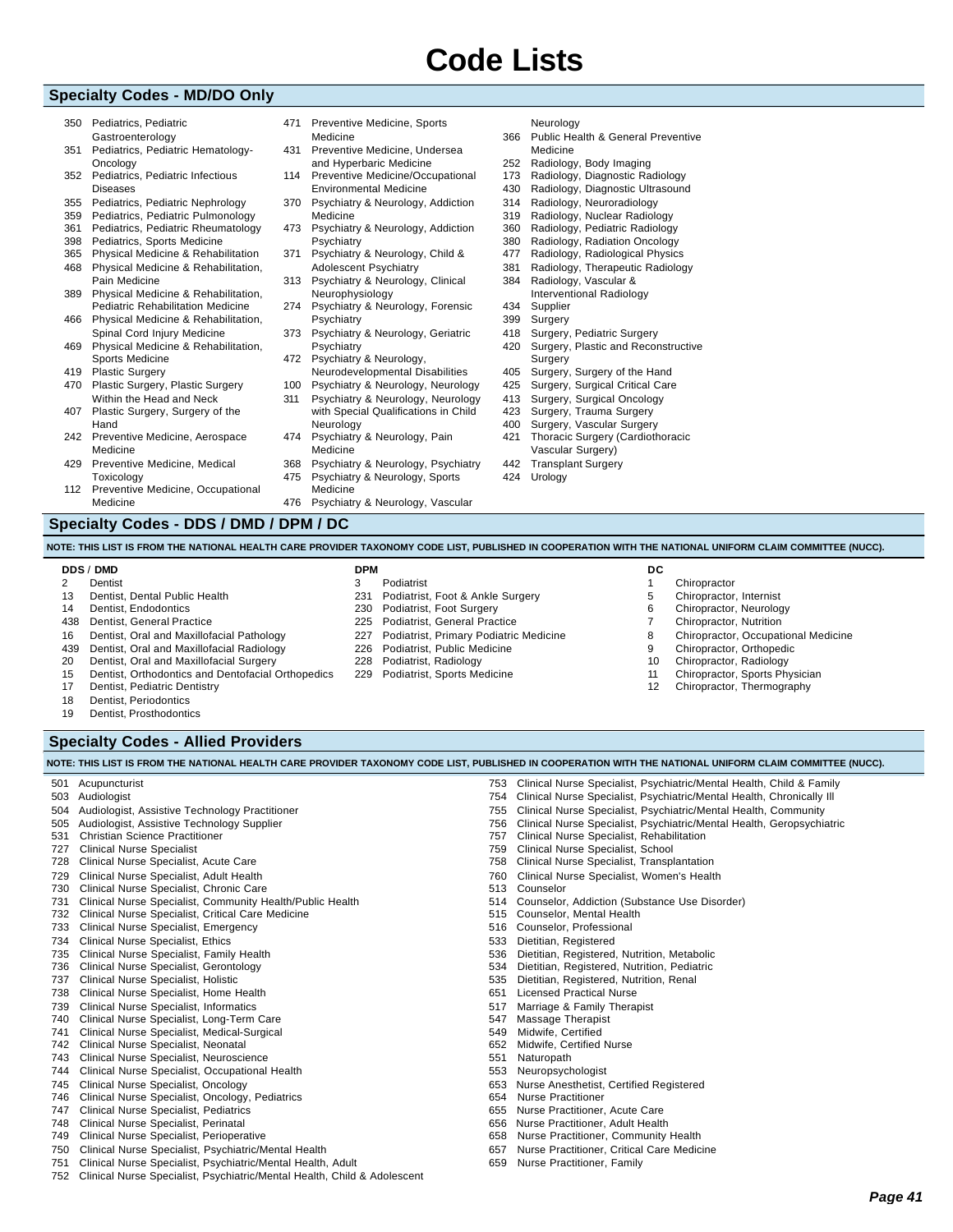### **Specialty Codes - MD/DO Only**

- 350 Pediatrics, Pediatric Gastroenterology
- 351 Pediatrics, Pediatric Hematology-Oncology
- 352 Pediatrics, Pediatric Infectious Diseases
- 355 Pediatrics, Pediatric Nephrology
- 359 Pediatrics, Pediatric Pulmonology
- 361 Pediatrics, Pediatric Rheumatology 398 Pediatrics, Sports Medicine
- 365 Physical Medicine & Rehabilitation
- 468 Physical Medicine & Rehabilitation, Pain Medicine
- 389 Physical Medicine & Rehabilitation, Pediatric Rehabilitation Medicine
- 466 Physical Medicine & Rehabilitation,
- Spinal Cord Injury Medicine 469 Physical Medicine & Rehabilitation,
- Sports Medicine 419 Plastic Surgery
- 470 Plastic Surgery, Plastic Surgery Within the Head and Neck
- 407 Plastic Surgery, Surgery of the Hand
- 242 Preventive Medicine, Aerospace Medicine
- 429 Preventive Medicine, Medical **Toxicology**
- 112 Preventive Medicine, Occupational Medicine

### **Specialty Codes - DDS / DMD / DPM / DC**

471 Preventive Medicine, Sports

- Medicine 431 Preventive Medicine, Undersea
- and Hyperbaric Medicine 114 Preventive Medicine/Occupational Environmental Medicine
- 370 Psychiatry & Neurology, Addiction Medicine
- 473 Psychiatry & Neurology, Addiction Psychiatry
- 371 Psychiatry & Neurology, Child & Adolescent Psychiatry
- 313 Psychiatry & Neurology, Clinical Neurophysiology
- 274 Psychiatry & Neurology, Forensic Psychiatry
- 373 Psychiatry & Neurology, Geriatric **Psychiatry**
- 472 Psychiatry & Neurology,
- Neurodevelopmental Disabilities 100 Psychiatry & Neurology, Neurology
- 311 Psychiatry & Neurology, Neurology with Special Qualifications in Child
- Neurology 474 Psychiatry & Neurology, Pain
- Medicine
- 368 Psychiatry & Neurology, Psychiatry<br>475 Psychiatry & Neurology, Sports Psychiatry & Neurology, Sports
- Medicine 476 Psychiatry & Neurology, Vascular
- 
- Neurology
- 366 Public Health & General Preventive Medicine 252 Radiology, Body Imaging 173 Radiology, Diagnostic Radiology 430 Radiology, Diagnostic Ultrasound 314 Radiology, Neuroradiology 319 Radiology, Nuclear Radiology 360 Radiology, Pediatric Radiology 380 Radiology, Radiation Oncology 477 Radiology, Radiological Physics 381 Radiology, Therapeutic Radiology 384 Radiology, Vascular & Interventional Radiology
- 434 Supplier
- 399 Surgery
- 418 Surgery, Pediatric Surgery 420 Surgery, Plastic and Reconstructive
- Surgery
- 405 Surgery, Surgery of the Hand
- 425 Surgery, Surgical Critical Care
- 413 Surgery, Surgical Oncology
- 423 Surgery, Trauma Surgery
- 400 Surgery, Vascular Surgery
- 421 Thoracic Surgery (Cardiothoracic Vascular Surgery)
- 442 Transplant Surgery<br>424 Urology Urology

**NOTE: THIS LIST IS FROM THE NATIONAL HEALTH CARE PROVIDER TAXONOMY CODE LIST, PUBLISHED IN COOPERATION WITH THE NATIONAL UNIFORM CLAIM COMMITTEE (NUCC).**

### **DDS** / **DMD**

- 2 Dentist 13 Dentist, Dental Public Health
- 14 Dentist, Endodontics
- 438 Dentist, General Practice
- 
- 16 Dentist, Oral and Maxillofacial Pathology
- 439 Dentist, Oral and Maxillofacial Radiology
- 20 Dentist, Oral and Maxillofacial Surgery
- 15 Dentist, Orthodontics and Dentofacial Orthopedics
- 17 Dentist, Pediatric Dentistry
- 18 Dentist, Periodontics
- 19 Dentist, Prosthodontics

### **Specialty Codes - Allied Providers**

|     | NOTE: THIS LIST IS FROM THE NATIONAL HEALTH CARE PROVIDER TAXONOMY CODE LIST, PUBLISHED IN COOPERATION WITH THE NATIONAL UNIFORM CLAIM COMMITTEE (NUCC). |     |                                                                          |         |
|-----|----------------------------------------------------------------------------------------------------------------------------------------------------------|-----|--------------------------------------------------------------------------|---------|
| 501 | Acupuncturist                                                                                                                                            |     | 753 Clinical Nurse Specialist, Psychiatric/Mental Health, Child & Family |         |
| 503 | Audiologist                                                                                                                                              | 754 | Clinical Nurse Specialist, Psychiatric/Mental Health, Chronically III    |         |
| 504 | Audiologist, Assistive Technology Practitioner                                                                                                           | 755 | Clinical Nurse Specialist, Psychiatric/Mental Health, Community          |         |
| 505 | Audiologist, Assistive Technology Supplier                                                                                                               | 756 | Clinical Nurse Specialist, Psychiatric/Mental Health, Geropsychiatric    |         |
| 531 | <b>Christian Science Practitioner</b>                                                                                                                    | 757 | Clinical Nurse Specialist, Rehabilitation                                |         |
| 727 | <b>Clinical Nurse Specialist</b>                                                                                                                         | 759 | Clinical Nurse Specialist, School                                        |         |
| 728 | Clinical Nurse Specialist, Acute Care                                                                                                                    | 758 | Clinical Nurse Specialist, Transplantation                               |         |
| 729 | Clinical Nurse Specialist, Adult Health                                                                                                                  | 760 | Clinical Nurse Specialist, Women's Health                                |         |
| 730 | Clinical Nurse Specialist, Chronic Care                                                                                                                  | 513 | Counselor                                                                |         |
| 731 | Clinical Nurse Specialist, Community Health/Public Health                                                                                                | 514 | Counselor, Addiction (Substance Use Disorder)                            |         |
| 732 | Clinical Nurse Specialist, Critical Care Medicine                                                                                                        | 515 | Counselor, Mental Health                                                 |         |
| 733 | Clinical Nurse Specialist, Emergency                                                                                                                     | 516 | Counselor, Professional                                                  |         |
| 734 | <b>Clinical Nurse Specialist, Ethics</b>                                                                                                                 | 533 | Dietitian, Registered                                                    |         |
| 735 | Clinical Nurse Specialist, Family Health                                                                                                                 | 536 | Dietitian, Registered, Nutrition, Metabolic                              |         |
| 736 | Clinical Nurse Specialist, Gerontology                                                                                                                   | 534 | Dietitian, Registered, Nutrition, Pediatric                              |         |
| 737 | Clinical Nurse Specialist, Holistic                                                                                                                      | 535 | Dietitian, Registered, Nutrition, Renal                                  |         |
| 738 | Clinical Nurse Specialist, Home Health                                                                                                                   | 651 | <b>Licensed Practical Nurse</b>                                          |         |
| 739 | Clinical Nurse Specialist, Informatics                                                                                                                   | 517 | Marriage & Family Therapist                                              |         |
| 740 | Clinical Nurse Specialist, Long-Term Care                                                                                                                | 547 | <b>Massage Therapist</b>                                                 |         |
| 741 | Clinical Nurse Specialist, Medical-Surgical                                                                                                              | 549 | Midwife, Certified                                                       |         |
| 742 | Clinical Nurse Specialist, Neonatal                                                                                                                      | 652 | Midwife, Certified Nurse                                                 |         |
| 743 | Clinical Nurse Specialist, Neuroscience                                                                                                                  | 551 | Naturopath                                                               |         |
| 744 | Clinical Nurse Specialist, Occupational Health                                                                                                           | 553 | Neuropsychologist                                                        |         |
| 745 | Clinical Nurse Specialist, Oncology                                                                                                                      | 653 | Nurse Anesthetist, Certified Registered                                  |         |
| 746 | Clinical Nurse Specialist, Oncology, Pediatrics                                                                                                          | 654 | <b>Nurse Practitioner</b>                                                |         |
| 747 | Clinical Nurse Specialist, Pediatrics                                                                                                                    | 655 | Nurse Practitioner, Acute Care                                           |         |
| 748 | Clinical Nurse Specialist, Perinatal                                                                                                                     | 656 | Nurse Practitioner, Adult Health                                         |         |
| 749 | Clinical Nurse Specialist, Perioperative                                                                                                                 | 658 | Nurse Practitioner, Community Health                                     |         |
| 750 | Clinical Nurse Specialist, Psychiatric/Mental Health                                                                                                     | 657 | Nurse Practitioner, Critical Care Medicine                               |         |
| 751 | Clinical Nurse Specialist, Psychiatric/Mental Health, Adult                                                                                              | 659 | Nurse Practitioner, Family                                               |         |
| 752 | Clinical Nurse Specialist, Psychiatric/Mental Health, Child & Adolescent                                                                                 |     |                                                                          |         |
|     |                                                                                                                                                          |     |                                                                          | Page 41 |
|     |                                                                                                                                                          |     |                                                                          |         |

- 231 Podiatrist, Foot & Ankle Surgery 230 Podiatrist, Foot Surgery 225 Podiatrist, General Practice
	- 227 Podiatrist, Primary Podiatric Medicine
	- 226 Podiatrist, Public Medicine
	- 228 Podiatrist, Radiology
	- 229 Podiatrist, Sports Medicine

**DC**

- 1 Chiropractor 5 Chiropractor, Internist
- 6 Chiropractor, Neurology
- 7 Chiropractor, Nutrition
- 
- 8 Chiropractor, Occupational Medicine
- 9 Chiropractor, Orthopedic
- 10 Chiropractor, Radiology
- 11 Chiropractor, Sports Physician
- 12 Chiropractor, Thermography
- **DPM** 3 Podiatrist
-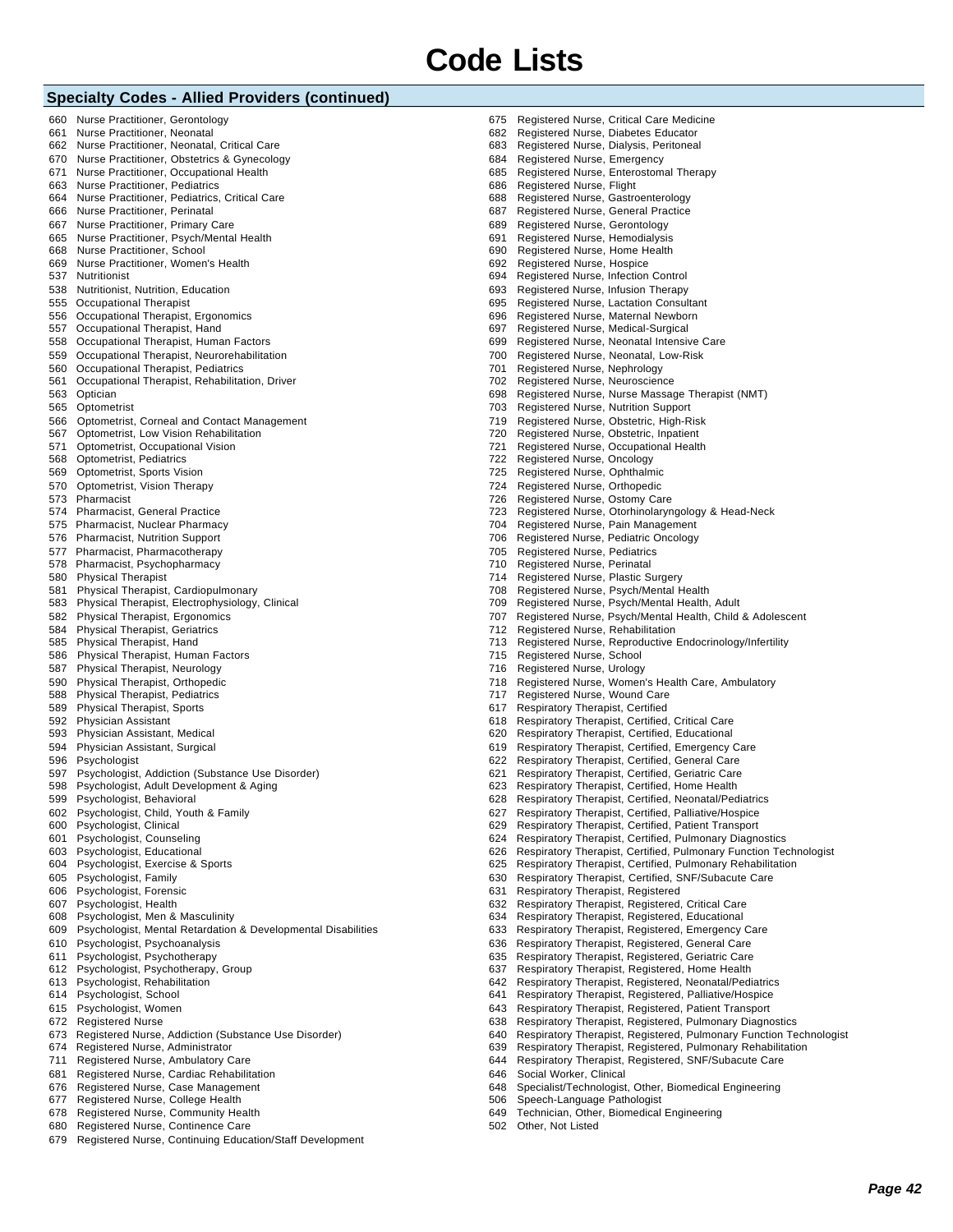### **Specialty Codes - Allied Providers (continued)**

680 Registered Nurse, Continence Care

679 Registered Nurse, Continuing Education/Staff Development

|     | . <del>.</del>                                                |     |                                                                       |
|-----|---------------------------------------------------------------|-----|-----------------------------------------------------------------------|
| 660 | Nurse Practitioner, Gerontology                               | 675 | Registered Nurse, Critical Care Medicine                              |
| 661 | Nurse Practitioner, Neonatal                                  | 682 | Registered Nurse, Diabetes Educator                                   |
|     |                                                               |     |                                                                       |
| 662 | Nurse Practitioner, Neonatal, Critical Care                   | 683 | Registered Nurse, Dialysis, Peritoneal                                |
| 670 | Nurse Practitioner, Obstetrics & Gynecology                   | 684 | Registered Nurse, Emergency                                           |
| 671 | Nurse Practitioner, Occupational Health                       | 685 | Registered Nurse, Enterostomal Therapy                                |
| 663 | Nurse Practitioner, Pediatrics                                | 686 | Registered Nurse, Flight                                              |
| 664 | Nurse Practitioner, Pediatrics, Critical Care                 | 688 | Registered Nurse, Gastroenterology                                    |
| 666 | Nurse Practitioner, Perinatal                                 | 687 | Registered Nurse, General Practice                                    |
|     |                                                               | 689 |                                                                       |
| 667 | Nurse Practitioner, Primary Care                              |     | Registered Nurse, Gerontology                                         |
| 665 | Nurse Practitioner, Psych/Mental Health                       | 691 | Registered Nurse, Hemodialysis                                        |
| 668 | Nurse Practitioner, School                                    | 690 | Registered Nurse, Home Health                                         |
| 669 | Nurse Practitioner, Women's Health                            | 692 | Registered Nurse, Hospice                                             |
| 537 | Nutritionist                                                  | 694 | Registered Nurse, Infection Control                                   |
| 538 | Nutritionist, Nutrition, Education                            | 693 | Registered Nurse, Infusion Therapy                                    |
|     | 555 Occupational Therapist                                    | 695 | Registered Nurse, Lactation Consultant                                |
|     |                                                               |     |                                                                       |
|     | 556 Occupational Therapist, Ergonomics                        | 696 | Registered Nurse, Maternal Newborn                                    |
|     | 557 Occupational Therapist, Hand                              | 697 | Registered Nurse, Medical-Surgical                                    |
| 558 | Occupational Therapist, Human Factors                         | 699 | Registered Nurse, Neonatal Intensive Care                             |
| 559 | Occupational Therapist, Neurorehabilitation                   | 700 | Registered Nurse, Neonatal, Low-Risk                                  |
| 560 | Occupational Therapist, Pediatrics                            | 701 | Registered Nurse, Nephrology                                          |
| 561 | Occupational Therapist, Rehabilitation, Driver                | 702 | Registered Nurse, Neuroscience                                        |
|     | 563 Optician                                                  | 698 | Registered Nurse, Nurse Massage Therapist (NMT)                       |
|     |                                                               |     |                                                                       |
|     | 565 Optometrist                                               | 703 | Registered Nurse, Nutrition Support                                   |
| 566 | Optometrist, Corneal and Contact Management                   | 719 | Registered Nurse, Obstetric, High-Risk                                |
| 567 | Optometrist, Low Vision Rehabilitation                        | 720 | Registered Nurse, Obstetric, Inpatient                                |
| 571 | Optometrist, Occupational Vision                              | 721 | Registered Nurse, Occupational Health                                 |
| 568 | Optometrist, Pediatrics                                       | 722 | Registered Nurse, Oncology                                            |
| 569 | Optometrist, Sports Vision                                    | 725 | Registered Nurse, Ophthalmic                                          |
|     |                                                               |     |                                                                       |
| 570 | Optometrist, Vision Therapy                                   | 724 | Registered Nurse, Orthopedic                                          |
| 573 | Pharmacist                                                    | 726 | Registered Nurse, Ostomy Care                                         |
| 574 | <b>Pharmacist, General Practice</b>                           | 723 | Registered Nurse, Otorhinolaryngology & Head-Neck                     |
|     | 575 Pharmacist, Nuclear Pharmacy                              | 704 | Registered Nurse, Pain Management                                     |
| 576 | <b>Pharmacist, Nutrition Support</b>                          | 706 | Registered Nurse, Pediatric Oncology                                  |
| 577 | Pharmacist, Pharmacotherapy                                   | 705 | <b>Registered Nurse, Pediatrics</b>                                   |
| 578 | Pharmacist, Psychopharmacy                                    | 710 | Registered Nurse, Perinatal                                           |
|     |                                                               |     |                                                                       |
| 580 | <b>Physical Therapist</b>                                     | 714 | Registered Nurse, Plastic Surgery                                     |
| 581 | Physical Therapist, Cardiopulmonary                           | 708 | Registered Nurse, Psych/Mental Health                                 |
| 583 | Physical Therapist, Electrophysiology, Clinical               | 709 | Registered Nurse, Psych/Mental Health, Adult                          |
| 582 | Physical Therapist, Ergonomics                                | 707 | Registered Nurse, Psych/Mental Health, Child & Adolescent             |
| 584 | <b>Physical Therapist, Geriatrics</b>                         | 712 | Registered Nurse, Rehabilitation                                      |
| 585 | Physical Therapist, Hand                                      | 713 | Registered Nurse, Reproductive Endocrinology/Infertility              |
| 586 | Physical Therapist, Human Factors                             | 715 | Registered Nurse, School                                              |
|     |                                                               |     |                                                                       |
| 587 | Physical Therapist, Neurology                                 | 716 | Registered Nurse, Urology                                             |
| 590 | Physical Therapist, Orthopedic                                | 718 | Registered Nurse, Women's Health Care, Ambulatory                     |
| 588 | <b>Physical Therapist, Pediatrics</b>                         | 717 | Registered Nurse, Wound Care                                          |
| 589 | <b>Physical Therapist, Sports</b>                             | 617 | Respiratory Therapist, Certified                                      |
| 592 | Physician Assistant                                           | 618 | Respiratory Therapist, Certified, Critical Care                       |
| 593 | Physician Assistant, Medical                                  | 620 | Respiratory Therapist, Certified, Educational                         |
| 594 | Physician Assistant, Surgical                                 | 619 | Respiratory Therapist, Certified, Emergency Care                      |
|     |                                                               |     |                                                                       |
| 596 | Psychologist                                                  | 622 | Respiratory Therapist, Certified, General Care                        |
| 597 | Psychologist, Addiction (Substance Use Disorder)              | 621 | Respiratory Therapist, Certified, Geriatric Care                      |
| 598 | Psychologist, Adult Development & Aging                       |     | 623 Respiratory Therapist, Certified, Home Health                     |
| 599 | Psychologist, Behavioral                                      |     | 628 Respiratory Therapist, Certified, Neonatal/Pediatrics             |
|     | 602 Psychologist, Child, Youth & Family                       |     | 627 Respiratory Therapist, Certified, Palliative/Hospice              |
|     | 600 Psychologist, Clinical                                    | 629 | Respiratory Therapist, Certified, Patient Transport                   |
| 601 | Psychologist, Counseling                                      | 624 | Respiratory Therapist, Certified, Pulmonary Diagnostics               |
|     |                                                               |     |                                                                       |
|     | 603 Psychologist, Educational                                 |     | 626 Respiratory Therapist, Certified, Pulmonary Function Technologist |
| 604 | Psychologist, Exercise & Sports                               |     | 625 Respiratory Therapist, Certified, Pulmonary Rehabilitation        |
| 605 | Psychologist, Family                                          | 630 | Respiratory Therapist, Certified, SNF/Subacute Care                   |
|     | 606 Psychologist, Forensic                                    | 631 | Respiratory Therapist, Registered                                     |
| 607 | Psychologist, Health                                          | 632 | Respiratory Therapist, Registered, Critical Care                      |
| 608 | Psychologist, Men & Masculinity                               | 634 | Respiratory Therapist, Registered, Educational                        |
|     |                                                               |     |                                                                       |
| 609 | Psychologist, Mental Retardation & Developmental Disabilities |     | 633 Respiratory Therapist, Registered, Emergency Care                 |
| 610 | Psychologist, Psychoanalysis                                  | 636 | Respiratory Therapist, Registered, General Care                       |
| 611 | Psychologist, Psychotherapy                                   | 635 | Respiratory Therapist, Registered, Geriatric Care                     |
| 612 | Psychologist, Psychotherapy, Group                            | 637 | Respiratory Therapist, Registered, Home Health                        |
| 613 | Psychologist, Rehabilitation                                  |     | 642 Respiratory Therapist, Registered, Neonatal/Pediatrics            |
| 614 | Psychologist, School                                          | 641 | Respiratory Therapist, Registered, Palliative/Hospice                 |
|     |                                                               |     |                                                                       |
| 615 | Psychologist, Women                                           | 643 | Respiratory Therapist, Registered, Patient Transport                  |
|     | 672 Registered Nurse                                          | 638 | Respiratory Therapist, Registered, Pulmonary Diagnostics              |
| 673 | Registered Nurse, Addiction (Substance Use Disorder)          | 640 | Respiratory Therapist, Registered, Pulmonary Function Technologist    |
| 674 | Registered Nurse, Administrator                               | 639 | Respiratory Therapist, Registered, Pulmonary Rehabilitation           |
| 711 | Registered Nurse, Ambulatory Care                             | 644 | Respiratory Therapist, Registered, SNF/Subacute Care                  |
| 681 | Registered Nurse, Cardiac Rehabilitation                      | 646 | Social Worker, Clinical                                               |
| 676 | Registered Nurse, Case Management                             | 648 | Specialist/Technologist, Other, Biomedical Engineering                |
|     |                                                               | 506 | Speech-Language Pathologist                                           |
| 677 | Registered Nurse, College Health                              |     |                                                                       |
|     | 678 Registered Nurse, Community Health                        |     | 649 Technician, Other, Biomedical Engineering                         |

502 Other, Not Listed